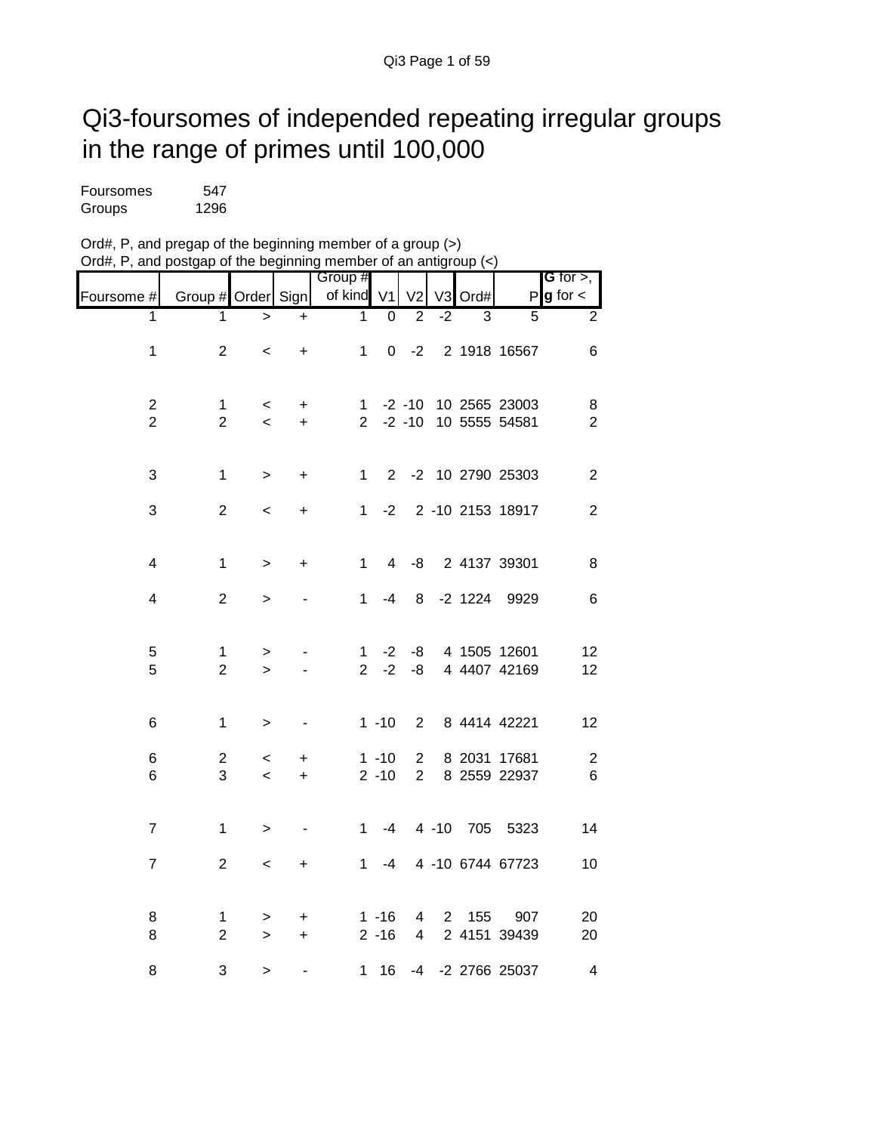## Qi3-foursomes of independed repeating irregular groups in the range of primes until 100,000

| Foursomes | 547  |
|-----------|------|
| Groups    | 1296 |

| Ord#, P, and pregap of the beginning member of a group $(>)$     |  |
|------------------------------------------------------------------|--|
| Ord#, P, and postgap of the beginning member of an antigroup (<) |  |

|                                           |                               |                                   |                        | Group #             |                      |                                  |                |           |                                | G for $>$ ,             |
|-------------------------------------------|-------------------------------|-----------------------------------|------------------------|---------------------|----------------------|----------------------------------|----------------|-----------|--------------------------------|-------------------------|
| Foursome #                                | Group # Order Sign            |                                   |                        | of kind             | V1                   | V <sub>2</sub>                   | V <sub>3</sub> | Ord#      |                                | $P g$ for $\lt$         |
| 1                                         | 1                             | $\geq$                            | $\ddot{}$              | 1                   | $\overline{0}$       | $\overline{2}$                   | $-2$           | 3         | 5                              | $\overline{2}$          |
| $\mathbf 1$                               | $\overline{2}$                | $\,<\,$                           | $\ddot{}$              | $\mathbf 1$         | 0                    | $-2$                             |                |           | 2 1918 16567                   | 6                       |
| $\overline{\mathbf{c}}$<br>$\overline{2}$ | $\mathbf 1$<br>$\overline{2}$ | $\,<$<br>$\overline{\phantom{0}}$ | $\ddot{}$<br>$\ddot{}$ | 1<br>$\overline{2}$ |                      | $-2 - 10$<br>$-2 - 10$           |                |           | 10 2565 23003<br>10 5555 54581 | 8<br>$\overline{2}$     |
| 3                                         | $\mathbf 1$                   | $\, > \,$                         | +                      | 1                   | 2                    |                                  |                |           | -2 10 2790 25303               | $\overline{2}$          |
| 3                                         | $\overline{c}$                | <                                 | +                      | 1                   | $-2$                 |                                  |                |           | 2 -10 2153 18917               | $\overline{c}$          |
| $\overline{\mathbf{4}}$                   | $\mathbf 1$                   | $\, > \,$                         | +                      | 1                   | 4                    | -8                               |                |           | 2 4137 39301                   | 8                       |
| $\overline{\mathbf{4}}$                   | $\overline{2}$                | >                                 |                        | $\mathbf{1}$        | $-4$                 | 8                                |                | $-2$ 1224 | 9929                           | $\,6$                   |
| 5<br>5                                    | $\mathbf 1$<br>$\overline{2}$ | ><br>$\geq$                       |                        | 1<br>$\overline{2}$ | $-2$<br>$-2$         | -8<br>-8                         |                |           | 4 1505 12601<br>4 4407 42169   | 12<br>12                |
| 6                                         | 1                             | >                                 |                        |                     | $1 - 10$             | $\overline{2}$                   |                |           | 8 4414 42221                   | 12                      |
| 6<br>6                                    | $\mathbf{2}$<br>3             | <<br>$\prec$                      | +<br>$\ddot{}$         |                     | $1 - 10$<br>$2 - 10$ | $\overline{2}$<br>$\overline{2}$ |                | 8 2031    | 17681<br>8 2559 22937          | $\overline{c}$<br>$\,6$ |
| $\overline{7}$                            | $\mathbf 1$                   | $\, > \,$                         |                        | 1                   | -4                   |                                  | $4 - 10$       | 705       | 5323                           | 14                      |
| $\overline{\mathcal{I}}$                  | $\boldsymbol{2}$              | $\,<$                             | +                      | $\mathbf{1}$        | $-4$                 |                                  |                |           | 4 -10 6744 67723               | 10                      |
| 8<br>8                                    | 1<br>$\overline{c}$           | ><br>$\geq$                       | +<br>+                 |                     | $1 - 16$<br>$2 - 16$ | 4<br>$\overline{\mathbf{4}}$     | $\overline{2}$ | 155       | 907<br>2 4151 39439            | 20<br>20                |
| 8                                         | 3                             | $\geq$                            |                        | 1                   | 16                   | -4                               |                |           | -2 2766 25037                  | 4                       |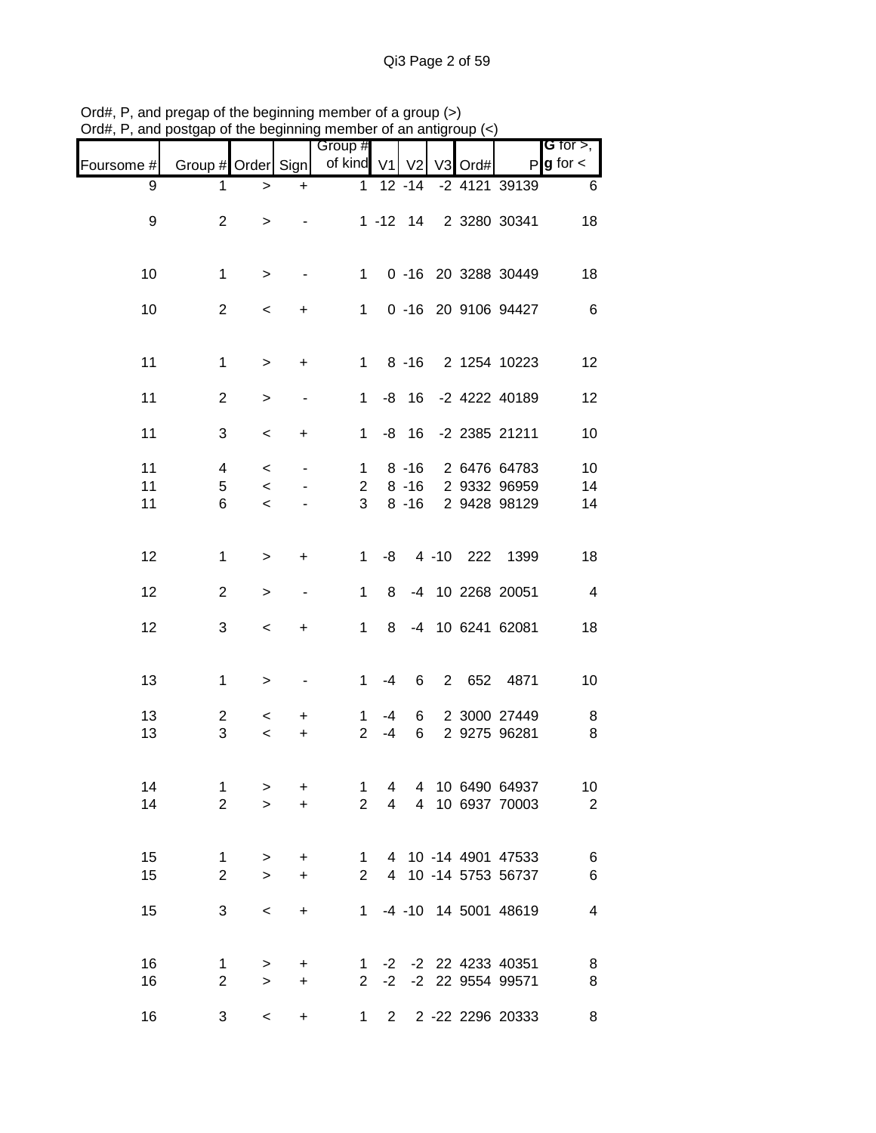|            |                    |                |           | Group #                        |                |                      |                |      |                              | <b>G</b> for $>$ , |
|------------|--------------------|----------------|-----------|--------------------------------|----------------|----------------------|----------------|------|------------------------------|--------------------|
| Foursome # | Group # Order Sign |                |           | of kind V1                     |                | V <sub>2</sub>       | V3             | Ord# |                              | $P g$ for $\lt$    |
| 9          | 1                  | >              | $\ddot{}$ | $\mathbf 1$                    |                | $12 - 14$            |                |      | -2 4121 39139                | 6                  |
| 9          | $\overline{2}$     | >              |           |                                |                | $1 - 12$ 14          |                |      | 2 3280 30341                 | 18                 |
| 10         | $\mathbf{1}$       | >              |           | $\mathbf 1$                    |                |                      |                |      | 0 -16 20 3288 30449          | 18                 |
| 10         | $\overline{2}$     | $\,<\,$        | +         | $\mathbf 1$                    |                |                      |                |      | 0 -16 20 9106 94427          | 6                  |
| 11         | $\mathbf{1}$       | >              | +         | $\mathbf{1}$                   |                | $8 - 16$             |                |      | 2 1254 10223                 | 12                 |
| 11         | $\overline{2}$     | >              | -         | $\mathbf 1$                    |                | $-8$ 16              |                |      | -2 4222 40189                | 12                 |
| 11         | 3                  | $\,<\,$        | +         | $\mathbf{1}$                   |                | $-8$ 16              |                |      | -2 2385 21211                | 10                 |
| 11<br>11   | 4<br>5             | $\,<$<br>$\,<$ | -         | $\mathbf{1}$<br>$\overline{c}$ |                | $8 - 16$<br>$8 - 16$ |                |      | 2 6476 64783<br>2 9332 96959 | 10<br>14           |
| 11         | 6                  | $\,<\,$        |           | 3                              |                | $8 - 16$             |                |      | 2 9428 98129                 | 14                 |
| 12         | $\mathbf{1}$       | $\geq$         | $\ddot{}$ | $\mathbf 1$                    | -8             |                      |                |      | 4 -10 222 1399               | 18                 |
| 12         | $\overline{2}$     | $\geq$         | -         | 1                              | 8              |                      |                |      | -4 10 2268 20051             | $\overline{4}$     |
| 12         | 3                  | $\,<$          | +         | 1                              | 8              |                      |                |      | -4 10 6241 62081             | 18                 |
| 13         | $\mathbf{1}$       | >              |           | $\mathbf{1}$                   | -4             | 6                    | $\overline{2}$ | 652  | 4871                         | 10                 |
| 13         | $\overline{c}$     | $\,<\,$        | +         | 1                              | $-4$           | 6                    |                |      | 2 3000 27449                 | 8                  |
| 13         | $\sqrt{3}$         | $\,<$          | $\ddot{}$ | $\overline{2}$                 | $-4$           | 6                    |                |      | 2 9275 96281                 | 8                  |
| 14         | 1                  | $\, > \,$      | $\ddot{}$ | 1                              | 4              |                      |                |      | 4 10 6490 64937              | 10                 |
| 14         | $\overline{2}$     | $\geq$         | $+$       | 2 <sup>7</sup>                 | $\overline{4}$ |                      |                |      | 4 10 6937 70003              | $\overline{2}$     |
| 15<br>15   | $\mathbf{1}$       | $\, >$         | $\ddot{}$ | 1                              |                |                      |                |      | 4 10 -14 4901 47533          | 6                  |
|            | $\overline{2}$     | $\mathbf{I}$   | $\ddot{}$ |                                |                |                      |                |      | 2 4 10 -14 5753 56737        | $\,6$              |
| 15         | 3                  | $\,<$          | $\ddot{}$ |                                |                |                      |                |      | 1 -4 -10 14 5001 48619       | $\overline{4}$     |
| 16         | $\mathbf 1$        | $\, >$         | +         |                                |                |                      |                |      | 1 -2 -2 22 4233 40351        | 8                  |
| 16         | $\overline{2}$     | $\,>$          | $\ddot{}$ | 2 <sup>7</sup>                 |                |                      |                |      | -2 -2 22 9554 99571          | 8                  |
| 16         | 3                  | $\,<$          | $\ddot{}$ | $1 \quad$                      | $2^{\circ}$    |                      |                |      | 2 -22 2296 20333             | 8                  |

Ord#, P, and pregap of the beginning member of a group (>) Ord#, P, and postgap of the beginning member of an antigroup (<)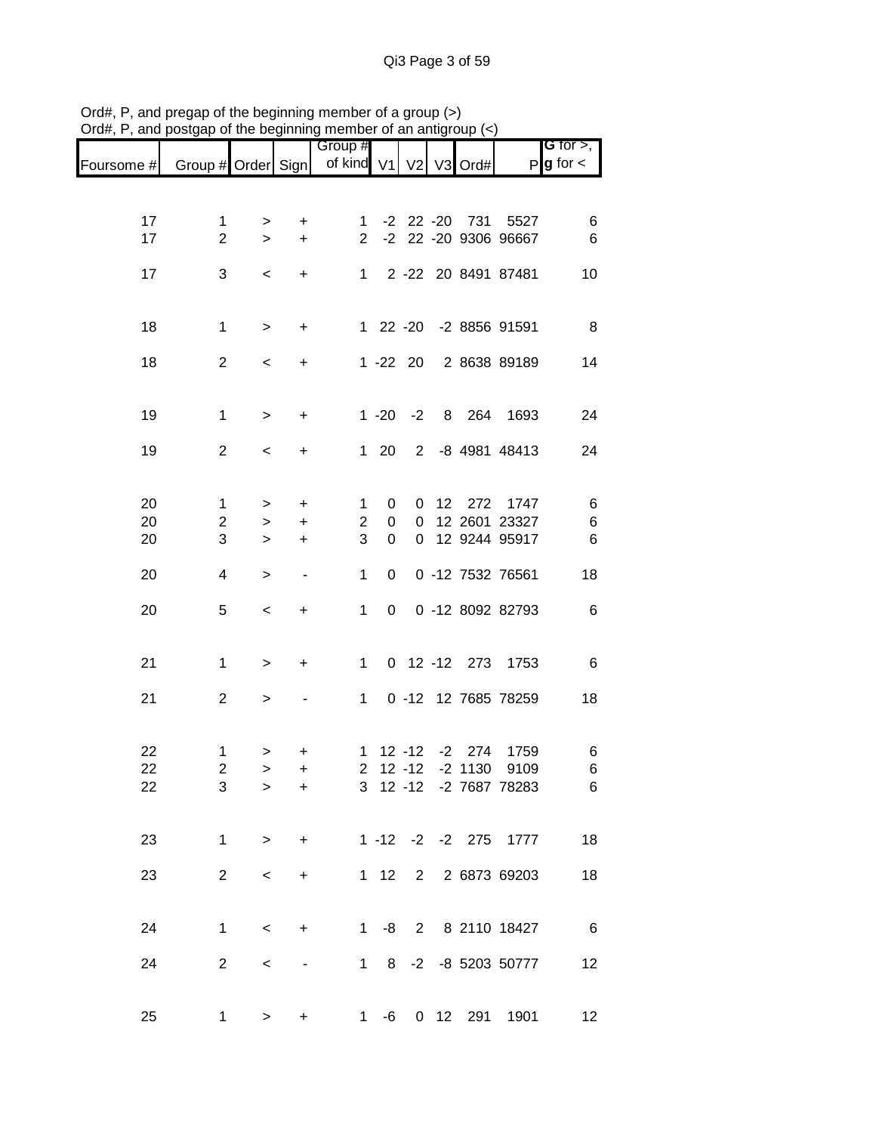|            |                    |           |                          | Group #               |            |                |      |                   |                        | G for $>$ ,            |
|------------|--------------------|-----------|--------------------------|-----------------------|------------|----------------|------|-------------------|------------------------|------------------------|
| Foursome # | Group # Order Sign |           |                          | of kind V1 V2 V3 Ord# |            |                |      |                   |                        | $P$ <b>g</b> for $\lt$ |
|            |                    |           |                          |                       |            |                |      |                   |                        |                        |
| 17         | $\mathbf{1}$       | $\, > \,$ | +                        | $\mathbf{1}$          |            |                |      | $-2$ 22 $-20$ 731 | 5527                   | 6                      |
| 17         | $\overline{2}$     | $\geq$    | $\ddot{}$                | $\overline{2}$        |            |                |      |                   | -2 22 -20 9306 96667   | 6                      |
| 17         | 3                  | $\,<\,$   | +                        | $\mathbf{1}$          |            |                |      |                   | 2 -22 20 8491 87481    | 10                     |
|            |                    |           |                          |                       |            |                |      |                   |                        |                        |
| 18         | 1                  | $\, > \,$ | +                        |                       |            |                |      |                   | 1 22 -20 -2 8856 91591 | 8                      |
| 18         | $\overline{c}$     | $\,<\,$   | +                        |                       |            | $1 - 22$ 20    |      |                   | 2 8638 89189           | 14                     |
|            |                    |           |                          |                       |            |                |      |                   |                        |                        |
| 19         | $\mathbf{1}$       | $\, >$    | +                        |                       |            | $1 - 20 - 2$   |      |                   | 8 264 1693             | 24                     |
| 19         | $\overline{2}$     | $\,<\,$   | +                        |                       | 120        | $2^{\circ}$    |      |                   | -8 4981 48413          | 24                     |
|            |                    |           |                          |                       |            |                |      |                   |                        |                        |
| 20         | $\mathbf{1}$       | $\, > \,$ | $\ddot{}$                | $\mathbf{1}$          | 0          | 0              | 12   | 272               | 1747                   | 6                      |
| 20         | $\overline{c}$     | $\geq$    | $\ddot{}$                | $\overline{c}$        | 0          | $\mathbf 0$    |      |                   | 12 2601 23327          | $\,6$                  |
| 20         | 3                  | $\geq$    | $\ddot{}$                | 3                     | 0          | $\overline{0}$ |      |                   | 12 9244 95917          | 6                      |
| 20         | 4                  | $\, > \,$ | $\overline{\phantom{a}}$ | 1                     | 0          |                |      |                   | 0 -12 7532 76561       | 18                     |
| 20         | 5                  | $\,<$     | +                        | $\mathbf 1$           | 0          |                |      |                   | 0 -12 8092 82793       | 6                      |
|            |                    |           |                          |                       |            |                |      |                   |                        |                        |
| 21         | 1                  | $\,>$     | +                        | $\mathbf 1$           |            |                |      | 0 12 -12 273      | 1753                   | 6                      |
| 21         | $\mathbf{2}$       | $\,>$     |                          | $\mathbf{1}$          |            |                |      |                   | 0 -12 12 7685 78259    | 18                     |
|            |                    |           |                          |                       |            |                |      |                   |                        |                        |
| 22         | 1                  | >         | +                        | $\mathbf 1$           |            | $12 - 12$      | $-2$ | 274               | 1759                   | 6                      |
| 22         | $\overline{c}$     | $\geq$    | $\ddot{}$                | 2 <sup>7</sup>        |            | $12 - 12$      |      | $-2$ 1130         | 9109                   | 6                      |
| 22         | 3                  | >         | +                        |                       |            |                |      |                   | 3 12 -12 -2 7687 78283 | 6                      |
|            |                    |           |                          |                       |            |                |      |                   |                        |                        |
| 23         | $\mathbf{1}$       | $\geq$    | $+$                      |                       |            |                |      |                   | 1 -12 -2 -2 275 1777   | 18                     |
| 23         | $\overline{2}$     | $\prec$   | $\ddot{}$                |                       |            |                |      |                   | 1 12 2 2 6873 69203    | 18                     |
|            |                    |           |                          |                       |            |                |      |                   |                        |                        |
| 24         | 1                  | $\,<\,$   | $+$                      | $1 \quad$             |            |                |      |                   | -8 2 8 2110 18427      | $6\overline{6}$        |
| 24         | $\overline{2}$     | $\,<\,$   |                          |                       | $1\quad 8$ |                |      |                   | -2 -8 5203 50777       | 12                     |
|            |                    |           |                          |                       |            |                |      |                   |                        |                        |
| 25         | 1                  | $\,>$     | +                        | $1 \quad$             | -6         |                |      | 0 12 291          | 1901                   | 12                     |

Ord#, P, and pregap of the beginning member of a group (>) Ord#, P, and postgap of the beginning member of an antigroup (<)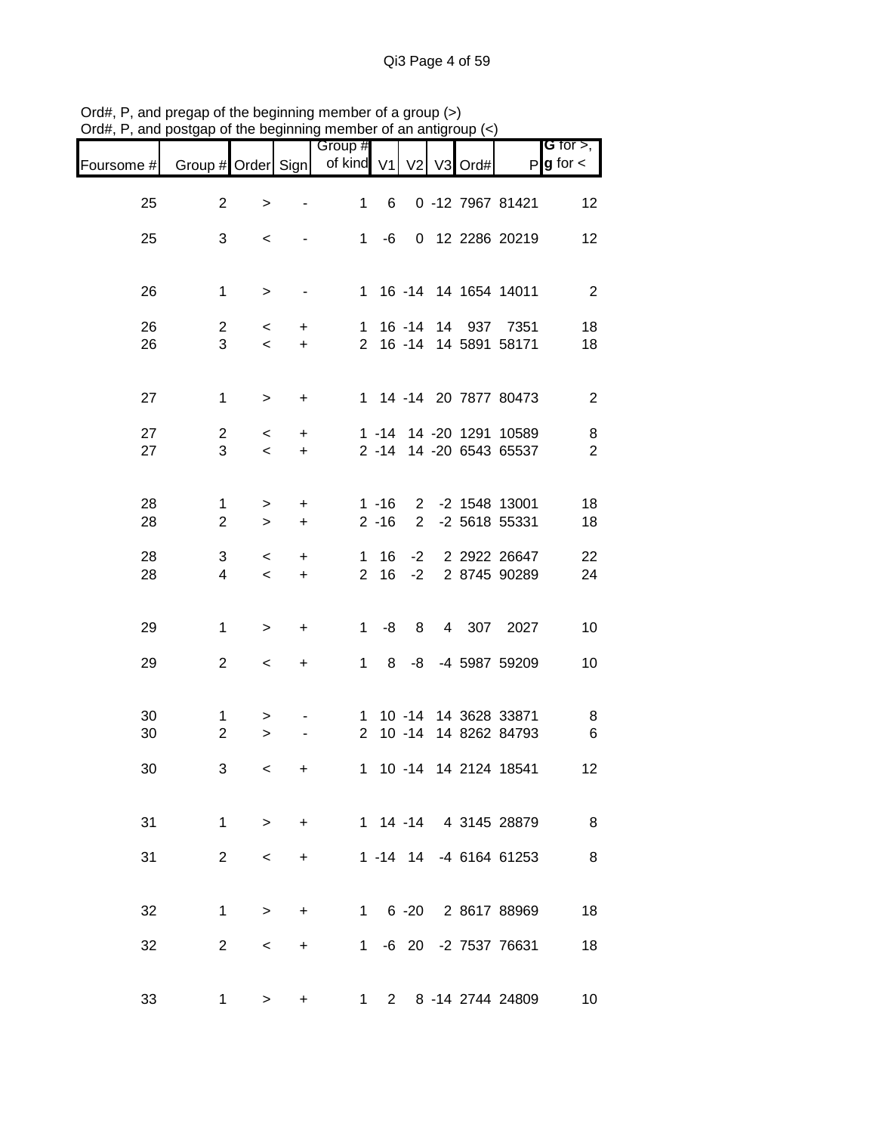| Foursome # | Group # Order Sign           |                           |                              | Group #<br>of kind V1          |          | V <sub>2</sub> | V <sub>3</sub> | Ord# |                                                    | <b>G</b> for $>$ ,<br>$P$ <b>g</b> for $\lt$ |
|------------|------------------------------|---------------------------|------------------------------|--------------------------------|----------|----------------|----------------|------|----------------------------------------------------|----------------------------------------------|
| 25         | $\overline{2}$               | $\,>$                     |                              | 1                              | 6        |                |                |      | 0 -12 7967 81421                                   | 12                                           |
| 25         | 3                            | $\,<$                     |                              | 1                              | -6       |                |                |      | 0 12 2286 20219                                    | 12                                           |
| 26         | $\mathbf{1}$                 | $\geq$                    | $\qquad \qquad \blacksquare$ |                                |          |                |                |      | 1 16 -14 14 1654 14011                             | $\overline{\phantom{a}}$                     |
| 26<br>26   | $\overline{2}$<br>3          | $\,<\,$<br>$\,<\,$        | $\ddot{}$<br>$\ddot{}$       |                                |          |                |                |      | 1 16 -14 14 937 7351<br>2 16 -14 14 5891 58171     | 18<br>18                                     |
| 27         | $\mathbf{1}$                 | $\, >$                    | $\ddot{}$                    |                                |          |                |                |      | 1 14 -14 20 7877 80473                             | $\overline{2}$                               |
| 27<br>27   | $\overline{c}$<br>3          | $\,<\,$<br>$\prec$        | $\ddot{}$<br>$\ddot{}$       |                                |          |                |                |      | 1 -14 14 -20 1291 10589<br>2 -14 14 -20 6543 65537 | $\,8\,$<br>$\overline{2}$                    |
| 28<br>28   | 1<br>$\overline{\mathbf{c}}$ | $\, > \,$<br>$\mathbf{L}$ | $\ddot{}$<br>+               |                                | $2 - 16$ | 2              |                |      | 1 -16 2 -2 1548 13001<br>-2 5618 55331             | 18<br>18                                     |
| 28<br>28   | 3<br>4                       | $\,<\,$<br>$\,<$          | +<br>$\ddot{}$               | $\mathbf{1}$<br>2 <sup>7</sup> | 16<br>16 | $-2$<br>$-2$   |                |      | 2 2922 26647<br>2 8745 90289                       | 22<br>24                                     |
| 29         | $\mathbf{1}$                 | $\,$                      | +                            | $\mathbf{1}$                   | -8       | 8              |                |      | 4 307 2027                                         | 10                                           |
| 29         | $\mathbf{2}$                 | $\,<$                     | $\ddot{}$                    | $\mathbf 1$                    | 8        | -8             |                |      | -4 5987 59209                                      | 10                                           |
| 30<br>30   | 1<br>$\overline{2}$          | ><br>$\, > \,$            |                              |                                |          |                |                |      | 1 10 -14 14 3628 33871<br>2 10 -14 14 8262 84793   | 8<br>$\,6$                                   |
| 30         | 3                            | $\,<$                     | +                            | $\mathbf{1}$                   |          |                |                |      | 10 -14 14 2124 18541                               | 12                                           |
| 31         | 1                            | $\geq$                    | $+$                          |                                |          |                |                |      | 1 14 -14 4 3145 28879                              | 8                                            |
| 31         | 2 <sup>1</sup>               | $\,<\,$                   | $\pm$                        |                                |          |                |                |      | 1 -14 14 -4 6164 61253                             | $\,8\,$                                      |
| 32         | 1.                           | $\geq$                    | $\ddot{}$                    |                                |          |                |                |      | 1 6 -20 2 8617 88969                               | 18                                           |
| 32         | $\overline{2}$               | $\,<\,$                   | +                            |                                |          |                |                |      | 1 -6 20 -2 7537 76631                              | 18                                           |
| 33         | 1                            | $\geq$                    | +                            | 1                              |          |                |                |      | 2 8 -14 2744 24809                                 | 10                                           |

Ord#, P, and pregap of the beginning member of a group (>) Ord#, P, and postgap of the beginning member of an antigroup (<)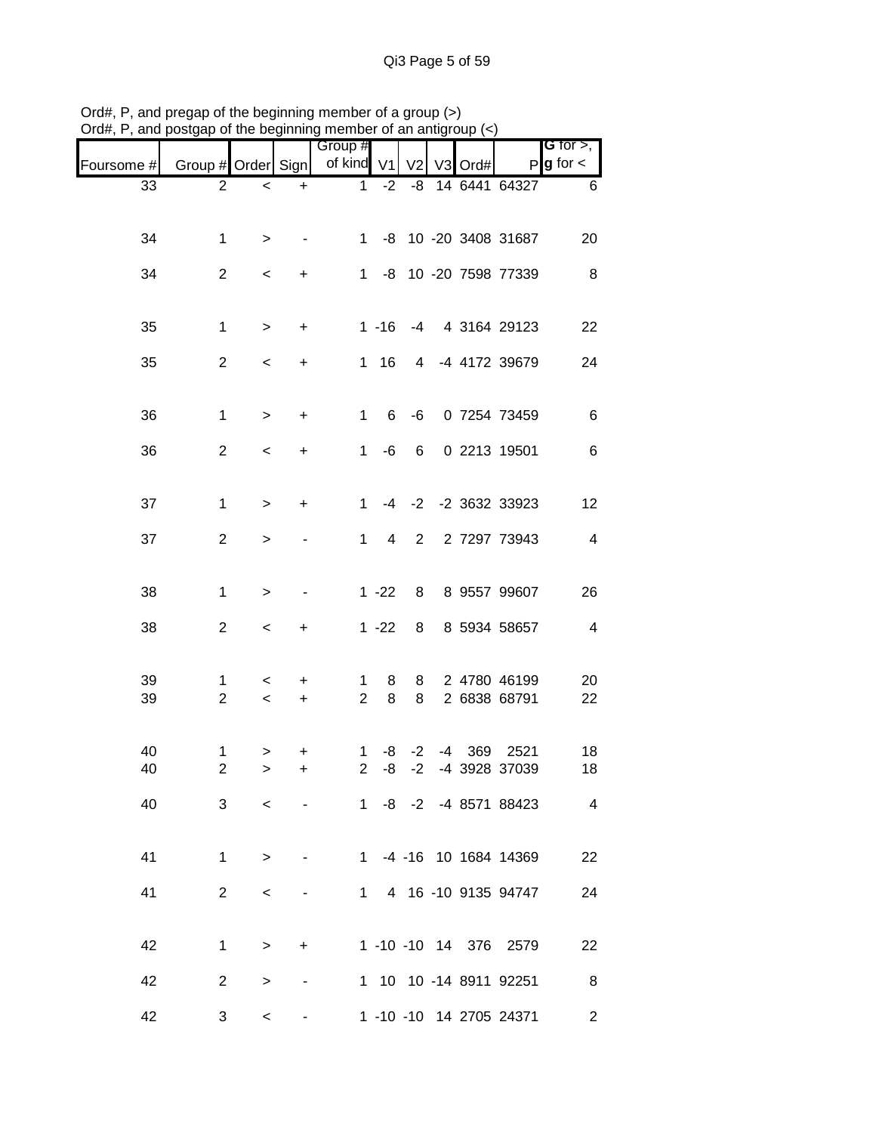| unu p      | oolgap or           |           |                | are pogmumig mombor   |           |                |                | ∪uµ  |                              |                                       |
|------------|---------------------|-----------|----------------|-----------------------|-----------|----------------|----------------|------|------------------------------|---------------------------------------|
| Foursome # | Group # Order Sign  |           |                | Group #<br>of kind V1 |           | V <sub>2</sub> | V <sub>3</sub> | Ord# |                              | G for $>$ ,<br>$P$ <b>g</b> for $\lt$ |
| 33         | $\overline{2}$      | $\,<$     | $\ddot{}$      | 1                     | $-2$      | -8             |                |      | 14 6441 64327                | 6                                     |
| 34         | $\mathbf 1$         | $\, > \,$ |                | $1 \quad$             |           |                |                |      | -8 10 -20 3408 31687         | 20                                    |
| 34         | $\overline{2}$      | $\,<$     | $\ddot{}$      |                       |           |                |                |      | 1 -8 10 -20 7598 77339       | 8                                     |
|            |                     |           |                |                       |           |                |                |      |                              |                                       |
| 35         | 1                   | $\, > \,$ | $\ddot{}$      |                       | $1 - 16$  | $-4$           |                |      | 4 3164 29123                 | 22                                    |
| 35         | $\overline{2}$      | $\,<$     | +              | $1 \quad$             | 16        |                |                |      | 4 -4 4172 39679              | 24                                    |
| 36         | $\mathbf{1}$        | $\, > \,$ | $\ddot{}$      | $\mathbf 1$           | 6         | $-6$           |                |      | 0 7254 73459                 | 6                                     |
| 36         | $\mathbf{2}$        | $\,<\,$   | +              | 1                     | -6        | 6              |                |      | 0 2213 19501                 | $\,6$                                 |
|            |                     |           |                |                       |           |                |                |      |                              |                                       |
| 37         | $\mathbf{1}$        | $\, > \,$ | +              | $\mathbf 1$           | -4        |                |                |      | -2 -2 3632 33923             | 12                                    |
| 37         | $\mathbf{2}$        | $\, > \,$ |                | 1                     | 4         | $2^{\circ}$    |                |      | 2 7297 73943                 | $\overline{4}$                        |
|            |                     |           |                |                       |           |                |                |      |                              |                                       |
| 38         | $\mathbf{1}$        | $\,>$     |                |                       | $1 - 22$  | 8              |                |      | 8 9557 99607                 | 26                                    |
| 38         | $\mathbf{2}$        | $\,<\,$   | $\ddot{}$      |                       | $1 - 22$  | 8              |                |      | 8 5934 58657                 | $\overline{4}$                        |
| 39         | 1                   | $\,<\,$   | +              | 1                     | 8         | 8              |                |      | 2 4780 46199                 | 20                                    |
| 39         | $\overline{2}$      | $\,<\,$   | $\ddot{}$      | $\overline{2}$        | 8         | 8              |                |      | 2 6838 68791                 | 22                                    |
|            |                     |           |                |                       |           |                |                |      |                              |                                       |
| 40<br>40   | 1<br>$\overline{c}$ | $\,$<br>> | +<br>+         | 1<br>$\overline{a}$   | -8<br>-8  | $-2$<br>$-2$   |                |      | -4 369 2521<br>-4 3928 37039 | 18<br>18                              |
| 40         | 3                   | $\lt$     | $\blacksquare$ |                       |           |                |                |      | 1 -8 -2 -4 8571 88423        | $\overline{4}$                        |
|            |                     |           |                |                       |           |                |                |      |                              |                                       |
| 41         | $\mathbf{1}$        | $\geq$    |                |                       |           |                |                |      | 1 -4 -16 10 1684 14369       | 22                                    |
| 41         | $\overline{2}$      | $\,<\,$   |                |                       | $1 \quad$ |                |                |      | 4 16 -10 9135 94747          | 24                                    |
|            |                     |           |                |                       |           |                |                |      |                              |                                       |
| 42         | $\mathbf{1}$        | $\geq$    | $\ddot{}$      |                       |           |                |                |      | 1 -10 -10 14 376 2579        | 22                                    |
| 42         | $\overline{2}$      | >         |                |                       |           |                |                |      | 1 10 10 -14 8911 92251       | 8                                     |
| 42         | 3                   | $\,<\,$   |                |                       |           |                |                |      | 1 -10 -10 14 2705 24371      | $\overline{2}$                        |

Ord#, P, and pregap of the beginning member of a group (>) Ord#, P, and postgap of the beginning member of an antigroup (<)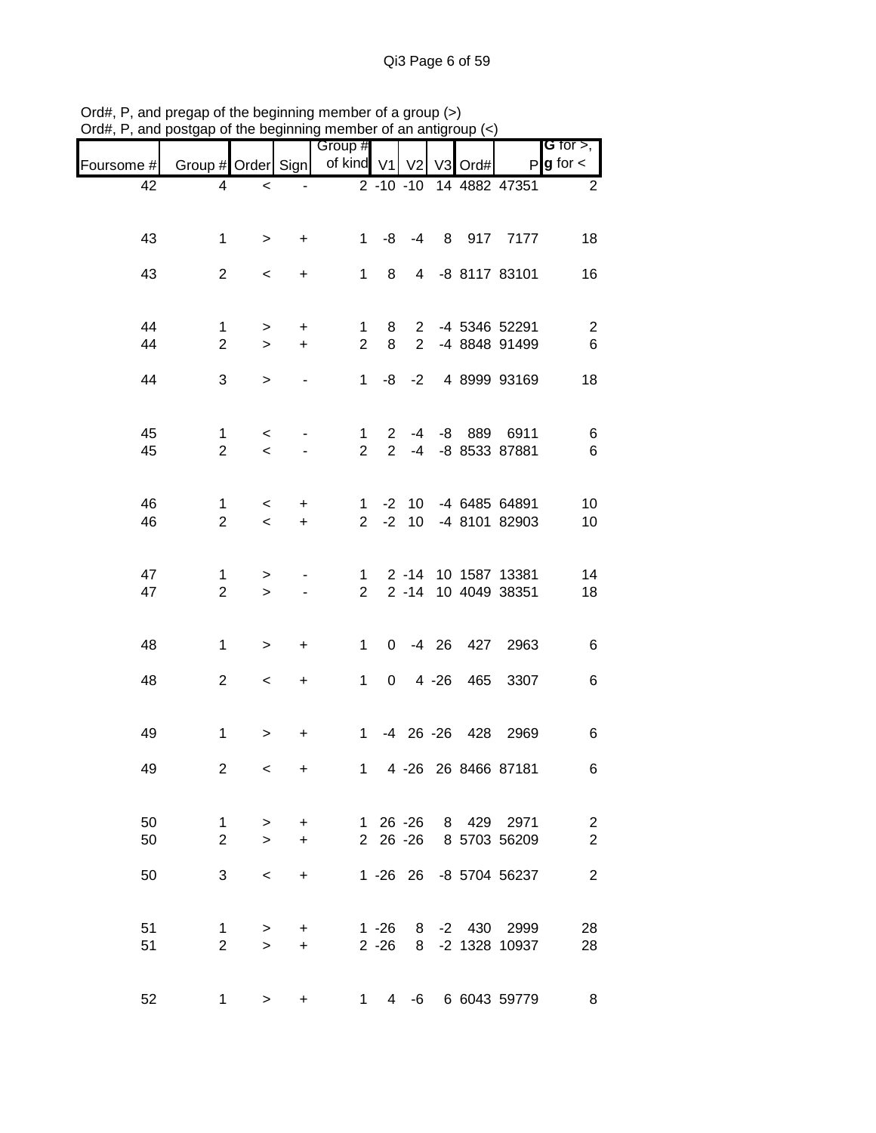|                                              |                                              |         |        |                 |                                  |                                |                          |                                     | , and posigap or the beginning member of an antigroup $(\sim)$ | יישוע $\pi,$ ו |
|----------------------------------------------|----------------------------------------------|---------|--------|-----------------|----------------------------------|--------------------------------|--------------------------|-------------------------------------|----------------------------------------------------------------|----------------|
| <b>G</b> for $>$ ,<br>$P$ <b>g</b> for $\lt$ |                                              | V3 Ord# |        | V <sub>2</sub>  |                                  | Group #<br>of kind V1          |                          |                                     | Group # Order Sign                                             | Foursome #     |
| $\overline{2}$                               | 2 -10 -10 14 4882 47351                      |         |        |                 |                                  |                                |                          | $\,<$                               | 4                                                              | 42             |
| 18                                           | -4 8 917 7177                                |         |        |                 | -8                               | $1 \quad$                      | $\ddot{}$                | $\, >$                              | 1                                                              | 43             |
| 16                                           | -8 8117 83101                                |         |        | $\overline{4}$  | 8                                | 1                              | $\ddot{}$                | $\,<\,$                             | $\overline{2}$                                                 | 43             |
| $\overline{2}$<br>$6\phantom{1}$             | 2 -4 5346 52291<br>-4 8848 91499             |         |        | $2^{\circ}$     | 8<br>8                           | $\mathbf{1}$<br>$\overline{2}$ | $\ddot{}$<br>$\ddot{}$   | $\, > \,$<br>$\, > \,$              | $\mathbf{1}$<br>$\overline{c}$                                 | 44<br>44       |
| 18                                           | 4 8999 93169                                 |         |        | $-8 - -2$       |                                  | $\mathbf{1}$                   |                          | $\, > \,$                           | 3                                                              | 44             |
| 6<br>6                                       | -8 889 6911<br>-8 8533 87881                 |         |        | $-4$<br>$-4$    | $\overline{2}$<br>$\overline{2}$ | $\mathbf{1}$<br>$\overline{2}$ |                          | $\,<\,$<br>$\overline{\phantom{0}}$ | 1<br>$\overline{2}$                                            | 45<br>45       |
| 10<br>10                                     | 1 -2 10 -4 6485 64891<br>-4 8101 82903       |         |        | 10 <sup>1</sup> | $-2$                             | 2 <sup>1</sup>                 | $\ddot{}$<br>$\ddot{}$   | $\,<\,$<br>$\,<$                    | 1<br>$\overline{2}$                                            | 46<br>46       |
| 14<br>18                                     | 2 -14 10 1587 13381<br>2 -14 10 4049 38351   |         |        |                 |                                  | $\mathbf{1}$<br>2 <sup>1</sup> | $\overline{\phantom{a}}$ | ><br>$\geq$                         | 1<br>$\overline{2}$                                            | 47<br>47       |
| $\,6$                                        | 0 -4 26 427 2963                             |         |        |                 |                                  | 1                              | +                        | >                                   | $\mathbf{1}$                                                   | 48             |
| 6                                            | 465 3307                                     |         | 4 - 26 |                 | $\overline{0}$                   | 1                              | +                        | $\,<\,$                             | $\overline{2}$                                                 | 48             |
| 6                                            | -4 26 -26 428 2969                           |         |        |                 |                                  | $\mathbf{1}$                   | $\ddot{}$                | >                                   | $\mathbf{1}$                                                   | 49             |
| 6                                            | 1 4 -26 26 8466 87181                        |         |        |                 |                                  |                                | ÷.                       | $\lt$                               | $\overline{2}$                                                 | 49             |
| $\overline{c}$<br>$\overline{c}$             | 1 26 -26 8 429 2971<br>2 26 -26 8 5703 56209 |         |        |                 |                                  |                                | $\ddot{}$<br>$\ddot{}$   | $\, >$<br>$\,>$                     | $\mathbf{1}$<br>$\overline{2}$                                 | 50<br>50       |
| $\sqrt{2}$                                   | 1 -26 26 -8 5704 56237                       |         |        |                 |                                  |                                | $\ddot{}$                | $\,<\,$                             | 3                                                              | 50             |
| 28<br>28                                     | 1 -26 8 -2 430 2999<br>2 -26 8 -2 1328 10937 |         |        |                 |                                  |                                | $\pm$<br>$\ddot{}$       | $\geq$<br>$\geq$                    | 1<br>$\overline{2}$                                            | 51<br>51       |
| 8 <sup>8</sup>                               |                                              |         |        |                 |                                  | 1 4 -6 6 6043 59779            | $\ddot{}$                | $1 \quad$<br>$\, >$                 |                                                                | 52             |

Ord#, P, and pregap of the beginning member of a group (>) Ord#, P, and postgap of the beginning member of an antigroup (<)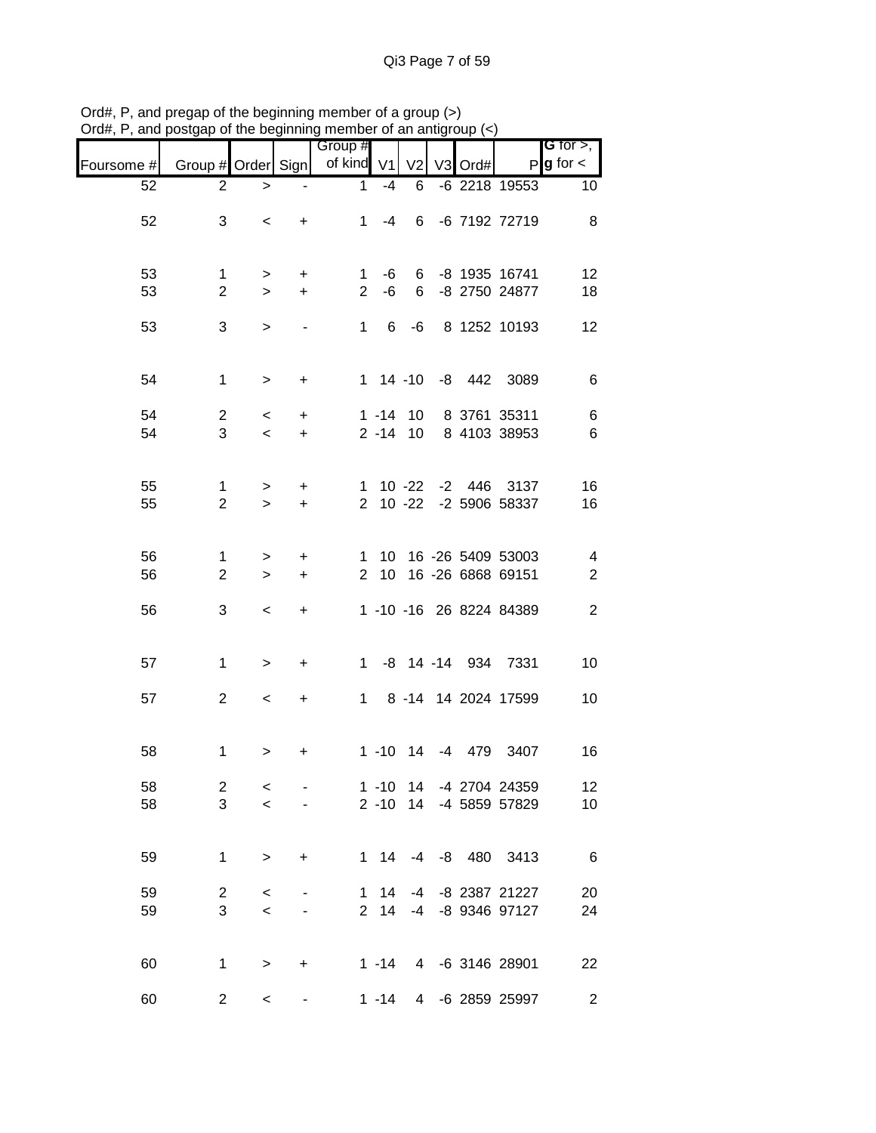|            |                    |           |           | Group #        |              |                |    |      |                         | <b>G</b> for $>$ ,      |
|------------|--------------------|-----------|-----------|----------------|--------------|----------------|----|------|-------------------------|-------------------------|
| Foursome # | Group # Order Sign |           |           | of kind V1     |              | V <sub>2</sub> | V3 | Ord# |                         | $P$ <b>g</b> for $\lt$  |
| 52         | 2                  | >         |           | 1              | $-4$         | 6              |    |      | -6 2218 19553           | 10                      |
| 52         | 3                  | $\,<\,$   | $\ddot{}$ | $\mathbf{1}$   | -4           | 6              |    |      | -6 7192 72719           | 8                       |
| 53         | $\mathbf{1}$       | >         | +         | 1              | -6           | 6              |    |      | -8 1935 16741           | 12                      |
| 53         | $\overline{2}$     | $\geq$    | $\ddot{}$ | $\overline{2}$ | -6           | 6              |    |      | -8 2750 24877           | 18                      |
| 53         | 3                  | >         |           |                | $1 \quad 6$  | -6             |    |      | 8 1252 10193            | 12                      |
| 54         | $\mathbf{1}$       | $\, >$    | $\ddot{}$ |                |              |                |    |      | 1 14 -10 -8 442 3089    | 6                       |
| 54         | $\overline{2}$     | $\,<\,$   | $\ddot{}$ |                |              | $1 - 14$ 10    |    |      | 8 3761 35311            | 6                       |
| 54         | 3                  | $\,<\,$   | $\ddot{}$ |                |              | $2 - 14$ 10    |    |      | 8 4103 38953            | 6                       |
| 55         | $\mathbf{1}$       | $\geq$    | $+$       |                |              |                |    |      | 1 10 -22 -2 446 3137    | 16                      |
| 55         | $\overline{2}$     | $\geq$    | $\ddot{}$ |                |              |                |    |      | 2 10 -22 -2 5906 58337  | 16                      |
| 56         | $\mathbf{1}$       | $\, > \,$ | $\ddot{}$ | $\mathbf{1}$   |              |                |    |      | 10 16 -26 5409 53003    | 4                       |
| 56         | $\overline{2}$     | $\geq$    | $\ddot{}$ |                | $2 \quad 10$ |                |    |      | 16 -26 6868 69151       | $\overline{c}$          |
| 56         | 3                  | $\,<$     | $\ddot{}$ |                |              |                |    |      | 1 -10 -16 26 8224 84389 | $\overline{c}$          |
| 57         | $\mathbf{1}$       | >         | $\ddot{}$ | $\mathbf{1}$   |              |                |    |      | -8 14 -14 934 7331      | 10                      |
| 57         | $\overline{2}$     | $\,<\,$   | $\ddot{}$ | 1              |              |                |    |      | 8 -14 14 2024 17599     | 10                      |
| 58         | $\mathbf{1}$       | >         | +         |                | $1 - 10$     | 14             | -4 | 479  | 3407                    | 16                      |
| 58         | $\overline{2}$     | $\,<$     |           |                |              |                |    |      | 1 -10 14 -4 2704 24359  | 12                      |
| 58         | 3                  | $\,<$     |           |                |              |                |    |      | 2 -10 14 -4 5859 57829  | 10                      |
| 59         | $\mathbf{1}$       | $\, >$    | $\ddot{}$ |                | $1 \quad 14$ | $-4$           |    |      | -8 480 3413             | 6                       |
| 59         | $\overline{c}$     | $\,<$     |           | $\mathbf{1}$   | 14           | $-4$           |    |      | -8 2387 21227           | 20                      |
| 59         | 3                  | $\prec$   |           |                | 2 14         | $-4$           |    |      | -8 9346 97127           | 24                      |
| 60         | 1                  | >         | +         |                | $1 - 14$     |                |    |      | 4 -6 3146 28901         | 22                      |
| 60         | $\overline{2}$     | $\,<\,$   |           |                | $1 - 14$     |                |    |      | 4 -6 2859 25997         | $\overline{\mathbf{c}}$ |

Ord#, P, and pregap of the beginning member of a group (>) Ord#, P, and postgap of the beginning member of an antigroup (<)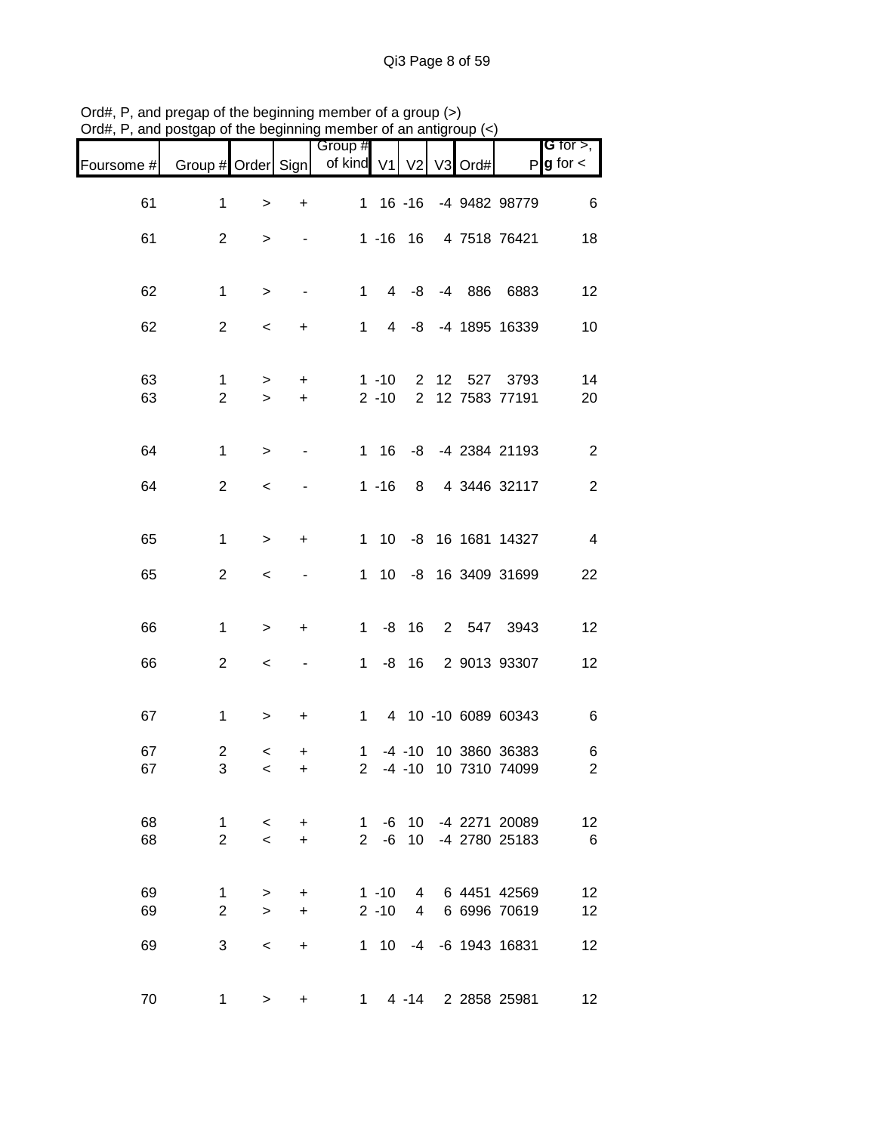|            |                    |         |                              | Group #        |                 |                |    |      |                       | G for $>$ ,            |
|------------|--------------------|---------|------------------------------|----------------|-----------------|----------------|----|------|-----------------------|------------------------|
| Foursome # | Group # Order Sign |         |                              | of kind V1     |                 | V <sub>2</sub> | V3 | Ord# |                       | $P$ <b>g</b> for $\lt$ |
| 61         | $\mathbf{1}$       | $\,>$   | $\ddot{}$                    |                |                 | $1 \t16 \t-16$ |    |      | -4 9482 98779         | $6\phantom{1}6$        |
| 61         | $\mathbf{2}$       | >       |                              |                |                 | $1 - 16$ 16    |    |      | 4 7518 76421          | 18                     |
|            |                    |         |                              |                |                 |                |    |      |                       |                        |
| 62         | $\mathbf{1}$       | $\, >$  | $\qquad \qquad \blacksquare$ | 1              |                 | 4 -8           |    |      | -4 886 6883           | 12                     |
| 62         | $\overline{c}$     | $\,<\,$ | +                            | 1              | 4               | -8             |    |      | -4 1895 16339         | 10                     |
| 63         | 1                  | $\geq$  | $\ddot{}$                    |                | $1 - 10$        | $2^{\circ}$    | 12 |      | 527 3793              | 14                     |
| 63         | $\mathbf{2}$       | $\,>$   | $\ddot{}$                    |                | $2 - 10$        | $2^{\circ}$    |    |      | 12 7583 77191         | 20                     |
| 64         | $\mathbf{1}$       | $\,>$   |                              |                |                 |                |    |      | 1 16 -8 -4 2384 21193 | $\overline{c}$         |
| 64         | $\overline{2}$     | $\,<$   |                              |                | $1 - 16$        |                |    |      | 8 4 3446 32117        | $\overline{c}$         |
| 65         | $\mathbf{1}$       | $\,>$   | +                            | $\mathbf{1}$   | 10              |                |    |      | -8 16 1681 14327      | $\overline{4}$         |
| 65         | $\overline{c}$     | $\,<$   |                              | 1              | 10 <sup>1</sup> |                |    |      | -8 16 3409 31699      | 22                     |
|            |                    |         |                              |                |                 |                |    |      |                       |                        |
| 66         | $\mathbf{1}$       | $\,>$   | $\ddot{}$                    | 1              | -8              | 16             |    |      | 2 547 3943            | 12                     |
| 66         | $\mathbf{2}$       | $\,<$   |                              | $\mathbf 1$    | -8              | 16             |    |      | 2 9013 93307          | 12                     |
| 67         | $\mathbf{1}$       | $\,$    | $\ddot{}$                    |                |                 |                |    |      | 1 4 10 -10 6089 60343 | $\,6$                  |
| 67         | 2                  | $\,<\,$ | +                            | $\mathbf{1}$   |                 |                |    |      | -4 -10 10 3860 36383  | 6                      |
| 67         | 3                  | $\,<\,$ | +                            | $\overline{2}$ |                 |                |    |      | -4 -10 10 7310 74099  | $\overline{c}$         |
| 68         | 1                  | $\lt$   | $\ddot{}$                    | $\overline{1}$ | -6              |                |    |      | 10 -4 2271 20089      | 12                     |
| 68         | $\overline{2}$     | $\prec$ | $\ddot{}$                    |                | $2 - 6$         | 10             |    |      | -4 2780 25183         | 6                      |
| 69         | $\mathbf{1}$       | $\geq$  | +                            |                | $1 - 10$        |                |    |      | 4 6 4451 42569        | 12                     |
| 69         | $\overline{2}$     | $\geq$  | $\ddot{}$                    |                |                 |                |    |      | 2 -10 4 6 6996 70619  | 12                     |
| 69         | 3                  | $\,<\,$ | $\ddot{}$                    |                | $1\quad10$      | $-4$           |    |      | -6 1943 16831         | 12                     |
| 70         | 1                  | >       | +                            | 1.             |                 |                |    |      | 4 -14 2 2858 25981    | 12                     |

Ord#, P, and pregap of the beginning member of a group (>) Ord#, P, and postgap of the beginning member of an antigroup (<)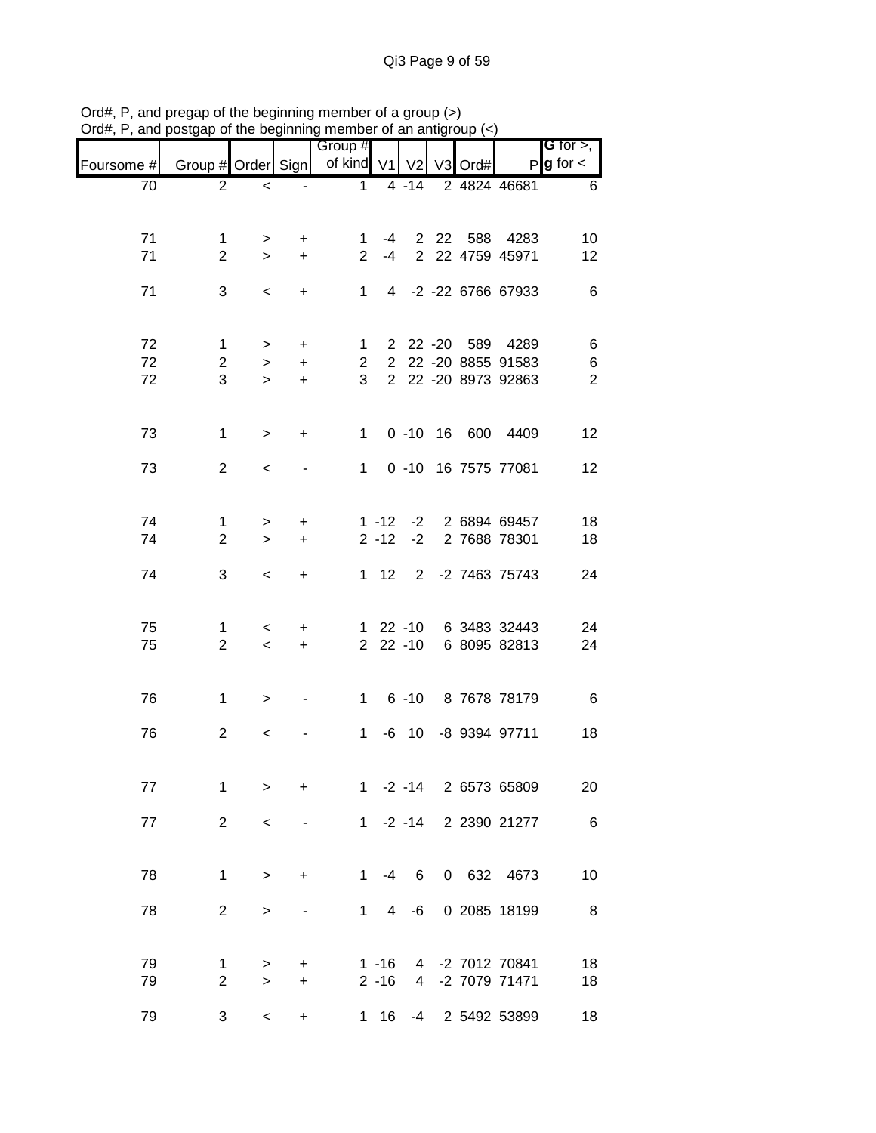|            |                     |                          |                        | Group #        |                |                            |                |      |                              | G for $>$ ,            |
|------------|---------------------|--------------------------|------------------------|----------------|----------------|----------------------------|----------------|------|------------------------------|------------------------|
| Foursome # | Group # Order Sign  |                          |                        | of kind V1     |                | V <sub>2</sub>             | V <sub>3</sub> | Ord# |                              | $P$ <b>g</b> for $\lt$ |
| 70         | $\overline{2}$      | $\,<$                    |                        | $\mathbf{1}$   |                | $4 - 14$                   |                |      | 2 4824 46681                 | 6                      |
|            |                     |                          |                        |                |                |                            |                |      |                              |                        |
| 71         | $\mathbf{1}$        | $\geq$                   | +                      | 1              | -4             |                            |                |      | 2 22 588 4283                | 10                     |
| 71         | $\overline{2}$      | $\geq$                   | $\ddot{}$              | $\overline{2}$ | $-4$           |                            |                |      | 2 22 4759 45971              | 12                     |
| 71         | 3                   | $\,<\,$                  | $\ddot{}$              | $1 \quad$      |                |                            |                |      | 4 -2 -22 6766 67933          | 6                      |
|            |                     |                          |                        |                |                |                            |                |      |                              |                        |
| 72         | $\mathbf 1$         |                          |                        | $\mathbf{1}$   |                |                            |                |      | 2 22 -20 589 4289            | 6                      |
| 72         | $\overline{c}$      | $\geq$<br>$\geq$         | $\ddot{}$<br>$\ddot{}$ | $\overline{2}$ |                |                            |                |      | 2 22 -20 8855 91583          | $\,6$                  |
| 72         | 3                   | $\geq$                   | $\ddot{}$              | 3              |                |                            |                |      | 2 22 -20 8973 92863          | $\overline{2}$         |
|            |                     |                          |                        |                |                |                            |                |      |                              |                        |
| 73         | $\mathbf{1}$        | $\,>$                    | $\ddot{}$              | 1              |                |                            |                |      | 0 -10 16 600 4409            | 12                     |
|            |                     |                          |                        |                |                |                            |                |      |                              |                        |
| 73         | $\overline{2}$      | $\overline{\phantom{0}}$ |                        | $1 \quad$      |                |                            |                |      | 0 -10 16 7575 77081          | 12 <sub>2</sub>        |
|            |                     |                          |                        |                |                |                            |                |      |                              |                        |
| 74         | $\mathbf{1}$        | >                        | +                      |                | $1 - 12$       | $-2$                       |                |      | 2 6894 69457                 | 18                     |
| 74         | $\overline{2}$      | $\geq$                   | $\ddot{}$              |                | $2 - 12$       | $-2$                       |                |      | 2 7688 78301                 | 18                     |
| 74         | 3                   | $\,<\,$                  | $\ddot{}$              |                | $1 \quad 12$   |                            |                |      | 2 -2 7463 75743              | 24                     |
|            |                     |                          |                        |                |                |                            |                |      |                              |                        |
|            |                     |                          |                        |                |                |                            |                |      |                              |                        |
| 75<br>75   | 1<br>$\overline{2}$ | $\,<\,$<br>$\,<$         | +<br>$\ddot{}$         |                |                | $1 \t22 \t-10$<br>2 22 -10 |                |      | 6 3483 32443<br>6 8095 82813 | 24<br>24               |
|            |                     |                          |                        |                |                |                            |                |      |                              |                        |
|            |                     |                          |                        |                |                |                            |                |      |                              |                        |
| 76         | $\mathbf{1}$        | $\geq$                   |                        |                |                |                            |                |      | 1 6 -10 8 7678 78179         | 6                      |
| 76         | $\overline{2}$      | $\,<\,$                  |                        | 1              |                |                            |                |      | -6 10 -8 9394 97711          | 18                     |
|            |                     |                          |                        |                |                |                            |                |      |                              |                        |
| 77         | 1                   | $\,>$                    | $\ddot{}$              | $1 \quad$      |                | $-2 - 14$                  |                |      | 2 6573 65809                 | 20                     |
|            |                     |                          |                        |                |                |                            |                |      |                              |                        |
| 77         | $\overline{2}$      | $\,<$                    |                        |                |                | $1 - 2 - 14$               |                |      | 2 2390 21277                 | $6\overline{6}$        |
|            |                     |                          |                        |                |                |                            |                |      |                              |                        |
| 78         | $\mathbf{1}$        | $\, > \,$                | $\ddot{}$              | 1              | $-4$           | 6                          |                |      | 0 632 4673                   | 10                     |
|            |                     |                          |                        |                |                |                            |                |      |                              |                        |
| 78         | $\overline{2}$      | $\,$                     |                        | $1 \quad$      | $\overline{4}$ | -6                         |                |      | 0 2085 18199                 | 8                      |
|            |                     |                          |                        |                |                |                            |                |      |                              |                        |
| 79         | 1                   | >                        | +                      |                | $1 - 16$       |                            |                |      | 4 -2 7012 70841              | 18                     |
| 79         | $\overline{2}$      | $\mathbf{L}$             | $\ddot{}$              |                | $2 - 16$       |                            |                |      | 4 -2 7079 71471              | 18                     |
| 79         | 3                   | $\,<\,$                  | $\ddot{}$              | 1.             | 16             | -4                         |                |      | 2 5492 53899                 | 18                     |

Ord#, P, and pregap of the beginning member of a group (>) Ord#, P, and postgap of the beginning member of an antigroup (<)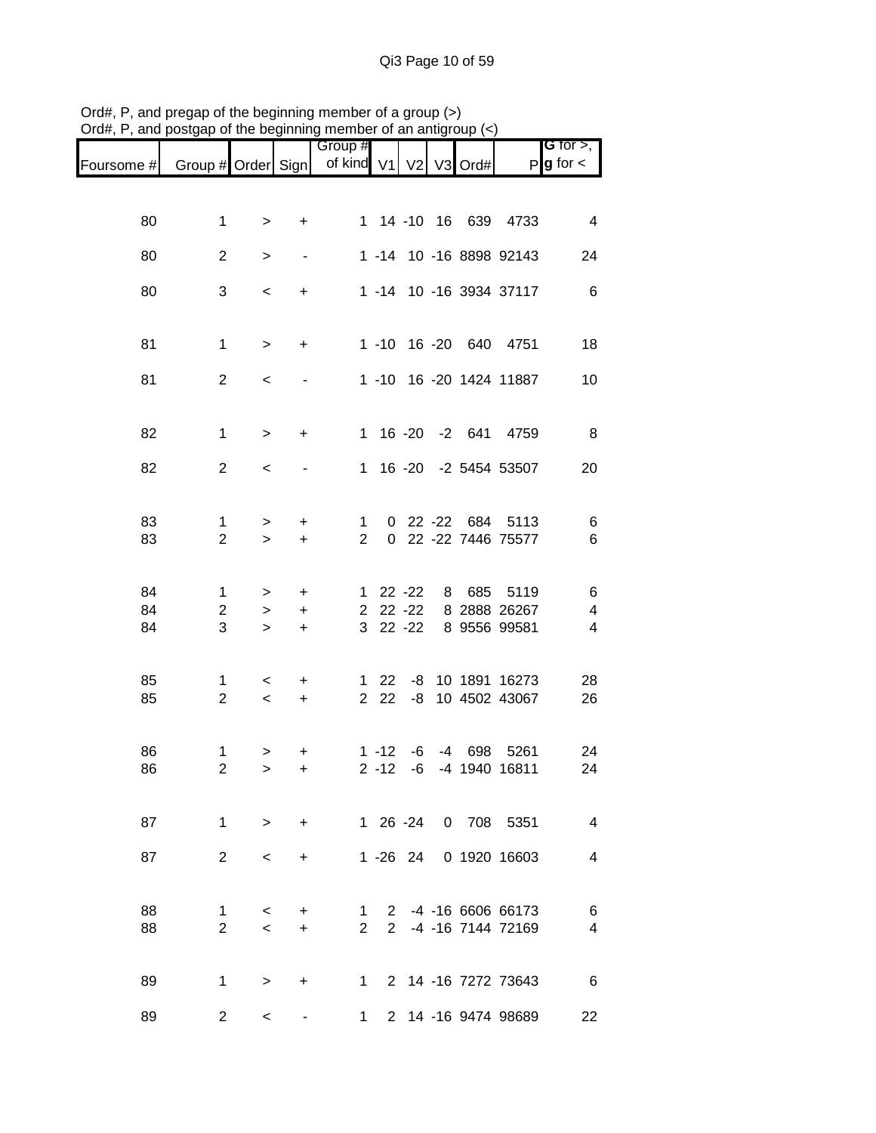|                |                               |                     |                                               | Group #                       |                      |                                    |   |         |                                            | <b>G</b> for $>$ , |
|----------------|-------------------------------|---------------------|-----------------------------------------------|-------------------------------|----------------------|------------------------------------|---|---------|--------------------------------------------|--------------------|
| Foursome #     | Group # Order Sign            |                     |                                               | of kind V1                    |                      | V <sub>2</sub>                     |   | V3 Ord# | P                                          | $g$ for $\lt$      |
|                |                               |                     |                                               |                               |                      |                                    |   |         |                                            |                    |
| 80             | $\mathbf{1}$                  | $\, > \,$           | +                                             |                               |                      |                                    |   |         | 1 14 -10 16 639 4733                       | $\overline{4}$     |
| 80             | $\overline{2}$                | $\, > \,$           |                                               |                               |                      |                                    |   |         | 1 -14 10 -16 8898 92143                    | 24                 |
| 80             | 3                             | $\,<\,$             | +                                             |                               |                      |                                    |   |         | 1 -14 10 -16 3934 37117                    | $6\phantom{1}6$    |
| 81             | $\mathbf{1}$                  | $\, >$              | +                                             |                               |                      |                                    |   |         | 1 -10 16 -20 640 4751                      | 18                 |
| 81             | $\overline{2}$                | $\,<\,$             |                                               |                               |                      |                                    |   |         | 1 -10 16 -20 1424 11887                    | 10                 |
| 82             | $\mathbf{1}$                  | $\, >$              | +                                             |                               |                      |                                    |   |         | 1 16 -20 -2 641 4759                       | 8                  |
| 82             | $\overline{2}$                | $\,<\,$             |                                               | 1                             |                      |                                    |   |         | 16 -20 -2 5454 53507                       | 20                 |
| 83<br>83       | 1<br>$\overline{2}$           | $\, > \,$<br>$\geq$ | +<br>$\ddot{}$                                | $\mathbf 1$<br>$\overline{2}$ |                      |                                    |   |         | 0 22 -22 684 5113<br>0 22 -22 7446 75577   | 6<br>6             |
| 84<br>84<br>84 | 1<br>2<br>3                   | ><br>><br>$\geq$    | +<br>+<br>$\ddot{}$                           | $\mathbf{1}$<br>3             |                      | $22 - 22$<br>2 22 -22<br>$22 - 22$ | 8 | 685     | 5119<br>8 2888 26267<br>8 9556 99581       | 6<br>4<br>4        |
| 85<br>85       | 1<br>$\overline{2}$           | $\,<\,$<br>$\,<$    | $\ddot{}$<br>$\begin{array}{c} + \end{array}$ | $\mathbf 1$<br>$\overline{2}$ | 22<br>22             | -8<br>-8                           |   |         | 10 1891 16273<br>10 4502 43067             | 28<br>26           |
| 86<br>86       | $\mathbf 1$<br>$\overline{c}$ | ><br>$\geq$         | +<br>$\ddot{}$                                |                               | $1 - 12$<br>$2 - 12$ | -6<br>$-6$                         |   | -4 698  | 5261<br>-4 1940 16811                      | 24<br>24           |
| 87             | $\mathbf{1}$                  | $\geq$              | $\ddot{}$                                     |                               |                      |                                    |   |         | 1 26 -24 0 708 5351                        | $\overline{4}$     |
| 87             | $\overline{2}$                | $\,<\,$             | +                                             |                               |                      | 1 -26 24                           |   |         | 0 1920 16603                               | 4                  |
| 88<br>88       | 1<br>$\overline{2}$           | $\,<\,$<br>$\prec$  | +<br>$\ddot{}$                                | $\overline{2}$                | $1 \quad$            |                                    |   |         | 2 -4 -16 6606 66173<br>2 -4 -16 7144 72169 | 6<br>4             |
| 89             | $\mathbf{1}$                  | $\geq$              | +                                             | $1 \quad$                     |                      |                                    |   |         | 2 14 -16 7272 73643                        | 6                  |
| 89             | $\overline{2}$                | $\,<\,$             |                                               | 1.                            |                      |                                    |   |         | 2 14 -16 9474 98689                        | 22                 |

Ord#, P, and pregap of the beginning member of a group (>) Ord#, P, and postgap of the beginning member of an antigroup (<)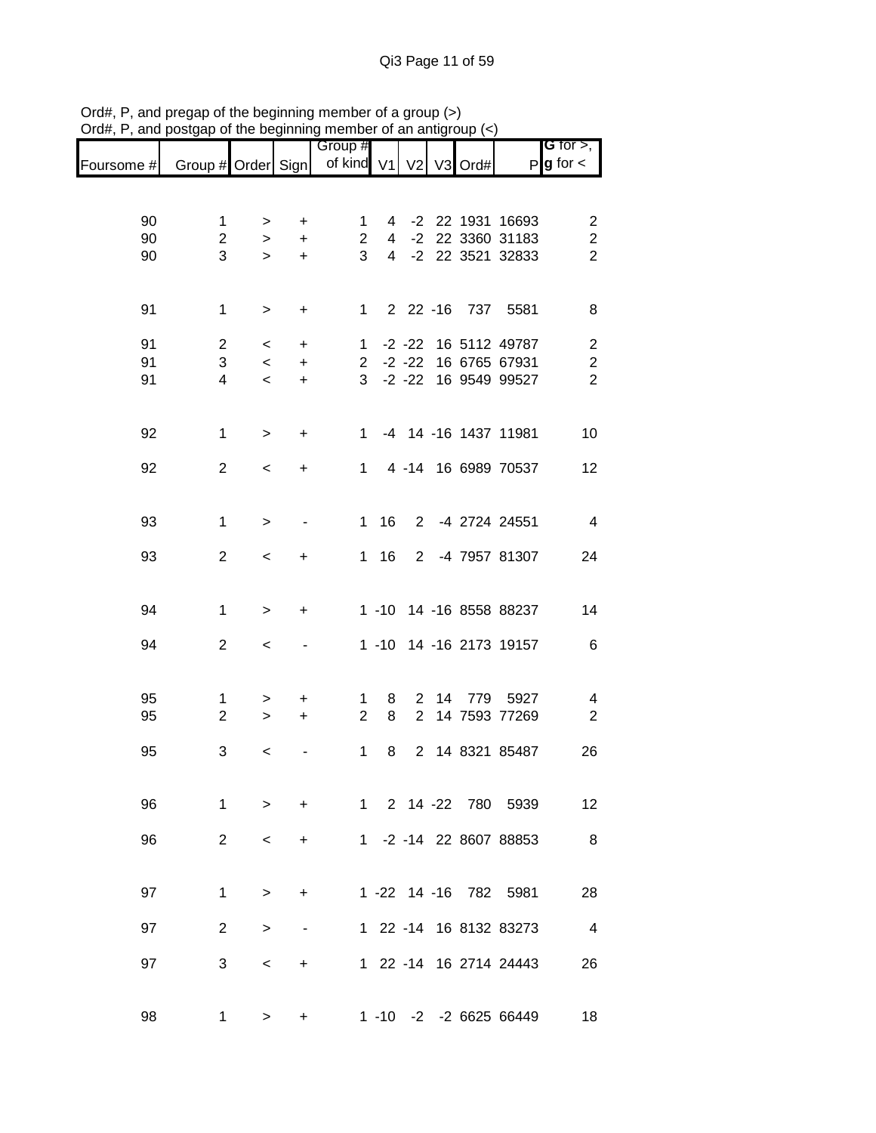| unu        | ougup or           |                          |           | are pogmaning monipor            |                | an ang      |  |                         |                                       |
|------------|--------------------|--------------------------|-----------|----------------------------------|----------------|-------------|--|-------------------------|---------------------------------------|
| Foursome # | Group # Order Sign |                          |           | Group #<br>of kind V1 V2 V3 Ord# |                |             |  |                         | G for $>$ ,<br>$P$ <b>g</b> for $\lt$ |
|            |                    |                          |           |                                  |                |             |  |                         |                                       |
| 90         | 1                  | $\, > \,$                | +         | 1                                | $\overline{4}$ |             |  | -2 22 1931 16693        | 2                                     |
| 90         | $\overline{2}$     | $\geq$                   | $\ddot{}$ | $\overline{2}$                   | $\overline{4}$ |             |  | -2 22 3360 31183        | $\boldsymbol{2}$                      |
| 90         | 3                  | $\geq$                   | $+$       | 3                                |                |             |  | 4 -2 22 3521 32833      | $\overline{c}$                        |
| 91         | $\mathbf{1}$       | $\, >$                   | $\ddot{}$ | $\mathbf 1$                      |                |             |  | 2 22 -16 737 5581       | 8                                     |
| 91         | $\overline{c}$     | $\overline{\phantom{0}}$ | $\ddot{}$ |                                  |                |             |  | 1 -2 -22 16 5112 49787  | $\boldsymbol{2}$                      |
| 91         | 3                  | $\overline{\phantom{a}}$ | $\ddot{}$ |                                  |                |             |  | 2 -2 -22 16 6765 67931  | $\boldsymbol{2}$                      |
| 91         | 4                  | $\,<\,$                  | $\ddot{}$ | 3 <sup>1</sup>                   |                |             |  | -2 -22 16 9549 99527    | $\overline{2}$                        |
| 92         | $\mathbf 1$        | $\,>$                    | $\ddot{}$ | $1 \quad$                        |                |             |  | -4 14 -16 1437 11981    | 10                                    |
| 92         | $\overline{2}$     | $\,<\,$                  | +         | 1                                |                |             |  | 4 -14 16 6989 70537     | 12                                    |
| 93         | 1                  | $\geq$                   |           | $\mathbf{1}$                     | 16             | $2^{\circ}$ |  | -4 2724 24551           | $\overline{4}$                        |
| 93         | $\overline{2}$     | $\,<\,$                  | $\ddot{}$ | 1                                | 16             |             |  | 2 -4 7957 81307         | 24                                    |
| 94         | $\mathbf 1$        | $\geq$                   | +         |                                  |                |             |  | 1 -10 14 -16 8558 88237 | 14                                    |
| 94         | $\overline{2}$     | $\,<$                    |           |                                  |                |             |  | 1 -10 14 -16 2173 19157 | 6                                     |
| 95         | 1                  | >                        | $\ddot{}$ | 1                                | 8              |             |  | 2 14 779 5927           | 4                                     |
| 95         | $\overline{2}$     | $\geq$                   | $+$       | $\overline{2}$                   | 8              |             |  | 2 14 7593 77269         | $\overline{2}$                        |
| 95         | 3                  | <                        |           | 1                                | 8              |             |  | 2 14 8321 85487         | 26                                    |
| 96         | $\mathbf 1$        | $\geq$                   | $\ddot{}$ |                                  |                |             |  | 1 2 14 -22 780 5939     | 12                                    |
| 96         | $\overline{2}$     | $\,<\,$                  | $\ddot{}$ |                                  |                |             |  | 1 -2 -14 22 8607 88853  | 8 <sup>8</sup>                        |
| 97         | $\mathbf{1}$       | $\geq$                   | +         |                                  |                |             |  | 1 -22 14 -16 782 5981   | 28                                    |
| 97         | $\overline{2}$     | $\, > \,$                |           |                                  |                |             |  | 1 22 -14 16 8132 83273  | $\overline{4}$                        |
| 97         | 3                  | $\,<\,$                  | $\ddot{}$ |                                  |                |             |  | 1 22 -14 16 2714 24443  | 26                                    |
| 98         | 1                  | $\geq$                   | $\ddot{}$ |                                  |                |             |  | 1 -10 -2 -2 6625 66449  | 18                                    |

Ord#, P, and pregap of the beginning member of a group (>) Ord#, P, and postgap of the beginning member of an antigroup (<)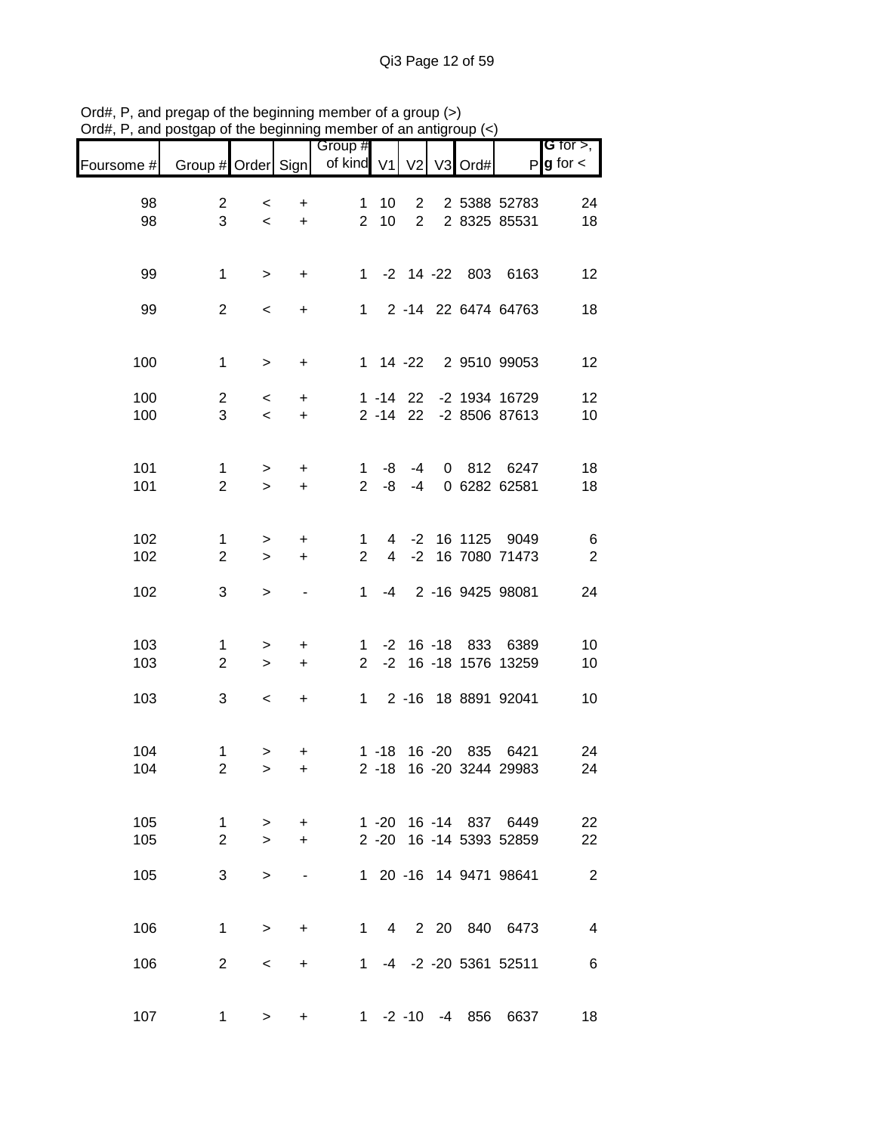|            |                                 |                     |                        | Group #                        |                     |                                  |                |      |                                                  | <b>G</b> for $>$ , |
|------------|---------------------------------|---------------------|------------------------|--------------------------------|---------------------|----------------------------------|----------------|------|--------------------------------------------------|--------------------|
| Foursome # | Group # Order Sign              |                     |                        | of kind V1                     |                     | V <sub>2</sub>                   | V <sub>3</sub> | Ord# | P                                                | $g$ for $\lt$      |
| 98<br>98   | $\overline{c}$<br>3             | $\,<$<br>$\prec$    | +<br>$\ddot{}$         | 1<br>$\overline{2}$            | 10<br>10            | $\overline{2}$<br>2 <sup>1</sup> |                |      | 2 5388 52783<br>2 8325 85531                     | 24<br>18           |
| 99         | $\mathbf{1}$                    | $\, >$              | $\ddot{}$              | $1 \quad$                      |                     |                                  |                |      | -2 14 -22 803 6163                               | 12                 |
| 99         | $\overline{c}$                  | $\,<\,$             | $\ddot{}$              |                                |                     |                                  |                |      | 1 2 -14 22 6474 64763                            | 18                 |
| 100        | $\mathbf{1}$                    | $\,>$               | $\ddot{}$              |                                |                     | $1 \t14 -22$                     |                |      | 2 9510 99053                                     | 12                 |
| 100<br>100 | $\overline{c}$<br>3             | $\prec$<br>$\,<\,$  | $\ddot{}$<br>$\ddot{}$ |                                |                     | $1 - 14$ 22                      |                |      | -2 1934 16729<br>2 -14 22 -2 8506 87613          | 12<br>10           |
| 101<br>101 | $\mathbf{1}$<br>$\overline{2}$  | $\geq$<br>$\geq$    | $\ddot{}$<br>$\ddot{}$ | $\mathbf 1$<br>$\overline{2}$  | -8<br>-8            | $-4$<br>$-4$                     |                |      | 0 812 6247<br>0 6282 62581                       | 18<br>18           |
| 102<br>102 | 1<br>$\overline{2}$             | $\, > \,$<br>$\geq$ | +<br>$\ddot{}$         | 1<br>$\overline{2}$            | 4<br>$\overline{4}$ | $-2$                             |                |      | -2 16 1125 9049<br>16 7080 71473                 | 6<br>$\sqrt{2}$    |
| 102        | 3                               | $\, >$              |                        | $\mathbf 1$                    | -4                  |                                  |                |      | 2 -16 9425 98081                                 | 24                 |
| 103<br>103 | 1<br>$\overline{2}$             | ><br>$\,$           | +<br>$\ddot{}$         | $\mathbf{1}$<br>$\overline{2}$ | $-2$                |                                  |                |      | -2 16 -18 833 6389<br>16 -18 1576 13259          | 10<br>10           |
| 103        | 3                               | $\,<$               | $\ddot{}$              | 1                              |                     |                                  |                |      | 2 -16 18 8891 92041                              | 10                 |
| 104<br>104 | $\mathbf 1$<br>$\boldsymbol{2}$ | ><br>$\, > \,$      | +<br>$\ddot{}$         |                                | $2 - 18$            |                                  |                |      | 1 -18 16 -20 835 6421<br>16 -20 3244 29983       | 24<br>24           |
| 105<br>105 | 1<br>$\overline{2}$             | ><br>$\geq$         | +<br>$\ddot{}$         |                                |                     |                                  |                |      | 1 -20 16 -14 837 6449<br>2 -20 16 -14 5393 52859 | 22<br>22           |
| 105        | 3                               | $\geq$              |                        |                                |                     |                                  |                |      | 1 20 -16 14 9471 98641                           | $\overline{2}$     |
| 106        | $\mathbf 1$                     | $\geq$              | $\ddot{}$              |                                | $1 \quad$           |                                  |                |      | 4 2 20 840 6473                                  | $\overline{4}$     |
| 106        | $\overline{2}$                  | $\,<\,$             | $\ddot{}$              | 1                              |                     |                                  |                |      | -4 -2 -20 5361 52511                             | 6                  |
| 107        | 1                               | >                   | +                      |                                |                     |                                  |                |      | 1 -2 -10 -4 856 6637                             | 18                 |

Ord#, P, and pregap of the beginning member of a group (>) Ord#, P, and postgap of the beginning member of an antigroup (<)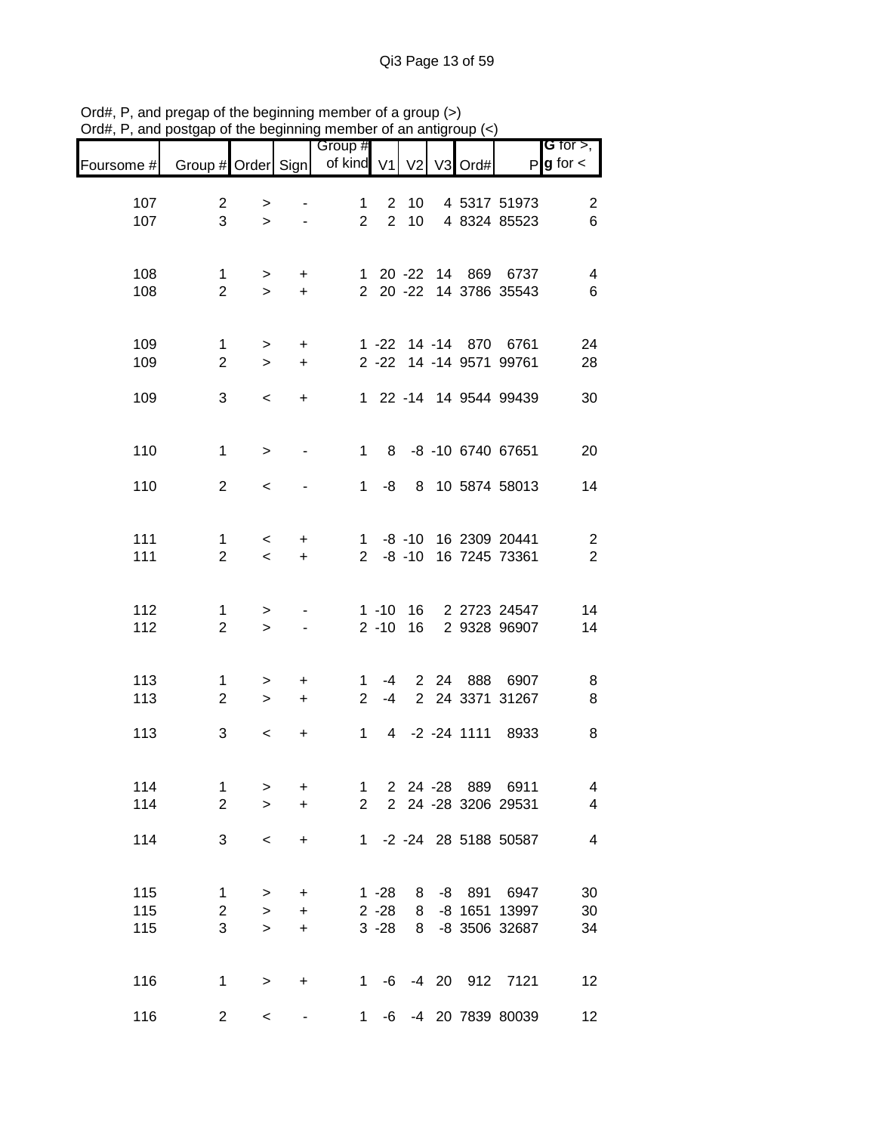| Foursome # | Group # Order Sign  |                          |                              | Group #<br>of kind V1 |                | V <sub>2</sub>           |      | V3 Ord# |                                | G for $>$ ,<br>$P$ <b>g</b> for $\lt$ |
|------------|---------------------|--------------------------|------------------------------|-----------------------|----------------|--------------------------|------|---------|--------------------------------|---------------------------------------|
| 107        | $\overline{2}$      | $\, > \,$                |                              | $\mathbf{1}$          | $2^{\circ}$    | 10 <sup>°</sup>          |      |         | 4 5317 51973                   | $\overline{2}$                        |
| 107        | 3                   | $\geq$                   |                              | $\overline{2}$        | $\overline{2}$ | 10 <sup>1</sup>          |      |         | 4 8324 85523                   | 6                                     |
| 108        | 1                   | $\geq$                   | $\ddot{}$                    |                       |                |                          |      |         | 1 20 -22 14 869 6737           | 4                                     |
| 108        | $\overline{2}$      | $\geq$                   | $\ddot{}$                    |                       |                |                          |      |         | 2 20 -22 14 3786 35543         | $\,6$                                 |
| 109        | 1                   | $\geq$                   | $\ddot{}$                    |                       |                |                          |      |         | 1 -22 14 -14 870 6761          | 24                                    |
| 109        | $\overline{2}$      | $\geq$                   | $\ddot{}$                    |                       |                |                          |      |         | 2 -22 14 -14 9571 99761        | 28                                    |
| 109        | 3                   | $\overline{\phantom{0}}$ | $\ddot{}$                    |                       |                |                          |      |         | 1 22 -14 14 9544 99439         | 30                                    |
| 110        | $\mathbf{1}$        | $\, >$                   |                              |                       | $1 \quad 8$    |                          |      |         | -8 -10 6740 67651              | 20                                    |
| 110        | $\overline{2}$      | $\,<\,$                  |                              | $1 \quad$             |                |                          |      |         | -8 8 10 5874 58013             | 14                                    |
| 111        | $\mathbf{1}$        | $\lt$                    | +                            |                       |                |                          |      |         | 1 -8 -10 16 2309 20441         | $\boldsymbol{2}$                      |
| 111        | $\overline{2}$      | $\prec$                  | $\ddot{}$                    | $2^{\circ}$           |                | $-8 - 10$                |      |         | 16 7245 73361                  | $\boldsymbol{2}$                      |
| 112        | 1                   | >                        |                              |                       | $1 - 10$       |                          |      |         | 16 2 2723 24547                | 14                                    |
| 112        | $\overline{2}$      | $\,>$                    |                              |                       | $2 - 10$       | 16                       |      |         | 2 9328 96907                   | 14                                    |
| 113        | 1                   | $\, > \,$                | +                            | 1                     | -4             |                          | 2 24 |         | 888 6907                       | 8                                     |
| 113        | $\overline{2}$      | $\,>$                    | $\ddot{}$                    | $\overline{2}$        | -4             |                          |      |         | 2 24 3371 31267                | 8                                     |
| 113        | 3                   | $\,<\,$                  | +                            | $\mathbf{1}$          | 4              |                          |      |         | -2 -24 1111 8933               | 8                                     |
| 114        | $\mathbf{1}$        | $\,>$                    | +                            |                       |                |                          |      |         | 1 2 24 -28 889 6911            | $\overline{\mathbf{4}}$               |
| 114        | $\overline{2}$      | $\geq$                   | $\ddot{}$                    |                       |                |                          |      |         | 2 2 24 -28 3206 29531          | $\overline{4}$                        |
| 114        | 3                   | $\,<\,$                  | $\ddot{}$                    |                       |                |                          |      |         | 1 -2 -24 28 5188 50587         | $\overline{\mathcal{A}}$              |
| 115        | 1                   | $\geq$                   | $\ddot{}$                    |                       |                |                          |      |         | 1 -28 8 -8 891 6947            | 30                                    |
| 115<br>115 | $\overline{2}$<br>3 | $\geq$<br>$\geq$         | $\ddot{}$<br>$\ddot{}$       |                       |                | $2 - 28$ 8<br>$3 - 28$ 8 |      |         | -8 1651 13997<br>-8 3506 32687 | $30\,$<br>34                          |
|            |                     |                          |                              |                       |                |                          |      |         |                                |                                       |
| 116        | $\mathbf{1}$        | $\, >$                   | +                            |                       |                |                          |      |         | 1 -6 -4 20 912 7121            | 12                                    |
| 116        | $\overline{c}$      | $\,<\,$                  | $\qquad \qquad \blacksquare$ | $1 \quad$             |                |                          |      |         | -6 -4 20 7839 80039            | 12                                    |

Ord#, P, and pregap of the beginning member of a group (>) Ord#, P, and postgap of the beginning member of an antigroup (<)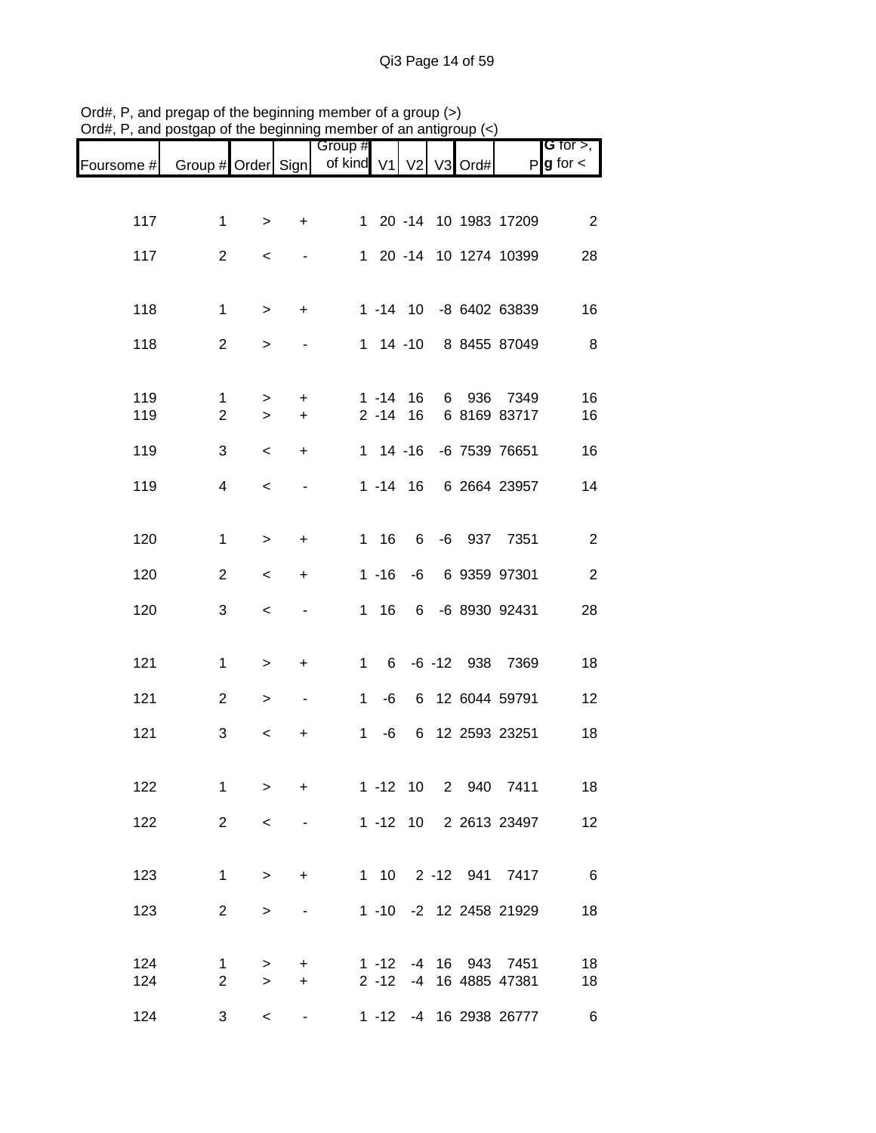|            |                                |                  |                          | Group #      |                             |                            |                |      |                          | G for $>$ ,     |
|------------|--------------------------------|------------------|--------------------------|--------------|-----------------------------|----------------------------|----------------|------|--------------------------|-----------------|
| Foursome # | Group # Order Sign             |                  |                          | of kind V1   |                             | V <sub>2</sub>             | V <sub>3</sub> | Ord# | P                        | $g$ for $\lt$   |
|            |                                |                  |                          |              |                             |                            |                |      |                          |                 |
| 117        | $\mathbf{1}$                   | $\geq$           | $\ddot{}$                |              |                             |                            |                |      | 1 20 -14 10 1983 17209   | $\overline{2}$  |
| 117        | $\overline{2}$                 | $\,<\,$          | $\overline{\phantom{0}}$ |              |                             |                            |                |      | 1 20 -14 10 1274 10399   | 28              |
|            |                                |                  |                          |              |                             |                            |                |      |                          |                 |
| 118        | $\mathbf{1}$                   | $\,>$            | $\ddot{}$                |              |                             |                            |                |      | 1 -14 10 -8 6402 63839   | 16              |
| 118        | $\overline{2}$                 | $\, > \,$        |                          |              |                             |                            |                |      | 1 14 -10 8 8455 87049    | 8               |
|            |                                |                  |                          |              |                             |                            |                |      |                          |                 |
| 119<br>119 | $\mathbf{1}$<br>$\overline{2}$ | $\geq$<br>$\geq$ | $\ddot{}$<br>$\ddot{}$   |              |                             | $1 - 14$ 16<br>$2 - 14$ 16 | 6              |      | 936 7349<br>6 8169 83717 | 16<br>16        |
| 119        | 3                              | $\prec$          | $\ddot{}$                |              |                             |                            |                |      | 1 14 -16 -6 7539 76651   | 16              |
| 119        | 4                              | $\,<$            | $\overline{\phantom{a}}$ |              |                             |                            |                |      | 1 -14 16 6 2664 23957    | 14              |
|            |                                |                  |                          |              |                             |                            |                |      |                          |                 |
| 120        | $\mathbf{1}$                   | $\,>$            | $\ddot{}$                |              | $1 \t16$                    | $6 -$                      |                |      | -6 937 7351              | $\overline{2}$  |
| 120        | $\overline{2}$                 | $\,<\,$          | +                        |              | $1 - 16$                    | -6                         |                |      | 6 9359 97301             | $\sqrt{2}$      |
| 120        | 3                              | $\,<\,$          | $\blacksquare$           |              | $1 \t16$                    | 6                          |                |      | -6 8930 92431            | 28              |
|            |                                |                  |                          |              |                             |                            |                |      |                          |                 |
| 121        | $\mathbf{1}$                   | >                | +                        |              | 6 <sup>1</sup><br>$1 \quad$ |                            |                |      | -6 -12 938 7369          | 18              |
| 121        | $\overline{2}$                 | >                | $\blacksquare$           | $\mathbf{1}$ |                             |                            |                |      | -6 6 12 6044 59791       | 12              |
| 121        | 3                              | $\,<\,$          | +                        | 1            | -6                          |                            |                |      | 6 12 2593 23251          | 18              |
|            |                                |                  |                          |              |                             |                            |                |      |                          |                 |
| 122        | $\mathbf{1}$                   | $\geq$           | $\ddot{}$                |              |                             |                            |                |      | 1 -12 10 2 940 7411      | 18              |
| 122        | $\overline{2}$                 | $\prec$          |                          |              |                             |                            |                |      | 1 -12 10 2 2613 23497    | 12              |
|            |                                |                  |                          |              |                             |                            |                |      |                          |                 |
| 123        | $\mathbf{1}$                   | $\geq$           | $\ddot{}$                |              |                             |                            |                |      | 1 10 2 -12 941 7417      | $6\overline{6}$ |
| 123        | $\overline{2}$                 | $\,>$            | $\overline{\phantom{a}}$ |              |                             |                            |                |      | 1 -10 -2 12 2458 21929   | 18              |
| 124        | $\mathbf 1$                    | >                | $\ddot{}$                |              | $1 - 12$                    |                            |                |      | -4 16 943 7451           | 18              |
| 124        | $\overline{2}$                 | $\geq$           | $\ddot{}$                |              | $2 - 12$                    |                            |                |      | -4 16 4885 47381         | 18              |
| 124        | 3                              | $\,<\,$          |                          |              |                             |                            |                |      | 1 -12 -4 16 2938 26777   | $\,6$           |

Ord#, P, and pregap of the beginning member of a group (>) Ord#, P, and postgap of the beginning member of an antigroup (<)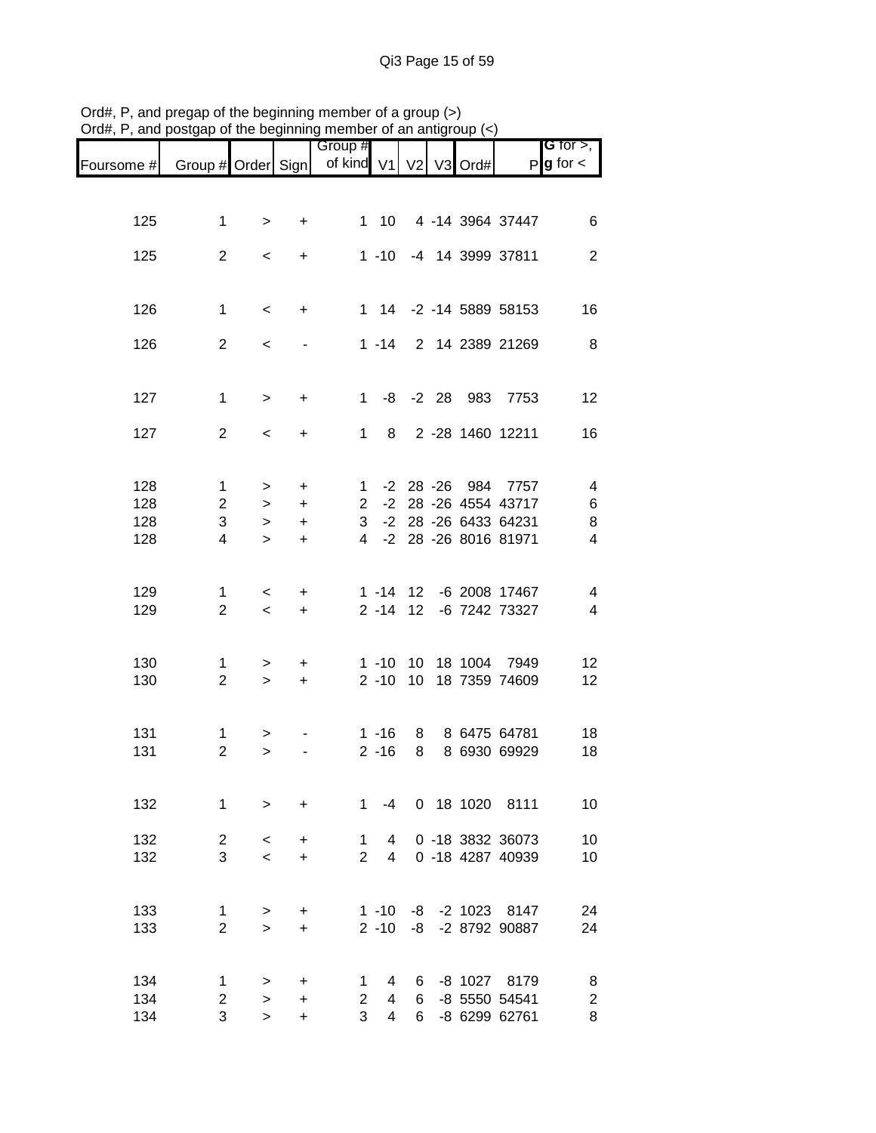|            |                    |                    |                        | Group #                    |                |                |         |                               | G for $>$ ,         |
|------------|--------------------|--------------------|------------------------|----------------------------|----------------|----------------|---------|-------------------------------|---------------------|
| Foursome # | Group # Order Sign |                    |                        | of kind V1                 |                | V <sub>2</sub> | V3 Ord# |                               | $P g$ for $\lt$     |
|            |                    |                    |                        |                            |                |                |         |                               |                     |
| 125        | 1                  |                    |                        | 1                          | 10             |                |         | 4 -14 3964 37447              | 6                   |
|            |                    | $\, > \,$          | $\ddot{}$              |                            |                |                |         |                               |                     |
| 125        | $\overline{2}$     | $\,<\,$            | $\ddot{}$              |                            |                |                |         | 1 -10 -4 14 3999 37811        | $\overline{2}$      |
|            |                    |                    |                        |                            |                |                |         |                               |                     |
| 126        | $\mathbf{1}$       | $\,<$              | $\ddot{}$              |                            |                |                |         | 1 14 -2 -14 5889 58153        | 16                  |
|            |                    |                    |                        |                            |                |                |         |                               |                     |
| 126        | $\overline{2}$     | $\,<$              |                        |                            | $1 - 14$       |                |         | 2 14 2389 21269               | 8                   |
|            |                    |                    |                        |                            |                |                |         |                               |                     |
| 127        | $\mathbf{1}$       | $\, >$             | $\ddot{}$              | $1 \quad$                  |                |                |         | -8 -2 28 983 7753             | 12                  |
|            |                    |                    |                        |                            |                |                |         |                               |                     |
| 127        | $\overline{2}$     | $\,<\,$            | $\ddot{}$              | 1                          | 8              |                |         | 2 -28 1460 12211              | 16                  |
|            |                    |                    |                        |                            |                |                |         |                               |                     |
| 128        | $\mathbf{1}$       | $\geq$             | $\ddot{}$              | $\mathbf{1}$               |                |                |         | -2 28 -26 984 7757            | 4                   |
| 128        | $\overline{2}$     | $\geq$             | $\ddot{}$              | 2 <sup>7</sup>             |                |                |         | -2 28 -26 4554 43717          | 6                   |
| 128        | 3                  | $\,>$              | $\ddot{}$              | 3 <sup>1</sup>             |                |                |         | -2 28 -26 6433 64231          | 8                   |
| 128        | 4                  | $\geq$             | $\ddot{}$              | 4                          |                |                |         | -2 28 -26 8016 81971          | $\overline{4}$      |
|            |                    |                    |                        |                            |                |                |         |                               |                     |
| 129        | 1                  |                    |                        |                            |                | $1 - 14$ 12    |         | -6 2008 17467                 | 4                   |
| 129        | $\overline{2}$     | $\,<\,$<br>$\prec$ | $\ddot{}$<br>$\ddot{}$ |                            | $2 - 14$       | 12             |         | -6 7242 73327                 | $\overline{4}$      |
|            |                    |                    |                        |                            |                |                |         |                               |                     |
|            |                    |                    |                        |                            |                |                |         |                               |                     |
| 130        | 1                  | >                  | +                      |                            | $1 - 10$       |                |         | 10 18 1004 7949               | 12                  |
| 130        | $\overline{2}$     | $\geq$             | $+$                    |                            | $2 - 10$       |                |         | 10 18 7359 74609              | 12                  |
|            |                    |                    |                        |                            |                |                |         |                               |                     |
| 131        | 1                  | >                  |                        |                            | $1 - 16$       | 8              |         | 8 6475 64781                  | 18                  |
| 131        | $\overline{2}$     | $\, > \,$          |                        |                            | $2 - 16$       | 8              |         | 8 6930 69929                  | 18                  |
|            |                    |                    |                        |                            |                |                |         |                               |                     |
| 132        | 1                  | $\geq$             | $\ddot{}$              | $\mathbf{1}$               | $-4$           |                |         | 0 18 1020 8111                | 10                  |
|            |                    |                    |                        |                            |                |                |         |                               |                     |
| 132        | $\overline{c}$     | $\prec$            | +                      | $\mathbf{1}$               | $\overline{4}$ |                |         | 0 -18 3832 36073              | 10                  |
| 132        | 3                  | $\prec$            | $\ddot{}$              | $\overline{2}$             | 4              |                |         | 0 -18 4287 40939              | 10                  |
|            |                    |                    |                        |                            |                |                |         |                               |                     |
| 133        | 1                  | >                  | +                      |                            | $1 - 10$       |                |         | -8 -2 1023 8147               | 24                  |
| 133        | $\overline{2}$     | $\geq$             | $\ddot{}$              |                            | $2 - 10$       | -8             |         | -2 8792 90887                 | 24                  |
|            |                    |                    |                        |                            |                |                |         |                               |                     |
| 134        |                    |                    |                        |                            | 4              |                |         |                               |                     |
| 134        | 1<br>2             | ><br>$\mathbf{L}$  | +<br>+                 | 1<br>$\mathbf{2}^{\prime}$ | 4              | 6<br>6         |         | -8 1027 8179<br>-8 5550 54541 | 8<br>$\overline{c}$ |
| 134        | 3                  | $\geq$             | $\ddot{}$              | 3                          | 4              | 6 <sup>1</sup> |         | -8 6299 62761                 | 8                   |

Ord#, P, and pregap of the beginning member of a group (>) Ord#, P, and postgap of the beginning member of an antigroup (<)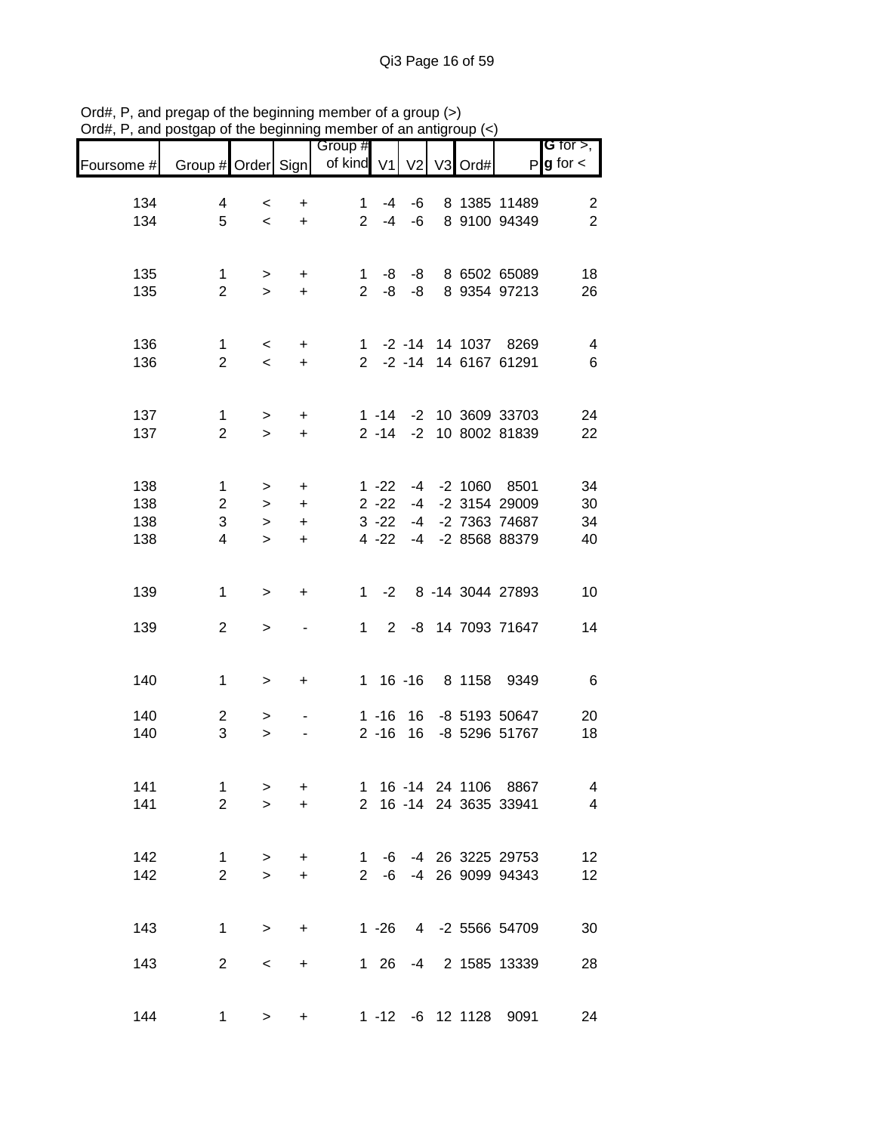|                          |                                |                                     |                                          | Group #                        |                                              |                            |                |      |                                                                 | <b>G</b> for $>$ ,                        |
|--------------------------|--------------------------------|-------------------------------------|------------------------------------------|--------------------------------|----------------------------------------------|----------------------------|----------------|------|-----------------------------------------------------------------|-------------------------------------------|
| Foursome #               | Group # Order Sign             |                                     |                                          | of kind                        | V <sub>1</sub>                               | V <sub>2</sub>             | V <sub>3</sub> | Ord# |                                                                 | $P$ <b>g</b> for $\lt$                    |
| 134<br>134               | 4<br>5                         | $\,<$<br>$\overline{\phantom{0}}$   | +<br>$\ddot{}$                           | $\mathbf{1}$<br>$\overline{2}$ | -4<br>$-4$                                   | -6<br>$-6$                 |                |      | 8 1385 11489<br>8 9100 94349                                    | $\overline{\mathbf{c}}$<br>$\overline{2}$ |
| 135<br>135               | 1<br>$\overline{2}$            | $\geq$<br>$\geq$                    | +<br>$\ddot{}$                           | 1<br>$\overline{2}$            | -8<br>-8                                     | -8<br>-8                   |                |      | 8 6502 65089<br>8 9354 97213                                    | 18<br>26                                  |
| 136<br>136               | 1<br>$\overline{2}$            | $\overline{\phantom{0}}$<br>$\prec$ | $\ddot{}$<br>$\ddot{}$                   |                                |                                              |                            |                |      | 1 -2 -14 14 1037 8269<br>2 -2 -14 14 6167 61291                 | 4<br>6                                    |
| 137<br>137               | 1<br>$\overline{2}$            | $\geq$<br>$\geq$                    | $\ddot{}$<br>$+$                         |                                | $2 - 14$                                     |                            |                |      | 1 -14 -2 10 3609 33703<br>-2 10 8002 81839                      | 24<br>22                                  |
| 138<br>138<br>138<br>138 | 1<br>$\mathbf{2}$<br>3<br>4    | ><br>$\,>$<br>$\geq$<br>$\geq$      | +<br>$\ddot{}$<br>$\ddot{}$<br>$\ddot{}$ |                                | $1 - 22$<br>$2 - 22$<br>$3 - 22$<br>$4 - 22$ | $-4$<br>-4<br>$-4$<br>$-4$ |                |      | -2 1060 8501<br>-2 3154 29009<br>-2 7363 74687<br>-2 8568 88379 | 34<br>30<br>34<br>40                      |
| 139                      | $\mathbf{1}$                   | $\,>$                               | +                                        | $1 \quad$                      | $-2$                                         |                            |                |      | 8 -14 3044 27893                                                | 10                                        |
| 139                      | $\overline{2}$                 | $\,$                                |                                          | $\mathbf{1}$                   | $2^{\circ}$                                  |                            |                |      | -8 14 7093 71647                                                | 14                                        |
| 140                      | $\mathbf{1}$                   | >                                   | +                                        |                                |                                              |                            |                |      | 1 16 -16 8 1158 9349                                            | 6                                         |
| 140<br>140               | $\overline{c}$<br>3            | ><br>$\geq$                         |                                          |                                | $1 - 16$<br>$2 - 16$                         | 16<br>16                   |                |      | -8 5193 50647<br>-8 5296 51767                                  | 20<br>18                                  |
| 141<br>141               | $\mathbf{1}$<br>$\overline{2}$ | ><br>$\geq$                         | +<br>$\ddot{}$                           |                                |                                              |                            |                |      | 1 16 -14 24 1106 8867<br>2 16 -14 24 3635 33941                 | 4<br>$\overline{4}$                       |
| 142<br>142               | 1<br>$\overline{2}$            | $\geq$<br>$\geq$                    | $\ddot{}$<br>$\ddot{}$                   |                                |                                              |                            |                |      | 1 -6 -4 26 3225 29753<br>2 -6 -4 26 9099 94343                  | 12<br>12                                  |
| 143                      | 1                              | $\,>$                               | +                                        |                                |                                              |                            |                |      | 1 -26 4 -2 5566 54709                                           | 30                                        |
| 143                      | $\overline{2}$                 | $\,<\,$                             | +                                        |                                | 1 26                                         |                            |                |      | -4 2 1585 13339                                                 | 28                                        |
| 144                      | 1                              | $\geq$                              | +                                        |                                |                                              |                            |                |      | 1 -12 -6 12 1128 9091                                           | 24                                        |

Ord#, P, and pregap of the beginning member of a group (>) Ord#, P, and postgap of the beginning member of an antigroup (<)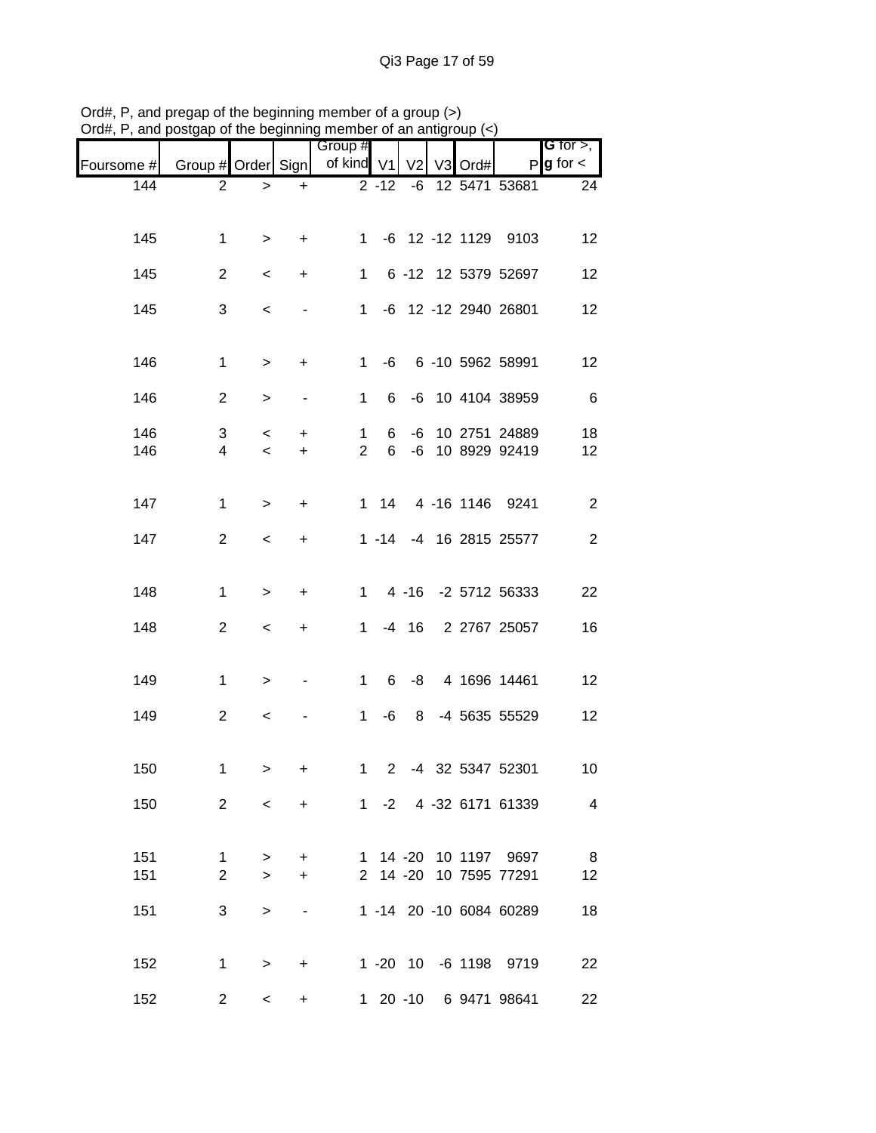| οι απ,<br>anu | oolyap or the beginning |                          |                          | mombor or an anign      |           |                |                |      |                         |                                       |
|---------------|-------------------------|--------------------------|--------------------------|-------------------------|-----------|----------------|----------------|------|-------------------------|---------------------------------------|
| Foursome #    | Group # Order Sign      |                          |                          | Group #<br>of kind $V1$ |           | V <sub>2</sub> | V <sub>3</sub> | Ord# |                         | G for $>$ ,<br>$P$ <b>g</b> for $\lt$ |
| 144           | $\overline{2}$          | $\,>$                    | $\ddot{}$                |                         | $2 - 12$  | -6             |                |      | 12 5471 53681           | 24                                    |
|               |                         |                          |                          |                         |           |                |                |      |                         |                                       |
| 145           | 1                       | $\,>$                    | $\ddot{}$                | $1 \quad$               |           |                |                |      | -6 12 -12 1129 9103     | 12                                    |
| 145           | $\overline{2}$          | $\,<\,$                  | $\ddot{}$                | $\mathbf{1}$            |           |                |                |      | 6 -12 12 5379 52697     | 12                                    |
| 145           | 3                       | $\,<\,$                  | $\overline{\phantom{a}}$ | $1 \quad$               |           |                |                |      | -6 12 -12 2940 26801    | 12                                    |
|               |                         |                          |                          |                         |           |                |                |      |                         |                                       |
| 146           | 1                       | $\,>$                    | $\ddot{}$                | $\mathbf 1$             |           |                |                |      | -6 6 -10 5962 58991     | 12                                    |
| 146           | $\overline{2}$          | $\,>$                    |                          | 1                       | 6         |                |                |      | -6 10 4104 38959        | $-6$                                  |
| 146           | 3                       | $\,<\,$                  | +                        | 1                       | 6         | -6             |                |      | 10 2751 24889           | 18                                    |
| 146           | $\overline{4}$          | $\overline{\phantom{a}}$ | $\ddot{}$                | $\overline{2}$          | 6         |                |                |      | -6 10 8929 92419        | 12                                    |
|               |                         |                          |                          |                         |           |                |                |      |                         |                                       |
| 147           | 1                       | $\, >$                   | $\ddot{}$                |                         |           |                |                |      | 1 14 4 -16 1146 9241    | $\overline{c}$                        |
| 147           | $\overline{2}$          | $\,<\,$                  | $\ddot{}$                |                         |           |                |                |      | 1 -14 -4 16 2815 25577  | $\overline{c}$                        |
|               |                         |                          |                          |                         |           |                |                |      |                         |                                       |
| 148           | $\mathbf{1}$            | $\,>$                    | +                        |                         | $1 \quad$ |                |                |      | 4 -16 -2 5712 56333     | 22                                    |
| 148           | $\overline{2}$          | $\,<\,$                  | +                        | $\mathbf{1}$            |           | $-4$ 16        |                |      | 2 2767 25057            | 16                                    |
|               |                         |                          |                          |                         |           |                |                |      |                         |                                       |
| 149           | $\mathbf{1}$            | $\, > \,$                | $\overline{\phantom{a}}$ | 1                       | 6         | -8             |                |      | 4 1696 14461            | 12                                    |
| 149           | $\overline{2}$          | $\,<\,$                  |                          | $\mathbf 1$             | -6        | 8              |                |      | -4 5635 55529           | 12                                    |
|               |                         |                          |                          |                         |           |                |                |      |                         |                                       |
| 150           | 1                       | $\geq$                   | $+$                      |                         |           |                |                |      | 1 2 -4 32 5347 52301    | 10                                    |
| 150           | $\mathbf{2}$            | $\prec$                  | $+$                      |                         |           |                |                |      | 1 -2 4 -32 6171 61339   | 4                                     |
|               |                         |                          |                          |                         |           |                |                |      |                         |                                       |
| 151           | $\mathbf{1}$            | $\, > \,$                | $\ddot{}$                |                         |           |                |                |      | 1 14 -20 10 1197 9697   | 8 <sup>8</sup>                        |
| 151           | $\overline{2}$          | $\geq$                   | $\ddot{}$                |                         |           |                |                |      | 2 14 -20 10 7595 77291  | 12                                    |
| 151           | 3                       | $\geq$                   |                          |                         |           |                |                |      | 1 -14 20 -10 6084 60289 | 18                                    |
|               |                         |                          |                          |                         |           |                |                |      |                         |                                       |
| 152           | $\mathbf{1}$            | $\, > \,$                | +                        |                         |           |                |                |      | 1 -20 10 -6 1198 9719   | 22                                    |
| 152           | $\overline{2}$          | $\overline{\phantom{a}}$ | +                        |                         |           |                |                |      | 1 20 -10 6 9471 98641   | 22                                    |

Ord#, P, and pregap of the beginning member of a group (>) Ord#, P, and postgap of the beginning member of an antigroup (<)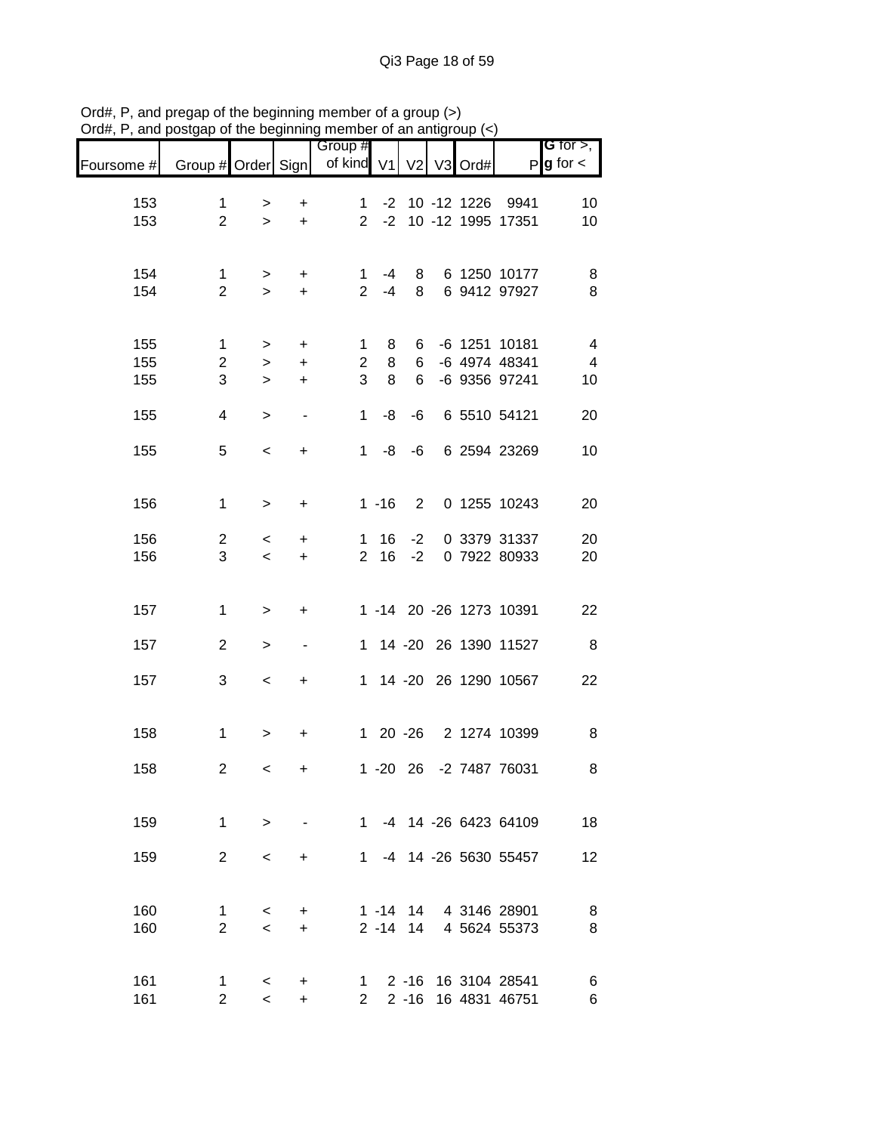|            |                    |                          | .y                       | <br>Group #    |         |                |         |                         | <b>G</b> for $>$ ,     |
|------------|--------------------|--------------------------|--------------------------|----------------|---------|----------------|---------|-------------------------|------------------------|
| Foursome # | Group # Order Sign |                          |                          | of kind V1     |         | V <sub>2</sub> | V3 Ord# |                         | $P$ <b>g</b> for $\lt$ |
| 153        | 1                  | >                        | $\ddot{}$                | $\mathbf{1}$   |         |                |         | -2 10 -12 1226 9941     | 10                     |
| 153        | $\overline{2}$     | $\geq$                   | $+$                      |                |         |                |         | 2 -2 10 -12 1995 17351  | 10                     |
|            |                    |                          |                          |                |         |                |         |                         |                        |
| 154        | $\mathbf{1}$       | $\geq$                   | $+$                      | $\mathbf{1}$   | -4      |                |         | 8 6 1250 10177          | 8                      |
| 154        | $\overline{2}$     | $\geq$                   | $+$                      |                | $2 - 4$ | 8              |         | 6 9412 97927            | 8                      |
|            |                    |                          |                          |                |         |                |         |                         |                        |
| 155        | 1                  | $\geq$                   | $\ddot{}$                | $\mathbf{1}$   | 8       |                |         | 6 -6 1251 10181         | $\overline{4}$         |
| 155        | $\overline{c}$     | $\geq$                   | $\ddot{}$                | $\overline{2}$ | 8       | 6              |         | -6 4974 48341           | $\overline{4}$         |
| 155        | 3                  | $\geq$                   | $\ddot{}$                | 3              | 8       | $6 -$          |         | -6 9356 97241           | 10                     |
| 155        | $\overline{4}$     | $\,>$                    | $\overline{\phantom{a}}$ | 1              | -8      |                |         | -6 6 5510 54121         | 20                     |
|            |                    |                          |                          |                |         |                |         |                         |                        |
| 155        | 5                  | $\,<$                    | $\ddot{}$                |                |         |                |         | 1 -8 -6 6 2594 23269    | 10                     |
|            |                    |                          |                          |                |         |                |         |                         |                        |
| 156        | $\mathbf{1}$       | $\,>$                    | $\ddot{}$                |                |         |                |         | 1 -16 2 0 1255 10243    | 20                     |
|            |                    |                          |                          |                |         |                |         |                         |                        |
| 156        | $\overline{2}$     | $\lt$                    | $\ddot{}$                |                | 1 16    | $-2$           |         | 0 3379 31337            | 20                     |
| 156        | 3                  | $\overline{\phantom{a}}$ | $+$                      |                | 2 16    | $-2$           |         | 0 7922 80933            | 20                     |
|            |                    |                          |                          |                |         |                |         |                         |                        |
| 157        | $\mathbf{1}$       | $\,$                     | $\ddot{}$                |                |         |                |         | 1 -14 20 -26 1273 10391 | 22                     |
| 157        | $\overline{2}$     |                          | $\blacksquare$           |                |         |                |         | 1 14 -20 26 1390 11527  | 8                      |
|            |                    | $\,>$                    |                          |                |         |                |         |                         |                        |
| 157        | 3                  | $\,<$                    | $\ddot{}$                |                |         |                |         | 1 14 -20 26 1290 10567  | 22                     |
|            |                    |                          |                          |                |         |                |         |                         |                        |
| 158        | $\mathbf{1}$       | $\,$                     | $\ddot{}$                |                |         |                |         | 1 20 -26 2 1274 10399   | 8                      |
|            |                    |                          |                          |                |         |                |         |                         |                        |
| 158        | $\overline{c}$     | $\,<$                    | +                        |                |         |                |         | 1 -20 26 -2 7487 76031  | 8                      |
|            |                    |                          |                          |                |         |                |         |                         |                        |
| 159        | 1                  | $\geq$                   |                          |                |         |                |         | 1 -4 14 -26 6423 64109  | 18                     |
|            |                    |                          |                          |                |         |                |         |                         |                        |
| 159        | $\overline{2}$     | $\,<\,$                  | $\ddot{}$                |                |         |                |         | 1 -4 14 -26 5630 55457  | 12                     |
|            |                    |                          |                          |                |         |                |         |                         |                        |
| 160        | 1                  | $\,<\,$                  | +                        |                |         |                |         | 1 -14 14 4 3146 28901   | 8                      |
| 160        | $\overline{2}$     | $\prec$                  | $+$                      |                |         | $2 - 14$ 14    |         | 4 5624 55373            | 8                      |
|            |                    |                          |                          |                |         |                |         |                         |                        |
| 161        | $\mathbf{1}$       | $\prec$                  | $\ddot{}$                |                |         |                |         | 1 2 -16 16 3104 28541   | 6                      |
| 161        | $\overline{2}$     | $\prec$                  | $\ddot{}$                | $\mathbf{2}$   |         | $2 - 16$       |         | 16 4831 46751           | 6                      |

Ord#, P, and pregap of the beginning member of a group (>) Ord#, P, and postgap of the beginning member of an antigroup (<)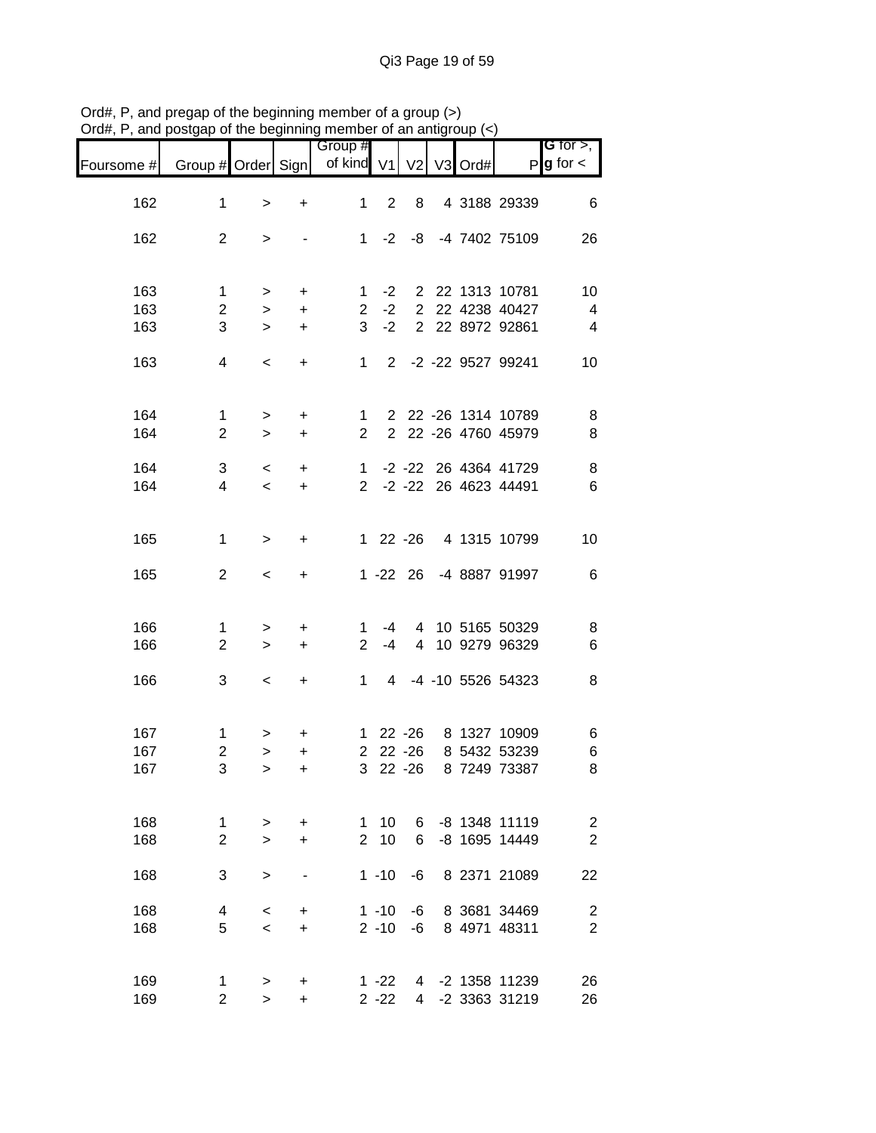|            | and poorgap or the beginning            |                          |           | monipor or an anagr              |                |             |  |                       |                                       |
|------------|-----------------------------------------|--------------------------|-----------|----------------------------------|----------------|-------------|--|-----------------------|---------------------------------------|
| Foursome # | Group # Order Sign                      |                          |           | Group #<br>of kind V1 V2 V3 Ord# |                |             |  |                       | G for $>$ ,<br>$P$ <b>g</b> for $\lt$ |
| 162        | $\mathbf{1}$                            | $\, > \,$                | $\ddot{}$ | $1 \quad$                        | $\overline{2}$ | 8           |  | 4 3188 29339          | 6                                     |
| 162        | $\overline{2}$                          | $\, > \,$                |           |                                  |                |             |  | 1 -2 -8 -4 7402 75109 | 26                                    |
|            |                                         |                          |           |                                  |                |             |  |                       |                                       |
| 163        | $\mathbf{1}$                            | $\geq$                   | $\ddot{}$ | $\mathbf{1}$                     |                |             |  | -2 2 22 1313 10781    | 10                                    |
| 163        | $\overline{2}$                          | $\geq$                   | $\ddot{}$ | 2 <sup>7</sup>                   | $-2$           |             |  | 2 22 4238 40427       | $\overline{4}$                        |
| 163        | 3                                       | $\geq$                   | $\ddot{}$ | $\mathbf{3}$                     | $-2$           |             |  | 2 22 8972 92861       | $\overline{4}$                        |
| 163        | 4                                       | $\,<\,$                  | $\ddot{}$ |                                  |                |             |  | 1 2 -2 -22 9527 99241 | 10                                    |
| 164        | $\mathbf{1}$                            | $\geq$                   | $+$       | $\mathbf{1}$                     |                |             |  | 2 22 -26 1314 10789   | $\bf 8$                               |
| 164        | $\overline{2}$                          | $\geq$                   | $\ddot{}$ | $\overline{2}$                   |                |             |  | 2 22 -26 4760 45979   | 8                                     |
| 164        | 3                                       | $\overline{\phantom{0}}$ | $\ddot{}$ | $\mathbf{1}$                     |                |             |  | -2 -22 26 4364 41729  | $\,$ 8 $\,$                           |
| 164        | $\overline{4}$                          | $\overline{\phantom{0}}$ | $\ddot{}$ | $2^{\circ}$                      |                |             |  | -2 -22 26 4623 44491  | $\,6$                                 |
| 165        | $\mathbf{1}$                            | $\,>$                    | $\ddot{}$ |                                  |                |             |  | 1 22 -26 4 1315 10799 | 10                                    |
| 165        | $\overline{2}$                          | $\,<\,$                  | $\ddot{}$ |                                  |                | $1 - 22$ 26 |  | -4 8887 91997         | 6                                     |
| 166        | $\mathbf 1$                             | $\, > \,$                | $\ddot{}$ | 1                                | -4             |             |  | 4 10 5165 50329       | $\,8\,$                               |
| 166        | $\overline{2}$                          | $\geq$                   | $\ddot{}$ | $\overline{2}$                   | $-4$           |             |  | 4 10 9279 96329       | 6                                     |
| 166        | 3                                       | $\,<\,$                  | $\ddot{}$ | 1                                |                |             |  | 4 -4 -10 5526 54323   | $\, 8$                                |
| 167        |                                         |                          |           |                                  |                |             |  | 1 22 -26 8 1327 10909 |                                       |
| 167        | $\mathbf{1}$<br>$\overline{\mathbf{c}}$ | >                        | +         |                                  |                |             |  | 2 22 -26 8 5432 53239 | 6<br>$\,6$                            |
| 167        | 3                                       | $\geq$                   | $\ddot{}$ | 3 <sup>1</sup>                   |                | 22 - 26     |  | 8 7249 73387          | 8                                     |
|            |                                         | $\, > \,$                | +         |                                  |                |             |  |                       |                                       |
| 168        | 1                                       | >                        | $\ddot{}$ | 1                                | 10             | 6           |  | -8 1348 11119         | $\sqrt{2}$                            |
| 168        | $\overline{2}$                          | $\geq$                   | $\ddot{}$ | $\overline{2}$                   | 10             | 6           |  | -8 1695 14449         | $\overline{c}$                        |
| 168        | 3                                       | >                        |           |                                  | $1 - 10$       | -6          |  | 8 2371 21089          | 22                                    |
| 168        | 4                                       | $\,<\,$                  | +         |                                  | $1 - 10$       | -6          |  | 8 3681 34469          | $\overline{\mathbf{c}}$               |
| 168        | 5                                       | $\,<$                    | $\ddot{}$ |                                  | $2 - 10$       | -6          |  | 8 4971 48311          | $\overline{2}$                        |
| 169        | 1                                       | >                        | +         |                                  | $1 - 22$       | 4           |  | -2 1358 11239         | 26                                    |
| 169        | $\overline{2}$                          | $\geq$                   | $\ddot{}$ |                                  | $2 - 22$       | 4           |  | -2 3363 31219         | 26                                    |

Ord#, P, and pregap of the beginning member of a group (>) Ord#, P, and postgap of the beginning member of an antigroup (<)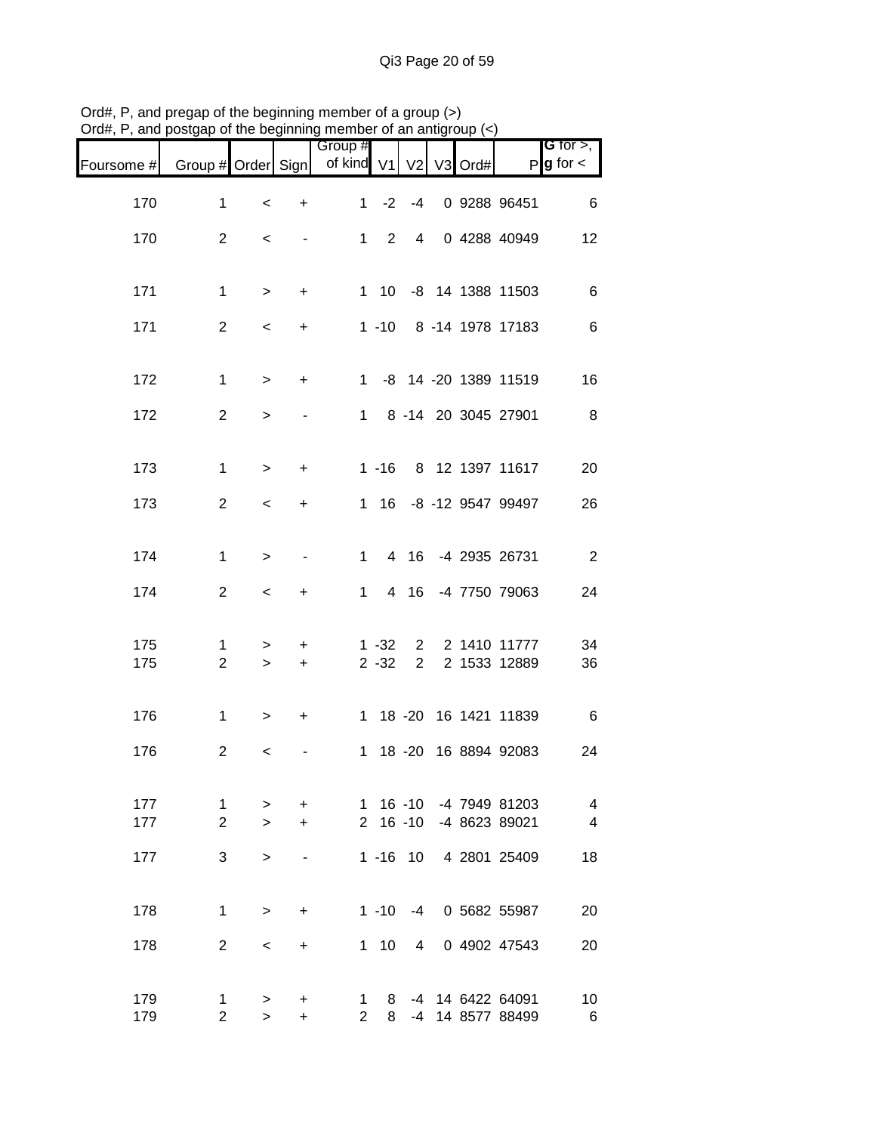|            |                     |                          |                          | <br>Group #                                    |            |                               |  |                                         | <b>G</b> for $>$ , $\overline{\phantom{a}}$ |
|------------|---------------------|--------------------------|--------------------------|------------------------------------------------|------------|-------------------------------|--|-----------------------------------------|---------------------------------------------|
| Foursome # |                     |                          |                          | Group # Order Sign   of kind V1   V2   V3 Ord# |            |                               |  |                                         | $P g$ for $\lt$                             |
| 170        | $\mathbf{1}$        | $\,<$                    | $\ddot{}$                | 1                                              | $-2$       | $-4$                          |  | 0 9288 96451                            | 6                                           |
| 170        | $\overline{2}$      | $\overline{\phantom{a}}$ | $\overline{\phantom{0}}$ |                                                | $1\quad 2$ | 4 <sup>1</sup>                |  | 0 4288 40949                            | 12                                          |
|            |                     |                          |                          |                                                |            |                               |  |                                         |                                             |
| 171        | $\mathbf{1}$        | $\geq$                   | $\ddot{}$                |                                                |            |                               |  | 1 10 -8 14 1388 11503                   | 6                                           |
| 171        | $\overline{2}$      | $\overline{\phantom{a}}$ | $\ddot{}$                |                                                |            |                               |  | 1 -10 8 -14 1978 17183                  | 6                                           |
| 172        | $\mathbf{1}$        | $\,>$                    | $+$                      |                                                |            |                               |  | 1 -8 14 -20 1389 11519                  | 16                                          |
| 172        | $\overline{2}$      | $\, > \,$                |                          |                                                |            |                               |  | 1 8 -14 20 3045 27901                   | 8 <sup>8</sup>                              |
|            |                     |                          |                          |                                                |            |                               |  |                                         |                                             |
| 173        | $\mathbf{1}$        | $\, >$                   | $\ddot{}$                |                                                |            |                               |  | 1 -16 8 12 1397 11617                   | 20                                          |
| 173        | $\mathbf{2}$        | $\overline{\phantom{a}}$ | $\ddot{}$                |                                                |            |                               |  | 1 16 -8 -12 9547 99497                  | 26                                          |
| 174        | $\mathbf{1}$        | $\, >$                   |                          | $1 \quad$                                      |            |                               |  | 4 16 -4 2935 26731                      | $\overline{\phantom{0}}$                    |
| 174        | $\overline{2}$      | $\,<$                    | $\ddot{}$                | 1                                              |            |                               |  | 4 16 -4 7750 79063                      | 24                                          |
|            |                     |                          |                          |                                                |            |                               |  |                                         |                                             |
| 175        | 1<br>$\overline{2}$ | >                        | +                        |                                                | $1 - 32$   | $2^{\circ}$<br>2 <sup>7</sup> |  | 2 1410 11777<br>2 1533 12889            | 34                                          |
| 175        |                     | $\geq$                   | $\ddot{}$                |                                                | $2 - 32$   |                               |  |                                         | 36                                          |
| 176        | $\mathbf{1}$        | $\, > \,$                | $\ddot{}$                |                                                |            |                               |  | 1 18 -20 16 1421 11839                  | $6\overline{6}$                             |
| 176        | $\overline{2}$      | $\,<\,$                  |                          |                                                |            |                               |  | 1 18 -20 16 8894 92083                  | 24                                          |
|            |                     |                          |                          |                                                |            |                               |  |                                         |                                             |
| 177<br>177 | 1<br>2              | ><br>$\geq$              | +<br>+                   |                                                |            | $2 16 - 10$                   |  | 1 16 -10 -4 7949 81203<br>-4 8623 89021 | 4<br>$\overline{4}$                         |
| 177        | 3                   | $\geq$                   |                          |                                                |            | $1 - 16$ 10                   |  | 4 2801 25409                            | 18                                          |
|            |                     |                          |                          |                                                |            |                               |  |                                         |                                             |
| 178        | $\mathbf{1}$        | $\geq$                   | +                        |                                                | $1 - 10$   | $-4$                          |  | 0 5682 55987                            | 20                                          |
| 178        | $\overline{2}$      | $\,<\,$                  | +                        |                                                | $1 10$     | 4 <sup>1</sup>                |  | 0 4902 47543                            | 20                                          |
| 179        | 1                   |                          |                          |                                                | 8          |                               |  | -4 14 6422 64091                        | 10                                          |
| 179        | $\overline{2}$      | $\geq$<br>$\geq$         | +<br>$\ddot{}$           | $\mathbf{1}$<br>$\overline{2}$                 | 8          |                               |  | -4 14 8577 88499                        | 6                                           |

Ord#, P, and pregap of the beginning member of a group (>) Ord#, P, and postgap of the beginning member of an antigroup (<)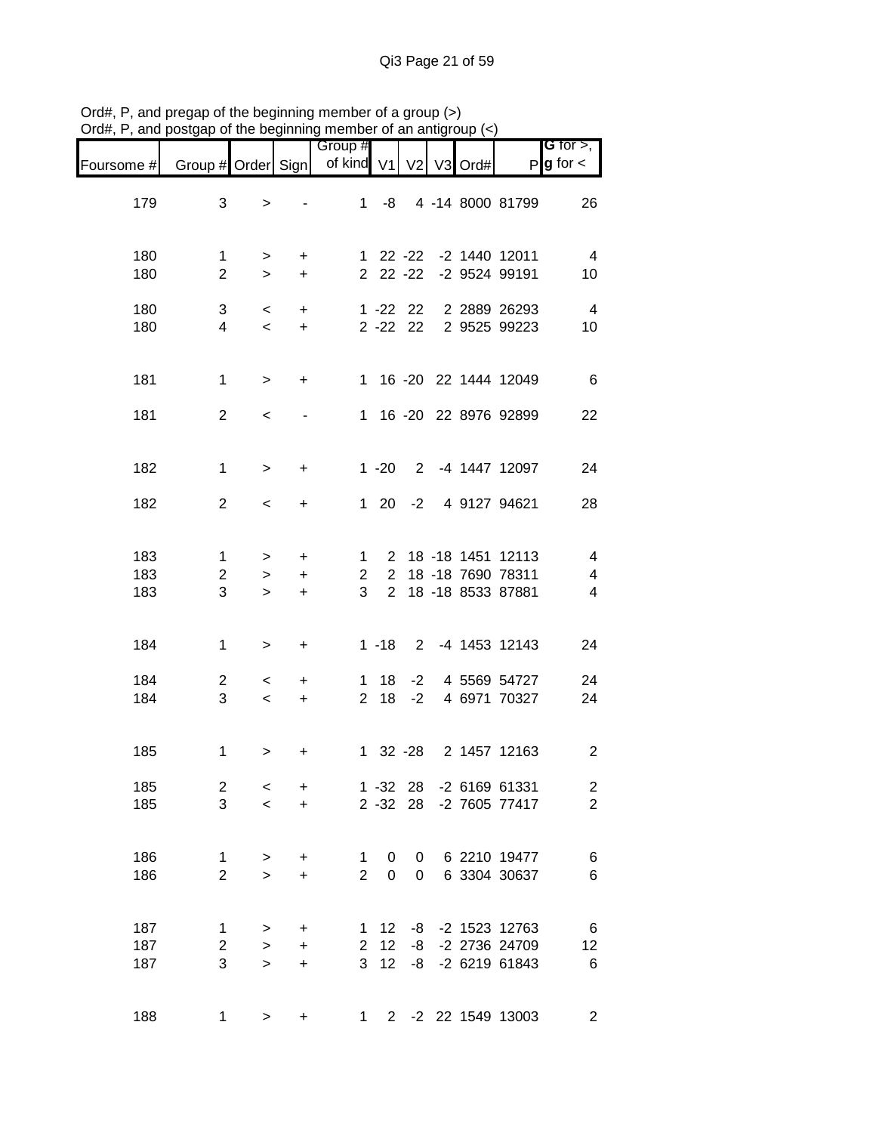| Foursome #        | Group # Order Sign             |                                     |                             | Group #<br>of kind V1          |                                  | V <sub>2</sub>                 | V3 Ord# |                                                                | G for $>$ ,<br>$P g$ for $\lt$                 |
|-------------------|--------------------------------|-------------------------------------|-----------------------------|--------------------------------|----------------------------------|--------------------------------|---------|----------------------------------------------------------------|------------------------------------------------|
| 179               | 3                              | $\geq$                              |                             | 1                              | -8                               |                                |         | 4 -14 8000 81799                                               | 26                                             |
| 180<br>180        | 1<br>$\overline{2}$            | $\, > \,$<br>$\geq$                 | +<br>$\ddot{}$              | 1                              |                                  | 22 -22<br>$22 - 22$            |         | -2 1440 12011<br>-2 9524 99191                                 | $\overline{4}$<br>10                           |
| 180<br>180        | 3<br>4                         | $\,<\,$<br>$\overline{\phantom{0}}$ | $\ddot{}$<br>$\ddot{}$      |                                |                                  | $1 - 22$ 22<br>$2 - 22$ 22     |         | 2 2889 26293<br>2 9525 99223                                   | $\overline{4}$<br>10                           |
| 181               | $\mathbf{1}$                   | $\,>$                               | $\ddot{}$                   |                                |                                  |                                |         | 1 16 -20 22 1444 12049                                         | 6                                              |
| 181               | $\overline{2}$                 | $\,<\,$                             |                             |                                |                                  |                                |         | 1 16 -20 22 8976 92899                                         | 22                                             |
| 182               | $\mathbf{1}$                   | $\geq$                              | $\ddot{}$                   |                                | $1 - 20$                         | $2^{\circ}$                    |         | -4 1447 12097                                                  | 24                                             |
| 182               | $\overline{2}$                 | $\,<\,$                             | $\ddot{}$                   |                                |                                  |                                |         | 1 20 -2 4 9127 94621                                           | 28                                             |
| 183<br>183<br>183 | $\mathbf 1$<br>2<br>3          | $\geq$<br>$\geq$<br>$\geq$          | $\ddot{}$<br>+<br>$\ddot{}$ | $\mathbf{1}$<br>2<br>3         | $\overline{2}$<br>$\overline{2}$ |                                |         | 2 18 -18 1451 12113<br>18 - 18 7690 78311<br>18 -18 8533 87881 | $\overline{\mathbf{4}}$<br>4<br>$\overline{4}$ |
| 184               | $\mathbf{1}$                   | >                                   | $\ddot{}$                   |                                | $1 - 18$                         | $2^{\circ}$                    |         | -4 1453 12143                                                  | 24                                             |
| 184<br>184        | 2<br>3                         | $\,<\,$<br>$\overline{\phantom{a}}$ | +<br>$\ddot{}$              | $\mathbf{1}$<br>$\overline{2}$ | 18<br>18                         | -2<br>$-2$                     |         | 4 5569 54727<br>4 6971 70327                                   | 24<br>24                                       |
| 185               | $\mathbf 1$                    | >                                   | +                           | $\mathbf{1}$                   |                                  |                                |         | 32 -28 2 1457 12163                                            | $\overline{2}$                                 |
| 185<br>185        | 2<br>3                         | $\,<$<br>$\prec$                    | +<br>$+$                    |                                |                                  | $2 - 32 28$                    |         | 1 -32 28 -2 6169 61331<br>-2 7605 77417                        | $\overline{\mathbf{c}}$<br>$\overline{2}$      |
| 186<br>186        | $\mathbf{1}$<br>$\overline{2}$ | ><br>$\geq$                         | +<br>$\ddot{}$              | $\mathbf{1}$<br>$\overline{2}$ | 0<br>$\overline{0}$              | $\mathbf{0}$<br>$\overline{0}$ |         | 6 2210 19477<br>6 3304 30637                                   | $\boldsymbol{6}$<br>$\,$ 6 $\,$                |
| 187<br>187<br>187 | 1<br>2<br>3                    | ><br>$\mathbf{r}$<br>$\geq$         | +<br>$\ddot{}$<br>$\ddot{}$ | 1<br>3 <sup>1</sup>            | 12<br>2 12<br>12                 | -8<br>-8<br>-8                 |         | -2 1523 12763<br>-2 2736 24709<br>-2 6219 61843                | $\,6$<br>12<br>$\,6\,$                         |
| 188               | $\mathbf{1}$                   | >                                   | +                           | $\mathbf{1}$                   |                                  |                                |         | 2 -2 22 1549 13003                                             | $\overline{\mathbf{c}}$                        |

Ord#, P, and pregap of the beginning member of a group (>) Ord#, P, and postgap of the beginning member of an antigroup (<)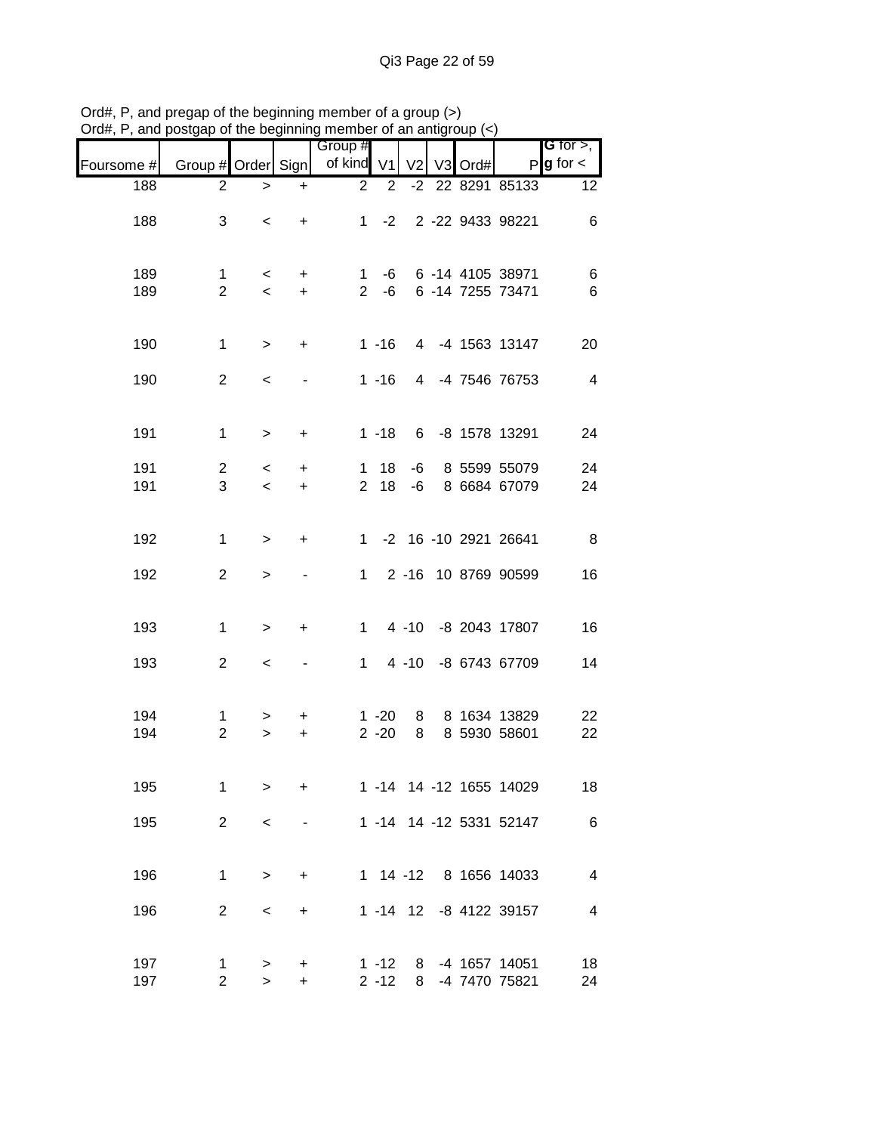|            |                     |                          |                | Group #        |                      |                |    |      |                                  | G for $>$ ,             |
|------------|---------------------|--------------------------|----------------|----------------|----------------------|----------------|----|------|----------------------------------|-------------------------|
| Foursome # | Group # Order Sign  |                          |                | of kind V1     |                      | V <sub>2</sub> | V3 | Ord# |                                  | $P$ <b>g</b> for $\lt$  |
| 188        | $\overline{c}$      | $\, > \,$                | $\ddot{}$      | $\overline{2}$ | $\overline{2}$       |                |    |      | -2 22 8291 85133                 | 12                      |
| 188        | 3                   | $\,<\,$                  | $\ddot{}$      | 1              | $-2$                 |                |    |      | 2 -22 9433 98221                 | $\,6$                   |
| 189        | 1                   | $\,<\,$                  | +              | 1              | -6                   |                |    |      | 6 -14 4105 38971                 | 6                       |
| 189        | $\overline{2}$      | $\prec$                  | $+$            | $2^{\circ}$    | $-6$                 |                |    |      | 6 -14 7255 73471                 | $\,6$                   |
| 190        | $\mathbf{1}$        | $\, >$                   | $\ddot{}$      |                | $1 - 16$             |                |    |      | 4 -4 1563 13147                  | 20                      |
| 190        | $\overline{2}$      | $\,<\,$                  |                |                | $1 - 16$             |                |    |      | 4 -4 7546 76753                  | $\overline{\mathbf{4}}$ |
| 191        | $\mathbf{1}$        | $\, >$                   | $\ddot{}$      |                | $1 - 18$             |                |    |      | 6 -8 1578 13291                  | 24                      |
| 191        | $\overline{c}$      | $\,<\,$                  | $\ddot{}$      | 1              | 18                   | -6             |    |      | 8 5599 55079                     | 24                      |
| 191        | 3                   | $\overline{\phantom{0}}$ | $\ddot{}$      | $\overline{2}$ | 18                   | -6             |    |      | 8 6684 67079                     | 24                      |
| 192        | $\mathbf{1}$        | $\,>$                    | $\ddot{}$      |                |                      |                |    |      | 1 -2 16 -10 2921 26641           | 8                       |
| 192        | $\overline{2}$      | $\, > \,$                |                | 1              |                      |                |    |      | 2 -16 10 8769 90599              | 16                      |
| 193        | $\mathbf{1}$        | >                        | $\ddot{}$      | $\mathbf 1$    |                      | $4 - 10$       |    |      | -8 2043 17807                    | 16                      |
| 193        | $\overline{2}$      | $\,<$                    |                | $\mathbf{1}$   |                      | $4 - 10$       |    |      | -8 6743 67709                    | 14                      |
| 194<br>194 | 1<br>$\overline{c}$ | ><br>>                   | +<br>$\ddot{}$ |                | $1 - 20$<br>$2 - 20$ | 8<br>8         |    |      | 8 1634 13829<br>8 5930 58601     | 22<br>22                |
|            |                     |                          |                |                |                      |                |    |      |                                  |                         |
| 195        | 1                   | $\, > \,$                | +              |                |                      |                |    |      | 1 -14 14 -12 1655 14029          | 18                      |
| 195        | $\overline{2}$      | $\,<\,$                  |                |                |                      |                |    |      | 1 -14 14 -12 5331 52147          | $\,6$                   |
| 196        | 1                   | $\,>$                    | $\ddot{}$      |                |                      |                |    |      | 1 14 -12 8 1656 14033            | $\overline{\mathbf{4}}$ |
| 196        | $\overline{c}$      | $\,<\,$                  | +              |                |                      |                |    |      | 1 -14 12 -8 4122 39157           | $\overline{\mathbf{4}}$ |
| 197<br>197 | 1<br>$\overline{c}$ | ><br>>                   | +<br>+         |                | $1 - 12$<br>$2 - 12$ | 8              |    |      | -4 1657 14051<br>8 -4 7470 75821 | 18<br>24                |

Ord#, P, and pregap of the beginning member of a group (>) Ord#, P, and postgap of the beginning member of an antigroup (<)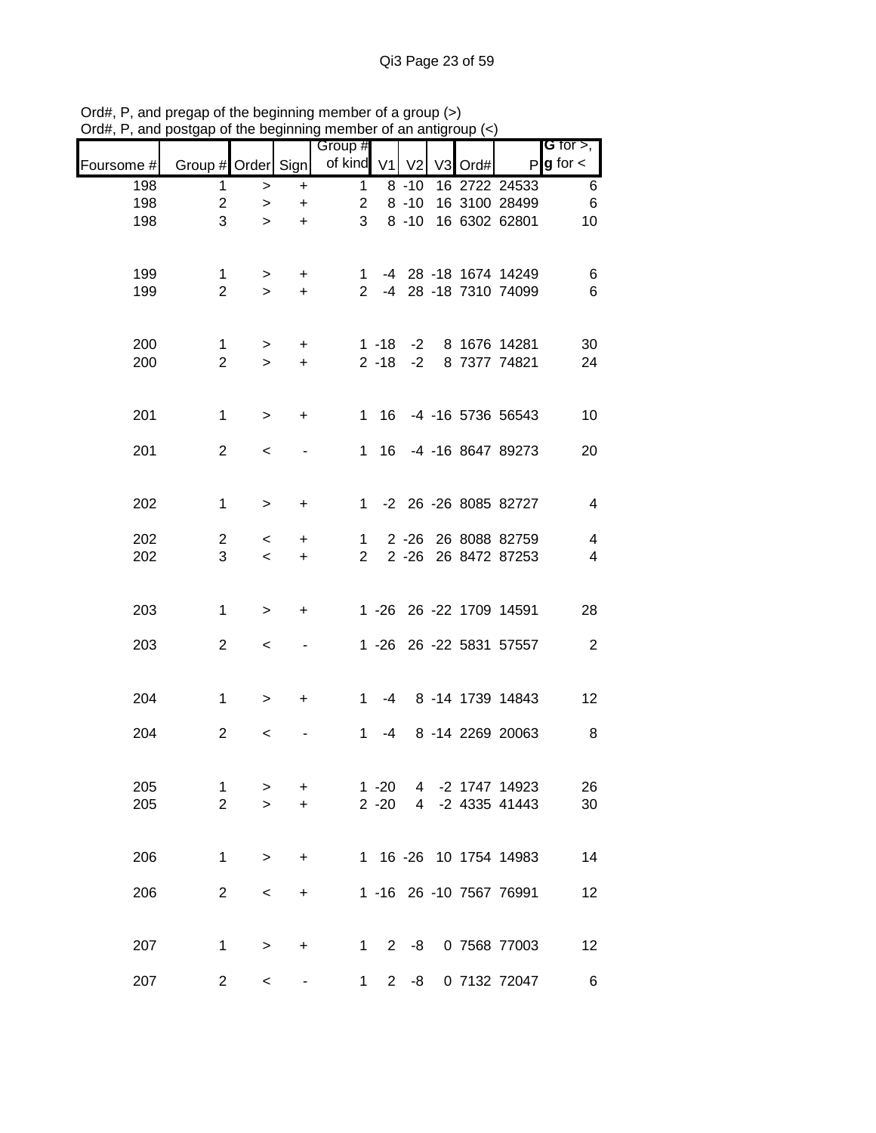|            |                     |             |                | Group #        |                      |                |    |      |                                  | <b>G</b> for $>$ ,      |
|------------|---------------------|-------------|----------------|----------------|----------------------|----------------|----|------|----------------------------------|-------------------------|
| Foursome # | Group # Order       |             | Sign           | of kind V1     |                      | V <sub>2</sub> | V3 | Ord# | $\mathsf{P}$                     | $\mathbf g$ for $\lt$   |
| 198        | $\mathbf{1}$        | $\, > \,$   | $\ddot{}$      | $\mathbf{1}$   |                      | $8 - 10$       |    |      | 16 2722 24533                    | $\,6$                   |
| 198        | $\overline{c}$      | $\geq$      | $\ddot{}$      | $\overline{2}$ |                      | $8 - 10$       |    |      | 16 3100 28499                    | $\,6$                   |
| 198        | 3                   | $\geq$      | $\ddot{}$      | 3              |                      | $8 - 10$       |    |      | 16 6302 62801                    | 10                      |
| 199        | 1                   | $\geq$      | $\ddot{}$      | 1.             |                      |                |    |      | -4 28 -18 1674 14249             | 6                       |
| 199        | $\overline{2}$      | $\geq$      | $\ddot{}$      | $\mathbf{2}$   |                      |                |    |      | -4 28 -18 7310 74099             | 6                       |
| 200        | 1                   | $\geq$      | $\ddot{}$      |                | $1 - 18$             | $-2$           |    |      | 8 1676 14281                     | 30                      |
| 200        | $\overline{2}$      | $\geq$      | $\ddot{}$      |                | $2 - 18$             | $-2$           |    |      | 8 7377 74821                     | 24                      |
| 201        | $\mathbf{1}$        | $\geq$      | +              |                | 1 16                 |                |    |      | -4 -16 5736 56543                | 10                      |
| 201        | $\overline{2}$      | $\,<\,$     |                |                | 1 16                 |                |    |      | -4 -16 8647 89273                | 20                      |
| 202        | $\mathbf{1}$        | $\, > \,$   | $\ddot{}$      | $1 \quad$      |                      |                |    |      | -2 26 -26 8085 82727             | $\overline{\mathbf{4}}$ |
| 202        | 2                   | $\,<\,$     | +              | $\mathbf{1}$   |                      |                |    |      | 2 -26 26 8088 82759              | $\overline{\mathbf{4}}$ |
| 202        | 3                   | $\prec$     | +              | $\overline{2}$ |                      |                |    |      | 2 -26 26 8472 87253              | $\overline{\mathbf{4}}$ |
| 203        | $\mathbf{1}$        | $\, > \,$   | +              |                |                      |                |    |      | 1 -26 26 -22 1709 14591          | 28                      |
| 203        | $\overline{2}$      | $\,<\,$     |                |                |                      |                |    |      | 1 -26 26 -22 5831 57557          | $\overline{c}$          |
| 204        | $\mathbf{1}$        | $\geq$      | +              | $1 \quad$      | -4                   |                |    |      | 8 -14 1739 14843                 | 12                      |
| 204        | $\overline{2}$      | $\,<\,$     |                | $\mathbf 1$    | -4                   |                |    |      | 8 -14 2269 20063                 | 8                       |
| 205<br>205 | 1<br>$\overline{2}$ | ><br>$\geq$ | +<br>$\ddot{}$ |                | $1 - 20$<br>$2 - 20$ | 4              |    |      | -2 1747 14923<br>4 -2 4335 41443 | 26<br>30                |
|            |                     |             |                |                |                      |                |    |      |                                  |                         |
| 206        | 1                   | $\, > \,$   | +              |                |                      |                |    |      | 1 16 -26 10 1754 14983           | 14                      |
| 206        | $\overline{2}$      | $\,<$       | +              |                |                      |                |    |      | 1 -16 26 -10 7567 76991          | 12                      |
| 207        | 1                   | $\, > \,$   | +              | $1 \quad$      | $2^{\circ}$          | -8             |    |      | 0 7568 77003                     | 12                      |
| 207        | $\overline{c}$      | $\,<\,$     |                | $\mathbf{1}$   | $\overline{2}$       | -8             |    |      | 0 7132 72047                     | 6                       |

Ord#, P, and pregap of the beginning member of a group (>) Ord#, P, and postgap of the beginning member of an antigroup (<)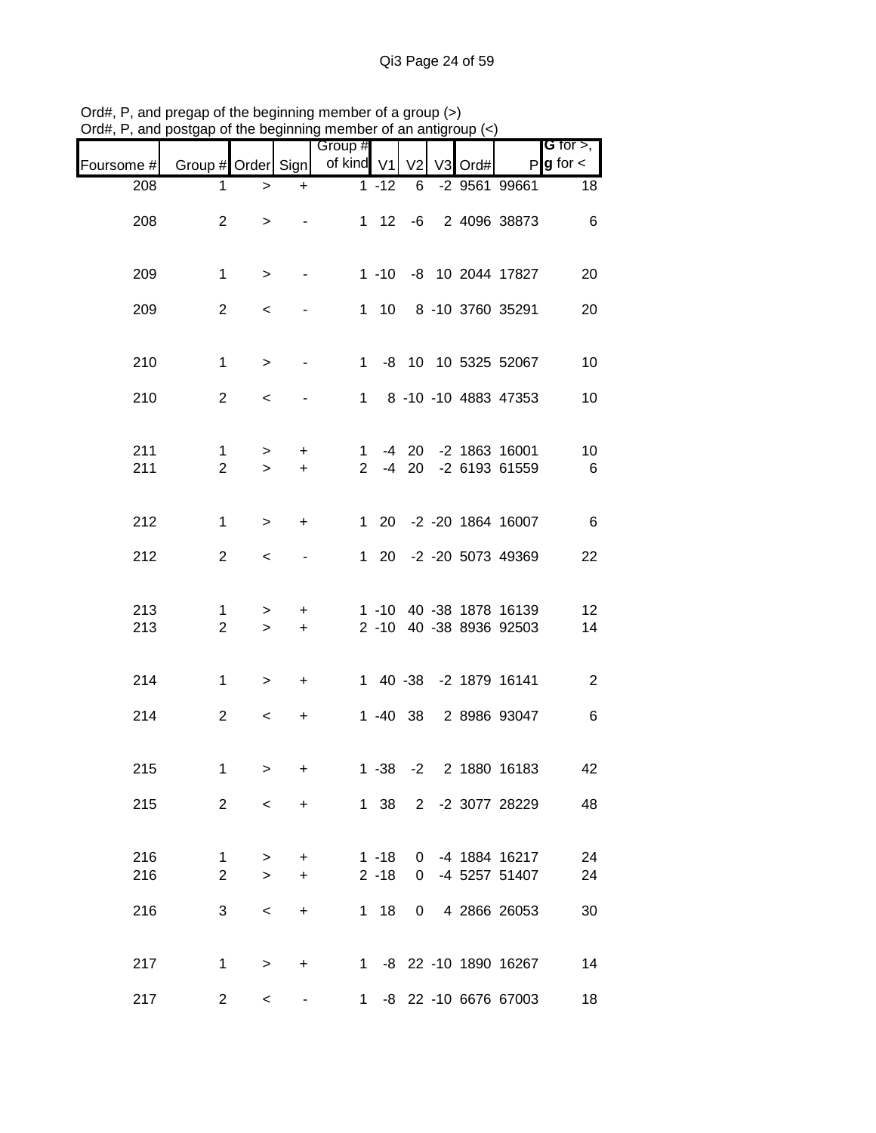|            |                                | 1000             | .                       | 111011100101101101101111<br>Group #        |                      |              |  |                                                    | <b>G</b> for $>$ ,     |
|------------|--------------------------------|------------------|-------------------------|--------------------------------------------|----------------------|--------------|--|----------------------------------------------------|------------------------|
| Foursome # |                                |                  |                         | Group # Order Sign   of kind V1 V2 V3 Ord# |                      |              |  |                                                    | $P$ <b>g</b> for $\lt$ |
| 208        | 1                              | $\, >$           | $+$                     |                                            | $1 - 12$             | 6            |  | -2 9561 99661                                      | $\overline{18}$        |
| 208        | $\overline{2}$                 | $\, > \,$        |                         |                                            |                      |              |  | 1 12 -6 2 4096 38873                               | $6\overline{6}$        |
| 209        | $\mathbf{1}$                   | $\geq$           | $\sim 100$ km s $^{-1}$ |                                            |                      |              |  | 1 -10 -8 10 2044 17827                             | 20                     |
| 209        | $\overline{2}$                 | $\,<$            | $\sim$                  |                                            |                      |              |  | 1 10 8 -10 3760 35291                              | 20                     |
| 210        | $\mathbf{1}$                   | $\,$             | $\sim$ $-$              |                                            |                      |              |  | 1 -8 10 10 5325 52067                              | 10                     |
| 210        | $\overline{2}$                 | $\,<\,$          |                         |                                            |                      |              |  | 1 8 -10 -10 4883 47353                             | 10                     |
| 211<br>211 | $\mathbf{1}$<br>$\overline{2}$ | ><br>$\geq$      | $+$<br>$+$              |                                            |                      |              |  | 1 -4 20 -2 1863 16001<br>2 -4 20 -2 6193 61559     | 10<br>6                |
| 212        | $\mathbf 1$                    | $\geq$           | $+$                     |                                            |                      |              |  | 1 20 -2 -20 1864 16007                             | $6\overline{6}$        |
| 212        | $\overline{2}$                 | $\prec$          |                         |                                            |                      |              |  | 1 20 -2 -20 5073 49369                             | 22                     |
| 213<br>213 | 1.<br>$\overline{2}$           | $\geq$<br>$\geq$ | $+$<br>$+$              |                                            |                      |              |  | 1 -10 40 -38 1878 16139<br>2 -10 40 -38 8936 92503 | 12<br>14               |
| 214        | $\mathbf{1}$                   | $\geq$           | $+$                     |                                            |                      |              |  | 1 40 -38 -2 1879 16141                             | $\overline{c}$         |
| 214        | $\overline{2}$                 | $\prec$          | $+$                     |                                            |                      |              |  | 1 -40 38 2 8986 93047                              | $\,6$                  |
| 215        | 1                              | $\geq$           | +                       |                                            |                      |              |  | 1 -38 -2 2 1880 16183                              | 42                     |
| 215        | $\overline{2}$                 | $\lt$            | $+$                     |                                            |                      |              |  | 1 38 2 -2 3077 28229                               | 48                     |
| 216<br>216 | 1.<br>$\overline{2}$           | ><br>$\geq$      | $\ddot{}$<br>$\ddot{}$  |                                            | $1 - 18$<br>$2 - 18$ | $\Omega$     |  | 0 -4 1884 16217<br>-4 5257 51407                   | 24<br>24               |
| 216        | 3                              | $\,<\,$          | $\ddot{}$               |                                            | $1 18$               | $\mathbf{0}$ |  | 4 2866 26053                                       | 30                     |
| 217        | $\mathbf{1}$                   | $\geq$           | $\ddot{}$               |                                            |                      |              |  | 1 -8 22 -10 1890 16267                             | 14                     |
| 217        | $\overline{2}$                 | $\,<\,$          |                         | $1 \quad$                                  |                      |              |  | -8 22 -10 6676 67003                               | 18                     |

Ord#, P, and pregap of the beginning member of a group (>) Ord#, P, and postgap of the beginning member of an antigroup (<)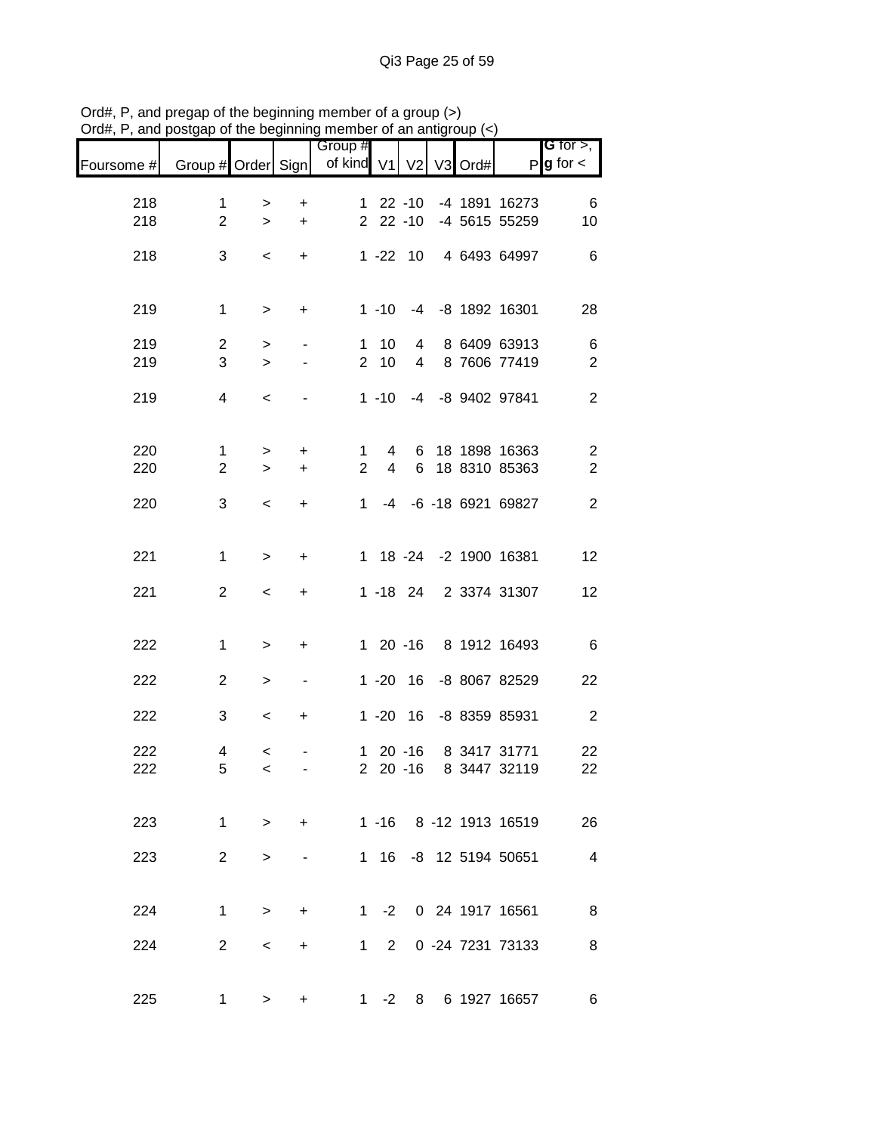|            |                    |                  |                          | Group #        |                |                |         |                              | G for $>$ ,            |
|------------|--------------------|------------------|--------------------------|----------------|----------------|----------------|---------|------------------------------|------------------------|
| Foursome # | Group # Order Sign |                  |                          | of kind V1     |                | V <sub>2</sub> | V3 Ord# |                              | $P$ <b>g</b> for $\lt$ |
| 218        | $\mathbf{1}$       | $\, > \,$        | +                        |                |                | $122 - 10$     |         | -4 1891 16273                | 6                      |
| 218        | $\overline{2}$     | $\geq$           | $\ddot{}$                |                |                | $22 - 10$      |         | -4 5615 55259                | 10                     |
| 218        | 3                  | $\,<$            | $\ddot{}$                |                |                | $1 - 22 10$    |         | 4 6493 64997                 | $6\phantom{1}6$        |
| 219        | $\mathbf{1}$       | $\geq$           | $\ddot{}$                |                | $1 - 10$       |                |         | -4 -8 1892 16301             | 28                     |
| 219        | $\overline{c}$     | $\, > \,$        | $\blacksquare$           | $\mathbf{1}$   | 10             | 4              |         | 8 6409 63913                 | $\,6$                  |
| 219        | 3                  | $\mathbf{I}$     |                          | $\overline{2}$ | 10             | $\overline{4}$ |         | 8 7606 77419                 | $\sqrt{2}$             |
| 219        | $\overline{4}$     | $\,<$            |                          |                | $1 - 10$       | -4             |         | -8 9402 97841                | $\mathbf{2}$           |
| 220        | $\mathbf{1}$       | $\geq$           | $\ddot{}$                | $\mathbf{1}$   | $\overline{4}$ |                |         | 6 18 1898 16363              | $\sqrt{2}$             |
| 220        | $\overline{2}$     | $\mathbf{L}$     | $\ddot{}$                | $\overline{2}$ | $\overline{4}$ | 6              |         | 18 8310 85363                | $\boldsymbol{2}$       |
| 220        | 3                  | $\,<$            | $\ddot{}$                | 1              |                |                |         | -4 -6 -18 6921 69827         | $\overline{2}$         |
| 221        | $\mathbf{1}$       | $\, >$           | $\ddot{}$                |                |                |                |         | 1 18 -24 -2 1900 16381       | 12                     |
| 221        | $\overline{2}$     | $\,<\,$          | $\ddot{}$                |                |                | 1 -18 24       |         | 2 3374 31307                 | 12                     |
| 222        | $\mathbf{1}$       | $\,$             | $\ddot{}$                |                |                |                |         | 1 20 -16 8 1912 16493        | $\,6$                  |
|            |                    |                  |                          |                |                |                |         |                              |                        |
| 222        | $\overline{2}$     | $\,$             | $\overline{\phantom{a}}$ |                |                | $1 - 20$ 16    |         | -8 8067 82529                | 22                     |
| 222        | 3                  | $\,<$            | $\ddot{}$                |                |                | $1 - 20$ 16    |         | -8 8359 85931                | $\boldsymbol{2}$       |
| 222<br>222 | 4<br>5             | $\,<$<br>$\,<\,$ |                          |                | $220 - 16$     | $120 - 16$     |         | 8 3417 31771<br>8 3447 32119 | 22<br>22               |
| 223        | 1                  | $\geq$           | $+$                      |                |                |                |         | 1 -16 8 -12 1913 16519       | 26                     |
|            |                    |                  |                          |                |                |                |         |                              |                        |
| 223        | 2 <sup>2</sup>     | $\geq$           |                          |                |                |                |         | 1 16 -8 12 5194 50651        | $\overline{4}$         |
| 224        | 1                  | $\geq$           | $\ddot{}$                |                | $1 -2$         |                |         | 0 24 1917 16561              | 8 <sup>8</sup>         |
| 224        | $2^{\circ}$        | $\,<\,$          | $\pm$                    |                | $1 \quad 2$    |                |         | 0 -24 7231 73133             | 8                      |
| 225        | $\mathbf 1$        | $\,>$            | +                        | $1 \quad$      | $-2$           |                |         | 8 6 1927 16657               | 6                      |

Ord#, P, and pregap of the beginning member of a group (>) Ord#, P, and postgap of the beginning member of an antigroup (<)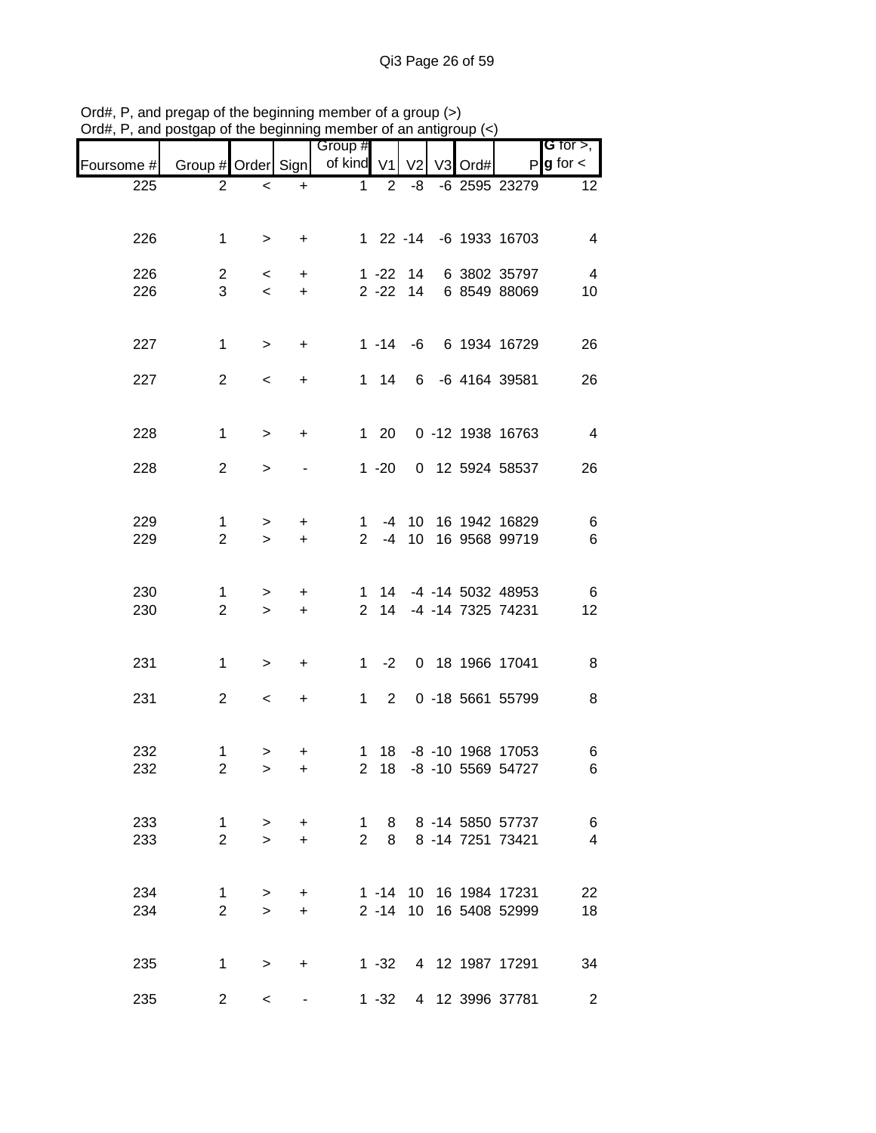|            |                                |                                     |                        | borgap or the beginning member or an amage |              |                            |    |      |                                             |                                       |
|------------|--------------------------------|-------------------------------------|------------------------|--------------------------------------------|--------------|----------------------------|----|------|---------------------------------------------|---------------------------------------|
| Foursome # | Group # Order Sign             |                                     |                        | Group #<br>of kind V1                      |              | V <sub>2</sub>             | V3 | Ord# |                                             | G for $>$ ,<br>$P$ <b>g</b> for $\lt$ |
| 225        | 2                              | $\,<$                               | $\ddot{}$              | $\mathbf{1}$                               | 2            | -8                         |    |      | -6 2595 23279                               | 12 <sub>2</sub>                       |
|            |                                |                                     |                        |                                            |              |                            |    |      |                                             |                                       |
| 226        | $\mathbf{1}$                   | $\geq$                              | $\ddot{}$              |                                            |              |                            |    |      | 1 22 -14 -6 1933 16703                      | $\overline{4}$                        |
|            |                                |                                     |                        |                                            |              |                            |    |      |                                             |                                       |
| 226<br>226 | $\overline{2}$<br>3            | $\prec$<br>$\overline{\phantom{a}}$ | $\ddot{}$<br>$\ddot{}$ |                                            |              | $1 - 22$ 14<br>$2 - 22$ 14 |    |      | 6 3802 35797<br>6 8549 88069                | $\overline{4}$<br>10                  |
|            |                                |                                     |                        |                                            |              |                            |    |      |                                             |                                       |
| 227        | $\mathbf{1}$                   | $\,>$                               | $\ddot{}$              |                                            |              |                            |    |      | 1 -14 -6 6 1934 16729                       | 26                                    |
|            |                                |                                     |                        |                                            |              |                            |    |      |                                             |                                       |
| 227        | $\overline{2}$                 | $\,<\,$                             | $\ddot{}$              |                                            | $1 \quad 14$ |                            |    |      | 6 -6 4164 39581                             | 26                                    |
|            |                                |                                     |                        |                                            |              |                            |    |      |                                             |                                       |
| 228        | $\mathbf{1}$                   | $\,>$                               | $\ddot{}$              |                                            | $1 \quad 20$ |                            |    |      | 0 -12 1938 16763                            | $\overline{4}$                        |
| 228        | $\overline{2}$                 | $\geq$                              |                        |                                            | $1 - 20$     |                            |    |      | 0 12 5924 58537                             | 26                                    |
|            |                                |                                     |                        |                                            |              |                            |    |      |                                             |                                       |
| 229        |                                |                                     |                        |                                            |              |                            |    |      |                                             |                                       |
| 229        | 1<br>$\overline{2}$            | ><br>$\geq$                         | $\ddot{}$<br>$+$       | 1<br>$2^{\circ}$                           | -4           | 10 <sup>1</sup>            |    |      | -4 10 16 1942 16829<br>16 9568 99719        | 6<br>6                                |
|            |                                |                                     |                        |                                            |              |                            |    |      |                                             |                                       |
| 230        | 1                              | >                                   | $\ddot{}$              |                                            |              |                            |    |      | 1 14 -4 -14 5032 48953                      | $\,6$                                 |
| 230        | $\overline{2}$                 | $\geq$                              | $\ddot{}$              | $2^{\circ}$                                | 14           |                            |    |      | -4 -14 7325 74231                           | 12                                    |
|            |                                |                                     |                        |                                            |              |                            |    |      |                                             |                                       |
| 231        | $\mathbf{1}$                   | $\, > \,$                           | $\ddot{}$              | $1 \quad$                                  | $-2$         |                            |    |      | 0 18 1966 17041                             | 8                                     |
|            |                                |                                     |                        |                                            |              |                            |    |      |                                             |                                       |
| 231        | $\overline{2}$                 | $\,<\,$                             | +                      |                                            | $1\quad 2$   |                            |    |      | 0 -18 5661 55799                            | 8                                     |
|            |                                |                                     |                        |                                            |              |                            |    |      |                                             |                                       |
| 232<br>232 | 1<br>2                         | >                                   | $\ddot{}$              |                                            | 2 18         |                            |    |      | 1 18 -8 -10 1968 17053<br>-8 -10 5569 54727 | 6<br>6                                |
|            |                                | >                                   | +                      |                                            |              |                            |    |      |                                             |                                       |
|            |                                |                                     |                        |                                            |              |                            |    |      |                                             |                                       |
| 233<br>233 | $\mathbf{1}$<br>$\overline{2}$ | $\geq$<br>$\geq$                    | $\ddot{}$<br>$\ddot{}$ | $1 \quad$<br>$\overline{2}$                | 8            |                            |    |      | 8 8 -14 5850 57737<br>8 -14 7251 73421      | 6<br>4                                |
|            |                                |                                     |                        |                                            |              |                            |    |      |                                             |                                       |
| 234        | $\mathbf{1}$                   |                                     | $\ddot{}$              |                                            |              |                            |    |      | 1 -14 10 16 1984 17231                      | 22                                    |
| 234        | $\overline{2}$                 | ><br>$\geq$                         | $\ddot{}$              |                                            |              |                            |    |      | 2 -14 10 16 5408 52999                      | 18                                    |
|            |                                |                                     |                        |                                            |              |                            |    |      |                                             |                                       |
| 235        | $\mathbf 1$                    | $\geq$                              | +                      |                                            | $1 - 32$     |                            |    |      | 4 12 1987 17291                             | 34                                    |
|            |                                |                                     |                        |                                            |              |                            |    |      |                                             |                                       |
| 235        | $\overline{2}$                 | $\,<\,$                             |                        |                                            |              |                            |    |      | 1 -32 4 12 3996 37781                       | $\overline{2}$                        |

Ord#, P, and pregap of the beginning member of a group (>) Ord#, P, and postgap of the beginning member of an antigroup (<)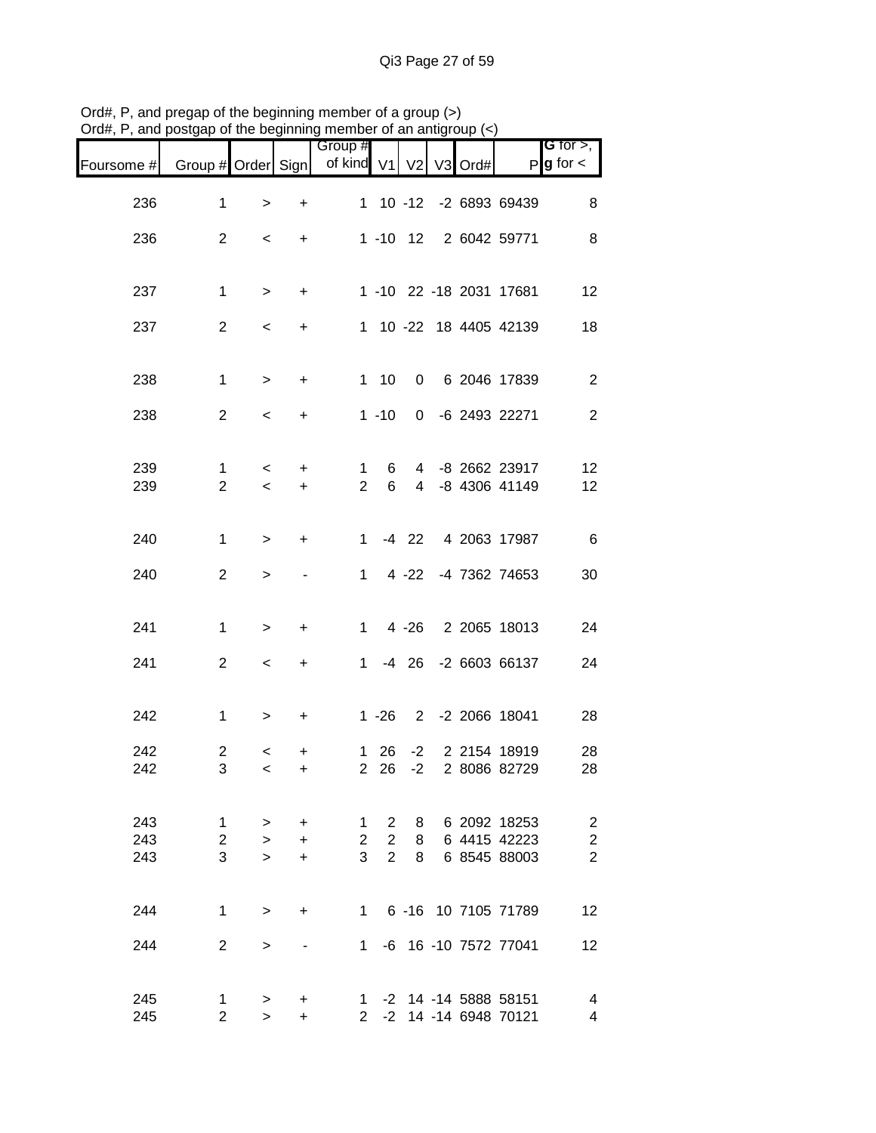| Foursome # | Group # Order Sign |                          |                | Group #<br>of kind V1 V2 |                |   | V3 Ord# | P                       | <b>G</b> for $>$ , $\blacksquare$<br>$g$ for $\lt$ |
|------------|--------------------|--------------------------|----------------|--------------------------|----------------|---|---------|-------------------------|----------------------------------------------------|
| 236        | 1                  | $\,>$                    | $\ddot{}$      |                          |                |   |         | 1 10 -12 -2 6893 69439  | 8                                                  |
| 236        | $\overline{2}$     | $\lt$                    | $+$            |                          |                |   |         | 1 -10 12 2 6042 59771   | 8                                                  |
|            |                    |                          |                |                          |                |   |         |                         |                                                    |
| 237        | $\mathbf{1}$       | $\,>$                    | $\ddot{}$      |                          |                |   |         | 1 -10 22 -18 2031 17681 | 12                                                 |
| 237        | $\overline{2}$     | $\overline{\phantom{a}}$ | $\ddot{}$      |                          |                |   |         | 1 10 -22 18 4405 42139  | 18                                                 |
| 238        | $\mathbf{1}$       | $\,>$                    | $\ddot{}$      |                          |                |   |         | 1 10 0 6 2046 17839     | $\overline{2}$                                     |
| 238        | $\overline{2}$     | $\overline{\phantom{a}}$ | $\ddot{}$      |                          | $1 - 10$       |   |         | 0 -6 2493 22271         | $\overline{2}$                                     |
| 239        | $\mathbf 1$        | $\prec$                  | +              | $\mathbf{1}$             | 6              |   |         | 4 -8 2662 23917         | 12                                                 |
| 239        | $\overline{2}$     | $\overline{\phantom{0}}$ | $\ddot{}$      | $2^{\circ}$              | 6              |   |         | 4 -8 4306 41149         | 12                                                 |
| 240        | $\mathbf{1}$       | $\,>$                    | $+$            | $1 \quad$                |                |   |         | -4 22 4 2063 17987      | $6\overline{6}$                                    |
| 240        | $\overline{2}$     | $\geq$                   | $\blacksquare$ |                          | $1 \quad$      |   |         | 4 -22 -4 7362 74653     | 30                                                 |
| 241        | $\mathbf{1}$       | $\, >$                   | +              |                          | $1 \quad$      |   |         | 4 -26 2 2065 18013      | 24                                                 |
|            |                    |                          |                |                          |                |   |         |                         |                                                    |
| 241        | $\overline{2}$     | $\prec$                  | $+$            |                          |                |   |         | 1 -4 26 -2 6603 66137   | 24                                                 |
| 242        | $\mathbf{1}$       | $\, > \,$                | $\ddot{}$      |                          |                |   |         | 1 -26 2 -2 2066 18041   | 28                                                 |
| 242        | $\overline{c}$     | $\prec$                  | +              |                          |                |   |         | 1 26 -2 2 2154 18919    | 28                                                 |
| 242        | 3                  | $\prec$                  | +              |                          |                |   |         | 2 26 -2 2 8086 82729    | 28                                                 |
| 243        | 1                  | >                        | $\ddot{}$      | 1                        | $2^{\circ}$    | 8 |         | 6 2092 18253            | $\overline{\mathbf{c}}$                            |
| 243        | $\overline{2}$     | $\geq$                   | $\ddot{}$      | $\overline{2}$           | 2 <sup>1</sup> | 8 |         | 6 4415 42223            | $\overline{c}$                                     |
| 243        | 3                  | $\geq$                   | $\ddot{}$      | 3 <sup>1</sup>           | 2 <sup>1</sup> | 8 |         | 6 8545 88003            | $\overline{c}$                                     |
| 244        | $\mathbf{1}$       | $\geq$                   | +              | 1                        |                |   |         | 6 -16 10 7105 71789     | 12                                                 |
| 244        | $\overline{2}$     | $\geq$                   |                | 1.                       |                |   |         | -6 16 -10 7572 77041    | 12                                                 |
| 245        | $\mathbf 1$        | $\, > \,$                | +              |                          |                |   |         | 1 -2 14 -14 5888 58151  | $\overline{\mathbf{4}}$                            |
| 245        | $\overline{2}$     | $\geq$                   | $\ddot{}$      | $\overline{2}$           |                |   |         | -2 14 -14 6948 70121    | $\overline{\mathbf{4}}$                            |

Ord#, P, and pregap of the beginning member of a group (>) Ord#, P, and postgap of the beginning member of an antigroup (<)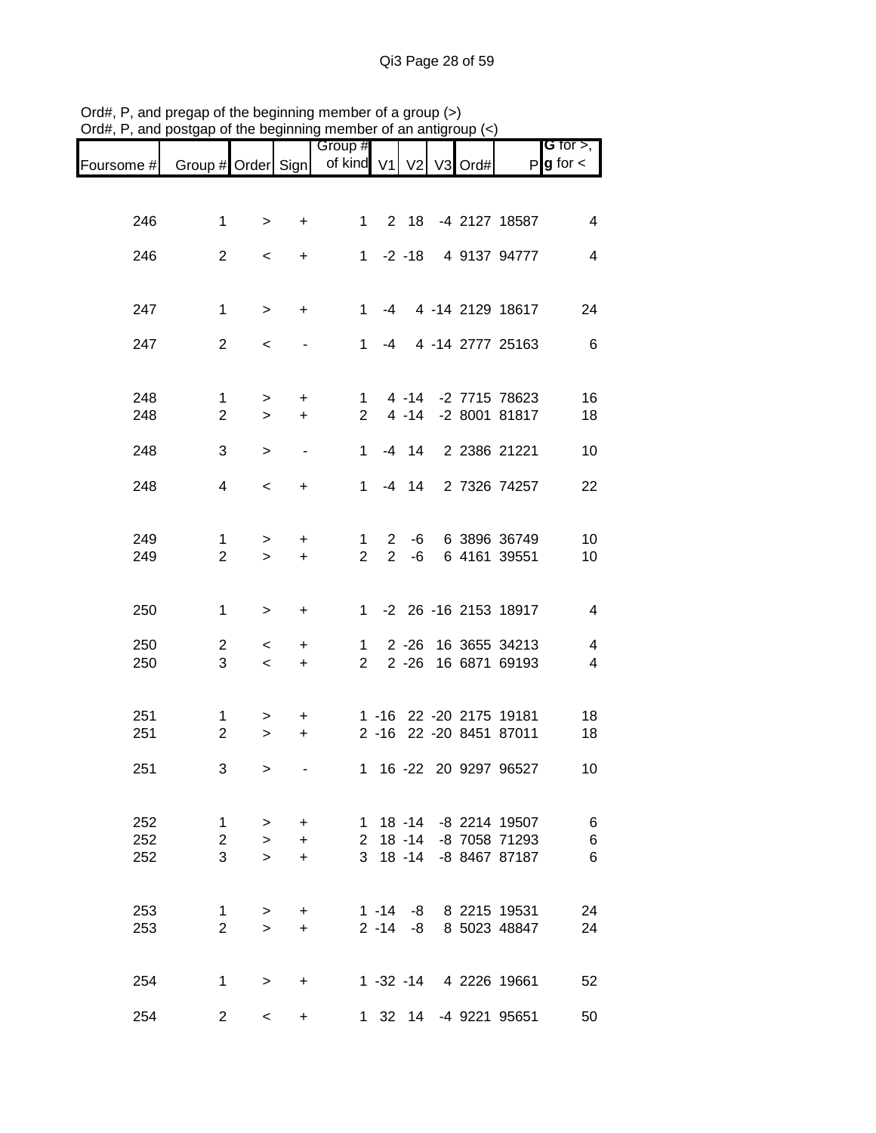|            |                    |                  |           | Group #             |                |                      |         |                                | G for $>$ ,            |
|------------|--------------------|------------------|-----------|---------------------|----------------|----------------------|---------|--------------------------------|------------------------|
| Foursome # | Group # Order Sign |                  |           | of kind V1 V2       |                |                      | V3 Ord# |                                | $P$ <b>g</b> for $\lt$ |
|            |                    |                  |           |                     |                |                      |         |                                |                        |
| 246        | $\mathbf{1}$       | >                | +         | $\mathbf{1}$        |                | 2 18                 |         | -4 2127 18587                  | 4                      |
| 246        | $\overline{2}$     | $\,<$            | +         | $\mathbf{1}$        |                | $-2 - 18$            |         | 4 9137 94777                   | 4                      |
|            |                    |                  |           |                     |                |                      |         |                                |                        |
| 247        | 1                  | $\, >$           | $\ddot{}$ | 1.                  | -4             |                      |         | 4 -14 2129 18617               | 24                     |
| 247        | $\overline{2}$     | $\,<$            |           | $\mathbf 1$         | -4             |                      |         | 4 -14 2777 25163               | $6\phantom{1}6$        |
|            |                    |                  |           |                     |                |                      |         |                                |                        |
| 248        | 1                  | $\, > \,$        | +         | $1 \quad$           |                | $4 - 14$             |         | -2 7715 78623                  | 16                     |
| 248        | $\overline{2}$     | $\geq$           | $\ddot{}$ | $\overline{2}$      |                | $4 - 14$             |         | -2 8001 81817                  | 18                     |
| 248        | 3                  | $\,>$            |           | $\mathbf{1}$        |                | $-4$ 14              |         | 2 2386 21221                   | 10                     |
| 248        | 4                  | $\,<\,$          | $\ddot{}$ | $1 \quad$           |                | $-4$ 14              |         | 2 7326 74257                   | 22                     |
|            |                    |                  |           |                     |                |                      |         |                                |                        |
| 249        | $\mathbf{1}$       | $\, > \,$        | +         | $\mathbf{1}$        | $2^{\circ}$    | -6                   |         | 6 3896 36749                   | 10                     |
| 249        | $\overline{2}$     | $\geq$           | $\ddot{}$ | $\overline{2}$      | $\overline{2}$ | -6                   |         | 6 4161 39551                   | 10                     |
| 250        | 1                  | $\, >$           | +         | 1.                  |                |                      |         | -2 26 -16 2153 18917           | $\overline{4}$         |
|            |                    |                  |           |                     |                |                      |         |                                |                        |
| 250<br>250 | 2<br>3             | $\,<$<br>$\,<\,$ | +         | 1<br>$\overline{2}$ |                | $2 - 26$<br>$2 - 26$ |         | 16 3655 34213<br>16 6871 69193 | 4<br>$\overline{4}$    |
|            |                    |                  | $\ddot{}$ |                     |                |                      |         |                                |                        |
| 251        | 1                  | >                | +         |                     |                |                      |         | 1 -16 22 -20 2175 19181        | 18                     |
| 251        | $\boldsymbol{2}$   | $\,>$            | +         |                     | $2 - 16$       |                      |         | 22 - 20 8451 87011             | 18                     |
| 251        | 3                  | $\, > \,$        |           |                     |                |                      |         | 1 16 -22 20 9297 96527         | 10                     |
|            |                    |                  |           |                     |                |                      |         |                                |                        |
| 252        | 1                  | $\geq$           | $\ddot{}$ | 1                   |                |                      |         | 18 -14 -8 2214 19507           | 6                      |
| 252        | $\overline{2}$     | $\geq$           | $\ddot{}$ |                     |                | $2 \t18 - 14$        |         | -8 7058 71293                  | 6                      |
| 252        | 3                  | $\geq$           | $\ddot{}$ | 3 <sup>1</sup>      |                | $18 - 14$            |         | -8 8467 87187                  | 6                      |
| 253        | 1                  | $\, > \,$        | $\pm$     |                     | $1 - 14$       | -8                   |         | 8 2215 19531                   | 24                     |
| 253        | $\overline{2}$     | $\geq$           | $\ddot{}$ |                     |                | $2 - 14 - 8$         |         | 8 5023 48847                   | 24                     |
|            |                    |                  |           |                     |                |                      |         |                                |                        |
| 254        | 1                  | $\geq$           | $\ddot{}$ |                     |                | $1 - 32 - 14$        |         | 4 2226 19661                   | 52                     |
| 254        | $\overline{2}$     | $\,<\,$          | +         |                     |                |                      |         | 1 32 14 -4 9221 95651          | 50                     |

Ord#, P, and pregap of the beginning member of a group (>) Ord#, P, and postgap of the beginning member of an antigroup (<)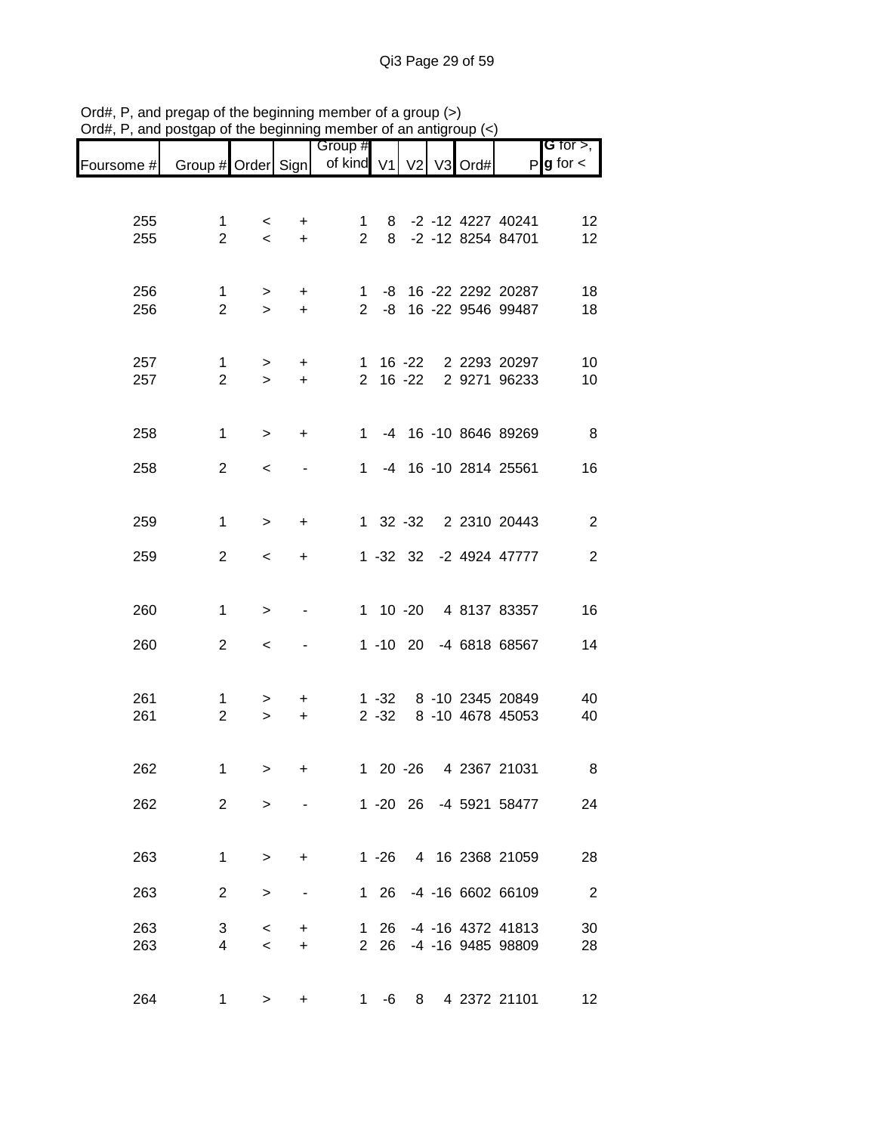|            |                     |                  |                | Group #        |          |                |   |         |                        | <b>G</b> for $>$ ,       |
|------------|---------------------|------------------|----------------|----------------|----------|----------------|---|---------|------------------------|--------------------------|
| Foursome # | Group # Order Sign  |                  |                | of kind V1     |          | V <sub>2</sub> |   | V3 Ord# | P                      | $g$ for $\lt$            |
|            |                     |                  |                |                |          |                |   |         |                        |                          |
| 255        | 1                   | $\,<\,$          |                | 1              | 8        |                |   |         | -2 -12 4227 40241      | 12                       |
| 255        | $\overline{2}$      | $\prec$          | +<br>$\ddot{}$ | $\overline{2}$ | 8        |                |   |         | -2 -12 8254 84701      | 12                       |
|            |                     |                  |                |                |          |                |   |         |                        |                          |
| 256        |                     |                  |                | $\mathbf{1}$   |          |                |   |         | -8 16 -22 2292 20287   | 18                       |
| 256        | 1<br>$\overline{2}$ | $\geq$<br>$\geq$ | $\pm$<br>$+$   | $\overline{2}$ | -8       |                |   |         | 16 -22 9546 99487      | 18                       |
|            |                     |                  |                |                |          |                |   |         |                        |                          |
| 257        | $\mathbf{1}$        |                  | $\ddot{}$      | 1              |          | 16 -22         |   |         | 2 2293 20297           | 10                       |
| 257        | $\overline{2}$      | $\geq$<br>$\geq$ | $\ddot{}$      |                |          | $2 16 - 22$    |   |         | 2 9271 96233           | 10                       |
|            |                     |                  |                |                |          |                |   |         |                        |                          |
|            |                     |                  |                | $1 \quad$      |          |                |   |         |                        |                          |
| 258        | 1                   | $\geq$           | +              |                |          |                |   |         | -4 16 -10 8646 89269   | 8                        |
| 258        | $\overline{2}$      | $\,<\,$          |                | $\mathbf{1}$   |          |                |   |         | -4 16 -10 2814 25561   | 16                       |
|            |                     |                  |                |                |          |                |   |         |                        |                          |
| 259        | 1                   | $\geq$           | +              |                |          |                |   |         | 1 32 -32 2 2310 20443  | $\overline{c}$           |
|            |                     |                  |                |                |          |                |   |         |                        |                          |
| 259        | $\overline{2}$      | $\,<\,$          | $\ddot{}$      |                |          | $1 - 32$ 32    |   |         | -2 4924 47777          | $\overline{2}$           |
|            |                     |                  |                |                |          |                |   |         |                        |                          |
| 260        | 1                   | $\,>$            |                |                |          | 1 10 -20       |   |         | 4 8137 83357           | 16                       |
|            |                     |                  |                |                |          |                |   |         |                        |                          |
| 260        | $\overline{c}$      | $\,<$            |                |                |          | $1 - 10$ 20    |   |         | -4 6818 68567          | 14                       |
|            |                     |                  |                |                |          |                |   |         |                        |                          |
| 261        | 1                   | >                | +              |                | $1 - 32$ |                |   |         | 8 -10 2345 20849       | 40                       |
| 261        | $\overline{2}$      | $\geq$           | $\ddot{}$      |                | $2 - 32$ |                |   |         | 8 -10 4678 45053       | 40                       |
|            |                     |                  |                |                |          |                |   |         |                        |                          |
| 262        | 1                   | $\geq$           | +              |                |          | 1 20 -26       |   |         | 4 2367 21031           | 8                        |
| 262        | $\overline{2}$      |                  |                |                |          |                |   |         | 1 -20 26 -4 5921 58477 |                          |
|            |                     | $\, > \,$        |                |                |          |                |   |         |                        | 24                       |
|            |                     |                  |                |                |          |                |   |         |                        |                          |
| 263        | 1                   | $\geq$           | +              |                | $1 - 26$ |                |   |         | 4 16 2368 21059        | 28                       |
| 263        | $\overline{2}$      | $\geq$           | -              |                | 1 26     |                |   |         | -4 -16 6602 66109      | $\overline{\phantom{a}}$ |
|            |                     |                  |                |                |          |                |   |         |                        |                          |
| 263        | 3                   | $\,<\,$          | +              | 1.             | 26       |                |   |         | -4 -16 4372 41813      | 30                       |
| 263        | 4                   | $\,<\,$          | +              |                | 2 26     |                |   |         | -4 -16 9485 98809      | 28                       |
|            |                     |                  |                |                |          |                |   |         |                        |                          |
| 264        | 1                   | >                | +              | $1 \quad$      | -6       |                | 8 |         | 4 2372 21101           | 12                       |

Ord#, P, and pregap of the beginning member of a group (>) Ord#, P, and postgap of the beginning member of an antigroup (<)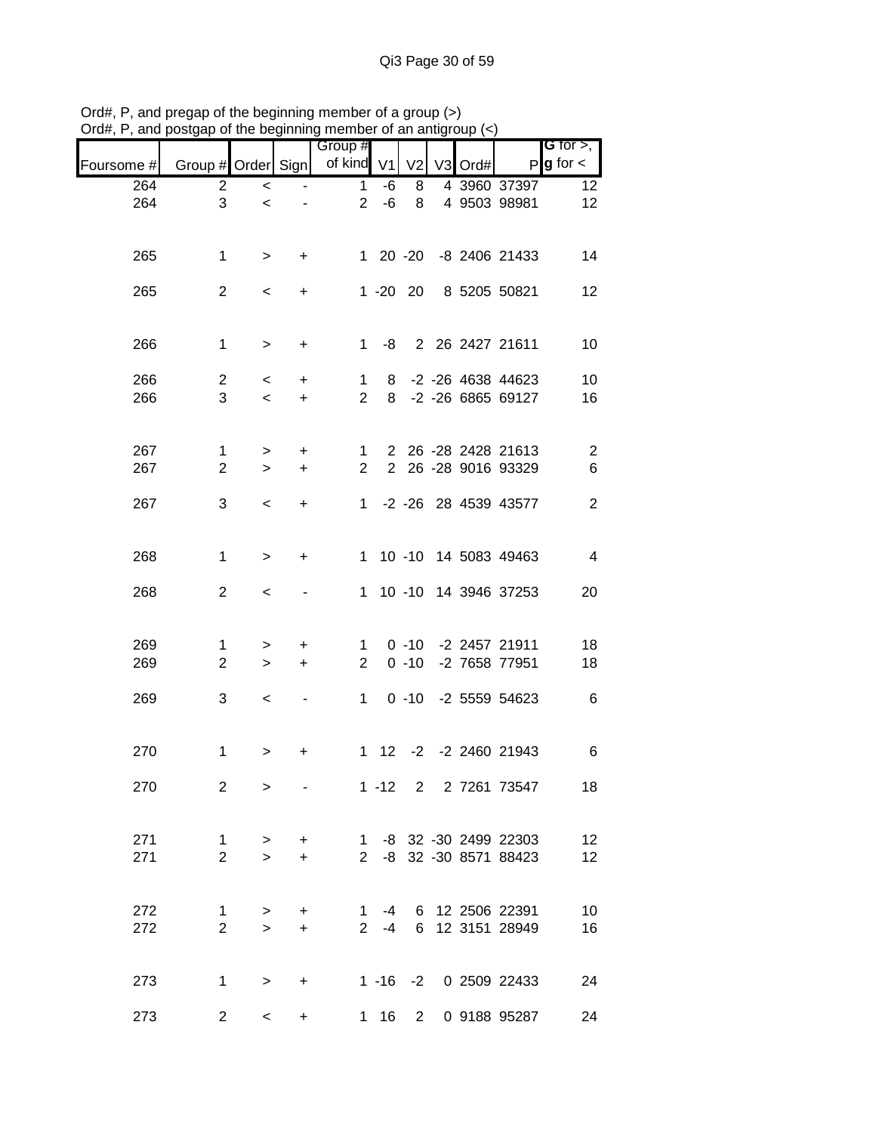|            |                |                          |                          | 110111001010101101101111<br>Group #        |    |   |  |                        | <b>G</b> for $>$ , $\vert$ |
|------------|----------------|--------------------------|--------------------------|--------------------------------------------|----|---|--|------------------------|----------------------------|
| Foursome # |                |                          |                          | Group # Order Sign   of kind V1 V2 V3 Ord# |    |   |  |                        | $P$ g for $\lt$            |
| 264        | $\mathbf{2}$   | $\overline{\phantom{a}}$ |                          | $\mathbf{1}$                               | -6 | 8 |  | 4 3960 37397           | 12                         |
| 264        | 3              | $\prec$                  |                          | $2^{\circ}$                                | -6 |   |  | 8 4 9503 98981         | 12                         |
| 265        | $\mathbf 1$    | $\geq$                   | $+$                      |                                            |    |   |  | 1 20 -20 -8 2406 21433 | 14                         |
| 265        | $\overline{2}$ | $\,<\,$                  | $+$                      |                                            |    |   |  | 1 -20 20 8 5205 50821  | 12                         |
| 266        | $\mathbf{1}$   | $\geq$                   | $+$                      |                                            |    |   |  | 1 -8 2 26 2427 21611   | 10                         |
| 266        | 2 <sup>1</sup> | $\lt$                    | $+$                      |                                            |    |   |  | 1 8 -2 -26 4638 44623  | 10                         |
| 266        | 3              | $\overline{\phantom{0}}$ | $+$                      |                                            |    |   |  | 2 8 -2 -26 6865 69127  | 16                         |
| 267        | $\mathbf{1}$   | >                        | $+$                      |                                            |    |   |  | 1 2 26 -28 2428 21613  | $\overline{c}$             |
| 267        | $\overline{2}$ | $\geq$                   | $+$                      |                                            |    |   |  | 2 2 26 -28 9016 93329  | $\,6$                      |
| 267        | 3              | $\prec$                  | $+$                      |                                            |    |   |  | 1 -2 -26 28 4539 43577 | $\sqrt{2}$                 |
| 268        | $\mathbf{1}$   | $\,>$                    | $+$                      |                                            |    |   |  | 1 10 -10 14 5083 49463 | $\overline{4}$             |
| 268        | $\overline{2}$ | $\,<\,$                  |                          |                                            |    |   |  | 1 10 -10 14 3946 37253 | 20                         |
| 269        | 1              | $\geq$                   | $+$                      |                                            |    |   |  | 1 0 -10 -2 2457 21911  | 18                         |
| 269        | $\overline{2}$ | $\geq$                   | $+$                      | $2^{\circ}$                                |    |   |  | 0 -10 -2 7658 77951    | 18                         |
| 269        | 3              | $\overline{\phantom{a}}$ | $\blacksquare$           |                                            |    |   |  | 1 0 -10 -2 5559 54623  | 6                          |
| 270        | $\mathbf{1}$   | >                        | +                        |                                            |    |   |  | 1 12 -2 -2 2460 21943  | $6\phantom{1}6$            |
| 270        | 2              | $\geq$                   | $\overline{\phantom{a}}$ |                                            |    |   |  | 1 -12 2 2 7261 73547   | 18                         |
| 271        | $\mathbf{1}$   | $\geq$                   | $+$                      |                                            |    |   |  | 1 -8 32 -30 2499 22303 | 12                         |
| 271        | $\overline{2}$ | $\geq$                   | $+$                      |                                            |    |   |  | 2 -8 32 -30 8571 88423 | 12                         |
| 272        | $\mathbf{1}$   | $\geq$                   | $\ddot{}$                | $\mathbf{1}$                               |    |   |  | -4 6 12 2506 22391     | 10                         |
| 272        | $\overline{2}$ | $\geq$                   | $+$                      |                                            |    |   |  | 2 -4 6 12 3151 28949   | 16                         |
| 273        | $\mathbf{1}$   | $\geq$                   | $+$                      |                                            |    |   |  | 1 -16 -2 0 2509 22433  | 24                         |
| 273        | $\overline{2}$ | $\prec$                  | $\ddot{}$                |                                            |    |   |  | 1 16 2 0 9188 95287    | 24                         |

Ord#, P, and pregap of the beginning member of a group (>) Ord#, P, and postgap of the beginning member of an antigroup (<)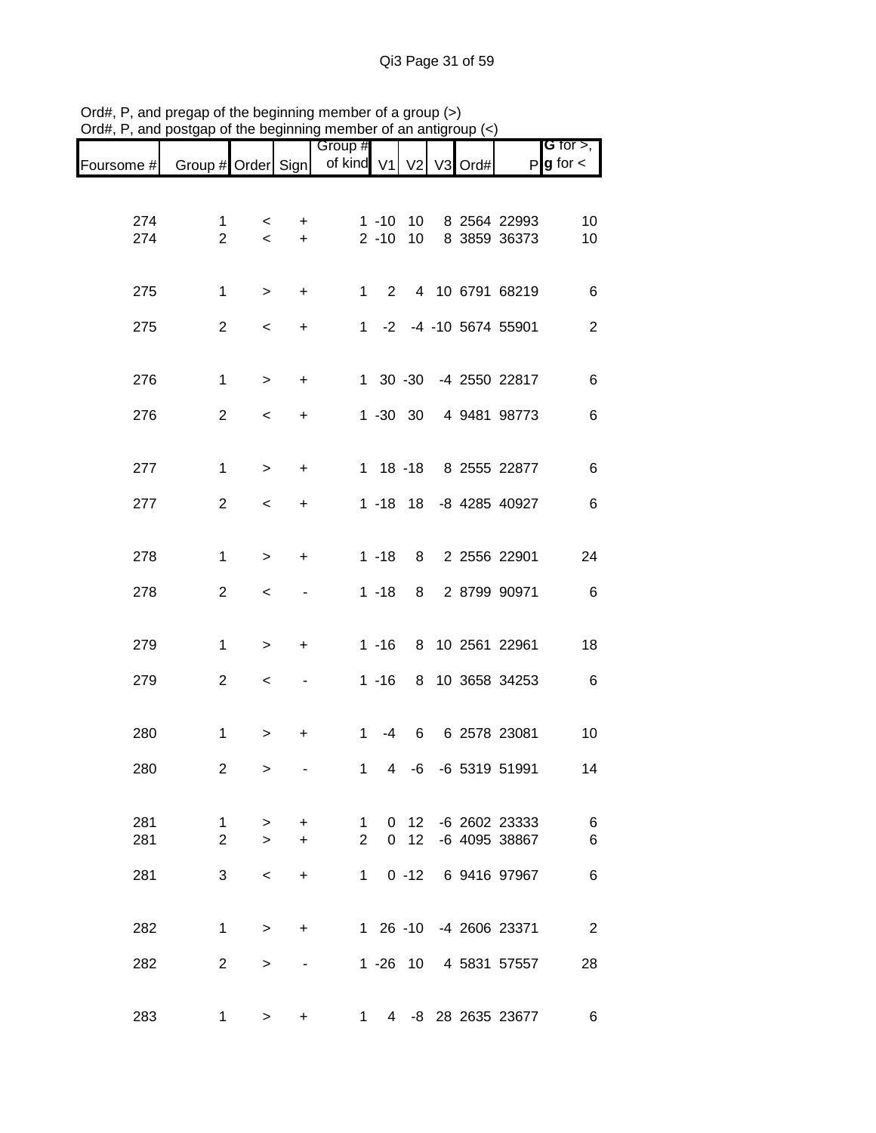|            |                    |                          | .   . 9   |                                  |                |                 |  |                        |                                                                       |
|------------|--------------------|--------------------------|-----------|----------------------------------|----------------|-----------------|--|------------------------|-----------------------------------------------------------------------|
| Foursome # | Group # Order Sign |                          |           | Group #<br>of kind V1 V2 V3 Ord# |                |                 |  |                        | <b>G</b> for $>$ , $\overline{\phantom{a}}$<br>$P$ <b>g</b> for $\lt$ |
|            |                    |                          |           |                                  |                |                 |  |                        |                                                                       |
| 274        | $\mathbf{1}$       | $\prec$                  | $\ddot{}$ |                                  | $1 - 10$       | 10              |  | 8 2564 22993           | 10                                                                    |
| 274        | $\overline{2}$     | $\overline{\phantom{0}}$ | $+$       |                                  | $2 - 10$       | 10              |  | 8 3859 36373           | 10                                                                    |
| 275        | 1                  | $\geq$                   | $+$       |                                  |                |                 |  | 1 2 4 10 6791 68219    | 6                                                                     |
| 275        | $\overline{2}$     | $\overline{\phantom{0}}$ | $\ddot{}$ |                                  |                |                 |  | 1 -2 -4 -10 5674 55901 | $\overline{2}$                                                        |
|            |                    |                          |           |                                  |                |                 |  |                        |                                                                       |
| 276        | $\mathbf 1$        | $\,>$                    | $\ddot{}$ |                                  |                |                 |  | 1 30 -30 -4 2550 22817 | 6                                                                     |
| 276        | $\overline{2}$     | $\prec$                  | +         |                                  |                | 1 -30 30        |  | 4 9481 98773           | 6                                                                     |
| 277        | 1                  | $\,>$                    | $\ddot{}$ |                                  |                |                 |  | 1 18 -18 8 2555 22877  | $\,6$                                                                 |
|            |                    |                          |           |                                  |                |                 |  |                        |                                                                       |
| 277        | $\overline{c}$     | $\,<\,$                  | $\ddot{}$ |                                  |                |                 |  | 1 -18 18 -8 4285 40927 | $\,6$                                                                 |
| 278        | 1                  | $\, >$                   | $\ddot{}$ |                                  | $1 - 18$       |                 |  | 8 2 2556 22901         | 24                                                                    |
| 278        | $\overline{c}$     | $\,<$                    |           |                                  | $1 - 18$       | 8               |  | 2 8799 90971           | $6\overline{6}$                                                       |
|            |                    |                          |           |                                  |                |                 |  |                        |                                                                       |
| 279        | $\mathbf 1$        | $\, >$                   | +         |                                  | $1 - 16$       |                 |  | 8 10 2561 22961        | 18                                                                    |
| 279        | $\overline{c}$     | $\,<$                    |           |                                  | $1 - 16$       |                 |  | 8 10 3658 34253        | 6                                                                     |
| 280        | $\mathbf{1}$       | $\, > \,$                | +         | $\mathbf{1}$                     |                |                 |  | -4 6 6 2578 23081      | 10                                                                    |
|            |                    |                          |           |                                  |                |                 |  |                        |                                                                       |
| 280        | $\overline{2}$     | $\,>$                    |           | $\mathbf{1}$                     | $\overline{4}$ | -6              |  | -6 5319 51991          | 14                                                                    |
| 281        | 1                  | $\, > \,$                | $\ddot{}$ | 1                                |                | $0\quad12$      |  | -6 2602 23333          | 6                                                                     |
| 281        | 2                  | $\geq$                   | $\ddot{}$ | $\overline{2}$                   |                | 0 <sub>12</sub> |  | -6 4095 38867          | 6                                                                     |
| 281        | 3                  | $\,<\,$                  | $\ddot{}$ | 1                                |                | $0 - 12$        |  | 6 9416 97967           | 6                                                                     |
|            |                    |                          |           |                                  |                |                 |  |                        |                                                                       |
| 282        | $\mathbf{1}$       | $\, > \,$                | +         |                                  |                |                 |  | 1 26 -10 -4 2606 23371 | $\overline{2}$                                                        |
| 282        | 2                  | >                        |           |                                  |                |                 |  | 1 -26 10 4 5831 57557  | 28                                                                    |
| 283        | 1                  | $\geq$                   | +         |                                  | $1 \quad$      |                 |  | 4 -8 28 2635 23677     | 6                                                                     |

Ord#, P, and pregap of the beginning member of a group (>) Ord#, P, and postgap of the beginning member of an antigroup (<)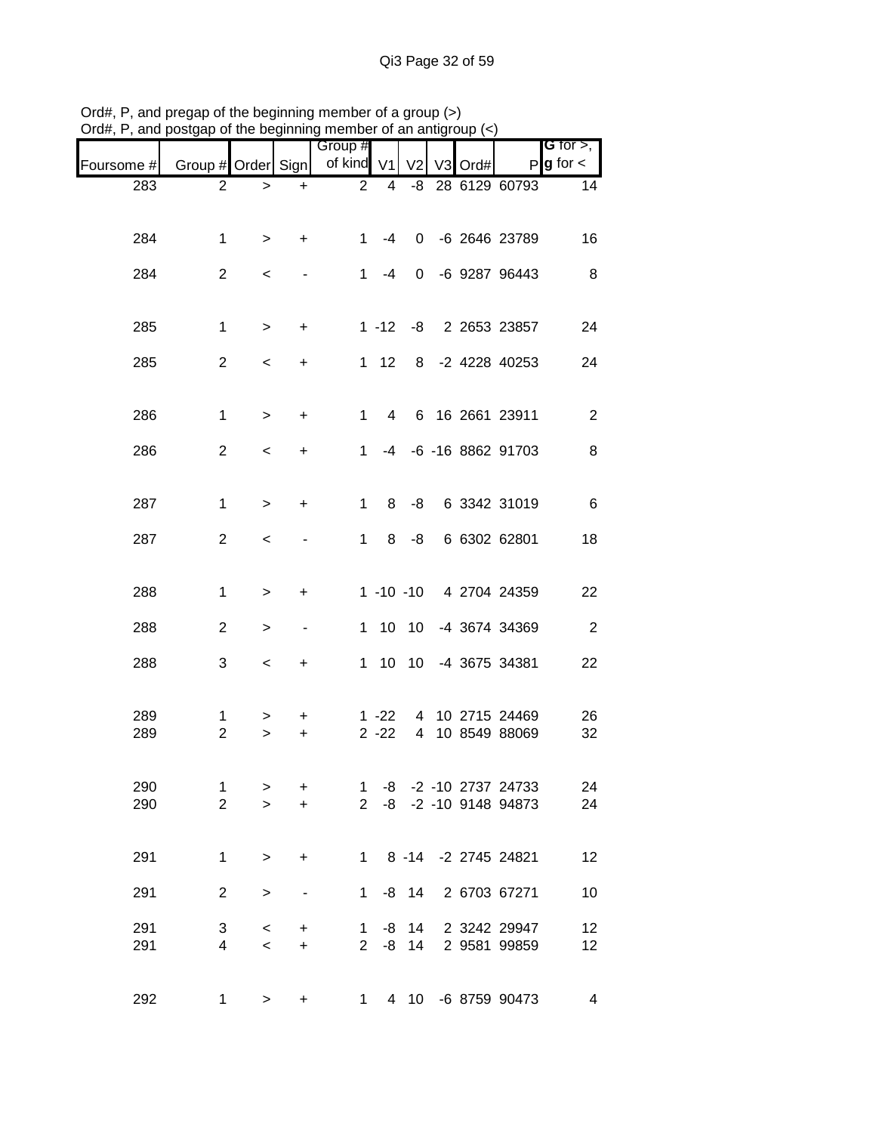| $J$ ıu $\pi,$ ı | and postgap or the beginning member or an antigroup |                     |                |                       |                      |                         |                |      |                                                  |                                       |
|-----------------|-----------------------------------------------------|---------------------|----------------|-----------------------|----------------------|-------------------------|----------------|------|--------------------------------------------------|---------------------------------------|
| Foursome #      | Group # Order Sign                                  |                     |                | Group #<br>of kind V1 |                      | V <sub>2</sub>          | V <sub>3</sub> | Ord# |                                                  | G for $>$ ,<br>$P$ <b>g</b> for $\lt$ |
| 283             | $\overline{2}$                                      | >                   | $\ddot{}$      | $\overline{2}$        | 4                    | -8                      |                |      | 28 6129 60793                                    | 14                                    |
| 284             | $\mathbf{1}$                                        | $\,>$               | +              | 1                     | -4                   |                         |                |      | 0 -6 2646 23789                                  | 16                                    |
| 284             | $\overline{2}$                                      | $\,<\,$             |                | $1 \quad$             | -4                   | $\mathbf{0}$            |                |      | -6 9287 96443                                    | 8                                     |
| 285             | $\mathbf{1}$                                        | $\,>$               | +              |                       |                      |                         |                |      | 1 -12 -8 2 2653 23857                            | 24                                    |
| 285             | $\overline{2}$                                      | $\,<\,$             | $\ddot{}$      |                       | $1 \quad 12$         |                         |                |      | 8 -2 4228 40253                                  | 24                                    |
| 286             | $\mathbf{1}$                                        | $\,>$               | +              | 1.                    | $\overline{4}$       |                         |                |      | 6 16 2661 23911                                  | $\overline{2}$                        |
| 286             | $\overline{2}$                                      | $\,<\,$             | $\ddot{}$      | 1.                    | -4                   |                         |                |      | -6 -16 8862 91703                                | 8                                     |
| 287             | $\mathbf{1}$                                        | >                   | +              | 1                     | 8                    | -8                      |                |      | 6 3342 31019                                     | 6                                     |
| 287             | $\overline{2}$                                      | $\,<$               |                | 1                     | 8                    | -8                      |                |      | 6 6302 62801                                     | 18                                    |
| 288             | $\mathbf{1}$                                        | >                   | +              |                       |                      |                         |                |      | 1 -10 -10 4 2704 24359                           | 22                                    |
| 288             | $\overline{2}$                                      | >                   | -              |                       |                      | 1 10 10                 |                |      | -4 3674 34369                                    | $\boldsymbol{2}$                      |
| 288             | 3                                                   | $\,<\,$             | $\ddot{}$      |                       |                      |                         |                |      | 1 10 10 -4 3675 34381                            | 22                                    |
| 289<br>289      | 1<br>$\overline{2}$                                 | ><br>>              | +<br>+         |                       | $1 - 22$<br>$2 - 22$ | 4<br>$\overline{4}$     |                |      | 10 2715 24469<br>10 8549 88069                   | 26<br>32                              |
|                 |                                                     |                     |                |                       |                      |                         |                |      |                                                  |                                       |
| 290<br>290      | $\mathbf 1$<br>$\overline{2}$                       | ><br>$\geq$         | +<br>$\ddot{}$ |                       |                      |                         |                |      | 1 -8 -2 -10 2737 24733<br>2 -8 -2 -10 9148 94873 | 24<br>24                              |
|                 |                                                     |                     |                |                       |                      |                         |                |      |                                                  |                                       |
| 291             | $\mathbf{1}$                                        | $\, >$              | +              |                       |                      |                         |                |      | 1 8 -14 -2 2745 24821                            | 12                                    |
| 291             | $\overline{2}$                                      | $\,$                |                | $1 \quad$             |                      | $-8$ 14                 |                |      | 2 6703 67271                                     | 10                                    |
| 291<br>291      | 3<br>$\overline{4}$                                 | $\,<$<br>$\,<$      | +<br>$\ddot{}$ |                       |                      | $1 - 8$ 14<br>$2 -8 14$ |                |      | 2 3242 29947<br>2 9581 99859                     | 12<br>12                              |
|                 |                                                     |                     |                |                       |                      |                         |                |      |                                                  |                                       |
| 292             |                                                     | $1 \quad$<br>$\geq$ | $\ddot{}$      |                       |                      |                         |                |      | 1 4 10 -6 8759 90473                             | 4                                     |

Ord#, P, and pregap of the beginning member of a group (>) Ord#, P, and postgap of the beginning member of an antigroup (<)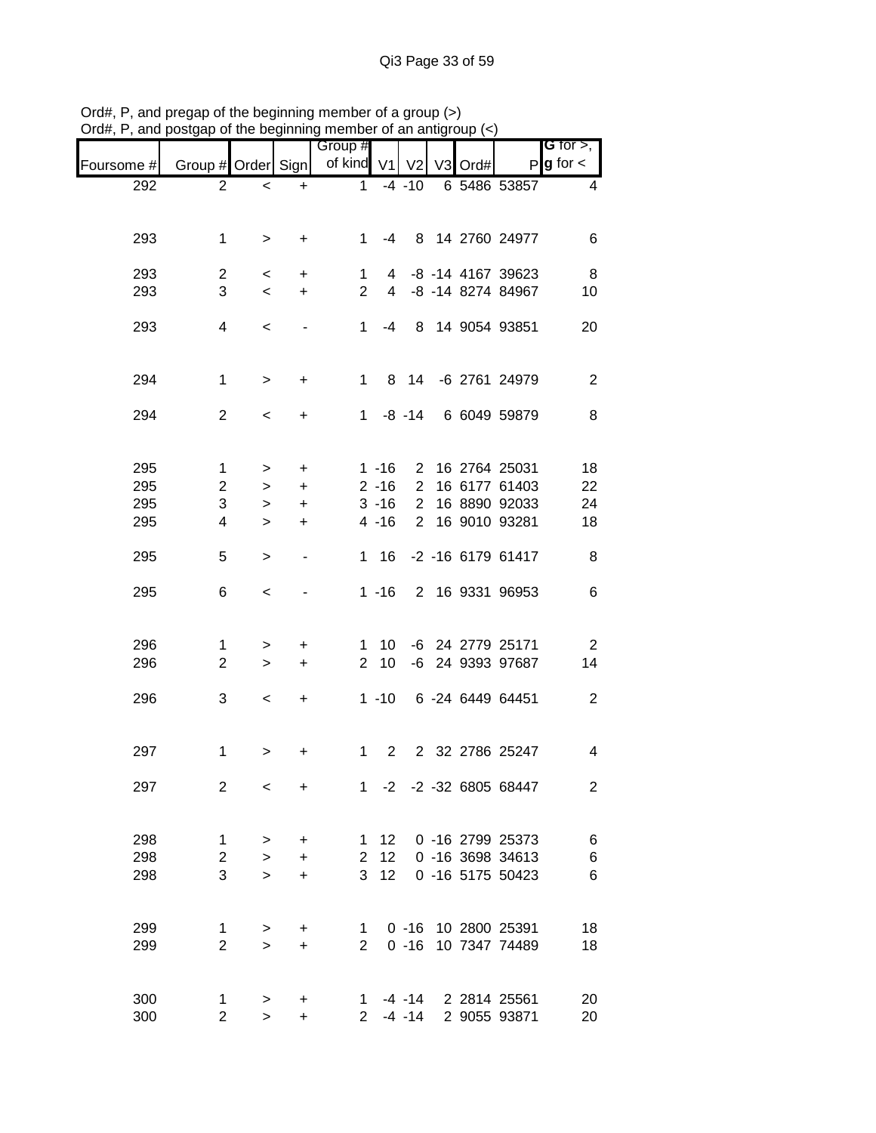| лu <del>н</del> , | , and posigap or the beginning member or an analyticap $(s)$ |                     |                          |                       |                      |                               |                |      |                                |                                       |
|-------------------|--------------------------------------------------------------|---------------------|--------------------------|-----------------------|----------------------|-------------------------------|----------------|------|--------------------------------|---------------------------------------|
| Foursome #        | Group # Order Sign                                           |                     |                          | Group #<br>of kind V1 |                      | V <sub>2</sub>                | V <sub>3</sub> | Ord# |                                | G for $>$ ,<br>$P$ <b>g</b> for $\lt$ |
| 292               | $\overline{2}$                                               | $\,<$               | $\ddot{}$                | $\mathbf 1$           |                      | $-4 - 10$                     |                |      | 6 5486 53857                   | 4                                     |
| 293               | 1                                                            | $\,>$               | $\ddot{}$                | 1                     | -4                   |                               |                |      | 8 14 2760 24977                | 6                                     |
| 293               | $\overline{c}$                                               | $\,<\,$             | $\ddot{}$                | $\mathbf{1}$          |                      |                               |                |      | 4 -8 -14 4167 39623            | 8                                     |
| 293               | 3                                                            | $\,<\,$             | $\ddot{}$                | $\overline{2}$        | $\overline{4}$       |                               |                |      | -8 -14 8274 84967              | 10                                    |
| 293               | 4                                                            | $\,<\,$             |                          | 1.                    | $-4$                 |                               |                |      | 8 14 9054 93851                | 20                                    |
| 294               | $\mathbf{1}$                                                 | $\,>$               | $\ddot{}$                | 1                     |                      |                               |                |      | 8 14 -6 2761 24979             | $\overline{2}$                        |
| 294               | $\overline{2}$                                               | $\,<\,$             | $\ddot{}$                | $\mathbf 1$           |                      | $-8 - 14$                     |                |      | 6 6049 59879                   | 8                                     |
| 295<br>295        | 1                                                            | >                   | $\ddot{}$                |                       | $1 - 16$             | $\mathbf{2}$                  |                |      | 16 2764 25031                  | 18                                    |
| 295               | $\overline{c}$<br>3                                          | >                   | $\ddot{}$                |                       | $2 - 16$             | $\overline{2}$                |                |      | 16 6177 61403<br>16 8890 92033 | 22                                    |
| 295               | 4                                                            | ><br>$\geq$         | $\ddot{}$<br>$\ddot{}$   |                       | $3 - 16$<br>$4 - 16$ | $\overline{2}$<br>$2^{\circ}$ |                |      | 16 9010 93281                  | 24<br>18                              |
| 295               | 5                                                            | $\, > \,$           | $\overline{\phantom{a}}$ | 1                     | 16                   |                               |                |      | -2 -16 6179 61417              | 8                                     |
| 295               | 6                                                            | $\,<\,$             |                          |                       | $1 - 16$             |                               |                |      | 2 16 9331 96953                | 6                                     |
| 296               | 1                                                            | >                   | +                        | 1.                    | 10                   |                               |                |      | -6 24 2779 25171               | $\overline{2}$                        |
| 296               | $\overline{2}$                                               | $\geq$              | $\ddot{}$                | $\mathbf{2}$          | 10                   |                               |                |      | -6 24 9393 97687               | 14                                    |
| 296               | 3                                                            | $\,<\,$             | +                        |                       | $1 - 10$             |                               |                |      | 6 -24 6449 64451               | $\overline{2}$                        |
| 297               | 1                                                            | >                   | +                        | 1.                    | 2                    |                               |                |      | 2 32 2786 25247                | 4                                     |
| 297               | $\overline{2}$                                               | $\,<\,$             | $\ddot{}$                |                       |                      |                               |                |      | 1 -2 -2 -32 6805 68447         | $\overline{2}$                        |
| 298               | $\mathbf{1}$                                                 | >                   | +                        | 1                     | 12 <sup>7</sup>      |                               |                |      | 0 -16 2799 25373               | 6                                     |
| 298               | $\mathbf{2}$                                                 | $\mathbf{I}$        | $\ddot{}$                | $\overline{2}$        | 12                   |                               |                |      | 0 -16 3698 34613               | 6                                     |
| 298               | 3                                                            | $\geq$              | $\ddot{}$                | 3                     | 12                   |                               |                |      | 0 -16 5175 50423               | 6                                     |
| 299               | $\mathbf{1}$                                                 | >                   | +                        | 1                     |                      |                               |                |      | 0 -16 10 2800 25391            | 18                                    |
| 299               | $\overline{2}$                                               | $\geq$              | $\ddot{}$                | 2 <sup>1</sup>        |                      | $0 - 16$                      |                |      | 10 7347 74489                  | 18                                    |
| 300<br>300        | $\mathbf{1}$<br>$\overline{2}$                               | $\, > \,$<br>$\geq$ | +<br>$\ddot{}$           | 1.<br>$\overline{2}$  |                      | $-4 - 14$<br>$-4 - 14$        |                |      | 2 2814 25561<br>2 9055 93871   | 20<br>20                              |

Ord#, P, and pregap of the beginning member of a group (>) Ord#, P, and postgap of the beginning member of an antigroup (<)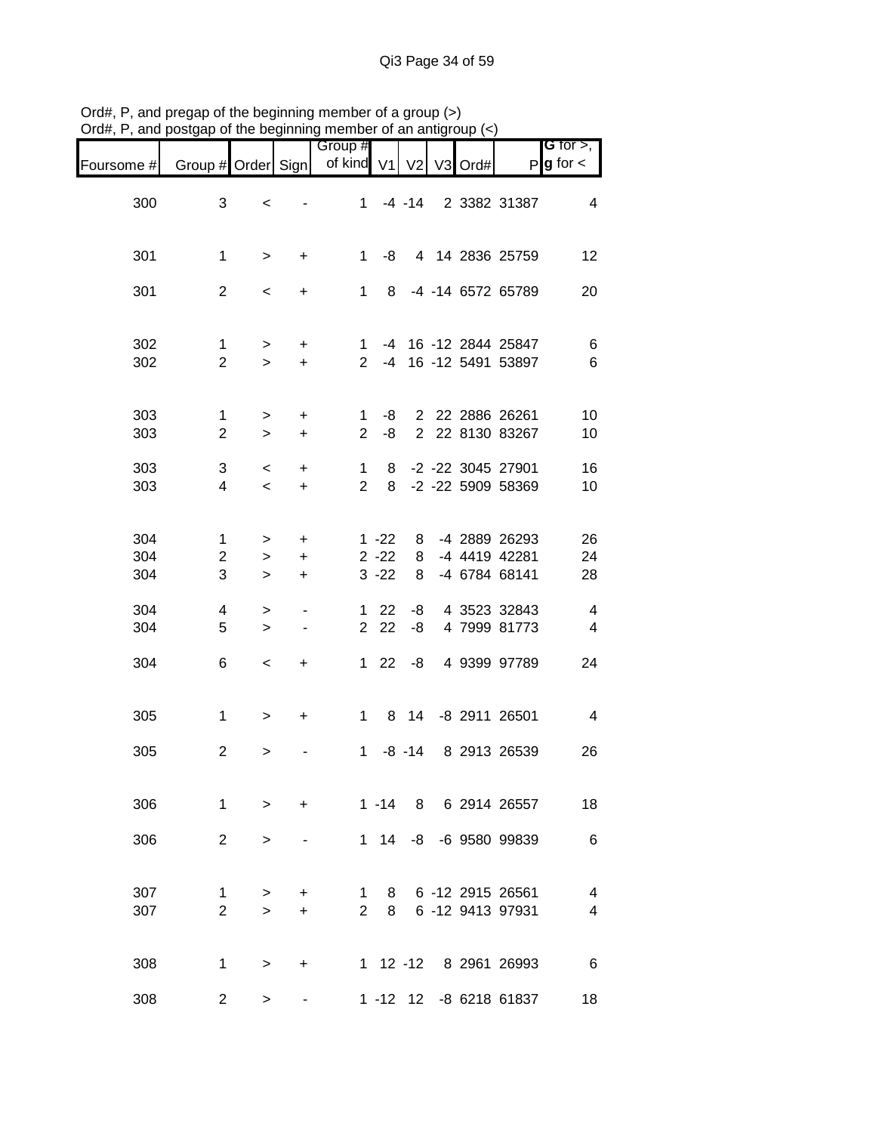|                   |                                                       |                     |                                                      | Group #                        |                                  |                |         |                                                 | <b>G</b> for $>$ ,                                 |
|-------------------|-------------------------------------------------------|---------------------|------------------------------------------------------|--------------------------------|----------------------------------|----------------|---------|-------------------------------------------------|----------------------------------------------------|
| Foursome #        | Group # Order Sign                                    |                     |                                                      | of kind                        | V <sub>1</sub>                   | V <sub>2</sub> | V3 Ord# | P                                               | $g$ for $\lt$                                      |
| 300               | 3                                                     | $\,<$               |                                                      | 1                              |                                  | $-4 - 14$      |         | 2 3382 31387                                    | $\overline{4}$                                     |
| 301               | $\mathbf{1}$                                          | $\, >$              | $\ddot{}$                                            | $\mathbf{1}$                   | -8                               |                |         | 4 14 2836 25759                                 | 12                                                 |
| 301               | $\overline{2}$                                        | $\,<$               | +                                                    | $1 \quad$                      | 8                                |                |         | -4 -14 6572 65789                               | 20                                                 |
| 302<br>302        | $\mathbf 1$<br>$\overline{2}$                         | $\, > \,$<br>$\geq$ | $\ddot{}$<br>$\ddot{}$                               | 1<br>$2^{\circ}$               | $-4$                             |                |         | -4 16 -12 2844 25847<br>16 -12 5491 53897       | 6<br>$\,6$                                         |
| 303<br>303        | $\mathbf{1}$<br>$\overline{2}$                        | $\, > \,$<br>$\, >$ | $\ddot{}$<br>$\ddot{}$                               | 1<br>$\overline{2}$            | -8<br>-8                         |                |         | 2 22 2886 26261<br>2 22 8130 83267              | 10<br>10                                           |
| 303<br>303        | 3<br>$\overline{4}$                                   | $\,<$<br>$\prec$    | $\ddot{}$<br>$\ddot{}$                               | $\mathbf{1}$<br>$\overline{2}$ | 8<br>8                           |                |         | -2 -22 3045 27901<br>-2 -22 5909 58369          | 16<br>10                                           |
| 304<br>304<br>304 | $\mathbf{1}$<br>$\overline{\mathbf{c}}$<br>$\sqrt{3}$ | ><br>$\,$<br>$\,>$  | $\ddot{}$<br>$\ddot{}$<br>$\ddot{}$                  |                                | $1 - 22$<br>$2 - 22$<br>$3 - 22$ | 8<br>8<br>8    |         | -4 2889 26293<br>-4 4419 42281<br>-4 6784 68141 | 26<br>24<br>28                                     |
| 304<br>304        | 4<br>5                                                | ><br>$\geq$         | $\overline{\phantom{a}}$<br>$\overline{\phantom{a}}$ |                                | $122$<br>2 2 2                   | -8<br>-8       |         | 4 3523 32843<br>4 7999 81773                    | $\overline{\mathbf{4}}$<br>$\overline{\mathbf{4}}$ |
| 304               | 6                                                     | $\,<$               | +                                                    |                                | $122$                            | -8             |         | 4 9399 97789                                    | 24                                                 |
| 305               | $\mathbf{1}$                                          | $\, > \,$           | $\ddot{}$                                            | 1                              |                                  | 8 14           |         | -8 2911 26501                                   | $\overline{4}$                                     |
| 305               | $\overline{c}$                                        | >                   |                                                      | $\mathbf{1}$                   |                                  | $-8 - 14$      |         | 8 2913 26539                                    | 26                                                 |
| 306               | 1                                                     | $\geq$              | $\ddot{}$                                            |                                |                                  |                |         | 1 -14 8 6 2914 26557                            | 18                                                 |
| 306               | $\overline{2}$                                        | $\geq$              |                                                      |                                |                                  |                |         | 1 14 -8 -6 9580 99839                           | $\,6$                                              |
| 307<br>307        | 1<br>$\overline{2}$                                   | ><br>$\geq$         | +<br>$\ddot{}$                                       | 1<br>$\overline{2}$            | 8<br>8                           |                |         | 6 -12 2915 26561<br>6 -12 9413 97931            | 4<br>4                                             |
| 308               | 1                                                     | >                   | +                                                    |                                |                                  |                |         | 1 12 -12 8 2961 26993                           | 6                                                  |
| 308               | $\overline{2}$                                        | >                   |                                                      |                                |                                  |                |         | 1 -12 12 -8 6218 61837                          | 18                                                 |

Ord#, P, and pregap of the beginning member of a group (>) Ord#, P, and postgap of the beginning member of an antigroup (<)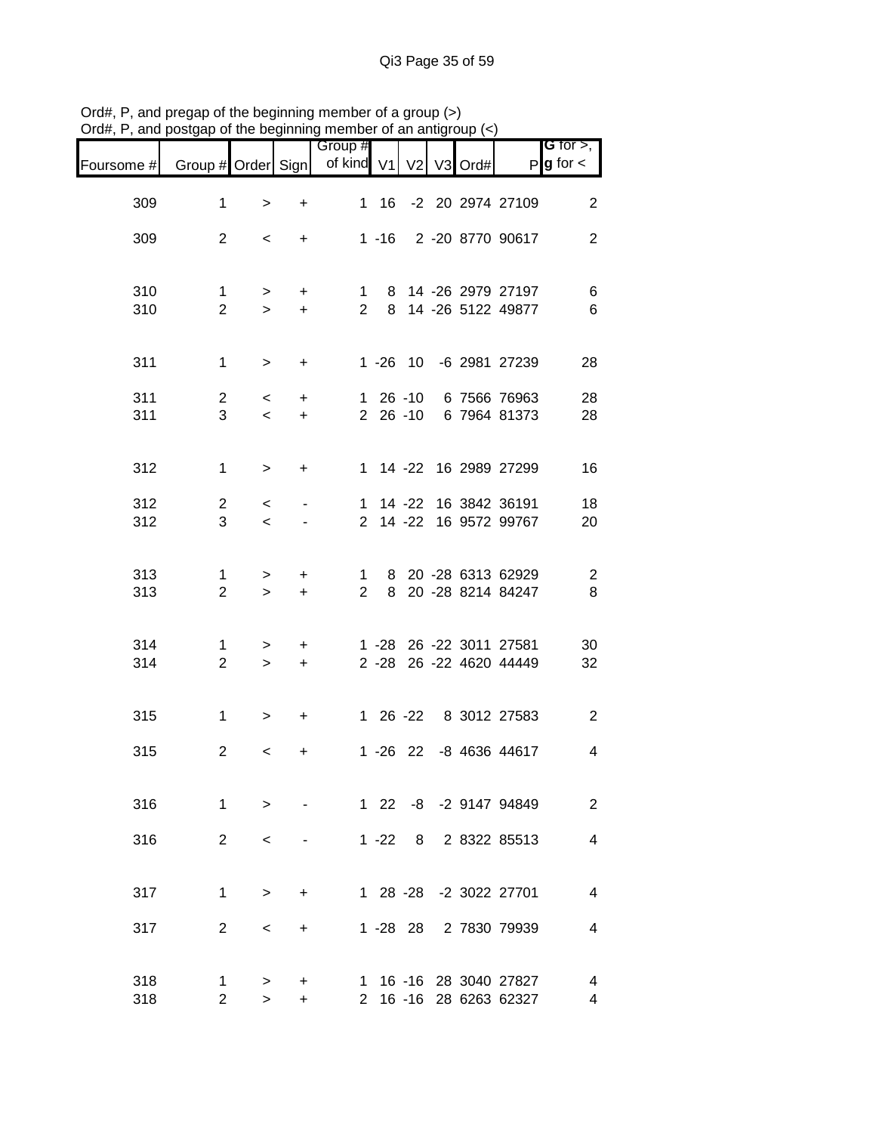|            |                                | , or a roll or                    |                  | <b>THOLLINGL</b> OF ALL ALIM<br>Group #   |          |          |      |                                                    | <b>G</b> for $>$ , $\overline{ }$ |
|------------|--------------------------------|-----------------------------------|------------------|-------------------------------------------|----------|----------|------|----------------------------------------------------|-----------------------------------|
| Foursome # |                                |                                   |                  | Group # Order Sign   of kind V1   V2   V3 |          |          | Ord# |                                                    | $P$ <b>g</b> for $\lt$            |
| 309        | $\mathbf{1}$                   | $\,>$                             | $\ddot{}$        |                                           |          |          |      | 1 16 -2 20 2974 27109                              | $\mathbf{2}$                      |
| 309        | $\overline{2}$                 | $\prec$                           | $+$              |                                           |          |          |      | 1 -16 2 -20 8770 90617                             | $\overline{2}$                    |
| 310<br>310 | 1<br>$\overline{2}$            | ><br>$\geq$                       | $+$<br>$+$       |                                           |          |          |      | 1 8 14 -26 2979 27197<br>2 8 14 -26 5122 49877     | 6<br>$\,6$                        |
| 311        | $\mathbf{1}$                   | $\geq$                            | $+$              |                                           |          |          |      | 1 -26 10 -6 2981 27239                             | 28                                |
| 311<br>311 | $\overline{2}$<br>3            | $\lt$<br>$\overline{\phantom{a}}$ | $+$<br>$+$       |                                           |          |          |      | 1 26 -10 6 7566 76963<br>2 26 -10 6 7964 81373     | 28<br>28                          |
| 312        | 1                              | $\geq$                            | $+$              |                                           |          |          |      | 1 14 -22 16 2989 27299                             | 16                                |
| 312<br>312 | $2^{\circ}$<br>3 <sup>1</sup>  | $\lt$<br>$\leq$                   |                  |                                           |          |          |      | 1 14 -22 16 3842 36191<br>2 14 -22 16 9572 99767   | 18<br>20                          |
| 313<br>313 | $\mathbf{1}$<br>$\overline{2}$ | $\geq$<br>$\geq$                  | $\ddot{}$<br>$+$ | $2^{\circ}$                               |          |          |      | 1 8 20 -28 6313 62929<br>8 20 -28 8214 84247       | $\overline{\phantom{a}}$<br>8     |
| 314<br>314 | $\mathbf 1$<br>$\overline{2}$  | $\geq$<br>$\geq$                  | $+$<br>$+$       |                                           |          |          |      | 1 -28 26 -22 3011 27581<br>2 -28 26 -22 4620 44449 | 30<br>32                          |
| 315        | $\mathbf{1}$                   | $\, > \,$                         | $\ddot{}$        |                                           |          |          |      | 1 26 -22 8 3012 27583                              | $\mathbf{2}$                      |
| 315        | $\overline{2}$                 | $\,<\,$                           | +                |                                           |          |          |      | 1 -26 22 -8 4636 44617                             | $\overline{\mathbf{4}}$           |
| 316        | 1                              | $\geq$                            |                  |                                           |          |          |      | 1 22 -8 -2 9147 94849                              | 2                                 |
| 316        | $\overline{2}$                 | $\,<\,$                           |                  |                                           | $1 - 22$ | 8        |      | 2 8322 85513                                       | $\overline{4}$                    |
| 317        | $\mathbf{1}$                   | $\geq$                            | $\ddot{}$        |                                           |          |          |      | 1 28 -28 -2 3022 27701                             | 4                                 |
| 317        | $\overline{2}$                 | $\,<\,$                           | +                |                                           |          | 1 -28 28 |      | 2 7830 79939                                       | 4                                 |
| 318<br>318 | $\mathbf 1$<br>$\overline{2}$  | $\, > \,$<br>$\geq$               | +<br>+           |                                           |          |          |      | 1 16 -16 28 3040 27827<br>2 16 -16 28 6263 62327   | 4<br>4                            |

Ord#, P, and pregap of the beginning member of a group (>) Ord#, P, and postgap of the beginning member of an antigroup (<)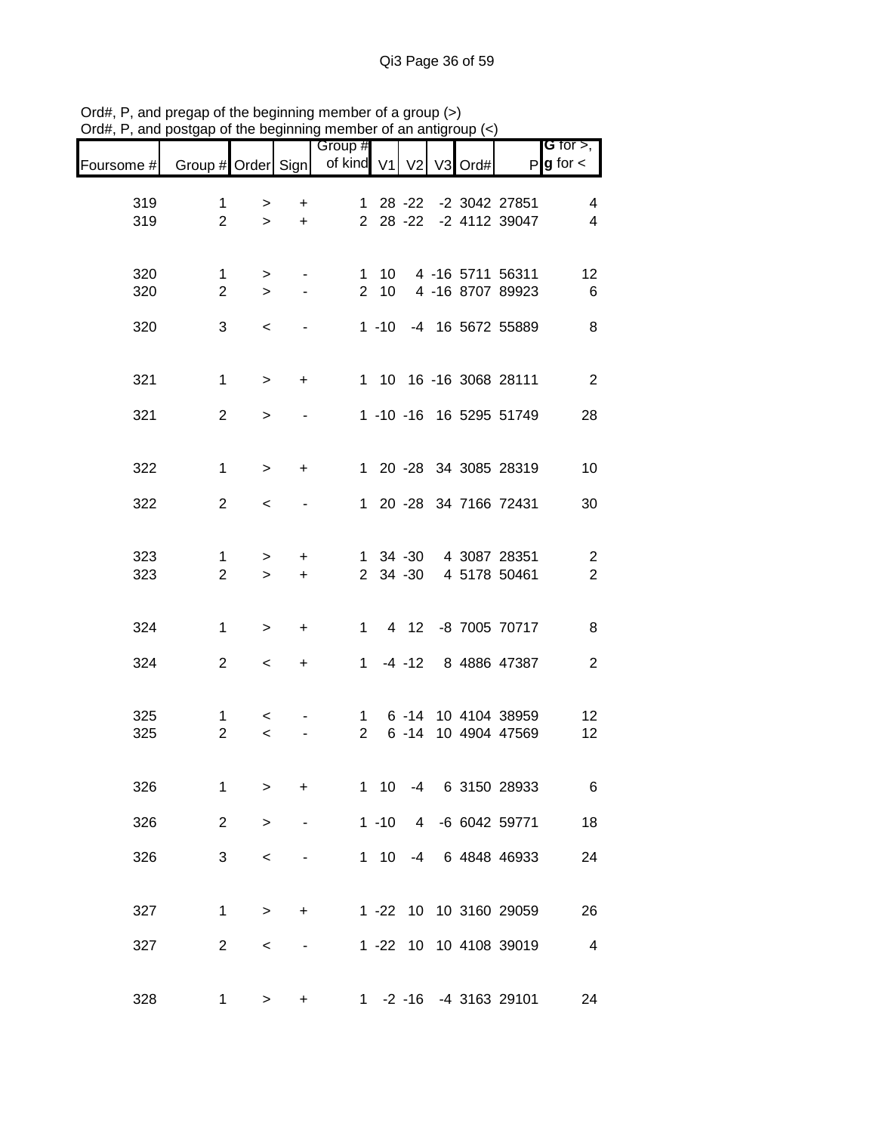|            |                     |                  |                | Group #                       |                 |                            |                |      |                                      | <b>G</b> for $>$ ,               |
|------------|---------------------|------------------|----------------|-------------------------------|-----------------|----------------------------|----------------|------|--------------------------------------|----------------------------------|
| Foursome # | Group # Order Sign  |                  |                | of kind                       | V <sub>1</sub>  | V <sub>2</sub>             | V <sub>3</sub> | Ord# | P                                    | $g$ for $\lt$                    |
| 319<br>319 | 1<br>$\overline{2}$ | ><br>$\geq$      | +<br>$\ddot{}$ | $\mathbf{1}$                  |                 | $28 - 22$<br>$2 \t28 - 22$ |                |      | -2 3042 27851<br>-2 4112 39047       | 4<br>4                           |
| 320<br>320 | 1<br>$\overline{c}$ | $\geq$<br>$\geq$ |                | 1<br>2 <sup>7</sup>           | 10<br>10        |                            |                |      | 4 -16 5711 56311<br>4 -16 8707 89923 | 12<br>6                          |
| 320        | 3                   | $\,<\,$          |                |                               |                 |                            |                |      | 1 -10 -4 16 5672 55889               | 8                                |
| 321        | $\mathbf{1}$        | $\, >$           | $\ddot{}$      |                               |                 |                            |                |      | 1 10 16 -16 3068 28111               | $\overline{2}$                   |
| 321        | $\overline{2}$      | $\geq$           |                |                               |                 |                            |                |      | 1 -10 -16 16 5295 51749              | 28                               |
| 322        | $\mathbf{1}$        | $\geq$           | +              |                               |                 |                            |                |      | 1 20 -28 34 3085 28319               | 10                               |
| 322        | $\overline{2}$      | $\,<\,$          |                |                               |                 |                            |                |      | 1 20 -28 34 7166 72431               | 30                               |
| 323<br>323 | 1<br>$\overline{2}$ | $\geq$<br>$\geq$ | +<br>$\ddot{}$ |                               |                 | 1 34 -30<br>2 34 -30       |                |      | 4 3087 28351<br>4 5178 50461         | $\overline{c}$<br>$\overline{2}$ |
| 324        | 1                   | $\, > \,$        | +              | $1 \quad$                     |                 | 4 12                       |                |      | -8 7005 70717                        | 8                                |
| 324        | $\overline{2}$      | $\,<\,$          | +              | $\mathbf{1}$                  |                 | $-4 - 12$                  |                |      | 8 4886 47387                         | $\overline{2}$                   |
| 325<br>325 | 1<br>$\overline{2}$ | $\,<\,$<br>$\,<$ |                | $\mathbf 1$<br>$\overline{2}$ |                 | $6 - 14$                   |                |      | 6 -14 10 4104 38959<br>10 4904 47569 | 12<br>12                         |
| 326        | 1                   | >                | +              | 1                             | 10 <sup>°</sup> |                            |                |      | -4 6 3150 28933                      | 6                                |
| 326        | $\overline{2}$      | $\geq$           |                |                               |                 |                            |                |      | 1 -10 4 -6 6042 59771                | 18                               |
| 326        | 3                   | $\,<\,$          |                |                               |                 |                            |                |      | 1 10 -4 6 4848 46933                 | 24                               |
| 327        | 1                   | $\, > \,$        | +              |                               |                 |                            |                |      | 1 -22 10 10 3160 29059               | 26                               |
| 327        | 2                   | $\,<$            |                |                               |                 |                            |                |      | 1 -22 10 10 4108 39019               | $\overline{\mathbf{4}}$          |
| 328        | 1                   | >                | +              |                               |                 |                            |                |      | 1 -2 -16 -4 3163 29101               | 24                               |

Ord#, P, and pregap of the beginning member of a group (>) Ord#, P, and postgap of the beginning member of an antigroup (<)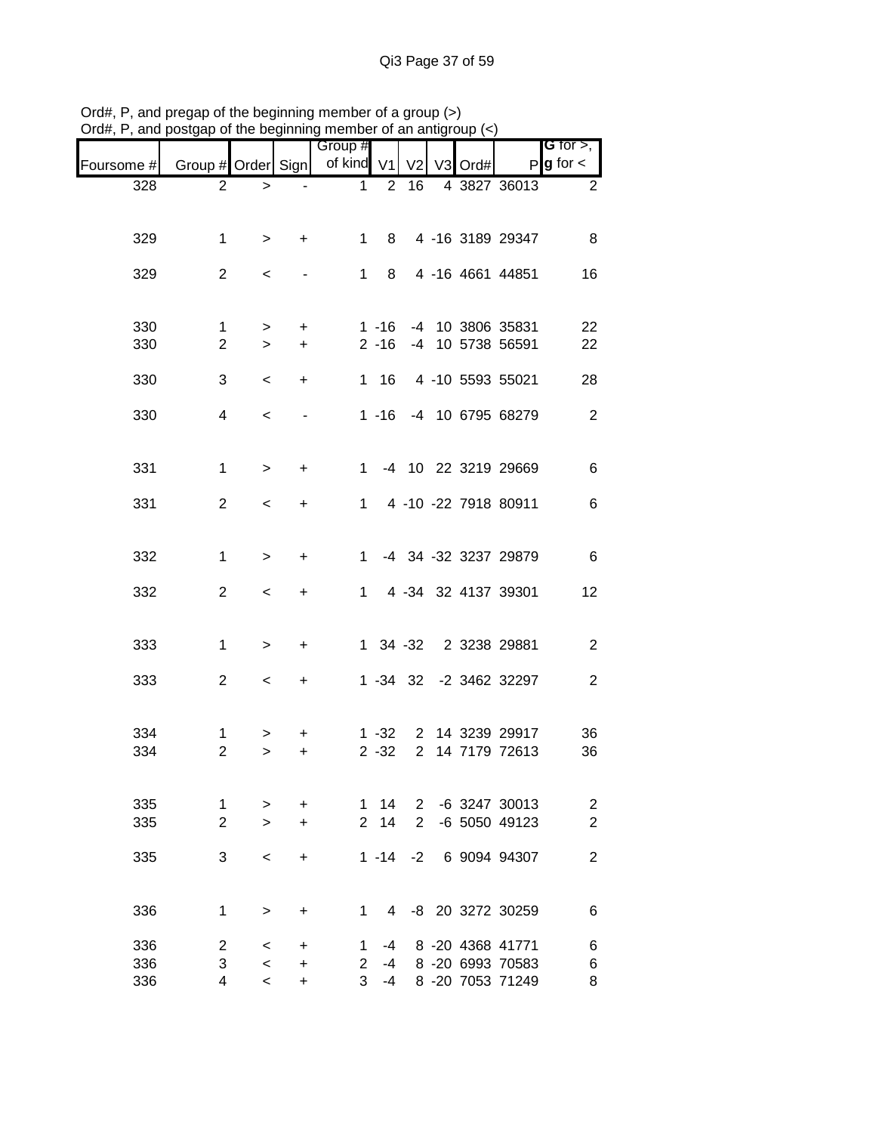|            | and postgap or the beginning member or an antigroup (<) |                    |                        |                       |                      |                               |         |                                      |                              |
|------------|---------------------------------------------------------|--------------------|------------------------|-----------------------|----------------------|-------------------------------|---------|--------------------------------------|------------------------------|
| Foursome # | Group # Order Sign                                      |                    |                        | Group #<br>of kind V1 |                      | V <sub>2</sub>                | V3 Ord# | P                                    | G for $>$ ,<br>$g$ for $\lt$ |
| 328        | $\overline{2}$                                          | $\, > \,$          |                        | 1                     | $\overline{2}$       | 16                            |         | 4 3827 36013                         | $\overline{2}$               |
|            |                                                         |                    |                        |                       |                      |                               |         |                                      |                              |
| 329        | 1                                                       | $\, >$             | $\ddot{}$              | 1                     | 8                    |                               |         | 4 -16 3189 29347                     | 8                            |
| 329        | $\overline{2}$                                          | $\,<$              |                        | 1                     | 8                    |                               |         | 4 -16 4661 44851                     | 16                           |
|            |                                                         |                    |                        |                       |                      |                               |         |                                      |                              |
| 330<br>330 | 1<br>$\overline{2}$                                     | $\geq$<br>$\,>$    | $\ddot{}$<br>$\ddot{}$ |                       | $1 - 16$<br>$2 - 16$ |                               |         | -4 10 3806 35831<br>-4 10 5738 56591 | 22<br>22                     |
| 330        | 3                                                       | $\,<\,$            | $\ddot{}$              |                       | 1 16                 |                               |         | 4 -10 5593 55021                     | 28                           |
|            |                                                         |                    |                        |                       |                      |                               |         |                                      |                              |
| 330        | $\overline{4}$                                          | $\,<$              |                        |                       |                      |                               |         | 1 -16 -4 10 6795 68279               | $\sqrt{2}$                   |
| 331        | 1                                                       | $\, > \,$          | $\ddot{}$              | $1 \quad$             |                      |                               |         | -4 10 22 3219 29669                  | 6                            |
| 331        | $\overline{c}$                                          | $\,<\,$            | +                      | 1.                    |                      |                               |         | 4 -10 -22 7918 80911                 | $\,6$                        |
|            |                                                         |                    |                        |                       |                      |                               |         |                                      |                              |
| 332        | 1                                                       | $\, > \,$          | +                      | 1                     |                      |                               |         | -4 34 -32 3237 29879                 | $\,6$                        |
| 332        | $\mathbf{2}$                                            | $\,<\,$            | +                      | 1.                    |                      |                               |         | 4 -34 32 4137 39301                  | 12                           |
|            |                                                         |                    |                        |                       |                      |                               |         |                                      |                              |
| 333        | $\mathbf{1}$                                            | >                  | +                      |                       |                      |                               |         | 1 34 -32 2 3238 29881                | $\sqrt{2}$                   |
| 333        | $\overline{2}$                                          | $\,<\,$            | +                      |                       |                      |                               |         | 1 -34 32 -2 3462 32297               | $\boldsymbol{2}$             |
|            |                                                         |                    |                        |                       |                      |                               |         |                                      |                              |
| 334<br>334 | 1<br>$\overline{c}$                                     | >                  | +                      |                       | $1 - 32$<br>$2 - 32$ | $2^{\circ}$<br>$\overline{2}$ |         | 14 3239 29917<br>14 7179 72613       | 36<br>36                     |
|            |                                                         | >                  | +                      |                       |                      |                               |         |                                      |                              |
| 335        | 1                                                       | >                  | $\ddot{}$              | $\mathbf{1}$          | 14                   | $2^{\circ}$                   |         | -6 3247 30013                        | $\overline{\mathbf{c}}$      |
| 335        | $\overline{2}$                                          | $\geq$             | $\ddot{}$              | $\overline{2}$        | 14                   | $\overline{2}$                |         | -6 5050 49123                        | $\overline{c}$               |
| 335        | 3                                                       | $\,<$              | +                      |                       | $1 - 14$             | $-2$                          |         | 6 9094 94307                         | $\overline{2}$               |
|            |                                                         |                    |                        |                       |                      |                               |         |                                      |                              |
| 336        | 1                                                       | $\, > \,$          | +                      | $\mathbf{1}$          | $\overline{4}$       |                               |         | -8 20 3272 30259                     | $\,6$                        |
| 336        | $\overline{2}$                                          | $\,<\,$            | +                      | $\mathbf{1}$          | $-4$                 |                               |         | 8 -20 4368 41771                     | $\,6$                        |
| 336<br>336 | 3<br>4                                                  | $\,<\,$<br>$\prec$ | +<br>$\ddot{}$         | $\mathbf{2}$<br>3     | -4<br>$-4$           |                               |         | 8 -20 6993 70583<br>8 -20 7053 71249 | 6<br>8                       |

Ord#, P, and pregap of the beginning member of a group (>) Ord#, P, and postgap of the beginning member of an antigroup (<)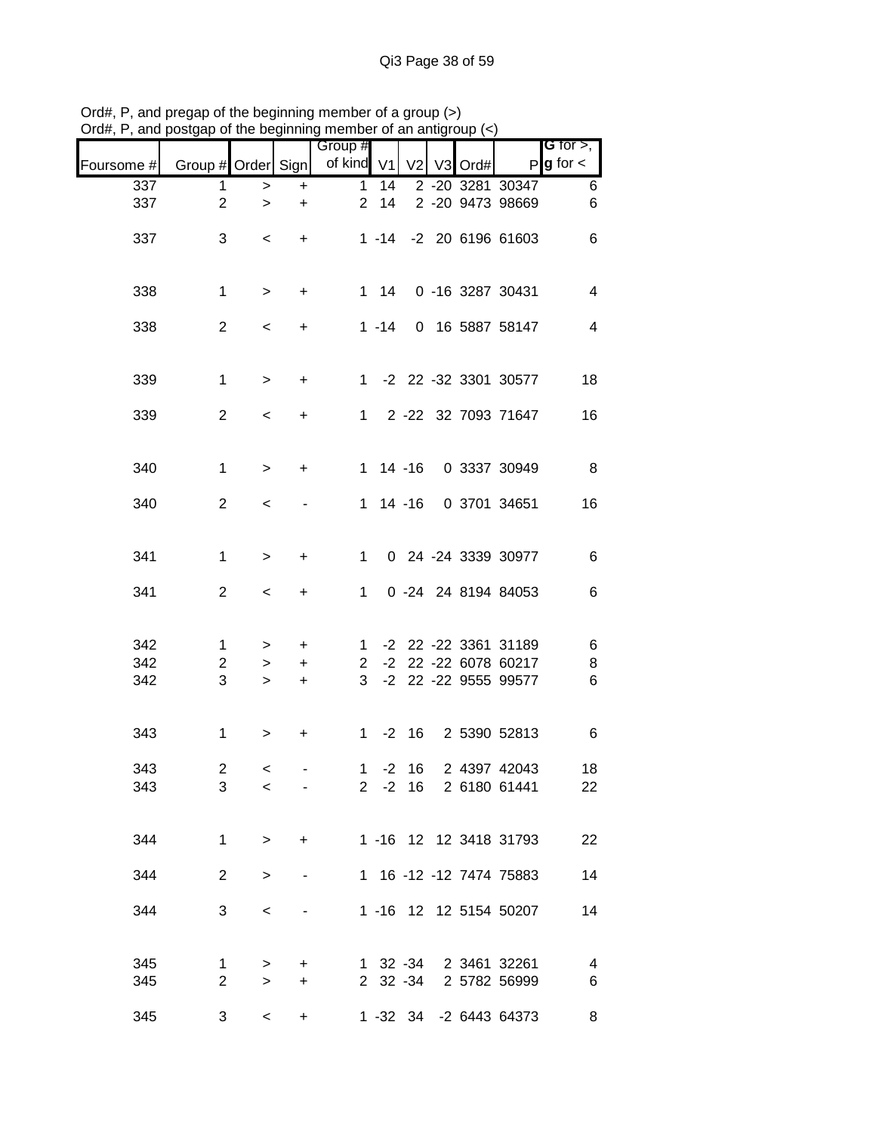|            |                     |                          |                |                       |    | boalgap or the beginning member or an amign |         |                                                 |                                       |
|------------|---------------------|--------------------------|----------------|-----------------------|----|---------------------------------------------|---------|-------------------------------------------------|---------------------------------------|
| Foursome # | Group # Order Sign  |                          |                | Group #<br>of kind V1 |    | V <sub>2</sub>                              | V3 Ord# |                                                 | G for $>$ ,<br>$P$ <b>g</b> for $\lt$ |
| 337        | $\mathbf 1$         | $\,$                     | $\ddot{}$      | $\mathbf{1}$          | 14 |                                             |         | 2 -20 3281 30347                                | $\,6\,$                               |
| 337        | $\overline{2}$      | $\geq$                   | +              | $2^{\circ}$           | 14 |                                             |         | 2 -20 9473 98669                                | $\,6$                                 |
| 337        | 3                   | $\,<\,$                  | $+$            |                       |    |                                             |         | 1 -14 -2 20 6196 61603                          | $\,6$                                 |
| 338        | $\mathbf{1}$        | $\,>$                    | $\ddot{}$      |                       |    |                                             |         | 1 14 0 -16 3287 30431                           | $\overline{4}$                        |
| 338        | $\overline{2}$      | $\overline{\phantom{a}}$ | $\ddot{}$      |                       |    |                                             |         | 1 -14 0 16 5887 58147                           | $\overline{4}$                        |
| 339        | $\mathbf{1}$        | $\geq$                   | $+$            |                       |    |                                             |         | 1 -2 22 -32 3301 30577                          | 18                                    |
| 339        | $\overline{2}$      | $\overline{\phantom{a}}$ | $+$            |                       |    |                                             |         | 1 2 -22 32 7093 71647                           | 16                                    |
| 340        | $\mathbf{1}$        | $\,>$                    | $\ddot{}$      |                       |    |                                             |         | 1 14 -16 0 3337 30949                           | 8                                     |
| 340        | $\overline{2}$      | $\,<$                    |                |                       |    |                                             |         | 1 14 -16 0 3701 34651                           | 16                                    |
| 341        | $\mathbf{1}$        | $\,$                     | $\ddot{}$      | 1                     |    |                                             |         | 0 24 -24 3339 30977                             | 6                                     |
| 341        | $\overline{2}$      | $\,<\,$                  | $\ddot{}$      | 1                     |    |                                             |         | 0 -24 24 8194 84053                             | $\,6\,$                               |
| 342        | $\mathbf{1}$        | $\geq$                   | $+$            |                       |    |                                             |         | 1 -2 22 -22 3361 31189                          | $\,6$                                 |
| 342<br>342 | $\overline{2}$<br>3 | $\geq$<br>$\geq$         | $+$<br>$+$     | $2^{\circ}$           |    |                                             |         | -2 22 -22 6078 60217<br>3 -2 22 -22 9555 99577  | $\,8\,$<br>$\,6$                      |
| 343        | $\mathbf{1}$        | $\geq$                   | +              |                       |    |                                             |         | 1 -2 16 2 5390 52813                            | 6                                     |
|            |                     |                          |                |                       |    |                                             |         |                                                 |                                       |
| 343<br>343 | $\overline{2}$<br>3 | $\lt$<br>$\,<\,$         | $\blacksquare$ |                       |    |                                             |         | 1 -2 16 2 4397 42043<br>2 -2 16 2 6180 61441    | 18<br>22                              |
| 344        | $\mathbf{1}$        | $\,>$                    | $+$            |                       |    |                                             |         | 1 -16 12 12 3418 31793                          | 22                                    |
| 344        | $\overline{2}$      | >                        |                |                       |    |                                             |         | 1 16 -12 -12 7474 75883                         | 14                                    |
| 344        | 3                   | $\,<\,$                  |                |                       |    |                                             |         | 1 -16 12 12 5154 50207                          | 14                                    |
| 345        | $\mathbf{1}$        | >                        | +              |                       |    |                                             |         | 1 32 -34 2 3461 32261                           | $\overline{4}$                        |
| 345<br>345 | $\overline{2}$<br>3 | $\,>$<br>$\,<\,$         | $\ddot{}$<br>+ |                       |    |                                             |         | 2 32 -34 2 5782 56999<br>1 -32 34 -2 6443 64373 | 6<br>8                                |

Ord#, P, and pregap of the beginning member of a group (>) Ord#, P, and postgap of the beginning member of an antigroup (<)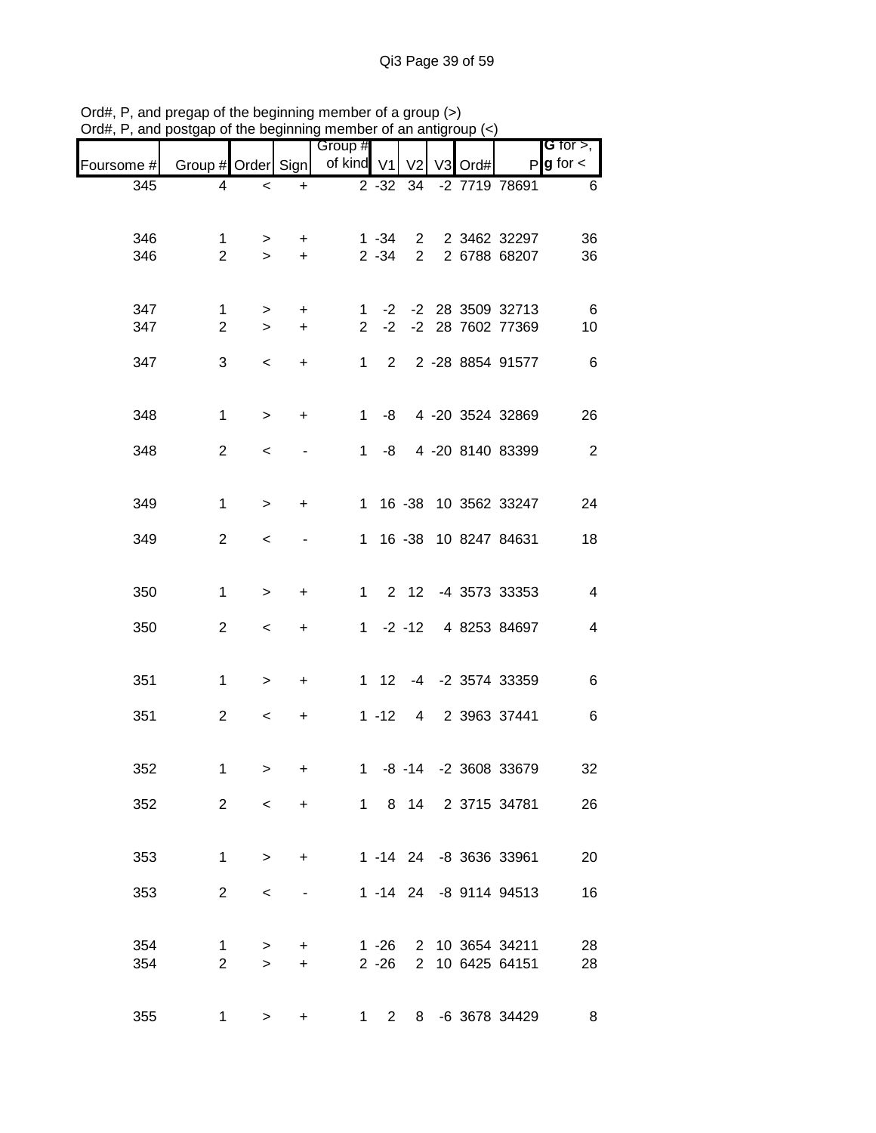| $max$ , $max$ , and postgap or the beginning member or an antigroup $(\leq)$ |                     |           |           |                       |                      |                            |         |                        |                                |
|------------------------------------------------------------------------------|---------------------|-----------|-----------|-----------------------|----------------------|----------------------------|---------|------------------------|--------------------------------|
| Foursome #                                                                   | Group # Order Sign  |           |           | Group #<br>of kind V1 |                      | V <sub>2</sub>             | V3 Ord# |                        | G for $>$ ,<br>$P g$ for $\lt$ |
| 345                                                                          | 4                   | $\,<$     | $\ddot{}$ |                       | $2 - 32$             | 34                         |         | -2 7719 78691          | 6                              |
|                                                                              |                     |           |           |                       |                      |                            |         |                        |                                |
| 346                                                                          | 1<br>$\overline{2}$ | $\geq$    | $\ddot{}$ |                       | $1 - 34$<br>$2 - 34$ | $2^{\circ}$<br>$2^{\circ}$ |         | 2 3462 32297           | 36                             |
| 346                                                                          |                     | $\geq$    | $\ddot{}$ |                       |                      |                            |         | 2 6788 68207           | 36                             |
| 347                                                                          | $\mathbf{1}$        | $\,>$     | $\ddot{}$ | 1.                    |                      |                            |         | -2 -2 28 3509 32713    | - 6                            |
| 347                                                                          | $\overline{2}$      | $\geq$    | $\ddot{}$ | $\overline{2}$        |                      |                            |         | -2 -2 28 7602 77369    | 10                             |
| 347                                                                          | 3                   | $\,<\,$   | $\ddot{}$ | 1                     | $2^{\circ}$          |                            |         | 2 -28 8854 91577       | 6                              |
| 348                                                                          | $\mathbf{1}$        | $\,>$     | +         | $\mathbf{1}$          | -8                   |                            |         | 4 -20 3524 32869       | 26                             |
| 348                                                                          | $\overline{2}$      | $\,<\,$   |           | 1                     | -8                   |                            |         | 4 -20 8140 83399       | $\overline{2}$                 |
| 349                                                                          | $\mathbf{1}$        | $\,>$     | +         | 1                     |                      |                            |         | 16 -38 10 3562 33247   | 24                             |
| 349                                                                          | $\overline{2}$      | $\,<$     |           | $\mathbf 1$           |                      |                            |         | 16 -38 10 8247 84631   | 18                             |
|                                                                              |                     |           |           |                       |                      |                            |         |                        |                                |
| 350                                                                          | $\mathbf{1}$        | $\,>$     | +         | $\mathbf{1}$          |                      |                            |         | 2 12 -4 3573 33353     | 4                              |
| 350                                                                          | $\overline{2}$      | $\,<$     | +         |                       |                      | $1 - 2 - 12$               |         | 4 8253 84697           | 4                              |
| 351                                                                          | $\mathbf{1}$        | $\,>$     | $\ddot{}$ |                       |                      |                            |         | 1 12 -4 -2 3574 33359  | 6                              |
|                                                                              |                     |           |           |                       |                      |                            |         |                        |                                |
| 351                                                                          | $\overline{2}$      | $\,<\,$   | +         |                       | $1 - 12$             | $4 \quad$                  |         | 2 3963 37441           | 6                              |
| 352                                                                          | 1.                  | >         | $+$       |                       |                      |                            |         | 1 -8 -14 -2 3608 33679 | 32                             |
| 352                                                                          | $\overline{2}$      | $\,<\,$   | $+$       |                       |                      |                            |         | 1 8 14 2 3715 34781    | 26                             |
| 353                                                                          | $\mathbf{1}$        | $\,>$     | +         |                       |                      |                            |         | 1 -14 24 -8 3636 33961 | 20                             |
| 353                                                                          | $\overline{2}$      | $\,<\,$   |           |                       |                      |                            |         | 1 -14 24 -8 9114 94513 | 16                             |
|                                                                              |                     |           |           |                       |                      |                            |         |                        |                                |
| 354                                                                          | 1                   | $\geq$    | $\pm$     |                       |                      |                            |         | 1 -26 2 10 3654 34211  | 28                             |
| 354                                                                          | $\overline{2}$      | $\geq$    | $+$       |                       | $2 - 26$             |                            |         | 2 10 6425 64151        | 28                             |
| 355                                                                          | 1                   | $\, > \,$ | +         |                       |                      |                            |         | 1 2 8 -6 3678 34429    | 8                              |

Ord#, P, and pregap of the beginning member of a group (>) Ord#, P, and postgap of the beginning member of an antigroup (<)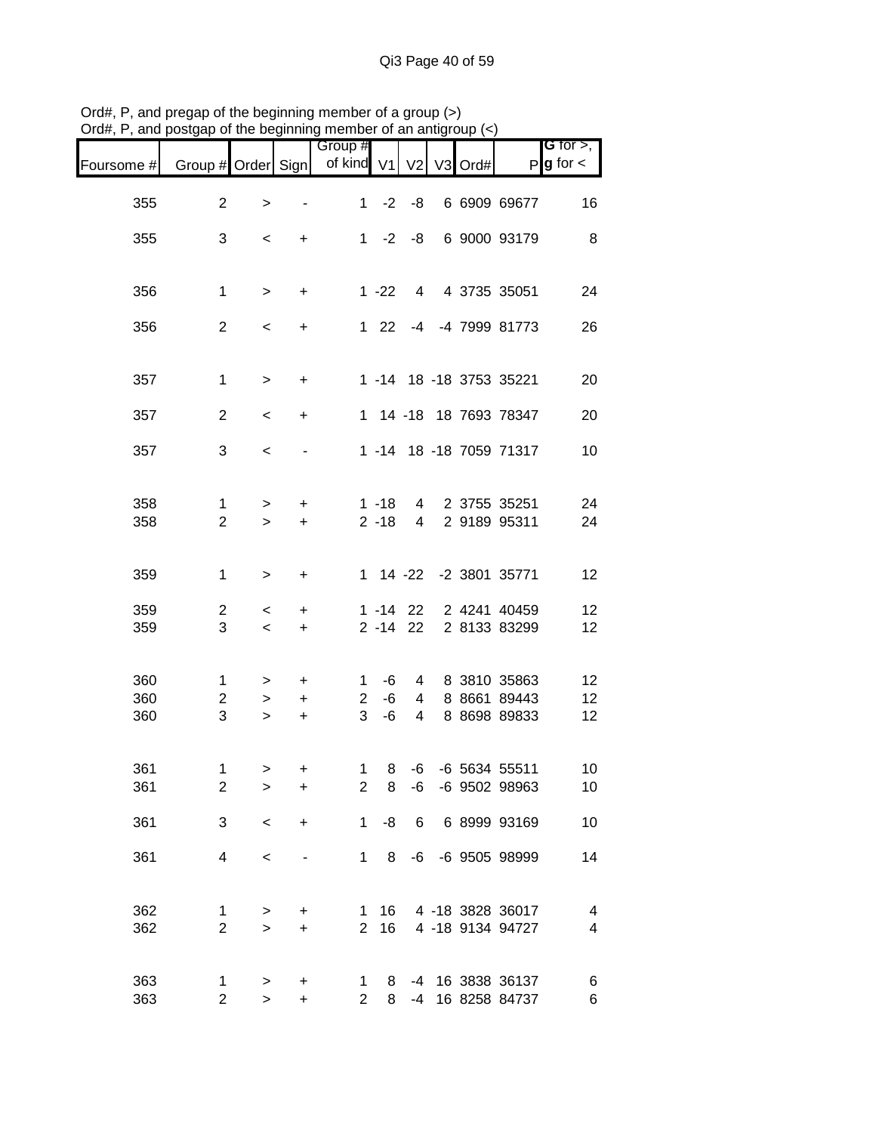|                   | , and posigap or the beginning member or an anigroup $(\sim)$ |                    |                             |                                     |                      |                             |         |                                              |                               |
|-------------------|---------------------------------------------------------------|--------------------|-----------------------------|-------------------------------------|----------------------|-----------------------------|---------|----------------------------------------------|-------------------------------|
| Foursome #        | Group # Order Sign                                            |                    |                             | Group #<br>of kind V1               |                      | V <sub>2</sub>              | V3 Ord# | P                                            | G for $>$ ,<br>$g$ for $\lt$  |
| 355               | $\overline{c}$                                                | >                  |                             | $1 \quad$                           | $-2$                 | -8                          |         | 6 6909 69677                                 | 16                            |
| 355               | 3                                                             | $\,<$              | +                           |                                     |                      | $1 -2 -8$                   |         | 6 9000 93179                                 | 8                             |
| 356               | $\mathbf{1}$                                                  | $\, >$             | $\ddot{}$                   |                                     | $1 - 22$             | $4\overline{ }$             |         | 4 3735 35051                                 | 24                            |
| 356               | $\overline{2}$                                                | $\,<$              | +                           |                                     | $122$                |                             |         | -4 -4 7999 81773                             | 26                            |
| 357               | $\mathbf{1}$                                                  | $\, >$             | $\ddot{}$                   |                                     |                      |                             |         | 1 -14 18 -18 3753 35221                      | 20                            |
| 357               | $\overline{2}$                                                | $\,<$              | $\ddot{}$                   |                                     |                      |                             |         | 1 14 -18 18 7693 78347                       | 20                            |
| 357               | 3                                                             | $\,<\,$            |                             |                                     |                      |                             |         | 1 -14 18 -18 7059 71317                      | 10                            |
| 358<br>358        | 1<br>$\overline{2}$                                           | ><br>$\geq$        | $\ddot{}$<br>$\ddot{}$      |                                     | $1 - 18$<br>$2 - 18$ | $4 \quad$<br>$\overline{4}$ |         | 2 3755 35251<br>2 9189 95311                 | 24<br>24                      |
| 359               | 1                                                             | $\,>$              | +                           |                                     |                      |                             |         | 1 14 -22 -2 3801 35771                       | 12                            |
| 359<br>359        | $\overline{c}$<br>3                                           | $\,<\,$<br>$\,<\,$ | $\ddot{}$<br>$\ddot{}$      |                                     |                      | $1 - 14$ 22<br>$2 - 14$ 22  |         | 2 4241 40459<br>2 8133 83299                 | 12<br>12                      |
| 360<br>360<br>360 | $\mathbf{1}$<br>$\overline{c}$<br>3                           | ><br>><br>$\geq$   | +<br>$\ddot{}$<br>$\ddot{}$ | $\mathbf{1}$<br>$\overline{2}$<br>3 | -6<br>-6<br>-6       | 4<br>4<br>$\overline{4}$    |         | 8 3810 35863<br>8 8661 89443<br>8 8698 89833 | 12<br>12<br>12                |
| 361<br>361        | 1<br>$\mathbf{2}$                                             | ><br>>             | $+$<br>$\ddot{}$            | $\overline{2}$                      | 8                    | -6                          |         | 1 8 -6 -6 5634 55511<br>-6 9502 98963        | 10<br>10                      |
| 361               | 3                                                             | $\,<$              | +                           | $\mathbf 1$                         | -8                   | 6                           |         | 6 8999 93169                                 | 10                            |
| 361               | 4                                                             | $\,<$              |                             | 1                                   | 8                    |                             |         | -6 -6 9505 98999                             | 14                            |
| 362<br>362        | 1<br>$\overline{c}$                                           | ><br>$\mathbf{L}$  | +<br>$\ddot{}$              | $\mathbf{1}$<br>$\overline{2}$      | 16<br>16             |                             |         | 4 -18 3828 36017<br>4 -18 9134 94727         | $\overline{\mathcal{A}}$<br>4 |
| 363<br>363        | 1<br>$\overline{c}$                                           | ><br>$\mathbf{I}$  | $\mathbf +$<br>$\ddot{}$    | $\mathbf 1$<br>$\overline{2}$       | 8<br>8               | -4                          |         | -4 16 3838 36137<br>16 8258 84737            | 6<br>$\,$ 6 $\,$              |

Ord#, P, and pregap of the beginning member of a group (>) Ord#, P, and postgap of the beginning member of an antigroup (<)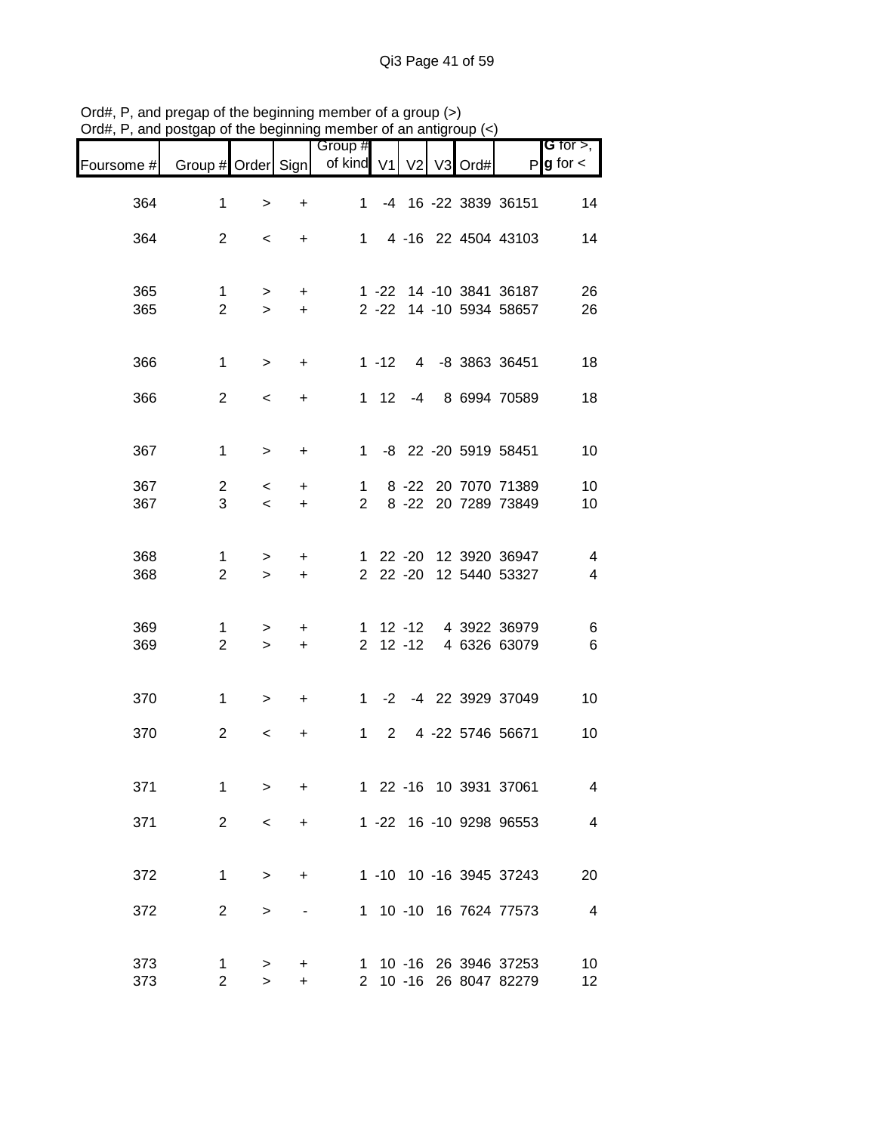| лu <del>п</del> , | and postgap or the beginning |                          |                        | mombor or an antigroup |            |                |    |      |                                                  |                                       |
|-------------------|------------------------------|--------------------------|------------------------|------------------------|------------|----------------|----|------|--------------------------------------------------|---------------------------------------|
| Foursome #        | Group # Order Sign           |                          |                        | Group #<br>of kind V1  |            | V <sub>2</sub> | V3 | Ord# |                                                  | G for $>$ ,<br>$P$ <b>g</b> for $\lt$ |
|                   |                              |                          |                        |                        |            |                |    |      |                                                  |                                       |
| 364               | $\mathbf{1}$                 | $\, > \,$                | $\ddot{}$              | 1.                     |            |                |    |      | -4 16 -22 3839 36151                             | 14                                    |
| 364               | $\overline{2}$               | $\,<\,$                  | $\ddot{}$              |                        |            |                |    |      | 1 4 -16 22 4504 43103                            | 14                                    |
| 365               | $\mathbf{1}$                 | $\geq$                   | $\ddot{}$              |                        |            |                |    |      | 1 -22 14 -10 3841 36187                          | 26                                    |
| 365               | $\overline{2}$               | $\geq$                   | $+$                    |                        |            |                |    |      | 2 -22 14 -10 5934 58657                          | 26                                    |
| 366               | $\mathbf{1}$                 | $\geq$                   | $\ddot{}$              |                        |            |                |    |      | 1 -12 4 -8 3863 36451                            | 18                                    |
| 366               | $\overline{2}$               | $\,<\,$                  | $\ddot{}$              |                        |            |                |    |      | 1 12 -4 8 6994 70589                             | 18                                    |
| 367               | $\mathbf{1}$                 | $\, >$                   | $\ddot{}$              |                        |            |                |    |      | 1 -8 22 -20 5919 58451                           | 10                                    |
| 367<br>367        | $\overline{2}$<br>3          | $\overline{\phantom{0}}$ | $\ddot{}$              | 1                      |            |                |    |      | 8 -22 20 7070 71389<br>2 8 -22 20 7289 73849     | 10                                    |
|                   |                              | $\prec$                  | $\ddot{}$              |                        |            |                |    |      |                                                  | 10                                    |
| 368<br>368        | 1<br>$\overline{2}$          | ><br>$\geq$              | $\ddot{}$<br>$\ddot{}$ |                        |            |                |    |      | 1 22 -20 12 3920 36947<br>2 22 -20 12 5440 53327 | 4<br>$\overline{4}$                   |
|                   |                              |                          |                        |                        |            |                |    |      |                                                  |                                       |
| 369<br>369        | 1<br>$\overline{2}$          | $\geq$<br>$\geq$         | $\ddot{}$<br>$+$       |                        |            |                |    |      | 1 12 -12 4 3922 36979<br>2 12 -12 4 6326 63079   | 6<br>6                                |
|                   |                              |                          |                        |                        |            |                |    |      |                                                  |                                       |
| 370               | $\mathbf{1}$                 | $\geq$                   | $+$                    |                        |            |                |    |      | 1 -2 -4 22 3929 37049                            | 10                                    |
| 370               | $\overline{2}$               | $\,<\,$                  | $\ddot{}$              |                        | $1\quad 2$ |                |    |      | 4 -22 5746 56671                                 | 10                                    |
| 371               | $\mathbf 1$                  | $\geq$                   | +                      |                        |            |                |    |      | 1 22 -16 10 3931 37061                           | $\overline{4}$                        |
| 371               | $\overline{2}$               | $\,<\,$                  | +                      |                        |            |                |    |      | 1 -22 16 -10 9298 96553                          | $\overline{\mathbf{4}}$               |
| 372               | $\mathbf 1$                  | $\,>$                    | +                      |                        |            |                |    |      | 1 -10 10 -16 3945 37243                          | 20                                    |
| 372               | $\overline{2}$               | >                        |                        |                        |            |                |    |      | 1 10 -10 16 7624 77573                           | $\overline{4}$                        |
| 373               | 1                            | $\geq$                   | +                      |                        |            |                |    |      | 1 10 -16 26 3946 37253                           | 10                                    |
| 373               | $\overline{2}$               | $\geq$                   | +                      | $\mathbf{2}$           |            |                |    |      | 10 -16 26 8047 82279                             | 12                                    |

Ord#, P, and pregap of the beginning member of a group (>) Ord#, P, and postgap of the beginning member of an antigroup (<)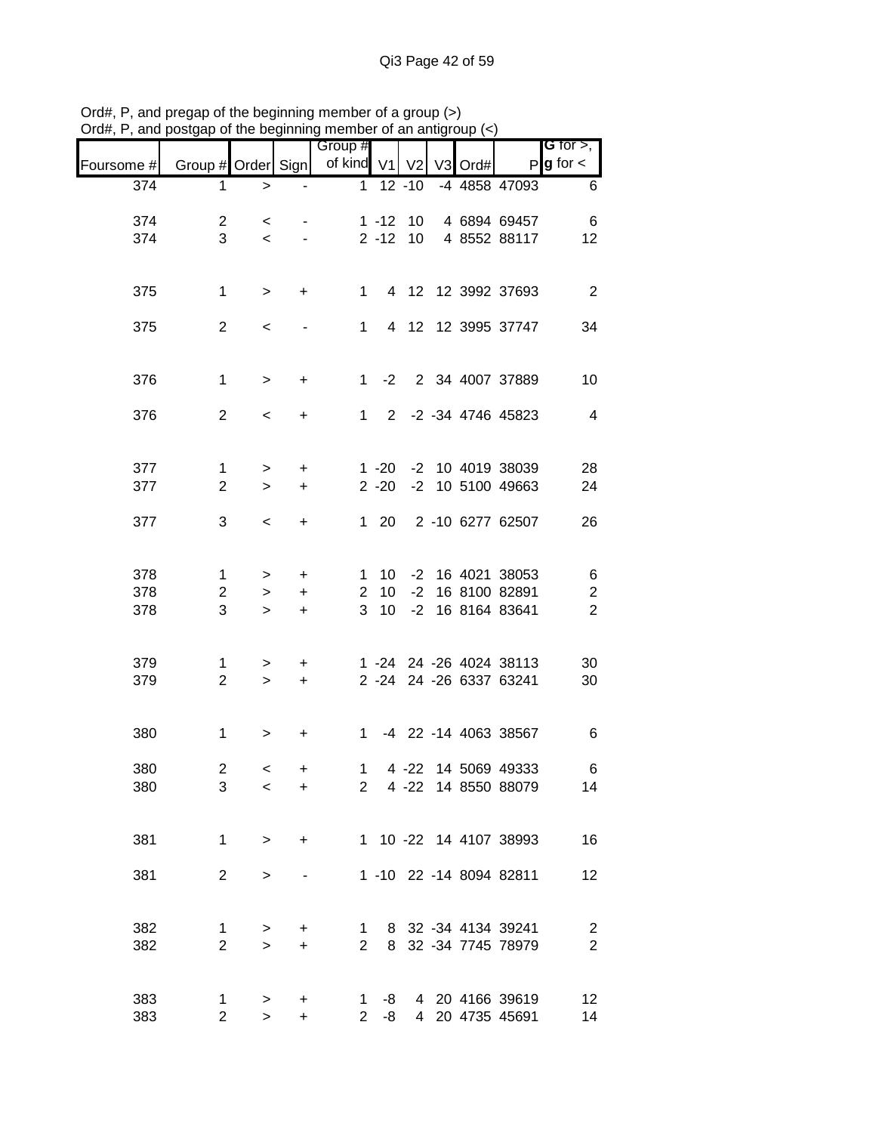|                  | $\frac{1}{2}$ and postgap of the beginning member of an antigroup $\langle \cdot \rangle$ |                          |                  | Group #                        |                                 |                     |  |                                            | <b>G</b> for $>$ ,                          |
|------------------|-------------------------------------------------------------------------------------------|--------------------------|------------------|--------------------------------|---------------------------------|---------------------|--|--------------------------------------------|---------------------------------------------|
| Foursome #       | Group # Order Sign                                                                        |                          |                  | of kind V1 V2 V3 Ord#          |                                 |                     |  |                                            | $P$ <b>g</b> for $\lt$                      |
| $\overline{374}$ | 1                                                                                         | $\,>$                    |                  | $\mathbf{1}$                   |                                 | $\overline{12}$ -10 |  | -4 4858 47093                              | $\,6\,$                                     |
| 374              | $\overline{2}$                                                                            | $\prec$                  |                  |                                |                                 | $1 - 12$ 10         |  | 4 6894 69457                               | 6                                           |
| 374              | 3                                                                                         | $\overline{\phantom{0}}$ |                  |                                |                                 |                     |  | 2 -12 10 4 8552 88117                      | 12                                          |
|                  |                                                                                           |                          |                  |                                |                                 |                     |  |                                            |                                             |
| 375              | $\mathbf{1}$                                                                              | $\geq$                   | $+$              |                                |                                 |                     |  | 1 4 12 12 3992 37693                       | $\overline{2}$                              |
| 375              | $\overline{2}$                                                                            | $\,<\,$                  |                  | 1                              |                                 |                     |  | 4 12 12 3995 37747                         | 34                                          |
|                  |                                                                                           |                          |                  |                                |                                 |                     |  |                                            |                                             |
| 376              | $\mathbf{1}$                                                                              | $\,>$                    | $\ddot{}$        |                                |                                 |                     |  | 1 -2 2 34 4007 37889                       | 10                                          |
| 376              | $\overline{2}$                                                                            | $\prec$                  | $\ddot{}$        |                                |                                 |                     |  | 1 2 -2 -34 4746 45823                      | $\overline{4}$                              |
|                  |                                                                                           |                          |                  |                                |                                 |                     |  |                                            |                                             |
| 377              | $\mathbf{1}$                                                                              | $\geq$                   | $\ddot{}$        |                                |                                 |                     |  | 1 -20 -2 10 4019 38039                     | 28                                          |
| 377              | $\overline{2}$                                                                            | $\geq$                   | $\ddot{}$        |                                | $2 - 20$                        |                     |  | -2 10 5100 49663                           | 24                                          |
| 377              | 3                                                                                         | $\overline{\phantom{0}}$ | $+$              |                                | $1 \quad 20$                    |                     |  | 2 -10 6277 62507                           | 26                                          |
|                  |                                                                                           |                          |                  |                                |                                 |                     |  |                                            |                                             |
| 378              | $\mathbf{1}$                                                                              | $\, > \,$                | $+$              |                                |                                 |                     |  | 1 10 -2 16 4021 38053                      | 6                                           |
| 378<br>378       | $\overline{2}$<br>3                                                                       | $\geq$<br>$\geq$         | $+$<br>$\ddot{}$ | 3                              | $2 \quad 10$<br>10 <sup>1</sup> |                     |  | -2 16 8100 82891<br>-2 16 8164 83641       | $\overline{\mathbf{c}}$<br>$\boldsymbol{2}$ |
|                  |                                                                                           |                          |                  |                                |                                 |                     |  |                                            |                                             |
| 379              | $\mathbf 1$                                                                               | $\geq$                   | $+$              |                                |                                 |                     |  | 1 -24 24 -26 4024 38113                    | 30                                          |
| 379              | $\overline{2}$                                                                            | $\geq$                   | $+$              |                                |                                 |                     |  | 2 -24 24 -26 6337 63241                    | 30                                          |
|                  |                                                                                           |                          |                  |                                |                                 |                     |  |                                            |                                             |
| 380              | $\mathbf{1}$                                                                              | $\, > \,$                | $\ddot{}$        |                                |                                 |                     |  | 1 -4 22 -14 4063 38567                     | $\,6$                                       |
| 380              | $\mathbf{2}$                                                                              | $\lt$                    | +                | 1                              |                                 |                     |  | 4 -22 14 5069 49333                        | 6                                           |
| 380              | 3                                                                                         | $\,<\,$                  | $\ddot{}$        |                                |                                 |                     |  | 2 4 -22 14 8550 88079                      | 14                                          |
|                  |                                                                                           |                          |                  |                                |                                 |                     |  |                                            |                                             |
| 381              | $\mathbf{1}$                                                                              | $\geq$                   | $\ddot{}$        |                                |                                 |                     |  | 1 10 -22 14 4107 38993                     | 16                                          |
| 381              | $\overline{2}$                                                                            | $\, > \,$                |                  |                                |                                 |                     |  | 1 -10 22 -14 8094 82811                    | 12                                          |
|                  |                                                                                           |                          |                  |                                |                                 |                     |  |                                            |                                             |
| 382              | $\mathbf{1}$<br>$\overline{2}$                                                            | >                        | +                | $\mathbf{1}$<br>$\overline{2}$ |                                 |                     |  | 8 32 -34 4134 39241<br>8 32 -34 7745 78979 | $\overline{c}$<br>$\overline{2}$            |
| 382              |                                                                                           | $\geq$                   | $\ddot{}$        |                                |                                 |                     |  |                                            |                                             |
| 383              | 1                                                                                         | $\geq$                   | +                |                                | $1 - 8$                         |                     |  | 4 20 4166 39619                            | 12                                          |
| 383              | $\overline{2}$                                                                            | $\geq$                   | $\ddot{}$        | $\overline{2}$                 | -8                              |                     |  | 4 20 4735 45691                            | 14                                          |

Ord#, P, and pregap of the beginning member of a group (>) Ord#, P, and postgap of the beginning member of an antigroup (<)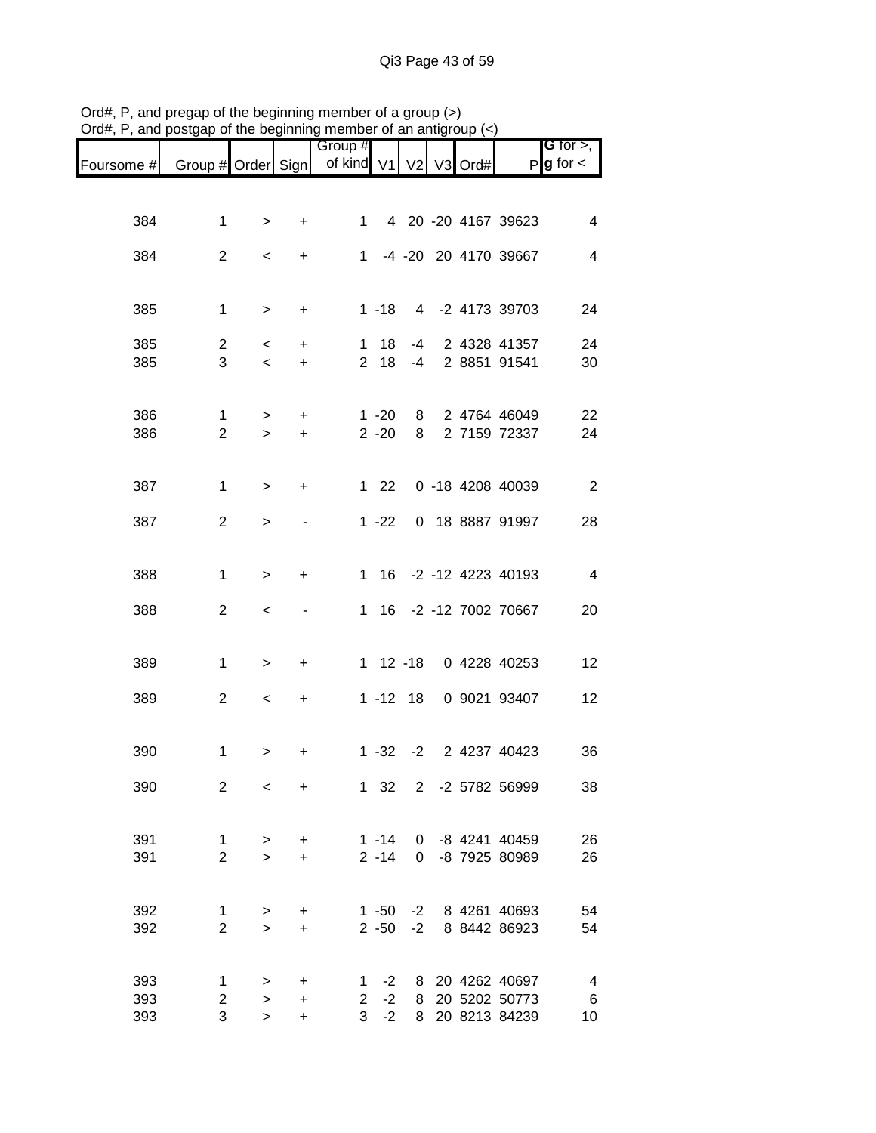|            |                                |                          |                        | Group #           |                      |             |                |      |                                    | G for $>$ ,             |
|------------|--------------------------------|--------------------------|------------------------|-------------------|----------------------|-------------|----------------|------|------------------------------------|-------------------------|
| Foursome # | Group # Order Sign             |                          |                        | of kind V1 V2     |                      |             | V <sub>3</sub> | Ord# |                                    | $P g$ for $\lt$         |
|            |                                |                          |                        |                   |                      |             |                |      |                                    |                         |
|            |                                |                          |                        |                   |                      |             |                |      |                                    |                         |
| 384        | 1                              | >                        | +                      | 1.                |                      |             |                |      | 4 20 -20 4167 39623                | $\overline{\mathbf{4}}$ |
| 384        | $\overline{2}$                 | $\,<\,$                  | $\ddot{}$              | 1                 |                      |             |                |      | -4 -20 20 4170 39667               | 4                       |
|            |                                |                          |                        |                   |                      |             |                |      |                                    |                         |
|            |                                |                          |                        |                   |                      |             |                |      |                                    |                         |
| 385        | 1                              | $\, >$                   | +                      |                   | $1 - 18$             |             |                |      | 4 -2 4173 39703                    | 24                      |
| 385        | 2                              | $\overline{\phantom{0}}$ | +                      | 1                 | 18                   | -4          |                |      | 2 4328 41357                       | 24                      |
| 385        | 3                              | $\overline{\phantom{0}}$ | $\ddot{}$              |                   | 2 18                 | -4          |                |      | 2 8851 91541                       | 30                      |
|            |                                |                          |                        |                   |                      |             |                |      |                                    |                         |
| 386        | 1                              | $\geq$                   | +                      |                   | $1 - 20$             | 8           |                |      | 2 4764 46049                       | 22                      |
| 386        | $\overline{2}$                 | $\geq$                   | $\ddot{}$              |                   | $2 - 20$             | 8           |                |      | 2 7159 72337                       | 24                      |
|            |                                |                          |                        |                   |                      |             |                |      |                                    |                         |
|            |                                |                          |                        |                   |                      |             |                |      |                                    |                         |
| 387        | 1                              | $\geq$                   | +                      |                   | $122$                |             |                |      | 0 -18 4208 40039                   | $\overline{2}$          |
| 387        | $\overline{2}$                 | >                        |                        |                   | $1 - 22$             |             |                |      | 0 18 8887 91997                    | 28                      |
|            |                                |                          |                        |                   |                      |             |                |      |                                    |                         |
|            |                                |                          |                        |                   |                      |             |                |      | 1 16 -2 -12 4223 40193             | $\overline{4}$          |
| 388        | 1                              | $\, > \,$                | +                      |                   |                      |             |                |      |                                    |                         |
| 388        | $\overline{2}$                 | $\,<\,$                  |                        |                   |                      |             |                |      | 1 16 -2 -12 7002 70667             | 20                      |
|            |                                |                          |                        |                   |                      |             |                |      |                                    |                         |
|            |                                |                          |                        |                   |                      |             |                |      | 0 4228 40253                       |                         |
| 389        | 1                              | $\, >$                   | +                      |                   |                      | 1 12 -18    |                |      |                                    | 12                      |
| 389        | $\overline{c}$                 | $\,<$                    | $\pmb{+}$              |                   |                      | $1 - 12$ 18 |                |      | 0 9021 93407                       | 12                      |
|            |                                |                          |                        |                   |                      |             |                |      |                                    |                         |
|            |                                |                          |                        |                   |                      |             |                |      |                                    |                         |
| 390        | 1                              | >                        | +                      |                   | $1 - 32$             | $-2$        |                |      | 2 4237 40423                       | 36                      |
| 390        | $\overline{2}$                 | $\,<$                    | $\ddot{}$              |                   | $1 \quad 32$         | $2^{\circ}$ |                |      | -2 5782 56999                      | 38                      |
|            |                                |                          |                        |                   |                      |             |                |      |                                    |                         |
|            |                                |                          |                        |                   |                      |             |                |      |                                    |                         |
| 391<br>391 | $\mathbf{1}$<br>$\overline{2}$ | $\geq$<br>$\geq$         | $\ddot{}$<br>$\ddot{}$ |                   | $1 - 14$<br>$2 - 14$ |             |                |      | 0 -8 4241 40459<br>0 -8 7925 80989 | 26<br>26                |
|            |                                |                          |                        |                   |                      |             |                |      |                                    |                         |
|            |                                |                          |                        |                   |                      |             |                |      |                                    |                         |
| 392        | 1                              | >                        | +                      |                   | $1 - 50$             | $-2$        |                |      | -2 8 4261 40693                    | 54                      |
| 392        | $\overline{2}$                 | $\geq$                   | $\ddot{}$              |                   | $2 - 50$             |             |                |      | 8 8442 86923                       | 54                      |
|            |                                |                          |                        |                   |                      |             |                |      |                                    |                         |
| 393        | 1                              | >                        | +                      | 1                 | $-2$                 |             |                |      | 8 20 4262 40697                    | $\overline{4}$          |
| 393<br>393 | $\overline{c}$<br>3            | $\,$<br>$\geq$           | $\ddot{}$<br>+         | $\mathbf{2}$<br>3 | $-2$<br>$-2$         | 8<br>8      |                |      | 20 5202 50773<br>20 8213 84239     | $\,6$<br>10             |
|            |                                |                          |                        |                   |                      |             |                |      |                                    |                         |

Ord#, P, and pregap of the beginning member of a group (>) Ord#, P, and postgap of the beginning member of an antigroup (<)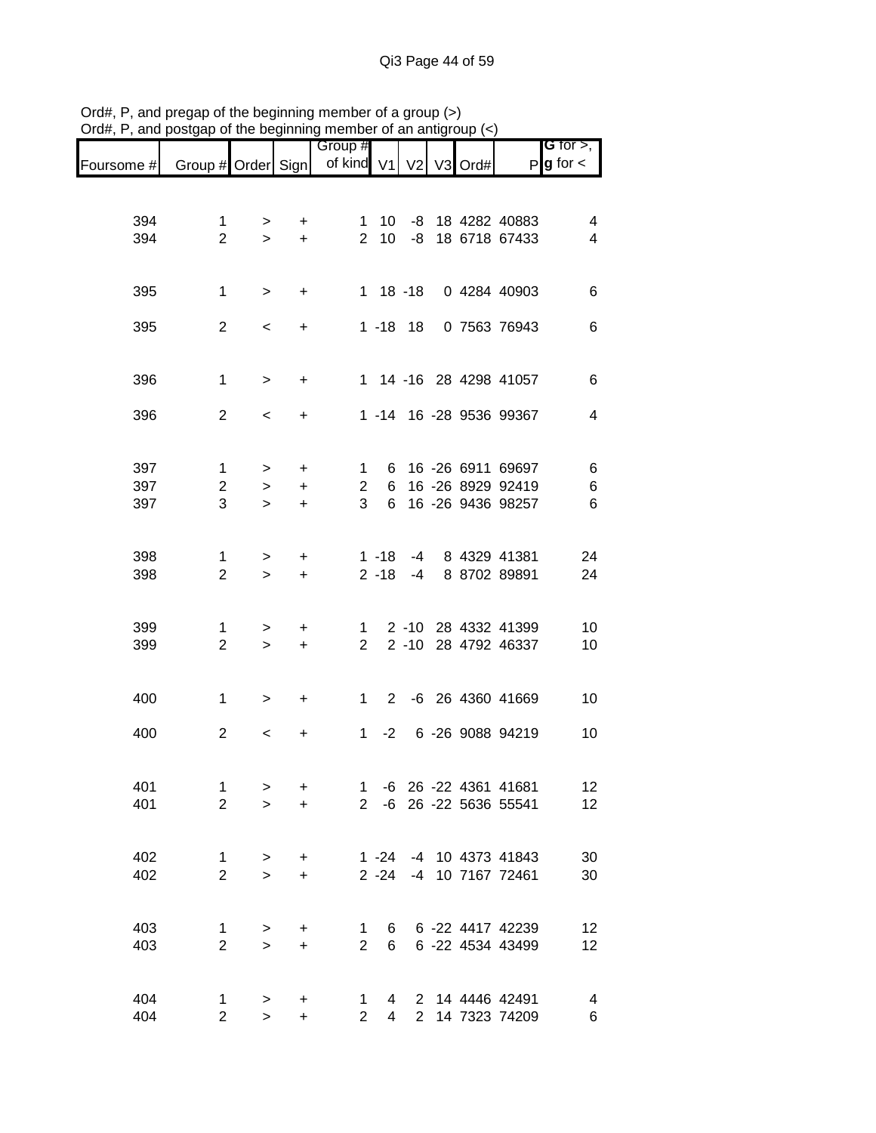|            | boorder of the beginning member of an anagroup $(\gamma)$ |              |           |                                  |                |             |  |                         |                                              |
|------------|-----------------------------------------------------------|--------------|-----------|----------------------------------|----------------|-------------|--|-------------------------|----------------------------------------------|
| Foursome # | Group # Order Sign                                        |              |           | Group #<br>of kind V1 V2 V3 Ord# |                |             |  |                         | <b>G</b> for $>$ ,<br>$P$ <b>g</b> for $\lt$ |
|            |                                                           |              |           |                                  |                |             |  |                         |                                              |
| 394        | 1                                                         | ➤            | +         |                                  | 1 10           |             |  | -8 18 4282 40883        | 4                                            |
| 394        | $\overline{2}$                                            | $\geq$       | $+$       |                                  |                |             |  | 2 10 -8 18 6718 67433   | 4                                            |
|            |                                                           |              |           |                                  |                |             |  |                         |                                              |
| 395        | 1                                                         | $\,>$        | $\ddot{}$ |                                  |                |             |  | 1 18 -18 0 4284 40903   | 6                                            |
|            |                                                           |              |           |                                  |                |             |  |                         |                                              |
| 395        | $\overline{2}$                                            | $\,<\,$      | $\ddot{}$ |                                  |                | $1 - 18$ 18 |  | 0 7563 76943            | 6                                            |
|            |                                                           |              |           |                                  |                |             |  |                         |                                              |
| 396        | $\mathbf{1}$                                              | $\geq$       | $\ddot{}$ |                                  |                |             |  | 1 14 -16 28 4298 41057  | 6                                            |
| 396        | $\overline{2}$                                            | $\,<\,$      | $\ddot{}$ |                                  |                |             |  | 1 -14 16 -28 9536 99367 | 4                                            |
|            |                                                           |              |           |                                  |                |             |  |                         |                                              |
|            |                                                           |              |           |                                  |                |             |  |                         |                                              |
| 397        | 1                                                         | $\, > \,$    | +         | 1                                |                |             |  | 6 16 -26 6911 69697     | 6                                            |
| 397        | 2                                                         | $\geq$       | $\ddot{}$ | $\overline{2}$                   |                |             |  | 6 16 -26 8929 92419     | 6                                            |
| 397        | 3                                                         | $\geq$       | $+$       | 3 <sup>1</sup>                   | 6              |             |  | 16 -26 9436 98257       | 6                                            |
|            |                                                           |              |           |                                  |                |             |  |                         |                                              |
| 398        | 1                                                         | >            | +         |                                  |                |             |  | 1 -18 -4 8 4329 41381   | 24                                           |
| 398        | $\overline{2}$                                            | $\geq$       | $+$       |                                  | $2 - 18$       | $-4$        |  | 8 8702 89891            | 24                                           |
|            |                                                           |              |           |                                  |                |             |  |                         |                                              |
| 399        | 1                                                         | >            | $\ddot{}$ | $1 \quad$                        |                |             |  | 2 -10 28 4332 41399     | 10                                           |
| 399        | $\overline{2}$                                            | $\geq$       | $+$       | $2^{\circ}$                      |                |             |  | 2 -10 28 4792 46337     | 10                                           |
|            |                                                           |              |           |                                  |                |             |  |                         |                                              |
| 400        | 1                                                         | >            | $\ddot{}$ |                                  |                |             |  | 1 2 -6 26 4360 41669    | 10                                           |
|            |                                                           |              |           |                                  |                |             |  |                         |                                              |
| 400        | $\overline{2}$                                            | $\,<\,$      | $\ddot{}$ |                                  | $1 -2$         |             |  | 6 -26 9088 94219        | 10                                           |
|            |                                                           |              |           |                                  |                |             |  |                         |                                              |
| 401        | 1                                                         | >            | +         | $1 \quad$                        |                |             |  | -6 26 -22 4361 41681    | 12                                           |
| 401        | $\overline{c}$                                            | $\geq$       | $\ddot{}$ |                                  |                |             |  | 2 -6 26 -22 5636 55541  | 12                                           |
|            |                                                           |              |           |                                  |                |             |  |                         |                                              |
|            |                                                           |              |           |                                  |                |             |  | 1 -24 -4 10 4373 41843  |                                              |
| 402        | 1<br>$\overline{2}$                                       | $\mathbf{L}$ | $\ddot{}$ |                                  |                |             |  | -4 10 7167 72461        | 30                                           |
| 402        |                                                           | $\mathbf{L}$ | $\ddot{}$ |                                  | $2 - 24$       |             |  |                         | 30                                           |
|            |                                                           |              |           |                                  |                |             |  |                         |                                              |
| 403        | 1                                                         | $\,$         | +         | 1                                | 6              |             |  | 6 -22 4417 42239        | 12                                           |
| 403        | $\overline{2}$                                            | $\geq$       | $\ddot{}$ | $\overline{2}$                   | 6              |             |  | 6 -22 4534 43499        | 12                                           |
|            |                                                           |              |           |                                  |                |             |  |                         |                                              |
| 404        | 1                                                         | >            | +         | 1                                | 4              |             |  | 2 14 4446 42491         | 4                                            |
| 404        | $\overline{2}$                                            | $\geq$       | $\ddot{}$ | $\overline{2}$                   | $\overline{4}$ |             |  | 2 14 7323 74209         | $6\phantom{1}$                               |

Ord#, P, and pregap of the beginning member of a group (>) Ord#, P, and postgap of the beginning member of an antigroup (<)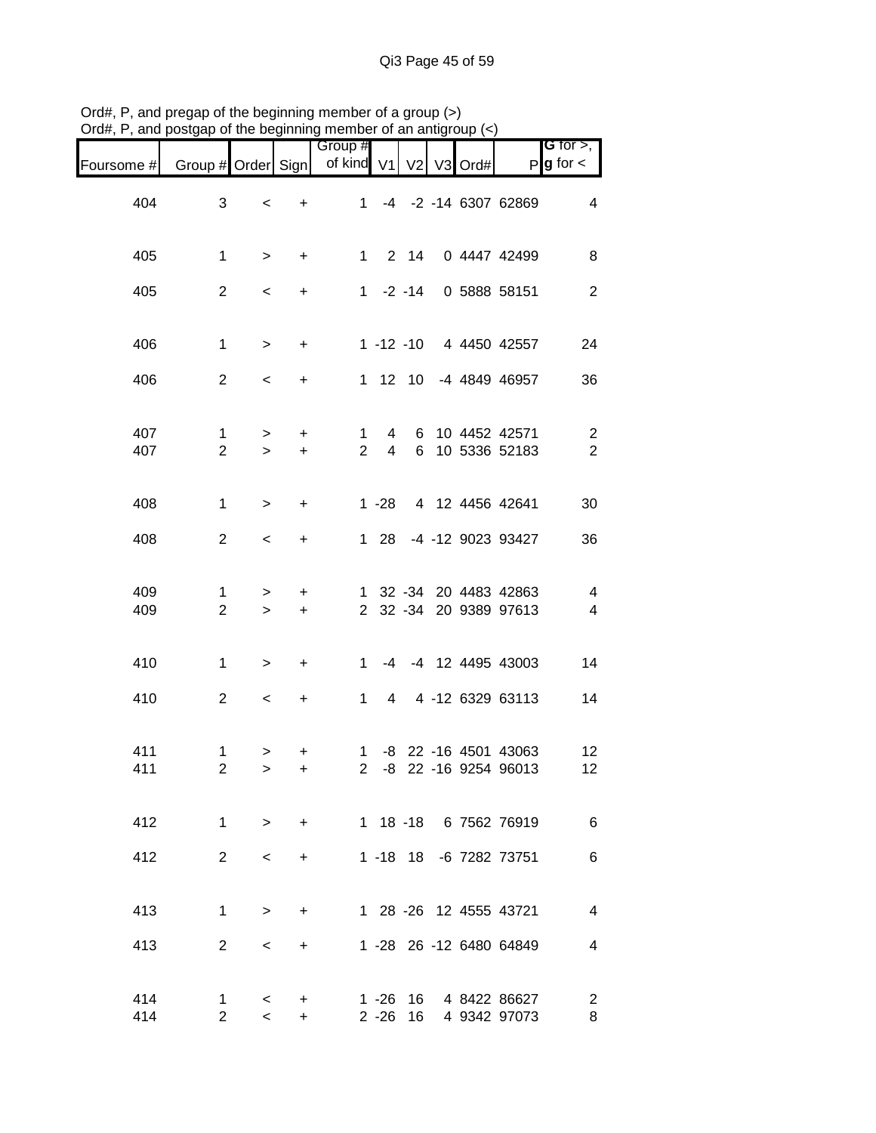|            |                                | .                        |                  | 110111001010101101101101    |          |             |      |                                                  |                                              |
|------------|--------------------------------|--------------------------|------------------|-----------------------------|----------|-------------|------|--------------------------------------------------|----------------------------------------------|
| Foursome # | Group # Order Sign             |                          |                  | Group #<br>of kind V1 V2 V3 |          |             | Ord# |                                                  | <b>G</b> for $>$ ,<br>$P$ <b>g</b> for $\lt$ |
| 404        | 3                              | $\overline{\phantom{a}}$ | $\ddot{}$        |                             |          |             |      | 1 -4 -2 -14 6307 62869                           | $\overline{4}$                               |
| 405        | $\mathbf{1}$                   | $\geq$                   | $+$              |                             |          |             |      | 1 2 14 0 4447 42499                              | $\, 8$                                       |
| 405        | $\overline{2}$                 | $\overline{\phantom{0}}$ | $\ddot{}$        |                             |          |             |      | 1 -2 -14 0 5888 58151                            | $\overline{c}$                               |
| 406        | $\mathbf{1}$                   | $\,>$                    | $\ddot{}$        |                             |          |             |      | 1 -12 -10 4 4450 42557                           | 24                                           |
| 406        | $\overline{2}$                 | $\overline{\phantom{a}}$ | $\ddot{}$        |                             |          |             |      | 1 12 10 -4 4849 46957                            | 36                                           |
| 407<br>407 | $\mathbf{1}$<br>$\overline{2}$ | ><br>$\geq$              | $+$<br>$\ddot{}$ | $\mathbf{1}$                |          |             |      | 4 6 10 4452 42571<br>2 4 6 10 5336 52183         | $\overline{c}$<br>$\overline{c}$             |
| 408        | $\mathbf{1}$                   | $\,>$                    | $\ddot{}$        |                             |          |             |      | 1 -28 4 12 4456 42641                            | 30                                           |
| 408        | $\overline{2}$                 | $\overline{\phantom{a}}$ | $+$              |                             | $128$    |             |      | -4 -12 9023 93427                                | 36                                           |
| 409<br>409 | 1<br>$\overline{2}$            | $\geq$<br>$\geq$         | $\ddot{}$<br>$+$ |                             |          |             |      | 1 32 -34 20 4483 42863<br>2 32 -34 20 9389 97613 | $\overline{4}$<br>$\overline{4}$             |
| 410        | $\mathbf{1}$                   | $\, >$                   | $\ddot{}$        |                             |          |             |      | 1 -4 -4 12 4495 43003                            | 14                                           |
| 410        | $\overline{2}$                 | $\overline{\phantom{a}}$ | $+$              |                             |          |             |      | 1 4 4 -12 6329 63113                             | 14                                           |
| 411<br>411 | 1<br>$\overline{c}$            | $\geq$<br>$\, >$         | +<br>+           | $\overline{a}$              |          |             |      | 1 -8 22 -16 4501 43063<br>-8 22 -16 9254 96013   | 12<br>12                                     |
| 412        | $\mathbf{1}$                   | $\geq$                   | $\ddot{}$        |                             |          |             |      | 1 18 -18 6 7562 76919                            | $\,6$                                        |
| 412        | $\overline{2}$                 | $\,<\,$                  | $\ddot{}$        |                             |          | $1 - 18$ 18 |      | -6 7282 73751                                    | 6                                            |
| 413        | $\mathbf{1}$                   | $\, > \,$                | $\ddot{}$        |                             |          |             |      | 1 28 -26 12 4555 43721                           | 4                                            |
| 413        | $\overline{2}$                 | $\,<\,$                  | +                |                             |          |             |      | 1 -28 26 -12 6480 64849                          | 4                                            |
| 414<br>414 | $\mathbf 1$<br>$\overline{2}$  | $\lt$<br>$\prec$         | +<br>$\ddot{}$   |                             | $2 - 26$ | 16          |      | 1 -26 16 4 8422 86627<br>4 9342 97073            | $\overline{c}$<br>8                          |

Ord#, P, and pregap of the beginning member of a group (>) Ord#, P, and postgap of the beginning member of an antigroup (<)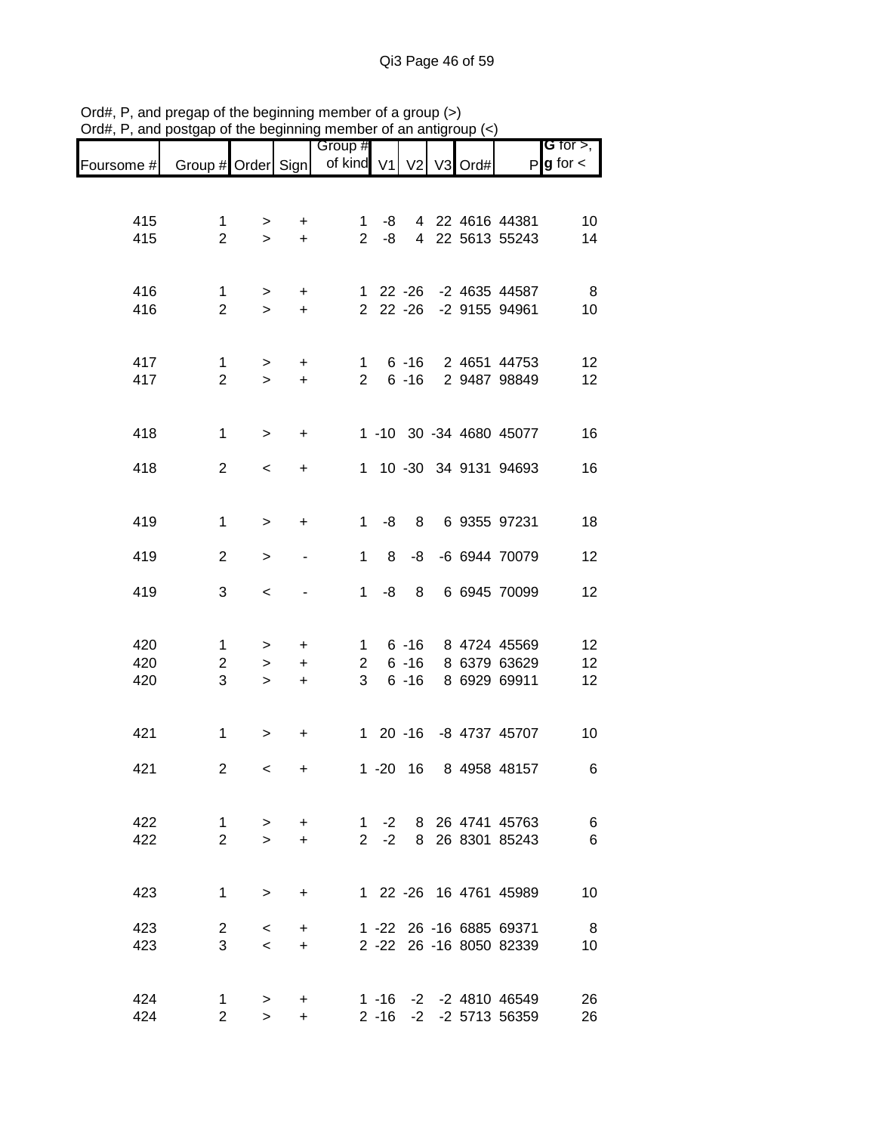|                                                           |                     |                          | .   .            | Group #        |             |          |  |                                            | <b>G</b> for $>$ , $\overline{\phantom{a}}$ |
|-----------------------------------------------------------|---------------------|--------------------------|------------------|----------------|-------------|----------|--|--------------------------------------------|---------------------------------------------|
| Foursome # Group # Order Sign   of kind V1   V2   V3 Ord# |                     |                          |                  |                |             |          |  |                                            | $P$ <b>g</b> for $\lt$                      |
|                                                           |                     |                          |                  |                |             |          |  |                                            |                                             |
| 415                                                       | 1                   | >                        | $+$              |                | 1 -8        |          |  | 4 22 4616 44381                            | 10                                          |
| 415                                                       | $\overline{2}$      | $\geq$                   | $+$              |                | $2 -8$      |          |  | 4 22 5613 55243                            | 14                                          |
|                                                           |                     |                          |                  |                |             |          |  |                                            |                                             |
| 416                                                       | 1                   | >                        | $+$              |                |             |          |  | 1 22 -26 -2 4635 44587                     | 8 <sup>8</sup>                              |
| 416                                                       | $\overline{2}$      | $\geq$                   | $+$              |                |             |          |  | 2 22 -26 -2 9155 94961                     | 10                                          |
|                                                           |                     |                          |                  |                |             |          |  |                                            |                                             |
| 417                                                       | $\mathbf{1}$        | $\geq$                   | $+$              |                |             |          |  | 1 6 -16 2 4651 44753                       | 12                                          |
| 417                                                       | $\overline{2}$      | $\geq$                   | $+$              |                |             |          |  | 2 6 -16 2 9487 98849                       | 12 <sub>2</sub>                             |
|                                                           |                     |                          |                  |                |             |          |  |                                            |                                             |
| 418                                                       | 1                   | $\geq$                   | $+$              |                |             |          |  | 1 -10 30 -34 4680 45077                    | 16                                          |
| 418                                                       | $\overline{2}$      | $\overline{\phantom{a}}$ | $+$              |                |             |          |  | 1 10 -30 34 9131 94693                     | 16                                          |
|                                                           |                     |                          |                  |                |             |          |  |                                            |                                             |
|                                                           |                     |                          |                  |                |             |          |  |                                            |                                             |
| 419                                                       | 1                   | $\,>$                    | $+$              |                |             |          |  | 1 -8 8 6 9355 97231                        | 18                                          |
| 419                                                       | $\overline{2}$      | $\,>$                    | $\blacksquare$   |                | $1 \quad 8$ | -8       |  | -6 6944 70079                              | 12                                          |
| 419                                                       | 3                   | $\,<$                    |                  |                | $1 - 8$     | 8        |  | 6 6945 70099                               | 12                                          |
|                                                           |                     |                          |                  |                |             |          |  |                                            |                                             |
|                                                           |                     |                          |                  |                |             |          |  |                                            |                                             |
| 420<br>420                                                | 1<br>$\overline{2}$ | $\geq$<br>$\geq$         | $\ddot{}$<br>$+$ | 2 <sup>7</sup> |             |          |  | 1 6 -16 8 4724 45569<br>6 -16 8 6379 63629 | 12<br>12                                    |
| 420                                                       | 3                   | $\geq$                   | $+$              | 3 <sup>7</sup> |             | $6 - 16$ |  | 8 6929 69911                               | 12                                          |
|                                                           |                     |                          |                  |                |             |          |  |                                            |                                             |
| 421                                                       | $\mathbf{1}$        | $\geq$                   | $\ddot{}$        |                |             |          |  | 1 20 -16 -8 4737 45707                     | 10                                          |
|                                                           |                     |                          |                  |                |             |          |  |                                            |                                             |
| 421                                                       | $\overline{2}$      | $\,<$                    | +                |                |             | 1 -20 16 |  | 8 4958 48157                               | 6                                           |
|                                                           |                     |                          |                  |                |             |          |  |                                            |                                             |
| 422                                                       | 1.                  | >                        | $+$              |                |             |          |  | 1 -2 8 26 4741 45763                       | 6                                           |
| 422                                                       | $\overline{2}$      | $\geq$                   | $+$              |                |             |          |  | 2 -2 8 26 8301 85243                       | 6                                           |
|                                                           |                     |                          |                  |                |             |          |  |                                            |                                             |
| 423                                                       | $\mathbf{1}$        | $\geq$                   | $+$              |                |             |          |  | 1 22 -26 16 4761 45989                     | 10                                          |
| 423                                                       | $\overline{2}$      | $\overline{\phantom{0}}$ | +                |                |             |          |  | 1 -22 26 -16 6885 69371                    | 8                                           |
| 423                                                       | 3                   | $\prec$                  | $+$              |                |             |          |  | 2 -22 26 -16 8050 82339                    | 10                                          |
|                                                           |                     |                          |                  |                |             |          |  |                                            |                                             |
| 424                                                       | 1                   | >                        | +                |                |             |          |  | 1 -16 -2 -2 4810 46549                     | 26                                          |
| 424                                                       | $\overline{2}$      | $\geq$                   | $\ddot{}$        |                |             |          |  | 2 -16 -2 -2 5713 56359                     | 26                                          |

Ord#, P, and pregap of the beginning member of a group (>) Ord#, P, and postgap of the beginning member of an antigroup (<)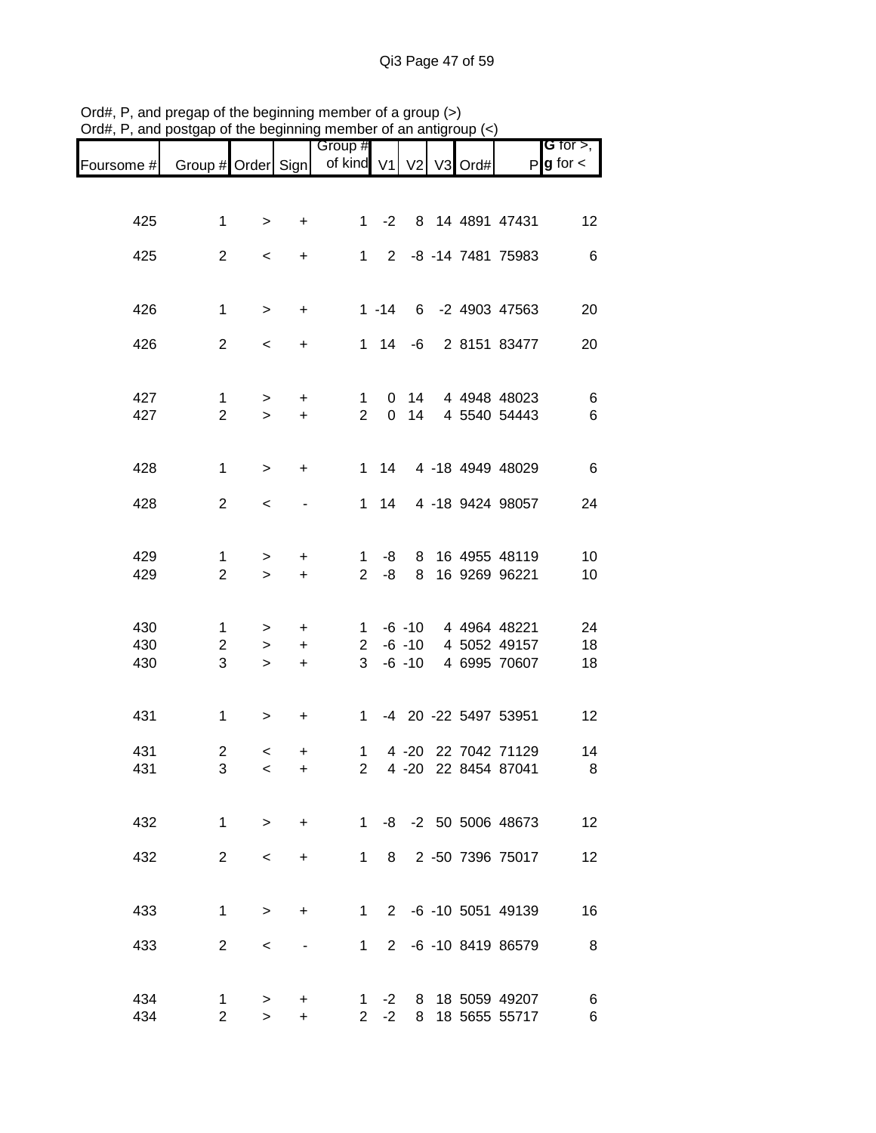|            |                              |                          |                | Group #                        |                |                |         |                                      | <b>G</b> for $>$ , |
|------------|------------------------------|--------------------------|----------------|--------------------------------|----------------|----------------|---------|--------------------------------------|--------------------|
| Foursome # | Group # Order Sign           |                          |                | of kind V1                     |                | V <sub>2</sub> | V3 Ord# |                                      | $P g$ for $\lt$    |
|            |                              |                          |                |                                |                |                |         |                                      |                    |
| 425        | $\mathbf{1}$                 | $\,>$                    | +              | $\mathbf{1}$                   | $-2$           |                |         | 8 14 4891 47431                      | 12                 |
|            |                              |                          |                |                                |                |                |         |                                      |                    |
| 425        | $\overline{2}$               | $\,<$                    | +              | 1                              | $\overline{2}$ |                |         | -8 -14 7481 75983                    | $\,6$              |
|            |                              |                          |                |                                |                |                |         |                                      |                    |
| 426        | 1                            | $\, >$                   | +              |                                | $1 - 14$       |                |         | 6 -2 4903 47563                      | 20                 |
|            |                              |                          |                |                                |                |                |         |                                      |                    |
| 426        | $\overline{2}$               | $\,<$                    | +              |                                | $1 \quad 14$   | -6             |         | 2 8151 83477                         | 20                 |
|            |                              |                          |                |                                |                |                |         |                                      |                    |
| 427        | 1                            | $\, > \,$                | $\ddot{}$      | $\mathbf{1}$                   | 0              | 14             |         | 4 4948 48023                         | $\,6$              |
| 427        | $\overline{2}$               | $\geq$                   | $\ddot{}$      | 2 <sup>1</sup>                 | $\overline{0}$ | 14             |         | 4 5540 54443                         | $\,6$              |
|            |                              |                          |                |                                |                |                |         |                                      |                    |
| 428        | $\mathbf{1}$                 | $\,>$                    | $\ddot{}$      | 1                              | 14             |                |         | 4 -18 4949 48029                     | $\,6$              |
|            |                              |                          |                |                                |                |                |         |                                      |                    |
| 428        | $\overline{2}$               | $\,<$                    |                |                                | $1 \quad 14$   |                |         | 4 -18 9424 98057                     | 24                 |
|            |                              |                          |                |                                |                |                |         |                                      |                    |
| 429        | 1                            | $\geq$                   | $\ddot{}$      | $\mathbf{1}$                   | -8             |                |         | 8 16 4955 48119                      | 10                 |
| 429        | $\overline{2}$               | $\geq$                   | $\ddot{}$      | $\overline{2}$                 | -8             | 8              |         | 16 9269 96221                        | 10                 |
|            |                              |                          |                |                                |                |                |         |                                      |                    |
| 430        | 1                            | $\, > \,$                | +              | $\mathbf{1}$                   |                | $-6 - 10$      |         | 4 4964 48221                         | 24                 |
| 430        | $\overline{\mathbf{c}}$      | $\,>$                    | $\ddot{}$      | $\overline{2}$                 |                | $-6 - 10$      |         | 4 5052 49157                         | 18                 |
| 430        | $\sqrt{3}$                   | $\geq$                   | $\ddot{}$      | 3                              |                | $-6 - 10$      |         | 4 6995 70607                         | 18                 |
|            |                              |                          |                |                                |                |                |         |                                      |                    |
| 431        | $\mathbf{1}$                 | $\, >$                   | $\ddot{}$      | $\mathbf{1}$                   |                |                |         | -4 20 -22 5497 53951                 | 12                 |
|            |                              |                          |                |                                |                |                |         |                                      |                    |
| 431<br>431 | $\overline{\mathbf{c}}$<br>3 | <<br>$\prec$             | +<br>$\ddot{}$ | $\mathbf{1}$<br>$\overline{2}$ |                | $4 - 20$       |         | 4 -20 22 7042 71129<br>22 8454 87041 | 14<br>8            |
|            |                              |                          |                |                                |                |                |         |                                      |                    |
|            |                              |                          |                |                                |                |                |         |                                      |                    |
| 432        | $\mathbf{1}$                 | $\geq$                   | $+$            |                                |                |                |         | 1 -8 -2 50 5006 48673                | 12                 |
| 432        | $\overline{2}$               | $\overline{\phantom{0}}$ | $\ddot{}$      | 1                              | 8              |                |         | 2 -50 7396 75017                     | 12                 |
|            |                              |                          |                |                                |                |                |         |                                      |                    |
|            |                              |                          |                |                                |                |                |         |                                      |                    |
| 433        | 1                            | $\geq$                   | $\ddot{}$      | 1                              |                |                |         | 2 -6 -10 5051 49139                  | 16                 |
| 433        | 2                            | $\,<\,$                  |                | 1                              | $2^{\circ}$    |                |         | -6 -10 8419 86579                    | 8                  |
|            |                              |                          |                |                                |                |                |         |                                      |                    |
| 434        | 1                            | >                        | +              | 1                              | $-2$           | 8              |         | 18 5059 49207                        | 6                  |
| 434        | $\overline{2}$               | $\geq$                   | +              | 2                              | $-2$           | 8              |         | 18 5655 55717                        | 6                  |

Ord#, P, and pregap of the beginning member of a group (>) Ord#, P, and postgap of the beginning member of an antigroup (<)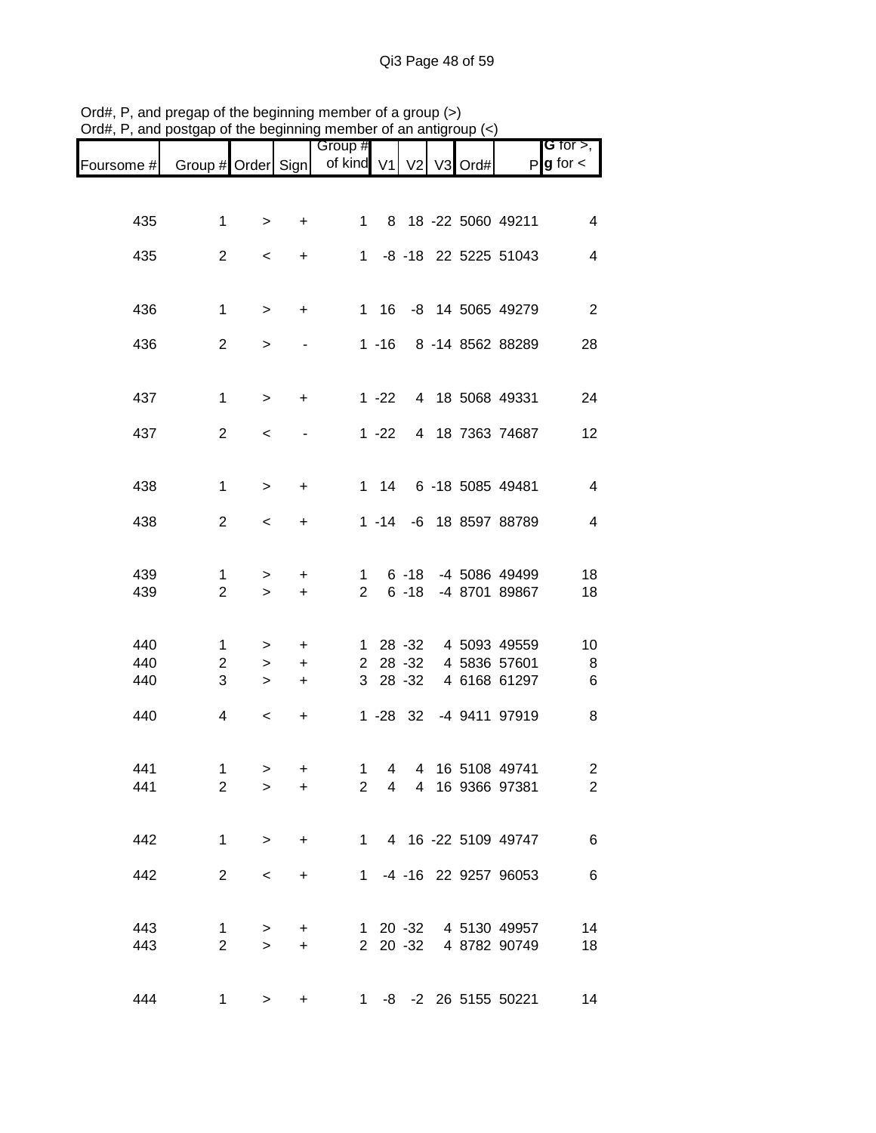|            |                     |                          |                        | Group #             |                |                       |         |                                       | <b>G</b> for $>$ ,       |
|------------|---------------------|--------------------------|------------------------|---------------------|----------------|-----------------------|---------|---------------------------------------|--------------------------|
| Foursome # | Group # Order Sign  |                          |                        | of kind V1 V2       |                |                       | V3 Ord# | P                                     | $g$ for $\lt$            |
|            |                     |                          |                        |                     |                |                       |         |                                       |                          |
| 435        | $\mathbf 1$         | $\, > \,$                | $\ddot{}$              | 1                   |                |                       |         | 8 18 -22 5060 49211                   | $\overline{\mathcal{A}}$ |
| 435        | $\overline{2}$      | $\,<\,$                  | $\ddot{}$              |                     |                |                       |         | 1 -8 -18 22 5225 51043                | $\overline{\mathbf{4}}$  |
| 436        | $\mathbf{1}$        | $\, >$                   | $\ddot{}$              |                     | 1 16           |                       |         | -8 14 5065 49279                      | $\overline{2}$           |
| 436        | $\overline{2}$      | $\, > \,$                |                        |                     | $1 - 16$       |                       |         | 8 -14 8562 88289                      | 28                       |
| 437        | $\mathbf{1}$        | $\,>$                    | $\ddot{}$              |                     | $1 - 22$       |                       |         | 4 18 5068 49331                       | 24                       |
| 437        | $\overline{2}$      | $\,<$                    |                        |                     | $1 - 22$       |                       |         | 4 18 7363 74687                       | 12                       |
| 438        | $\mathbf{1}$        | $\,>$                    | $\ddot{}$              |                     | $1 \quad 14$   |                       |         | 6 -18 5085 49481                      | $\overline{4}$           |
| 438        | $\overline{2}$      | $\,<\,$                  | $\ddot{}$              |                     |                |                       |         | 1 -14 -6 18 8597 88789                | $\overline{4}$           |
| 439<br>439 | 1<br>$\overline{2}$ | ><br>$\geq$              | +<br>$\ddot{}$         | 1<br>$\overline{2}$ |                | $6 - 18$<br>$6 - 18$  |         | -4 5086 49499<br>-4 8701 89867        | 18<br>18                 |
|            |                     |                          |                        |                     |                |                       |         |                                       |                          |
| 440        | 1                   | >                        | $\ddot{}$              | $\mathbf{1}$        |                | 28 - 32               |         | 4 5093 49559                          | 10                       |
| 440<br>440 | $\overline{c}$<br>3 | $\,>$<br>$\, > \,$       | $\ddot{}$<br>$\ddot{}$ |                     |                | 2 28 -32<br>3 28 - 32 |         | 4 5836 57601<br>4 6168 61297          | $\,8\,$<br>6             |
| 440        | 4                   | $\,<$                    | $\ddot{}$              |                     |                | $1 - 28$ 32           |         | -4 9411 97919                         | 8                        |
| 441        | $\mathbf 1$         | $\geq$                   | +                      | $\mathbf{1}$        | $\overline{4}$ |                       |         | 4 16 5108 49741                       | $\overline{\mathbf{c}}$  |
| 441        | $\overline{2}$      | $\geq$                   | $\ddot{}$              |                     |                |                       |         | 2 4 4 16 9366 97381                   | $\overline{2}$           |
| 442        | 1                   | $\geq$                   | $+$                    |                     |                |                       |         | 1 4 16 -22 5109 49747                 | $\,6$                    |
| 442        | $2^{\circ}$         | $\overline{\phantom{0}}$ | $\ddot{}$              |                     |                |                       |         | 1 -4 -16 22 9257 96053                | $\,6$                    |
| 443<br>443 | 1<br>$\overline{2}$ | >                        | $\ddot{}$              |                     |                | 2 20 -32              |         | 1 20 -32 4 5130 49957<br>4 8782 90749 | 14                       |
|            |                     | $\geq$                   | $\ddot{}$              |                     |                |                       |         |                                       | 18                       |
| 444        | $\mathbf 1$         | $\,>$                    | +                      |                     |                |                       |         | 1 -8 -2 26 5155 50221                 | 14                       |

Ord#, P, and pregap of the beginning member of a group (>) Ord#, P, and postgap of the beginning member of an antigroup (<)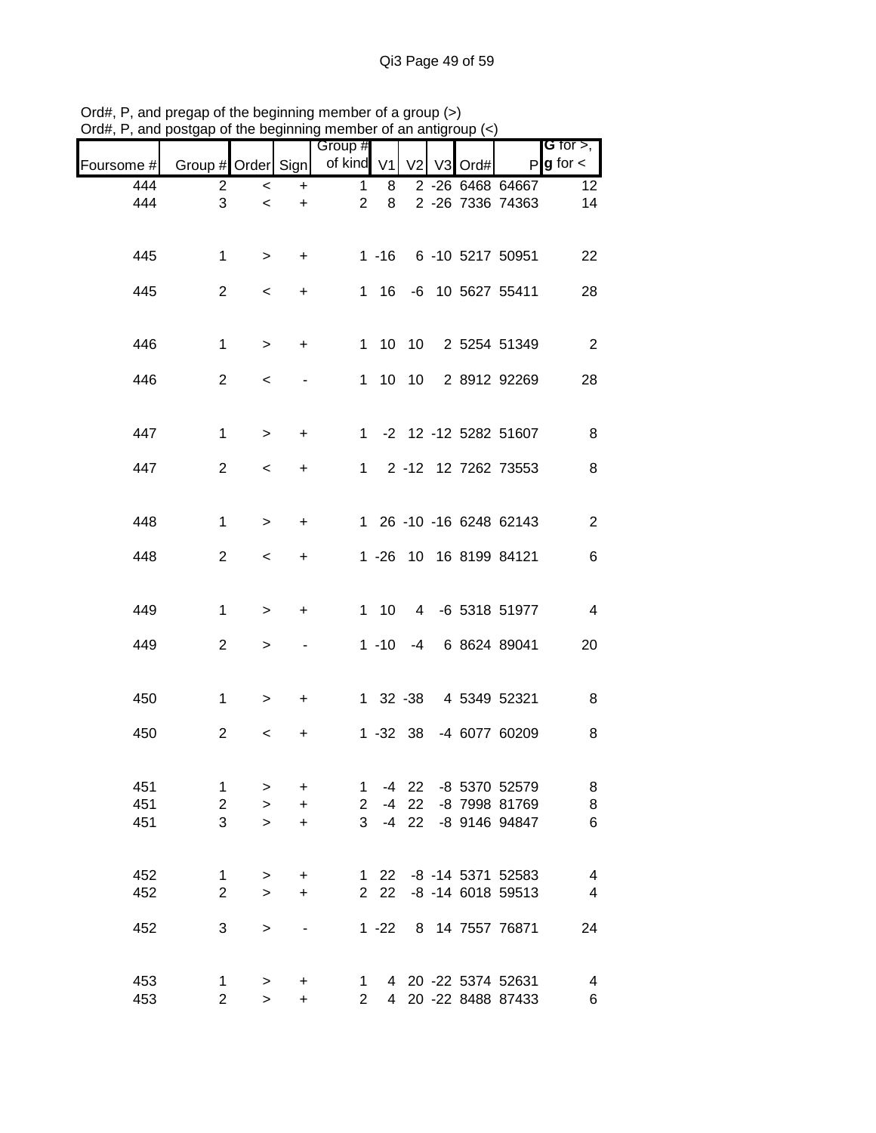|                                       |                                      |      |    | vi un uningi   |          | 11011001                      |                |                                     | oolgap or the beginning | ,, u,, , ,<br>unu p |
|---------------------------------------|--------------------------------------|------|----|----------------|----------|-------------------------------|----------------|-------------------------------------|-------------------------|---------------------|
| G for $>$ ,<br>$P$ <b>g</b> for $\lt$ |                                      | Ord# | V3 | V <sub>2</sub> |          | Group #<br>of kind V1         |                |                                     | Group # Order Sign      | Foursome #          |
| 12 <sub>2</sub><br>14                 | 2 -26 6468 64667<br>2 -26 7336 74363 |      |    |                | 8<br>8   | $\mathbf 1$<br>$\overline{2}$ | +<br>$\ddot{}$ | $\,<\,$<br>$\overline{\phantom{0}}$ | 2<br>3                  | 444<br>444          |
|                                       |                                      |      |    |                |          |                               |                |                                     |                         |                     |
| 22                                    | 1 -16 6 -10 5217 50951               |      |    |                |          |                               | $\ddot{}$      | >                                   | $\mathbf{1}$            | 445                 |
| 28                                    | 1 16 -6 10 5627 55411                |      |    |                |          |                               | $\ddot{}$      | $\,<\,$                             | $\overline{2}$          | 445                 |
| $\overline{2}$                        | 1 10 10 2 5254 51349                 |      |    |                |          |                               | $+$            | $\,>$                               | $\mathbf{1}$            | 446                 |
| 28                                    | 1 10 10 2 8912 92269                 |      |    |                |          |                               |                | $\,<\,$                             | $\overline{2}$          | 446                 |
|                                       |                                      |      |    |                |          |                               |                |                                     |                         | 447                 |
| 8                                     | 1 -2 12 -12 5282 51607               |      |    |                |          |                               | $\ddot{}$      | $\geq$                              | $\mathbf{1}$            |                     |
| 8                                     | 1 2 -12 12 7262 73553                |      |    |                |          |                               | $\ddot{}$      | $\,<\,$                             | $\overline{c}$          | 447                 |
| $\boldsymbol{2}$                      | 1 26 -10 -16 6248 62143              |      |    |                |          |                               | $\pm$          | $\,>$                               | $\mathbf{1}$            | 448                 |
| 6                                     | 1 -26 10 16 8199 84121               |      |    |                |          |                               | $\ddot{}$      | $\,<\,$                             | $\overline{c}$          | 448                 |
| $\overline{4}$                        | 1 10 4 -6 5318 51977                 |      |    |                |          |                               | $\ddot{}$      | $\,>$                               | $\mathbf 1$             | 449                 |
|                                       |                                      |      |    |                |          |                               |                |                                     |                         |                     |
| 20                                    | -4 6 8624 89041                      |      |    |                | $1 - 10$ |                               |                | >                                   | $\overline{2}$          | 449                 |
| 8                                     | 1 32 -38 4 5349 52321                |      |    |                |          |                               | $\ddot{}$      | >                                   | $\mathbf{1}$            | 450                 |
| 8                                     | 1 -32 38 -4 6077 60209               |      |    |                |          |                               | +              | $\,<\,$                             | $\overline{c}$          | 450                 |
| 8                                     | -4 22 -8 5370 52579                  |      |    |                |          | $\mathbf{1}$                  | +              | $\, > \,$                           | 1                       | 451                 |
| $\bf 8$                               | -8 7998 81769                        |      |    | $-4$ 22        |          | $2 -$                         | $\ddot{}$      | $\geq$                              | $\overline{2}$          | 451                 |
| 6                                     | -8 9146 94847                        |      |    | $-4$ 22        |          | 3 <sup>1</sup>                | $\ddot{}$      | $\geq$                              | 3                       | 451                 |
| $\overline{\mathbf{4}}$               | 1 22 -8 -14 5371 52583               |      |    |                |          |                               | $\ddot{}$      | $\, > \,$                           | $\mathbf{1}$            | 452                 |
| $\overline{4}$                        | -8 -14 6018 59513                    |      |    |                | 2 2 2    |                               | $\ddot{}$      | $\mathbf{L}$                        | $\overline{2}$          | 452                 |
| 24                                    | 8 14 7557 76871                      |      |    |                | $1 - 22$ |                               |                | $\,$                                | 3                       | 452                 |
| $\overline{4}$                        | 4 20 -22 5374 52631                  |      |    |                |          | $\mathbf{1}$                  | +              | $\, > \,$                           | 1                       | 453                 |
| $\,6$                                 | 4 20 -22 8488 87433                  |      |    |                |          | $\overline{2}$                | $\ddot{}$      | $\geq$                              | $\overline{2}$          | 453                 |

Ord#, P, and pregap of the beginning member of a group (>) Ord#, P, and postgap of the beginning member of an antigroup (<)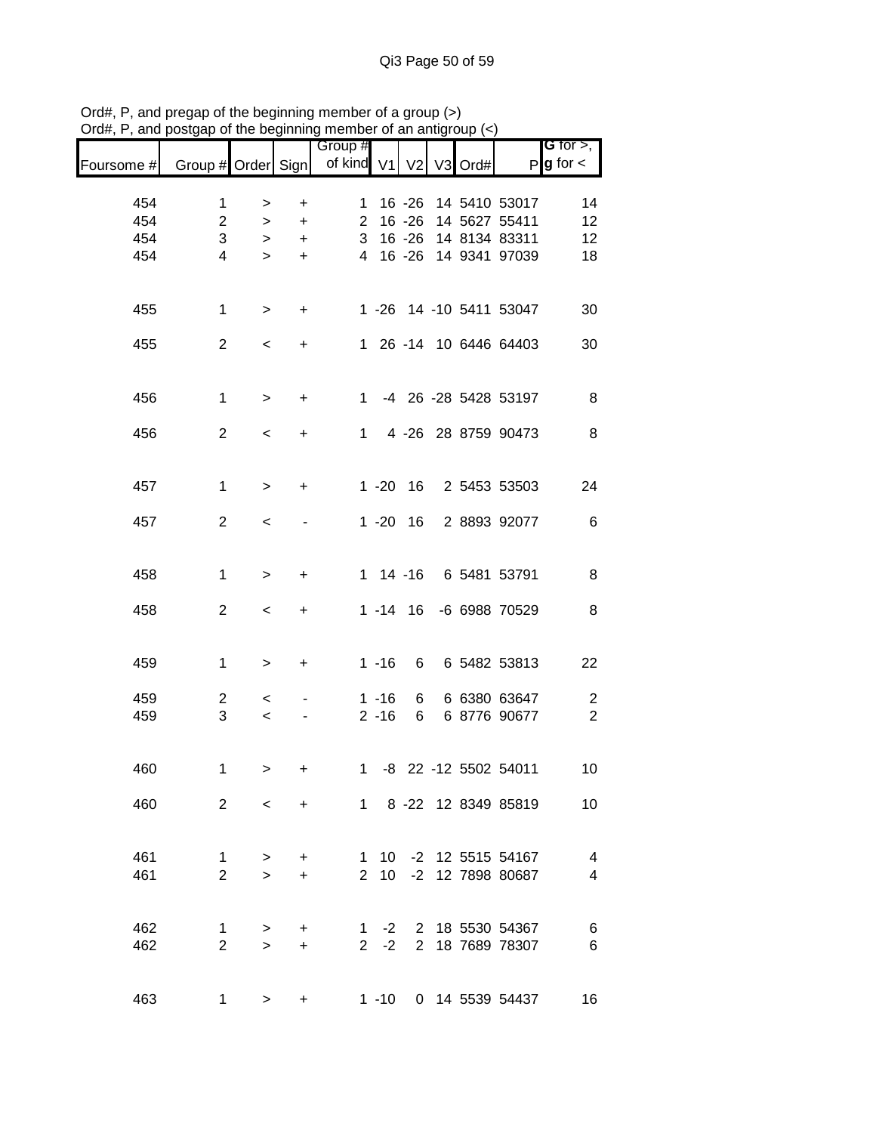|            |                               |                          |                        | Group #               |          |                |         |                                                | G for $>$ ,         |
|------------|-------------------------------|--------------------------|------------------------|-----------------------|----------|----------------|---------|------------------------------------------------|---------------------|
| Foursome # | Group # Order Sign            |                          |                        | of kind V1            |          | V <sub>2</sub> | V3 Ord# | P                                              | $g$ for $\lt$       |
|            |                               |                          |                        |                       |          |                |         |                                                |                     |
| 454        | $\mathbf 1$                   | >                        | +                      | 1.                    |          | $16 - 26$      |         | 14 5410 53017                                  | 14                  |
| 454        | $\overline{c}$                | $\,>$                    | $\ddot{}$              | $\mathbf{2}^{\prime}$ |          | $16 - 26$      |         | 14 5627 55411                                  | 12                  |
| 454        | 3                             | >                        | $\ddot{}$              | 3                     |          | $16 - 26$      |         | 14 8134 83311                                  | 12                  |
| 454        | 4                             | $\geq$                   | $\ddot{}$              | $\overline{4}$        |          | $16 - 26$      |         | 14 9341 97039                                  | 18                  |
| 455        | $\mathbf 1$                   | $\,>$                    | +                      |                       |          |                |         | 1 -26 14 -10 5411 53047                        | 30                  |
| 455        | $\overline{c}$                | $\,<\,$                  | +                      |                       |          |                |         | 1 26 -14 10 6446 64403                         | 30                  |
| 456        | $\mathbf 1$                   | $\,>$                    | +                      | $\mathbf 1$           |          |                |         | -4 26 -28 5428 53197                           | 8                   |
| 456        | $\overline{2}$                | $\,<\,$                  | +                      | $\mathbf{1}$          |          |                |         | 4 -26 28 8759 90473                            | 8                   |
|            |                               |                          |                        |                       |          |                |         |                                                |                     |
| 457        | $\mathbf 1$                   | $\geq$                   | +                      |                       |          | $1 - 20$ 16    |         | 2 5453 53503                                   | 24                  |
| 457        | $\overline{2}$                | $\,<\,$                  |                        |                       |          | $1 - 20$ 16    |         | 2 8893 92077                                   | 6                   |
| 458        | $\mathbf 1$                   | $\, > \,$                | +                      |                       |          | $1 14 - 16$    |         | 6 5481 53791                                   | 8                   |
| 458        | $\overline{c}$                | $\,<\,$                  | +                      |                       |          | $1 - 14$ 16    |         | -6 6988 70529                                  | 8                   |
|            |                               |                          |                        |                       |          |                |         |                                                |                     |
| 459        | $\mathbf 1$                   | $\,>$                    | $\ddot{}$              |                       | $1 - 16$ | 6              |         | 6 5482 53813                                   | 22                  |
| 459        | $\overline{c}$                | $\,<\,$                  |                        |                       | $1 - 16$ | 6              |         | 6 6380 63647                                   | $\overline{c}$      |
| 459        | 3                             | $\,<$                    | -                      |                       | $2 - 16$ | 6              |         | 6 8776 90677                                   | $\overline{2}$      |
| 460        | $\mathbf 1$                   | >                        | +                      | 1                     |          |                |         | -8 22 -12 5502 54011                           | 10                  |
| 460        | $\overline{2}$                | $\overline{\phantom{0}}$ | $\ddot{}$              |                       |          |                |         | 1 8 -22 12 8349 85819                          | 10 <sub>1</sub>     |
|            |                               |                          |                        |                       |          |                |         |                                                |                     |
| 461<br>461 | $\mathbf 1$<br>$\overline{2}$ | $\geq$<br>$\geq$         | $\ddot{}$<br>$\ddot{}$ |                       |          |                |         | 1 10 -2 12 5515 54167<br>2 10 -2 12 7898 80687 | $\overline{4}$<br>4 |
|            |                               |                          |                        |                       |          |                |         |                                                |                     |
| 462        | 1                             | $\geq$                   | +                      |                       |          |                |         | 1 -2 2 18 5530 54367                           | 6                   |
| 462        | $\overline{2}$                | $\geq$                   | $\ddot{}$              |                       | $2 -2$   |                |         | 2 18 7689 78307                                | 6                   |
| 463        | $\mathbf{1}$                  | >                        | +                      |                       | $1 - 10$ |                |         | 0 14 5539 54437                                | 16                  |

Ord#, P, and pregap of the beginning member of a group (>) Ord#, P, and postgap of the beginning member of an antigroup (<)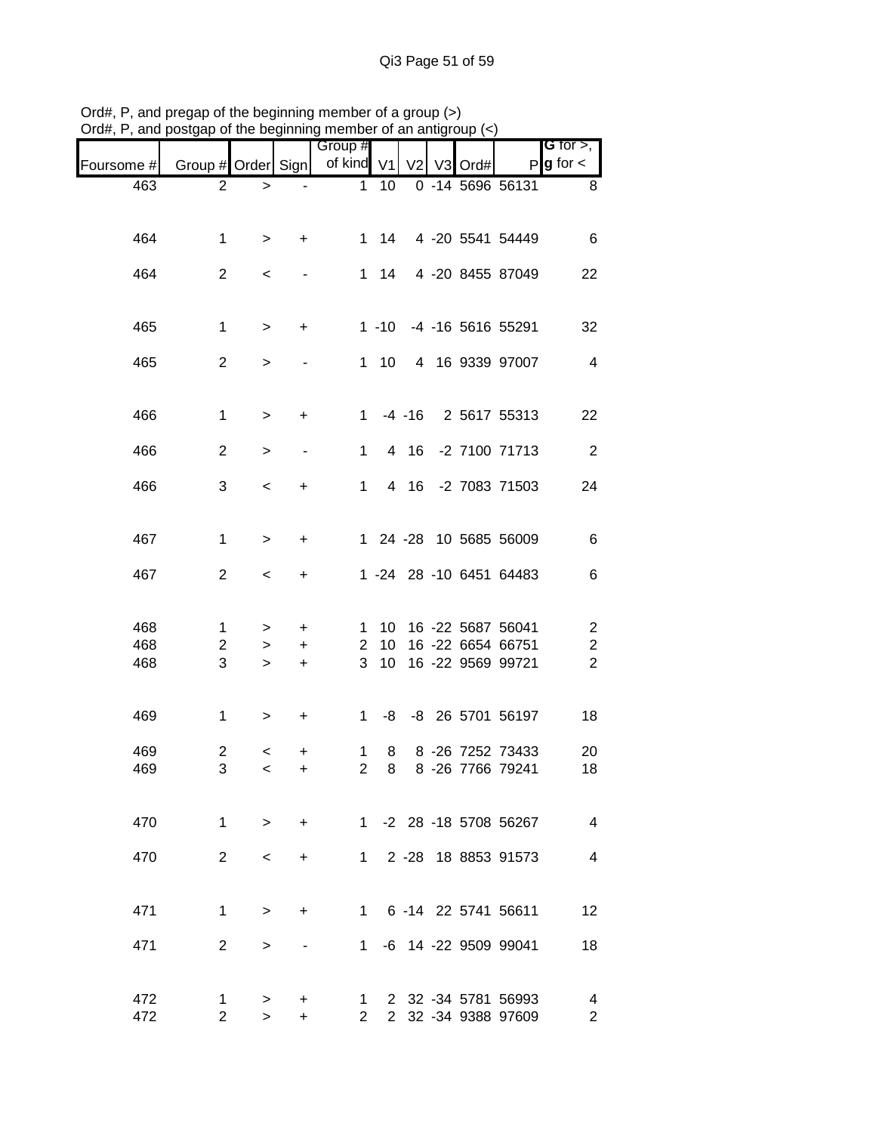| $O$ and $O$ and $O$ and $O$ and $O$ and $O$ and $O$ and $O$ and $O$ and $O$ and $O$ and $O$ and $O$ and $O$ and $O$ and $O$ and $O$ and $O$ and $O$ and $O$ and $O$ and $O$ and $O$ and $O$ and $O$ and $O$ and $O$ and $O$ a |                    |           |           |                       |                 |                |         |                         |                                     |
|-------------------------------------------------------------------------------------------------------------------------------------------------------------------------------------------------------------------------------|--------------------|-----------|-----------|-----------------------|-----------------|----------------|---------|-------------------------|-------------------------------------|
| Foursome #                                                                                                                                                                                                                    | Group # Order Sign |           |           | Group #<br>of kind V1 |                 | V <sub>2</sub> | V3 Ord# | P                       | <b>G</b> for $>$ ,<br>$g$ for $\lt$ |
| 463                                                                                                                                                                                                                           | $\overline{2}$     | $\geq$    |           | $\mathbf{1}$          | 10              |                |         | 0 -14 5696 56131        | 8                                   |
| 464                                                                                                                                                                                                                           | $\mathbf 1$        | $\, >$    | +         | $\mathbf{1}$          | 14              |                |         | 4 -20 5541 54449        | 6                                   |
| 464                                                                                                                                                                                                                           | $\overline{2}$     | $\,<$     |           |                       | $1 \quad 14$    |                |         | 4 -20 8455 87049        | 22                                  |
| 465                                                                                                                                                                                                                           | $\mathbf{1}$       | $\, > \,$ | +         |                       | $1 - 10$        |                |         | -4 -16 5616 55291       | 32                                  |
| 465                                                                                                                                                                                                                           | $\overline{2}$     | >         |           |                       | $1 \quad 10$    |                |         | 4 16 9339 97007         | $\overline{4}$                      |
| 466                                                                                                                                                                                                                           | $\mathbf{1}$       | $\, > \,$ | $\ddot{}$ | $\mathbf 1$           |                 | $-4 - 16$      |         | 2 5617 55313            | 22                                  |
| 466                                                                                                                                                                                                                           | $\overline{c}$     | >         |           | $\mathbf 1$           |                 | 4 16           |         | -2 7100 71713           | $\sqrt{2}$                          |
| 466                                                                                                                                                                                                                           | 3                  | $\,<$     | +         | 1                     |                 |                |         | 4 16 -2 7083 71503      | 24                                  |
| 467                                                                                                                                                                                                                           | $\mathbf{1}$       | $\, > \,$ | +         |                       |                 |                |         | 1 24 -28 10 5685 56009  | 6                                   |
| 467                                                                                                                                                                                                                           | $\overline{2}$     | $\,<\,$   | +         |                       |                 |                |         | 1 -24 28 -10 6451 64483 | 6                                   |
| 468                                                                                                                                                                                                                           | $\mathbf{1}$       | >         | +         | 1                     |                 |                |         | 10 16 -22 5687 56041    | $\overline{\mathbf{c}}$             |
| 468                                                                                                                                                                                                                           | $\overline{c}$     | >         | $\ddot{}$ | $\mathbf{2}$          | 10 <sup>°</sup> |                |         | 16 -22 6654 66751       | $\overline{\mathbf{c}}$             |
| 468                                                                                                                                                                                                                           | 3                  |           |           | 3                     | 10 <sup>°</sup> |                |         | 16 -22 9569 99721       | $\overline{2}$                      |
|                                                                                                                                                                                                                               |                    | $\geq$    | $\ddot{}$ |                       |                 |                |         |                         |                                     |
| 469                                                                                                                                                                                                                           | $\mathbf{1}$       | >         | $\ddot{}$ | 1                     | -8              |                |         | -8 26 5701 56197        | 18                                  |
| 469                                                                                                                                                                                                                           | 2                  | $\,<$     | +         | 1                     | 8               |                |         | 8 -26 7252 73433        | 20                                  |
| 469                                                                                                                                                                                                                           | 3                  | $\lt$     | $\ddot{}$ | $\mathbf{2}$          |                 |                |         | 8 8 -26 7766 79241      | 18                                  |
| 470                                                                                                                                                                                                                           | $\mathbf{1}$       | $\geq$    | $+$       |                       |                 |                |         | 1 -2 28 -18 5708 56267  | $\overline{4}$                      |
| 470                                                                                                                                                                                                                           | $\overline{2}$     | $\,<\,$   | $\ddot{}$ |                       |                 |                |         | 1 2 -28 18 8853 91573   | $\overline{4}$                      |
| 471                                                                                                                                                                                                                           | $\mathbf{1}$       | $\geq$    | $\ddot{}$ |                       |                 |                |         | 1 6 -14 22 5741 56611   | 12                                  |
| 471                                                                                                                                                                                                                           | $\overline{2}$     | $\, > \,$ |           |                       |                 |                |         | 1 -6 14 -22 9509 99041  | 18                                  |
| 472                                                                                                                                                                                                                           | $\mathbf 1$        | $\geq$    | ÷         | $\mathbf{1}$          |                 |                |         | 2 32 -34 5781 56993     | $\overline{4}$                      |
| 472                                                                                                                                                                                                                           | $2^{\circ}$        | $\geq$    | +         | $2^{\circ}$           |                 |                |         | 2 32 -34 9388 97609     | $\overline{\mathbf{c}}$             |

Ord#, P, and pregap of the beginning member of a group (>) Ord#, P, and postgap of the beginning member of an antigroup (<)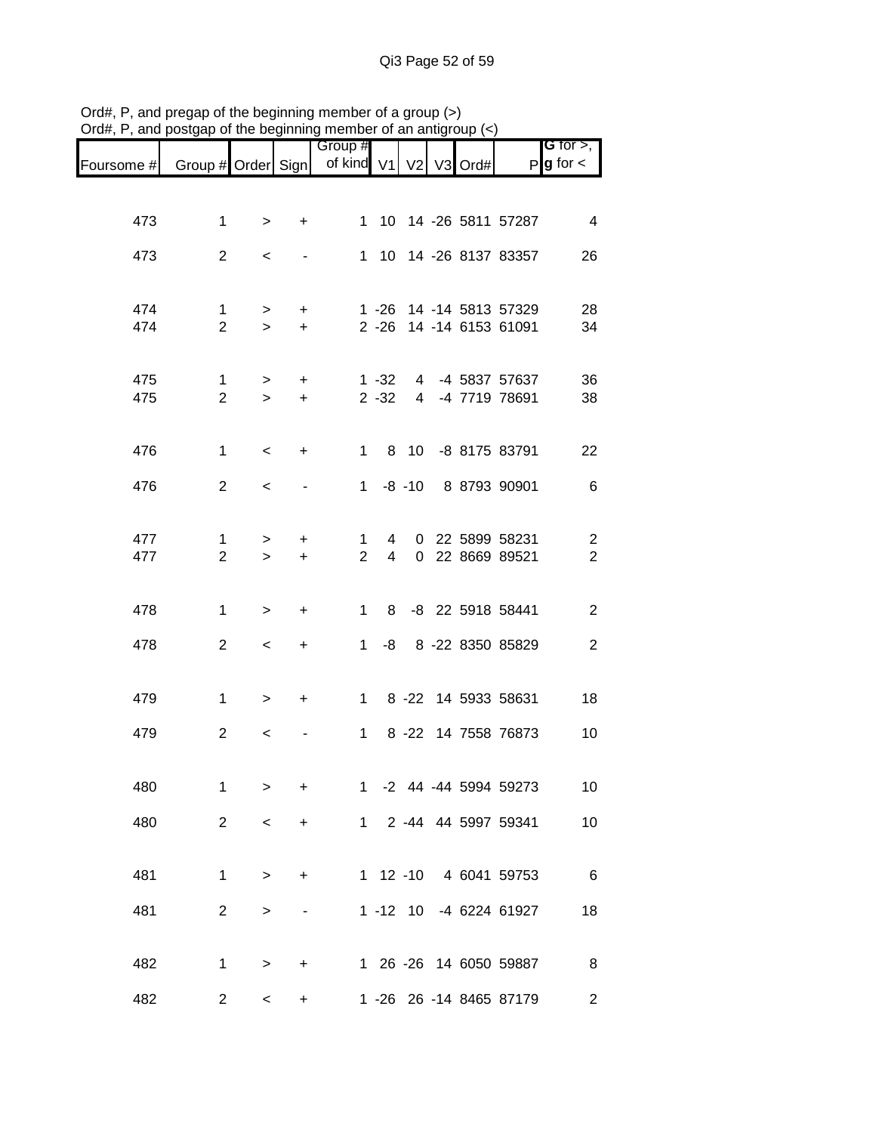| Foursome # | Group # Order Sign  |             |                | Group #<br>of kind V1 |                     | V <sub>2</sub> | V <sub>3</sub> | Ord# | $\mathsf{P}$                                       | G for $>$ ,<br>$g$ for $\lt$     |
|------------|---------------------|-------------|----------------|-----------------------|---------------------|----------------|----------------|------|----------------------------------------------------|----------------------------------|
|            |                     |             |                |                       |                     |                |                |      |                                                    |                                  |
| 473        | 1                   | >           | $\ddot{}$      | 1                     |                     |                |                |      | 10 14 -26 5811 57287                               | 4                                |
| 473        | $\overline{2}$      | $\,<$       |                |                       |                     |                |                |      | 1 10 14 -26 8137 83357                             | 26                               |
| 474<br>474 | 1<br>$\overline{2}$ | ><br>$\geq$ | +<br>$\ddot{}$ |                       |                     |                |                |      | 1 -26 14 -14 5813 57329<br>2 -26 14 -14 6153 61091 | 28<br>34                         |
| 475        | 1                   | $\geq$      | $\ddot{}$      |                       | $1 - 32$            |                |                |      | 4 -4 5837 57637                                    | 36                               |
| 475        | $\overline{2}$      | $\geq$      | $\ddot{}$      |                       | $2 - 32$            |                |                |      | 4 -4 7719 78691                                    | 38                               |
| 476        | 1                   | $\,<$       | +              | 1                     |                     |                |                |      | 8 10 -8 8175 83791                                 | 22                               |
| 476        | $\overline{2}$      | $\,<\,$     |                | 1.                    |                     | $-8 - 10$      |                |      | 8 8793 90901                                       | 6                                |
| 477<br>477 | 1<br>$\overline{2}$ | ><br>$\geq$ | +<br>$\ddot{}$ | 1<br>$\overline{2}$   | 4<br>$\overline{4}$ |                |                |      | 0 22 5899 58231<br>0 22 8669 89521                 | $\overline{c}$<br>$\overline{2}$ |
| 478        | 1                   | $\, > \,$   | +              | 1                     | 8                   |                |                |      | -8 22 5918 58441                                   | $\overline{c}$                   |
| 478        | $\overline{2}$      | $\,<\,$     | +              | $\mathbf{1}$          | -8                  |                |                |      | 8 -22 8350 85829                                   | $\overline{c}$                   |
| 479        | $\mathbf{1}$        | $\, > \,$   | +              | $\mathbf{1}$          |                     |                |                |      | 8 -22 14 5933 58631                                | 18                               |
| 479        | $\overline{2}$      | $\,<$       |                | $\mathbf 1$           |                     |                |                |      | 8 -22 14 7558 76873                                | 10                               |
| 480        | 1                   | >           | +              | $\mathbf 1$           |                     |                |                |      | -2 44 -44 5994 59273                               | 10 <sup>°</sup>                  |
| 480        | $\overline{2}$      | $\,<\,$     | +              |                       |                     |                |                |      | 1 2 -44 44 5997 59341                              | 10                               |
| 481        | $\mathbf{1}$        | $\geq$      | +              |                       |                     |                |                |      | 1 12 -10 4 6041 59753                              | $6\overline{6}$                  |
| 481        | $\overline{2}$      | >           |                |                       |                     |                |                |      | 1 -12 10 -4 6224 61927                             | 18                               |
| 482        | 1                   | >           | +              |                       |                     |                |                |      | 1 26 -26 14 6050 59887                             | 8 <sup>8</sup>                   |
| 482        | $\overline{2}$      | <           | +              |                       |                     |                |                |      | 1 -26 26 -14 8465 87179                            | $\overline{2}$                   |

Ord#, P, and pregap of the beginning member of a group (>) Ord#, P, and postgap of the beginning member of an antigroup (<)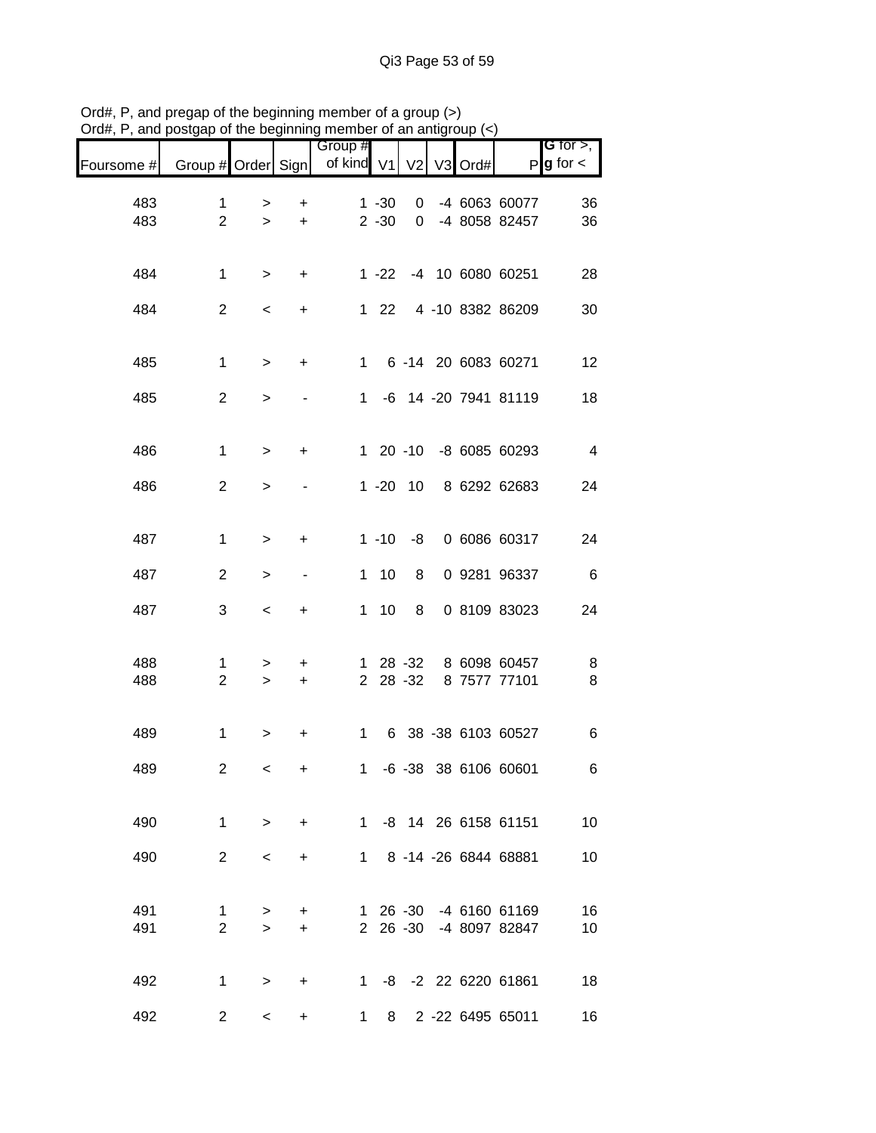|            |                         |                     |                | Group #       |              |                      |         |                                         | <b>G</b> for $>$ , |
|------------|-------------------------|---------------------|----------------|---------------|--------------|----------------------|---------|-----------------------------------------|--------------------|
| Foursome # | Group # Order Sign      |                     |                | of kind V1 V2 |              |                      | V3 Ord# | P                                       | $g$ for $\lt$      |
| 483        | 1                       | >                   | $\ddot{}$      |               | $1 - 30$     | 0                    |         | -4 6063 60077                           | 36                 |
| 483        | $\overline{2}$          | $\geq$              | $\ddot{}$      |               | $2 - 30$     | $\mathbf 0$          |         | -4 8058 82457                           | 36                 |
| 484        | $\mathbf{1}$            | $\,>$               | $\ddot{}$      |               |              |                      |         | 1 -22 -4 10 6080 60251                  | 28                 |
| 484        | $\overline{2}$          | $\,<\,$             | $\ddot{}$      |               | $1 \quad 22$ |                      |         | 4 -10 8382 86209                        | 30                 |
| 485        | $\mathbf{1}$            | $\,>$               | $\ddot{}$      |               |              |                      |         | 1 6 -14 20 6083 60271                   | 12                 |
| 485        | $\overline{2}$          | $\, > \,$           |                |               |              |                      |         | 1 -6 14 -20 7941 81119                  | 18                 |
| 486        | $\mathbf{1}$            | $\,>$               | $\ddot{}$      |               |              |                      |         | 1 20 -10 -8 6085 60293                  | $\overline{4}$     |
| 486        | $\mathbf{2}$            | $\, > \,$           |                |               |              | $1 - 20$ 10          |         | 8 6292 62683                            | 24                 |
| 487        | $\mathbf{1}$            | $\, > \,$           | $\ddot{}$      |               | $1 - 10$     | -8                   |         | 0 6086 60317                            | 24                 |
| 487        | $\overline{c}$          | $\, > \,$           | $\blacksquare$ |               | $1 10$       | 8                    |         | 0 9281 96337                            | $6\overline{6}$    |
| 487        | 3                       | $\,<$               | $\ddot{}$      |               | $1 \quad 10$ | 8                    |         | 0 8109 83023                            | 24                 |
| 488<br>488 | 1<br>$\overline{c}$     | ><br>$\geq$         | +<br>$\ddot{}$ |               |              | 1 28 -32<br>2 28 -32 |         | 8 6098 60457<br>8 7577 77101            | 8<br>8             |
| 489        | $\mathbf{1}$            | >                   | $\ddot{}$      |               | $1 \quad$    |                      |         | 6 38 -38 6103 60527                     | 6                  |
| 489        | $\overline{\mathbf{c}}$ | $\,<$               | +              | $\mathbf 1$   |              |                      |         | -6 -38 38 6106 60601                    | 6                  |
| 490        | 1                       | $\geq$              | $\ddot{}$      |               |              |                      |         | 1 -8 14 26 6158 61151                   | 10                 |
| 490        | $2^{\circ}$             | $\,<\,$             | $\ddot{}$      |               |              |                      |         | 1 8 -14 -26 6844 68881                  | 10                 |
| 491<br>491 | 1<br>$\overline{2}$     | $\, > \,$<br>$\geq$ | +<br>$\ddot{}$ |               |              | 2 26 -30             |         | 1 26 -30 -4 6160 61169<br>-4 8097 82847 | 16<br>10           |
| 492        | $\mathbf 1$             | $\geq$              | $\ddot{}$      |               |              |                      |         | 1 -8 -2 22 6220 61861                   | 18                 |
| 492        | $\overline{2}$          | $\prec$             | $\ddot{}$      | $\mathbf 1$   |              |                      |         | 8 2 -22 6495 65011                      | 16                 |

Ord#, P, and pregap of the beginning member of a group (>) Ord#, P, and postgap of the beginning member of an antigroup (<)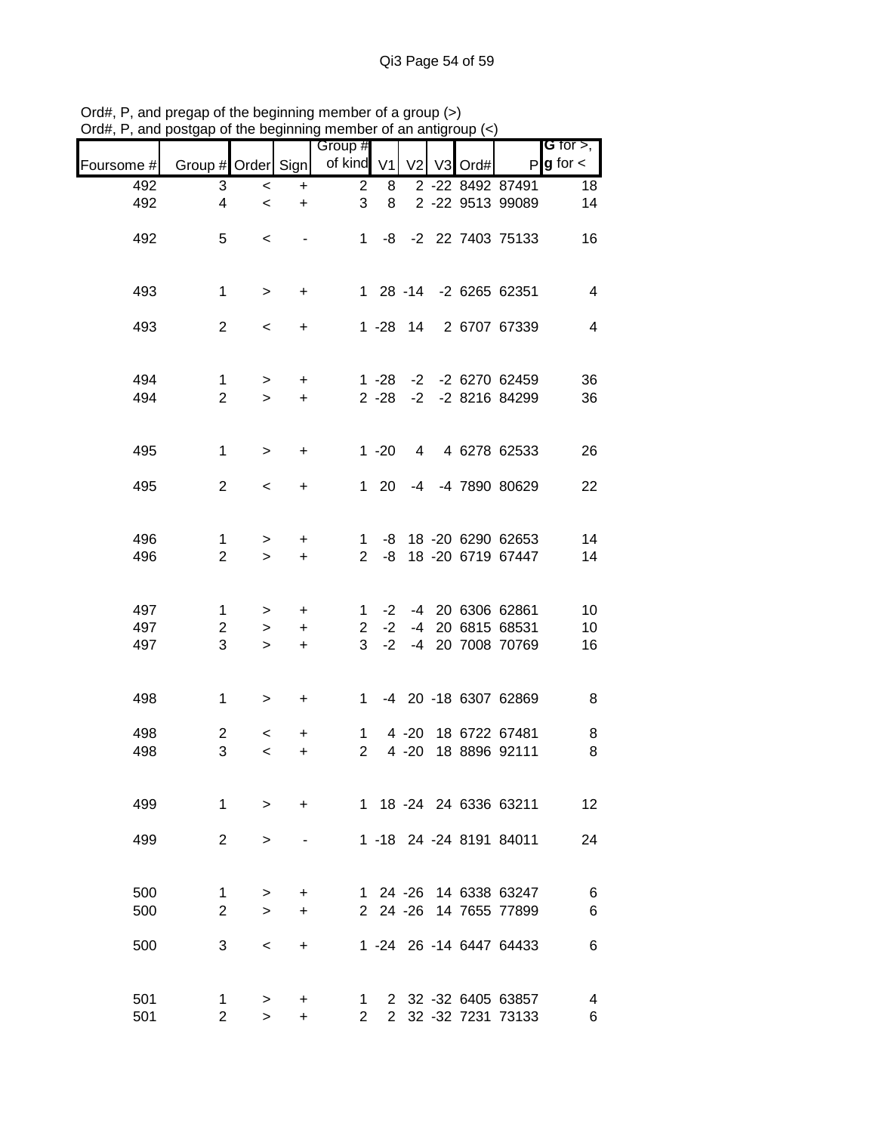| unu p      | ougap or the bog   |           | 11 11 111 1y | <b>THOLLOUT OF ALL ALLUM</b><br>Group # |              |          |  |                         | <b>G</b> for $>$ ,     |
|------------|--------------------|-----------|--------------|-----------------------------------------|--------------|----------|--|-------------------------|------------------------|
| Foursome # | Group # Order Sign |           |              | of kind V1 V2 V3 Ord#                   |              |          |  |                         | $P$ <b>g</b> for $\lt$ |
| 492        | 3                  | $\,<\,$   | +            | $\overline{2}$                          | 8            |          |  | 2 -22 8492 87491        | 18                     |
| 492        | $\overline{4}$     | $\prec$   | $\ddot{}$    | 3                                       | 8            |          |  | 2 -22 9513 99089        | 14                     |
| 492        | 5                  | $\,<\,$   |              |                                         |              |          |  | 1 -8 -2 22 7403 75133   | 16                     |
| 493        | $\mathbf{1}$       | $\, >$    | $\ddot{}$    |                                         |              |          |  | 1 28 -14 -2 6265 62351  | $\overline{4}$         |
| 493        | $\overline{2}$     | $\,<\,$   | $\ddot{}$    |                                         |              |          |  | 1 -28 14 2 6707 67339   | $\overline{4}$         |
| 494        | $\mathbf{1}$       | $\geq$    | $+$          |                                         |              |          |  | 1 -28 -2 -2 6270 62459  | 36                     |
| 494        | $\overline{2}$     | $\geq$    | $+$          |                                         |              |          |  | 2 -28 -2 -2 8216 84299  | 36                     |
| 495        | $\mathbf{1}$       | $\, >$    | $\ddot{}$    |                                         |              |          |  | 1 -20 4 4 6278 62533    | 26                     |
| 495        | $\overline{2}$     | $\prec$   | $\ddot{}$    |                                         | $1 \quad 20$ |          |  | -4 -4 7890 80629        | 22                     |
| 496        | $\mathbf 1$        | $\geq$    | $\ddot{}$    |                                         |              |          |  | 1 -8 18 -20 6290 62653  | 14                     |
| 496        | $\overline{2}$     | $\geq$    | $+$          |                                         | $2 - 8$      |          |  | 18 -20 6719 67447       | 14                     |
| 497        | $\mathbf{1}$       | $\geq$    | $\ddot{}$    |                                         |              |          |  | 1 -2 -4 20 6306 62861   | 10                     |
| 497        | $\overline{2}$     | $\geq$    | $+$          |                                         | $2 -2$       |          |  | -4 20 6815 68531        | 10                     |
| 497        | 3                  | $\geq$    | $\ddot{}$    | 3 <sup>1</sup>                          | $-2$         |          |  | -4 20 7008 70769        | 16                     |
| 498        | $\mathbf{1}$       | $\, > \,$ | $\ddot{}$    |                                         |              |          |  | 1 -4 20 -18 6307 62869  | $\, 8$                 |
| 498        | $\overline{2}$     | $\lt$     | +            | $\mathbf{1}$                            |              |          |  | 4 -20 18 6722 67481     | 8                      |
| 498        | 3                  | $\,<$     | +            | $2^{\circ}$                             |              | $4 - 20$ |  | 18 8896 92111           | 8                      |
| 499        | 1                  | $\geq$    | $\ddot{}$    |                                         |              |          |  | 1 18 -24 24 6336 63211  | 12                     |
| 499        | $\overline{2}$     | $\,>$     |              |                                         |              |          |  | 1 -18 24 -24 8191 84011 | 24                     |
| 500        | $\mathbf 1$        | >         | +            |                                         |              |          |  | 1 24 -26 14 6338 63247  | 6                      |
| 500        | $\overline{2}$     | $\geq$    | $\ddot{}$    |                                         |              | 2 24 -26 |  | 14 7655 77899           | 6                      |
| 500        | 3                  | $\,<\,$   | $\ddot{}$    |                                         |              |          |  | 1 -24 26 -14 6447 64433 | 6                      |
| 501        | $\mathbf 1$        | >         | +            | 1.                                      |              |          |  | 2 32 -32 6405 63857     | 4                      |
| 501        | $\overline{2}$     | $\geq$    | $\ddot{}$    | $\overline{2}$                          |              |          |  | 2 32 -32 7231 73133     | 6                      |

Ord#, P, and pregap of the beginning member of a group (>) Ord#, P, and postgap of the beginning member of an antigroup (<)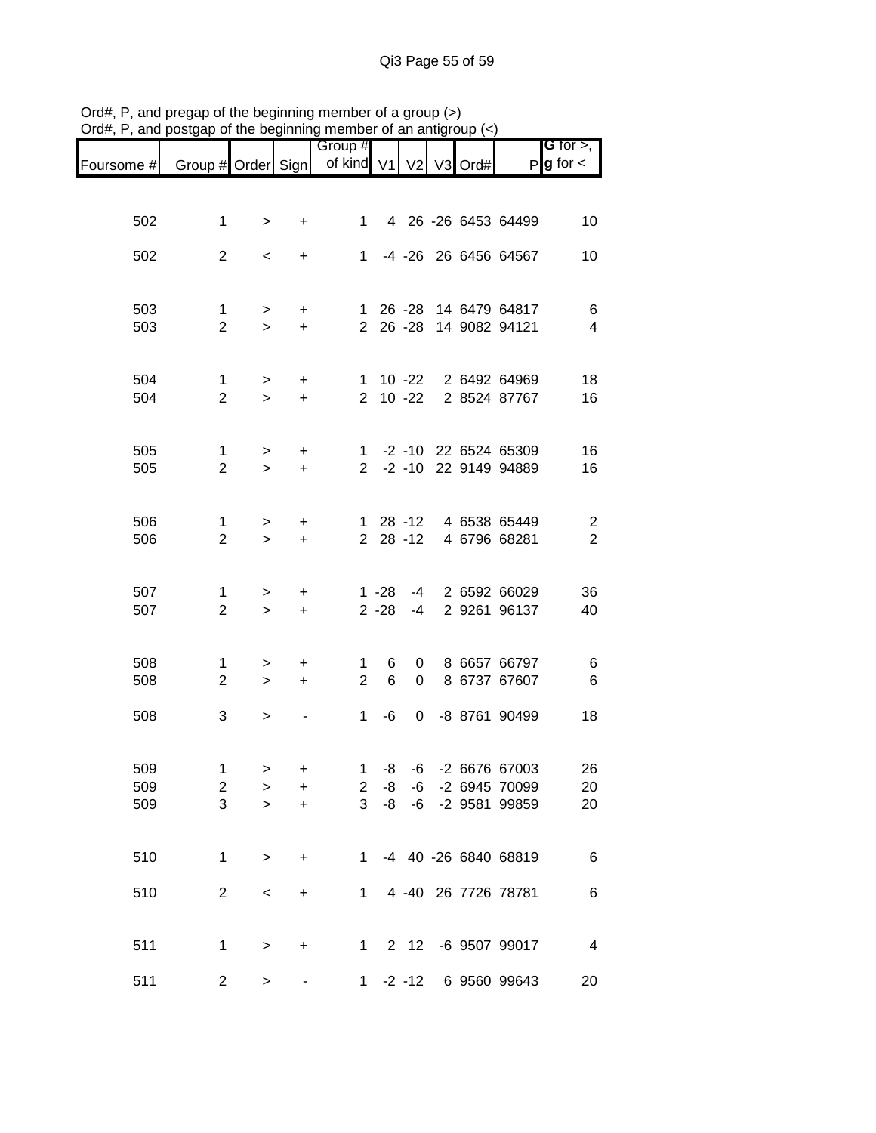|                   |                                   |                     |                        | Group #                          |                      |                   |         |                                                    | G for $>$ ,                      |
|-------------------|-----------------------------------|---------------------|------------------------|----------------------------------|----------------------|-------------------|---------|----------------------------------------------------|----------------------------------|
| Foursome #        | Group # Order Sign                |                     |                        | of kind V1                       |                      | V <sub>2</sub>    | V3 Ord# |                                                    | $P g$ for $\lt$                  |
|                   |                                   |                     |                        |                                  |                      |                   |         |                                                    |                                  |
| 502               | 1                                 | $\, > \,$           | +                      | $1 \quad$                        |                      |                   |         | 4 26 -26 6453 64499                                | 10                               |
| 502               | $\overline{2}$                    | $\,<\,$             | +                      | $1 \quad$                        |                      |                   |         | -4 -26 26 6456 64567                               | 10                               |
| 503<br>503        | 1<br>$\overline{2}$               | $\, > \,$<br>$\geq$ | +<br>$\ddot{}$         |                                  |                      |                   |         | 1 26 -28 14 6479 64817<br>2 26 -28 14 9082 94121   | 6<br>$\overline{\mathcal{A}}$    |
| 504<br>504        | 1<br>$\overline{2}$               | $\geq$<br>$\geq$    | $\ddot{}$<br>$\ddot{}$ |                                  |                      | 2 10 -22          |         | 1 10 -22 2 6492 64969<br>2 8524 87767              | 18<br>16                         |
|                   |                                   |                     |                        |                                  |                      |                   |         |                                                    |                                  |
| 505<br>505        | $\mathbf{1}$<br>$\overline{2}$    | $\geq$<br>$\geq$    | $\ddot{}$<br>$\ddot{}$ |                                  |                      |                   |         | 1 -2 -10 22 6524 65309<br>2 -2 -10 22 9149 94889   | 16<br>16                         |
| 506<br>506        | $\mathbf{1}$<br>$\overline{2}$    | $\geq$<br>$\geq$    | $\ddot{}$<br>$\ddot{}$ |                                  |                      | 2 28 -12          |         | 1 28 -12 4 6538 65449<br>4 6796 68281              | $\overline{c}$<br>$\overline{2}$ |
| 507<br>507        | 1<br>$\overline{2}$               | $\, > \,$<br>$\geq$ | +<br>$\ddot{}$         |                                  | $1 - 28$<br>$2 - 28$ | -4<br>-4          |         | 2 6592 66029<br>2 9261 96137                       | 36<br>40                         |
| 508<br>508        | 1<br>$\overline{2}$               | ><br>$\geq$         | +<br>$\ddot{}$         | $\mathbf{1}$<br>$\overline{2}$   | 6<br>6               | $\mathbf{0}$<br>0 |         | 8 6657 66797<br>8 6737 67607                       | 6<br>6                           |
| 508               | 3                                 | $\,>$               |                        | $\mathbf{1}$                     | -6                   | 0                 |         | -8 8761 90499                                      | 18                               |
| 509<br>509<br>509 | 1<br>$\overline{\mathbf{c}}$<br>3 | $\, > \,$<br>><br>⋗ | +<br>+<br>$\ddot{}$    | $1 \quad$<br>$\overline{2}$<br>3 | -8<br>-8<br>-8       | -6<br>-6          |         | -6 -2 6676 67003<br>-2 6945 70099<br>-2 9581 99859 | 26<br>20<br>20                   |
| 510               | 1                                 | $\,>$               | +                      | 1                                |                      |                   |         | -4 40 -26 6840 68819                               | 6                                |
| 510               | $\overline{2}$                    | $\,<$               | +                      | 1                                |                      |                   |         | 4 -40 26 7726 78781                                | 6                                |
| 511               | 1                                 | $\, > \,$           | +                      | $1 \quad$                        |                      | 2 12              |         | -6 9507 99017                                      | $\overline{4}$                   |
| 511               | 2                                 | $\, > \,$           |                        |                                  |                      | $1 -2 -12$        |         | 6 9560 99643                                       | 20                               |

Ord#, P, and pregap of the beginning member of a group (>) Ord#, P, and postgap of the beginning member of an antigroup (<)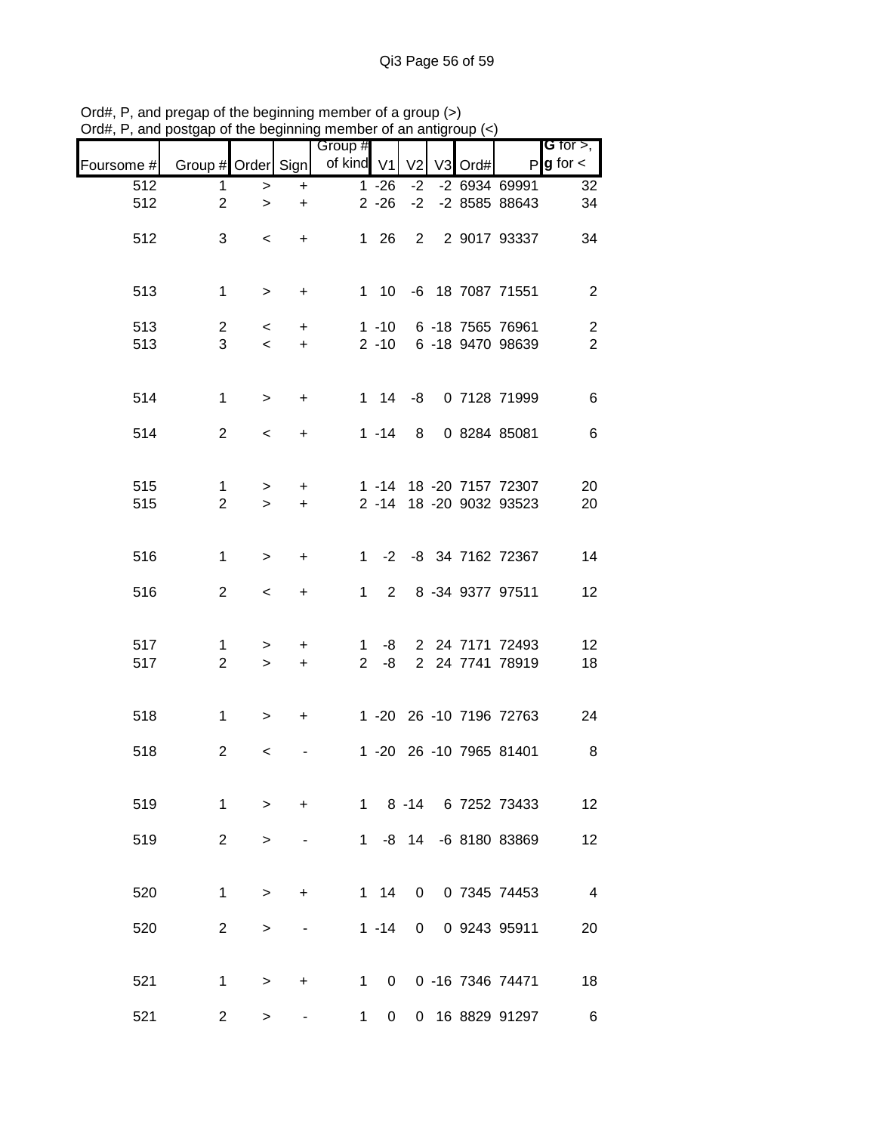|            |                    |                                   | .   . 9          | Group #    |              |                |         |                                                  | G for $>$ , $\blacksquare$   |
|------------|--------------------|-----------------------------------|------------------|------------|--------------|----------------|---------|--------------------------------------------------|------------------------------|
| Foursome # | Group # Order Sign |                                   |                  | of kind V1 |              | V <sub>2</sub> | V3 Ord# | $\mathsf{P}$                                     | $g$ for $\lt$                |
| 512        | $\mathbf 1$        | $\,>$                             | $\ddot{}$        |            | $1 - 26$     | $-2$           |         | $-2$ 6934 69991                                  | 32                           |
| 512        | $\overline{2}$     | $\geq$                            | $\ddot{}$        |            | $2 - 26$     | $-2$           |         | -2 8585 88643                                    | 34                           |
| 512        | 3                  | $\overline{\phantom{a}}$          | $+$              |            | 1 26         |                |         | 2 2 9017 93337                                   | 34                           |
|            |                    |                                   |                  |            |              |                |         |                                                  |                              |
| 513        | $\mathbf{1}$       | $\geq$                            | $\ddot{}$        |            |              |                |         | 1 10 -6 18 7087 71551                            | $\overline{2}$               |
|            |                    |                                   |                  |            |              |                |         |                                                  |                              |
| 513<br>513 | $\mathbf{2}$<br>3  | $\lt$<br>$\overline{\phantom{0}}$ | $\ddot{}$<br>$+$ |            |              |                |         | 1 -10 6 -18 7565 76961<br>2 -10 6 -18 9470 98639 | $\sqrt{2}$<br>$\overline{2}$ |
|            |                    |                                   |                  |            |              |                |         |                                                  |                              |
|            |                    |                                   |                  |            |              |                |         |                                                  |                              |
| 514        | $\mathbf{1}$       | $\geq$                            | $\ddot{}$        |            |              |                |         | 1 14 -8 0 7128 71999                             | $\,6$                        |
| 514        | $\overline{2}$     | $\prec$                           | $+$              |            |              |                |         | 1 -14 8 0 8284 85081                             | 6                            |
|            |                    |                                   |                  |            |              |                |         |                                                  |                              |
| 515        | $\mathbf{1}$       | $\geq$                            | $+$              |            |              |                |         | 1 -14 18 -20 7157 72307                          | 20                           |
| 515        | $\overline{2}$     | $\geq$                            | $+$              |            |              |                |         | 2 -14 18 -20 9032 93523                          | 20                           |
|            |                    |                                   |                  |            |              |                |         |                                                  |                              |
| 516        | $\mathbf{1}$       | $\,>$                             | $\ddot{}$        |            |              |                |         | 1 -2 -8 34 7162 72367                            | 14                           |
|            |                    |                                   |                  |            |              |                |         |                                                  |                              |
| 516        | $\overline{2}$     | $\overline{\phantom{a}}$          | $\ddot{}$        |            | $1\quad 2$   |                |         | 8 -34 9377 97511                                 | 12                           |
|            |                    |                                   |                  |            |              |                |         |                                                  |                              |
| 517        | 1                  | $\geq$                            | $\ddot{}$        |            | $1 - 8$      |                |         | 2 24 7171 72493<br>2 24 7741 78919               | 12                           |
| 517        | $\overline{2}$     | $\geq$                            | $+$              |            | $2 - 8$      |                |         |                                                  | 18                           |
|            |                    |                                   |                  |            |              |                |         |                                                  |                              |
| 518        | $\mathbf{1}$       | $\geq$                            | $+$              |            |              |                |         | 1 -20 26 -10 7196 72763                          | 24                           |
| 518        | 2                  | $\,<\,$                           |                  |            |              |                |         | 1 -20 26 -10 7965 81401                          | 8                            |
|            |                    |                                   |                  |            |              |                |         |                                                  |                              |
| 519        | $\mathbf{1}$       | $\geq$                            | $\ddot{}$        |            |              |                |         | 1 8 -14 6 7252 73433                             | 12                           |
|            |                    |                                   |                  |            |              |                |         |                                                  |                              |
| 519        | $2^{\circ}$        | $\geq$                            |                  |            |              |                |         | 1 -8 14 -6 8180 83869                            | 12                           |
|            |                    |                                   |                  |            |              |                |         |                                                  |                              |
| 520        | $\mathbf 1$        | $\geq$                            | $\ddot{}$        |            | $1 \quad 14$ | $\mathbf{0}$   |         | 0 7345 74453                                     | $\overline{\phantom{a}}$     |
|            |                    |                                   |                  |            |              |                |         |                                                  |                              |
| 520        | $\overline{2}$     | $\,>$                             |                  |            | $1 - 14$     | $\mathbf{0}$   |         | 0 9243 95911                                     | 20                           |
|            |                    |                                   |                  |            |              |                |         |                                                  |                              |
| 521        | $\mathbf 1$        | $\geq$                            | +                |            |              |                |         | 1 0 0 -16 7346 74471                             | 18                           |
| 521        | $\overline{2}$     | >                                 |                  | 1          | $\mathbf{0}$ |                |         | 0 16 8829 91297                                  | 6                            |

Ord#, P, and pregap of the beginning member of a group (>) Ord#, P, and postgap of the beginning member of an antigroup (<)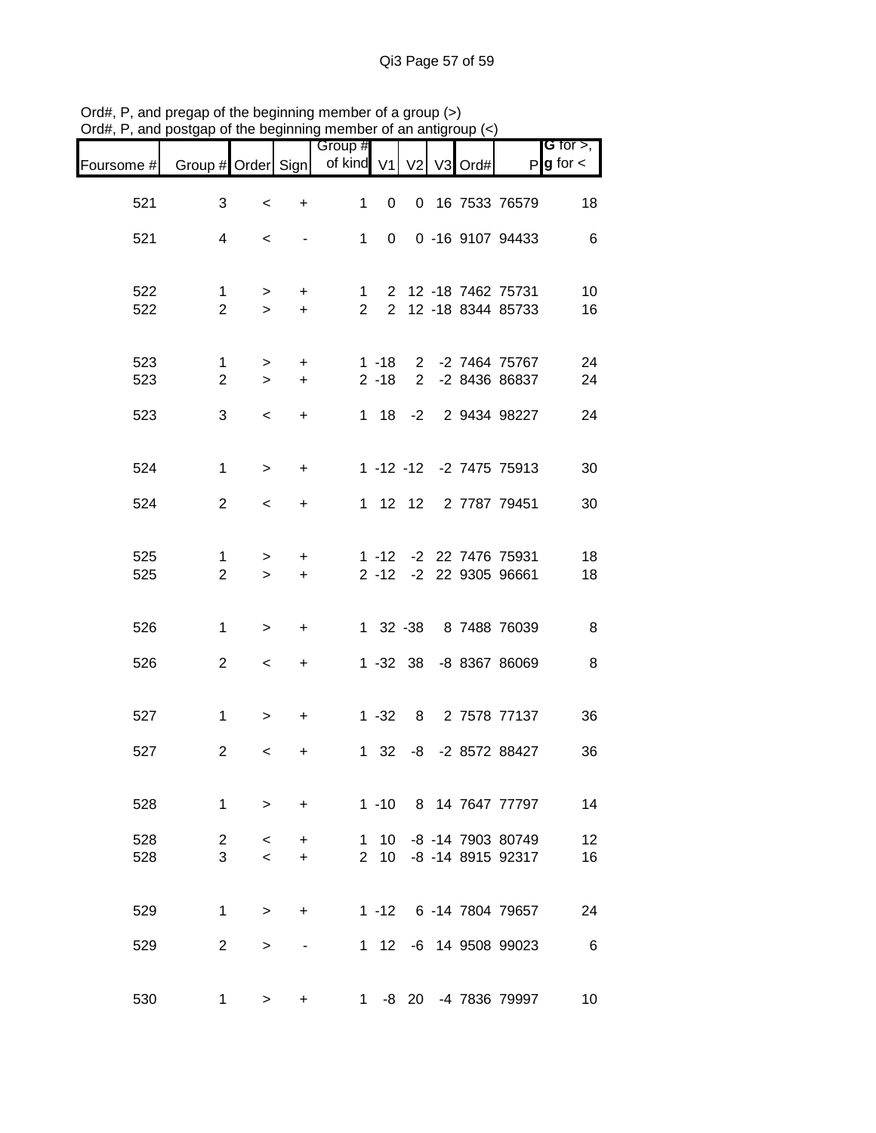|            | , and poorgap or the beginning |                                     |                        | 110111001             |                           | un unuu |                                    |                                                |                                       |
|------------|--------------------------------|-------------------------------------|------------------------|-----------------------|---------------------------|---------|------------------------------------|------------------------------------------------|---------------------------------------|
| Foursome # | Group # Order Sign             |                                     |                        | Group #<br>of kind V1 |                           |         | V <sub>2</sub> V <sub>3</sub> Ord# |                                                | <b>G</b> for $>$ ,<br>$P$ g for $\lt$ |
| 521        | 3                              | $\,<\,$                             | $\ddot{}$              | $\mathbf{1}$          | $\mathbf{0}$              |         |                                    | 0 16 7533 76579                                | 18                                    |
| 521        | 4                              | $\,<\,$                             |                        |                       | $1 \quad$<br>$\mathbf{0}$ |         |                                    | 0 -16 9107 94433                               | $6\phantom{1}6$                       |
| 522<br>522 | $\mathbf{1}$<br>$\overline{2}$ | ><br>$\geq$                         | $+$<br>$+$             |                       |                           |         |                                    | 1 2 12 -18 7462 75731<br>2 2 12 -18 8344 85733 | 10<br>16                              |
|            |                                |                                     |                        |                       |                           |         |                                    |                                                |                                       |
| 523<br>523 | $\mathbf{1}$<br>$\overline{2}$ | $\geq$<br>$\geq$                    | $+$<br>$+$             |                       | $2 - 18$                  |         |                                    | 1 -18 2 -2 7464 75767<br>2 -2 8436 86837       | 24<br>24                              |
| 523        | 3                              | $\,<\,$                             | $\ddot{}$              |                       |                           |         |                                    | 1 18 -2 2 9434 98227                           | 24                                    |
| 524        | 1                              | $\, >$                              | $+$                    |                       |                           |         |                                    | 1 -12 -12 -2 7475 75913                        | 30                                    |
| 524        | $\overline{2}$                 | $\overline{\phantom{a}}$            | $\ddot{}$              |                       |                           |         |                                    | 1 12 12 2 7787 79451                           | 30                                    |
| 525        | 1                              | $\geq$                              | $\ddot{}$              |                       |                           |         |                                    | 1 -12 -2 22 7476 75931                         | 18                                    |
| 525        | $\overline{2}$                 | $\geq$                              | $+$                    |                       |                           |         |                                    | 2 -12 -2 22 9305 96661                         | 18                                    |
| 526        | 1                              | $\, >$                              | $\ddot{}$              |                       |                           |         |                                    | 1 32 -38 8 7488 76039                          | 8                                     |
| 526        | $\overline{2}$                 | $\overline{\phantom{a}}$            | $\ddot{}$              |                       |                           |         |                                    | 1 -32 38 -8 8367 86069                         | 8                                     |
| 527        | $\mathbf{1}$                   | $\, > \,$                           | $\ddot{}$              |                       |                           |         |                                    | 1 -32 8 2 7578 77137                           | 36                                    |
| 527        | 2                              | $\,<\,$                             | +                      |                       |                           |         |                                    | 1 32 -8 -2 8572 88427                          | 36                                    |
| 528        | $\mathbf{1}$                   | $\geq$                              | $\ddot{}$              |                       |                           |         |                                    | 1 -10 8 14 7647 77797                          | 14                                    |
| 528<br>528 | $\overline{2}$<br>3            | $\,<\,$<br>$\overline{\phantom{0}}$ | $\ddot{}$<br>$\ddot{}$ | 1<br>$2^{\circ}$      | 10<br>10 <sup>1</sup>     |         |                                    | -8 -14 7903 80749<br>-8 -14 8915 92317         | 12<br>16                              |
| 529        | $\mathbf{1}$                   |                                     |                        |                       |                           |         |                                    | 1 -12 6 -14 7804 79657                         |                                       |
| 529        | $\overline{2}$                 | $\, > \,$<br>>                      | $\ddot{}$              |                       | $1 \quad 12$              |         |                                    | -6 14 9508 99023                               | 24<br>$\,6$                           |
|            |                                |                                     |                        |                       |                           |         |                                    |                                                |                                       |
| 530        | 1                              | $\geq$                              | +                      |                       |                           |         |                                    | 1 -8 20 -4 7836 79997                          | 10                                    |

Ord#, P, and pregap of the beginning member of a group (>) Ord#, P, and postgap of the beginning member of an antigroup (<)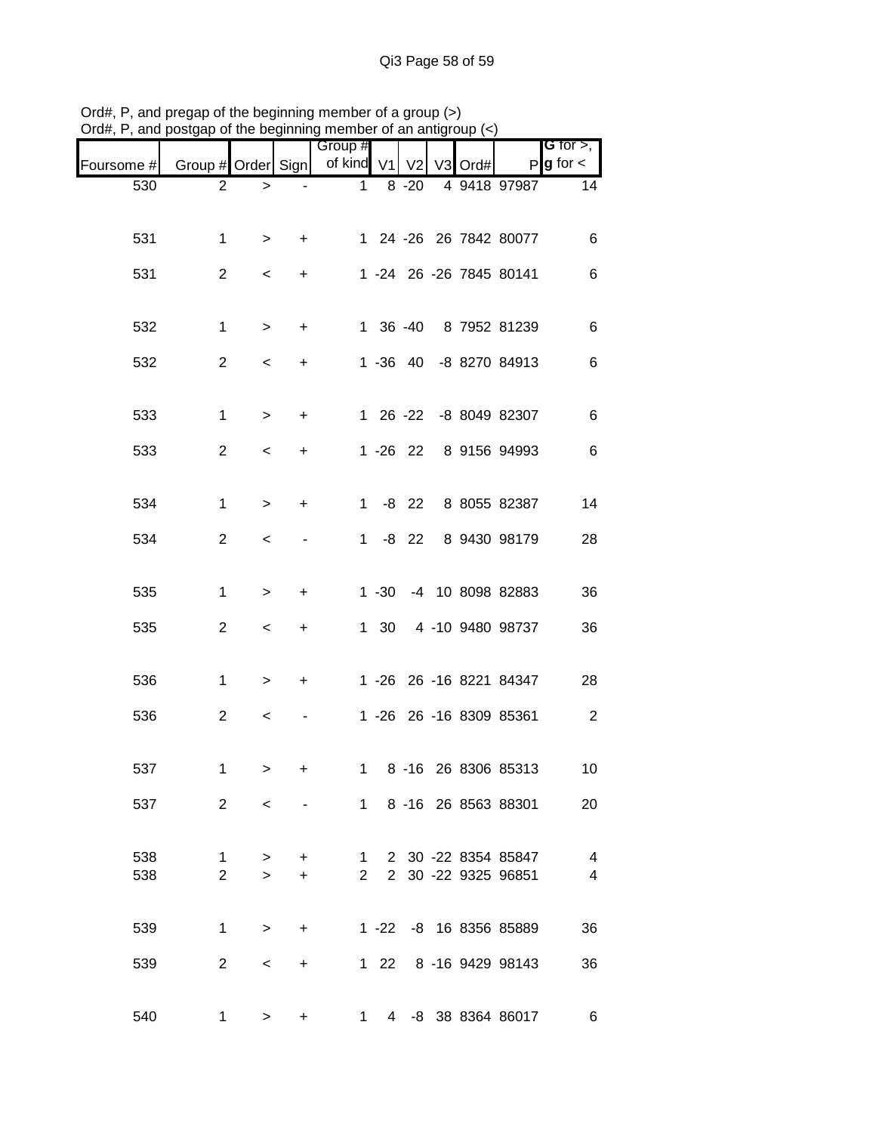| $O(d\theta, r)$ , and posigap or the beginning member or an anigroup $(\leq)$ |                    |                          |                 |                       |              |                |                |      |                                                |                                  |
|-------------------------------------------------------------------------------|--------------------|--------------------------|-----------------|-----------------------|--------------|----------------|----------------|------|------------------------------------------------|----------------------------------|
| Foursome #                                                                    | Group # Order Sign |                          |                 | Group #<br>of kind V1 |              | V <sub>2</sub> | V <sub>3</sub> | Ord# | P                                              | G for $>$ ,<br>$g$ for $\lt$     |
| 530                                                                           | $\overline{2}$     | >                        |                 | 1                     |              | $8 - 20$       |                |      | 4 9418 97987                                   | 14                               |
| 531                                                                           | 1                  | $\,>$                    | +               |                       |              |                |                |      | 1 24 -26 26 7842 80077                         | 6                                |
| 531                                                                           | $\overline{2}$     | $\,<\,$                  | +               |                       |              |                |                |      | 1 -24 26 -26 7845 80141                        | 6                                |
| 532                                                                           | $\mathbf{1}$       | >                        | +               |                       |              | 1 36 -40       |                |      | 8 7952 81239                                   | 6                                |
| 532                                                                           | $\overline{c}$     | $\,<\,$                  | +               |                       |              | $1 - 36 + 40$  |                |      | -8 8270 84913                                  | 6                                |
| 533                                                                           | $\mathbf{1}$       | >                        | +               |                       |              | 1 26 -22       |                |      | -8 8049 82307                                  | 6                                |
| 533                                                                           | $\overline{c}$     | <                        | +               |                       |              | $1 - 26$ 22    |                |      | 8 9156 94993                                   | 6                                |
| 534                                                                           | $\mathbf{1}$       | >                        | +               | 1.                    |              | $-8$ 22        |                |      | 8 8055 82387                                   | 14                               |
| 534                                                                           | $\overline{2}$     | <                        |                 | 1                     |              | $-8$ 22        |                |      | 8 9430 98179                                   | 28                               |
| 535                                                                           | 1                  | >                        | +               |                       | $1 - 30$     |                |                |      | -4 10 8098 82883                               | 36                               |
| 535                                                                           | $\overline{2}$     | $\,<\,$                  | +               |                       | $1 \quad 30$ |                |                |      | 4 -10 9480 98737                               | 36                               |
| 536                                                                           | 1                  | >                        | +               |                       |              |                |                |      | 1 -26 26 -16 8221 84347                        | 28                               |
| 536                                                                           | $\overline{2}$     | $\,<\,$                  |                 |                       |              |                |                |      | 1 -26 26 -16 8309 85361                        | $\overline{2}$                   |
| 537                                                                           | 1.                 | $\geq$                   | $\pm$           |                       |              |                |                |      | 1 8 -16 26 8306 85313                          | 10                               |
| 537                                                                           | $\overline{2}$     | $\prec$                  | <b>Contract</b> |                       |              |                |                |      | 1 8 -16 26 8563 88301                          | 20                               |
| 538<br>538                                                                    | 1<br>$2^{\circ}$   | $\geq$<br>$\geq$         | $+$<br>$+$      |                       |              |                |                |      | 1 2 30 -22 8354 85847<br>2 2 30 -22 9325 96851 | $\overline{4}$<br>$\overline{4}$ |
| 539                                                                           |                    | $1 \quad \Box$<br>$\geq$ | $+$             |                       |              |                |                |      | 1 -22 -8 16 8356 85889                         | 36                               |
| 539                                                                           |                    | $2^{\circ}$<br>$\prec$   | $+$             |                       |              |                |                |      | 1 22 8 -16 9429 98143                          | 36                               |
| 540                                                                           |                    | $1 \quad \Box$<br>>      | +               |                       |              |                |                |      | 1 4 -8 38 8364 86017                           | $\overline{6}$                   |

Ord#, P, and pregap of the beginning member of a group (>) Ord#, P, and postgap of the beginning member of an antigroup (<)